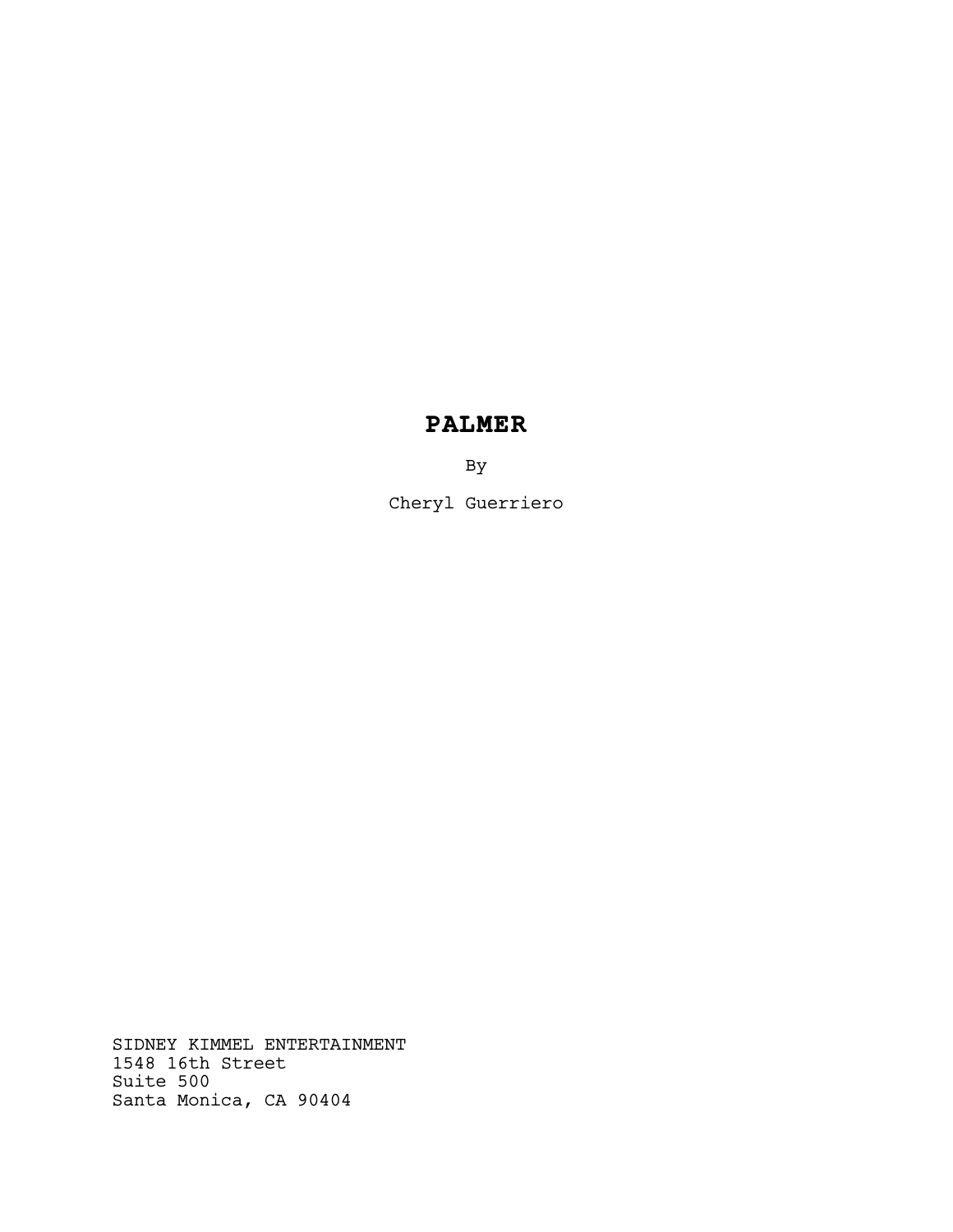# **PALMER**

By

Cheryl Guerriero

SIDNEY KIMMEL ENTERTAINMENT 1548 16th Street Suite 500 Santa Monica, CA 90404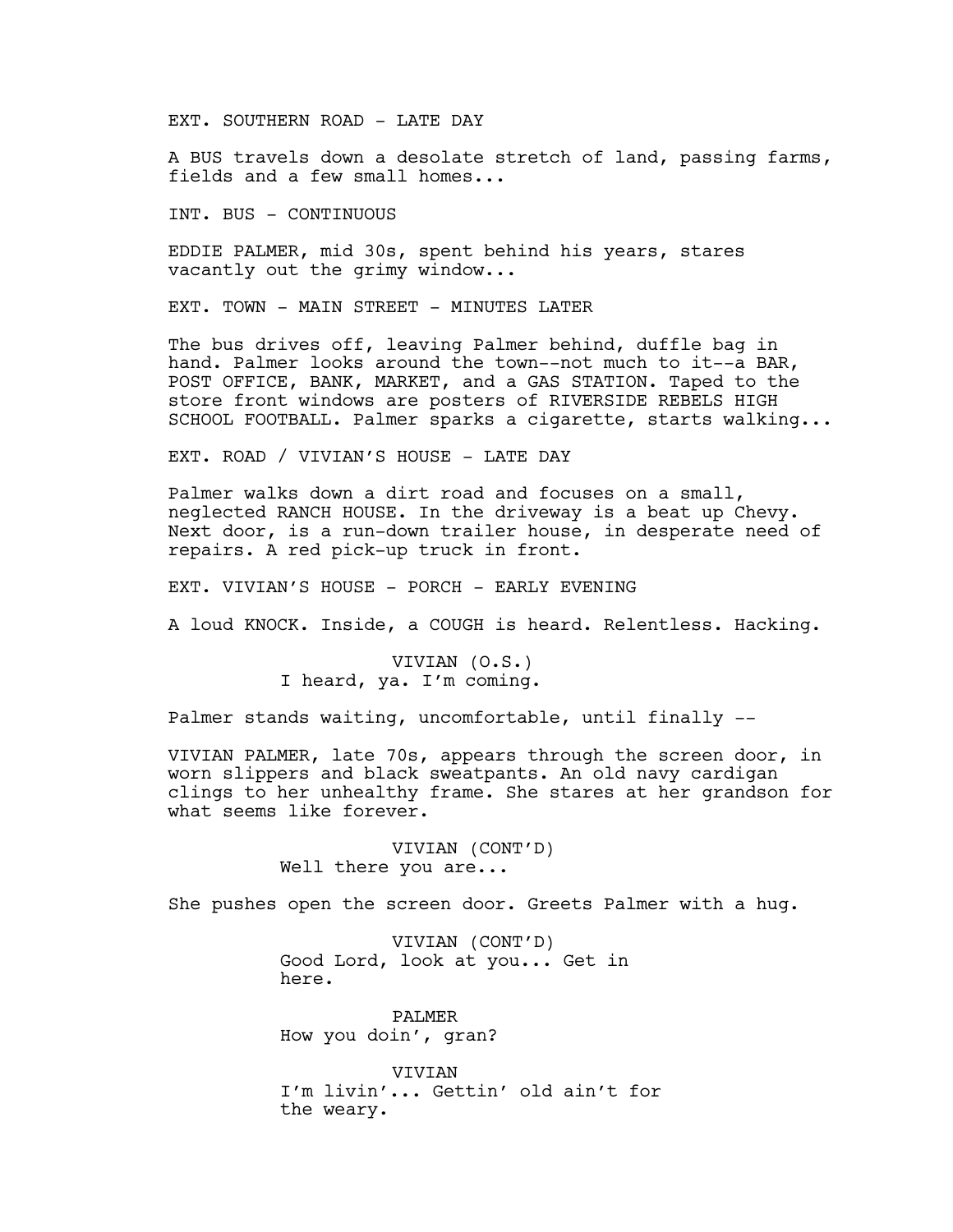EXT. SOUTHERN ROAD - LATE DAY

A BUS travels down a desolate stretch of land, passing farms, fields and a few small homes...

INT. BUS - CONTINUOUS

EDDIE PALMER, mid 30s, spent behind his years, stares vacantly out the grimy window...

EXT. TOWN - MAIN STREET - MINUTES LATER

The bus drives off, leaving Palmer behind, duffle bag in hand. Palmer looks around the town--not much to it--a BAR, POST OFFICE, BANK, MARKET, and a GAS STATION. Taped to the store front windows are posters of RIVERSIDE REBELS HIGH SCHOOL FOOTBALL. Palmer sparks a cigarette, starts walking...

EXT. ROAD / VIVIAN'S HOUSE - LATE DAY

Palmer walks down a dirt road and focuses on a small, neglected RANCH HOUSE. In the driveway is a beat up Chevy. Next door, is a run-down trailer house, in desperate need of repairs. A red pick-up truck in front.

EXT. VIVIAN'S HOUSE - PORCH - EARLY EVENING

A loud KNOCK. Inside, a COUGH is heard. Relentless. Hacking.

VIVIAN (O.S.) I heard, ya. I'm coming.

Palmer stands waiting, uncomfortable, until finally --

VIVIAN PALMER, late 70s, appears through the screen door, in worn slippers and black sweatpants. An old navy cardigan clings to her unhealthy frame. She stares at her grandson for what seems like forever.

> VIVIAN (CONT'D) Well there you are...

She pushes open the screen door. Greets Palmer with a hug.

VIVIAN (CONT'D) Good Lord, look at you... Get in here.

PALMER How you doin', gran?

VIVIAN I'm livin'... Gettin' old ain't for the weary.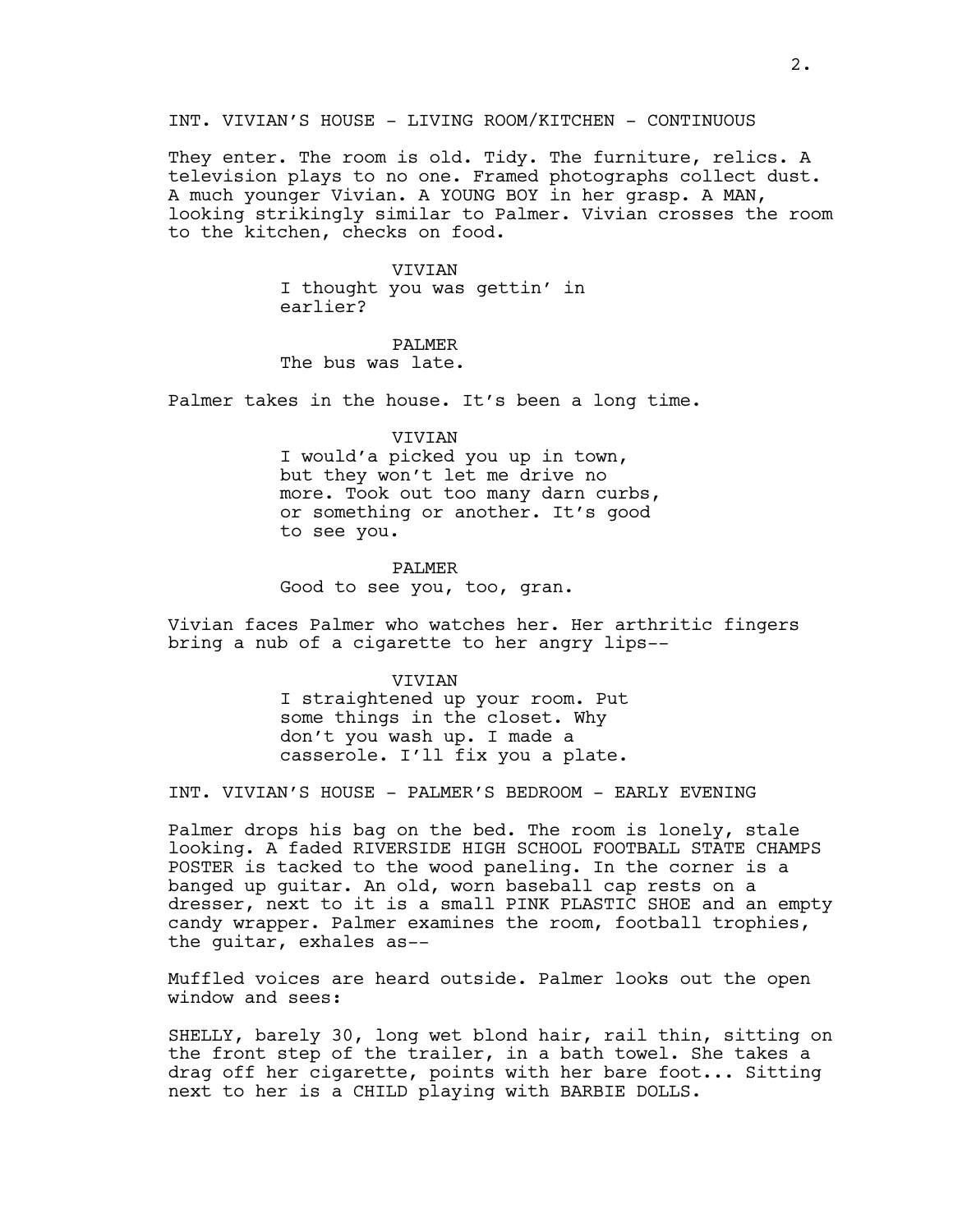## INT. VIVIAN'S HOUSE - LIVING ROOM/KITCHEN - CONTINUOUS

They enter. The room is old. Tidy. The furniture, relics. A television plays to no one. Framed photographs collect dust. A much younger Vivian. A YOUNG BOY in her grasp. A MAN, looking strikingly similar to Palmer. Vivian crosses the room to the kitchen, checks on food.

#### VIVIAN

I thought you was gettin' in earlier?

## PALMER

The bus was late.

Palmer takes in the house. It's been a long time.

VIVIAN

I would'a picked you up in town, but they won't let me drive no more. Took out too many darn curbs, or something or another. It's good to see you.

#### PALMER

Good to see you, too, gran.

Vivian faces Palmer who watches her. Her arthritic fingers bring a nub of a cigarette to her angry lips--

#### VIVIAN

I straightened up your room. Put some things in the closet. Why don't you wash up. I made a casserole. I'll fix you a plate.

INT. VIVIAN'S HOUSE - PALMER'S BEDROOM - EARLY EVENING

Palmer drops his bag on the bed. The room is lonely, stale looking. A faded RIVERSIDE HIGH SCHOOL FOOTBALL STATE CHAMPS POSTER is tacked to the wood paneling. In the corner is a banged up guitar. An old, worn baseball cap rests on a dresser, next to it is a small PINK PLASTIC SHOE and an empty candy wrapper. Palmer examines the room, football trophies, the guitar, exhales as--

Muffled voices are heard outside. Palmer looks out the open window and sees:

SHELLY, barely 30, long wet blond hair, rail thin, sitting on the front step of the trailer, in a bath towel. She takes a drag off her cigarette, points with her bare foot... Sitting next to her is a CHILD playing with BARBIE DOLLS.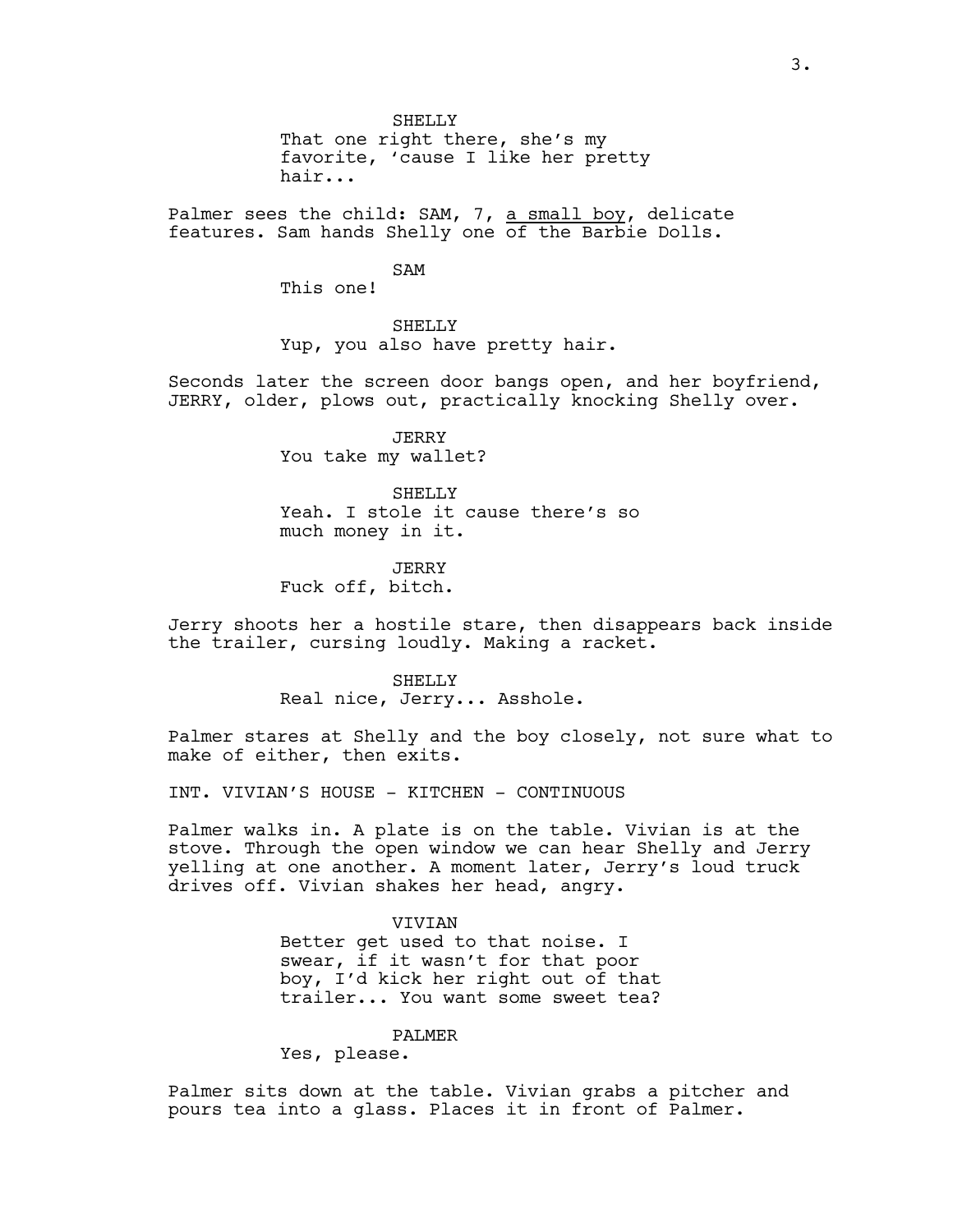SHELLY

That one right there, she's my favorite, 'cause I like her pretty hair...

Palmer sees the child: SAM, 7, a small boy, delicate features. Sam hands Shelly one of the Barbie Dolls.

SAM

This one!

SHELLY

Yup, you also have pretty hair.

Seconds later the screen door bangs open, and her boyfriend, JERRY, older, plows out, practically knocking Shelly over.

> JERRY You take my wallet?

SHELLY Yeah. I stole it cause there's so much money in it.

JERRY Fuck off, bitch.

Jerry shoots her a hostile stare, then disappears back inside the trailer, cursing loudly. Making a racket.

> SHELLY Real nice, Jerry... Asshole.

Palmer stares at Shelly and the boy closely, not sure what to make of either, then exits.

INT. VIVIAN'S HOUSE - KITCHEN - CONTINUOUS

Palmer walks in. A plate is on the table. Vivian is at the stove. Through the open window we can hear Shelly and Jerry yelling at one another. A moment later, Jerry's loud truck drives off. Vivian shakes her head, angry.

#### VIVIAN

Better get used to that noise. I swear, if it wasn't for that poor boy, I'd kick her right out of that trailer... You want some sweet tea?

## PALMER

Yes, please.

Palmer sits down at the table. Vivian grabs a pitcher and pours tea into a glass. Places it in front of Palmer.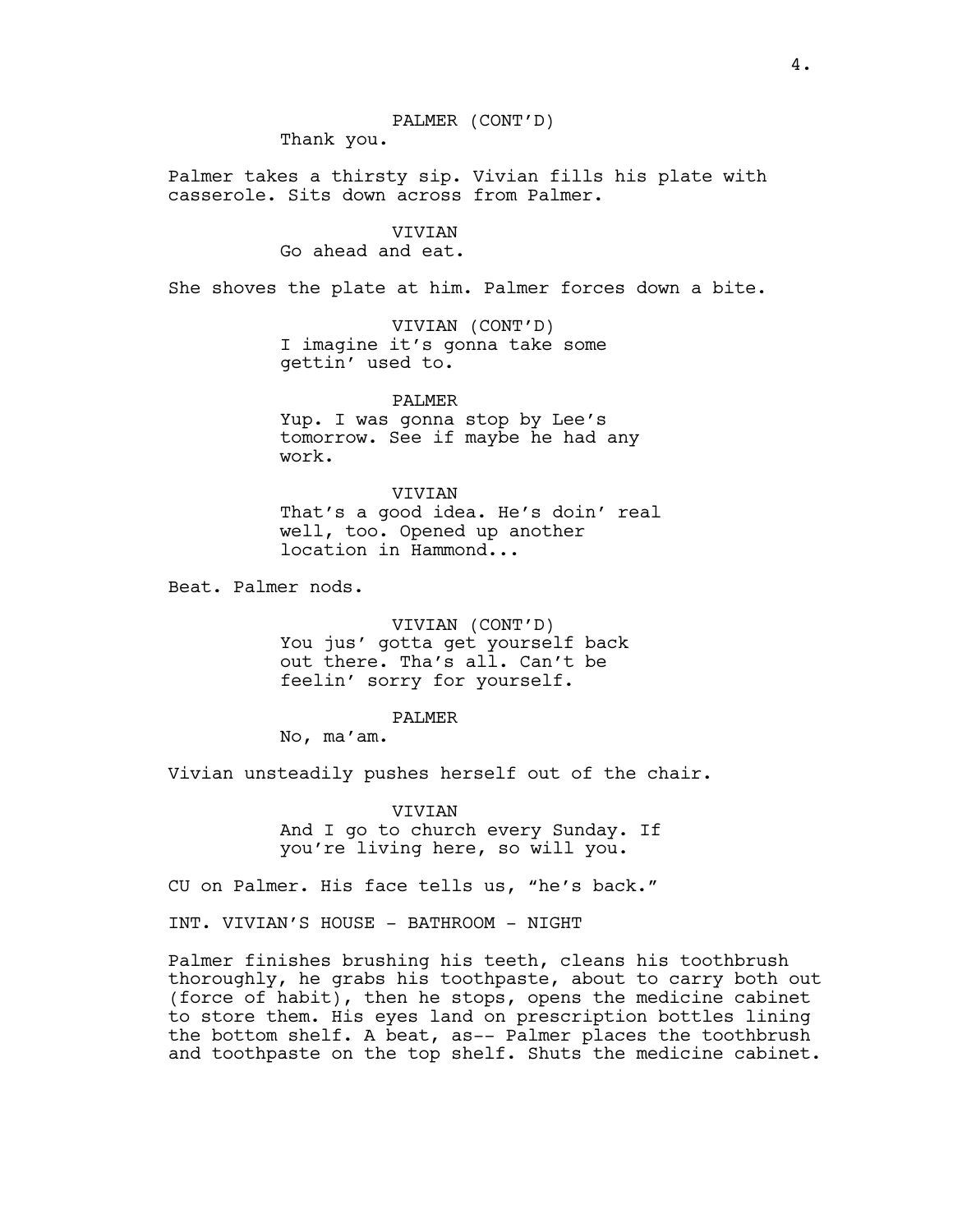PALMER (CONT'D)

Thank you.

Palmer takes a thirsty sip. Vivian fills his plate with casserole. Sits down across from Palmer.

> VIVIAN Go ahead and eat.

She shoves the plate at him. Palmer forces down a bite.

VIVIAN (CONT'D) I imagine it's gonna take some gettin' used to.

PALMER Yup. I was gonna stop by Lee's tomorrow. See if maybe he had any work.

VIVIAN That's a good idea. He's doin' real well, too. Opened up another location in Hammond...

Beat. Palmer nods.

VIVIAN (CONT'D) You jus' gotta get yourself back out there. Tha's all. Can't be feelin' sorry for yourself.

PALMER

No, ma'am.

Vivian unsteadily pushes herself out of the chair.

VIVIAN And I go to church every Sunday. If you're living here, so will you.

CU on Palmer. His face tells us, "he's back."

INT. VIVIAN'S HOUSE - BATHROOM - NIGHT

Palmer finishes brushing his teeth, cleans his toothbrush thoroughly, he grabs his toothpaste, about to carry both out (force of habit), then he stops, opens the medicine cabinet to store them. His eyes land on prescription bottles lining the bottom shelf. A beat, as-- Palmer places the toothbrush and toothpaste on the top shelf. Shuts the medicine cabinet.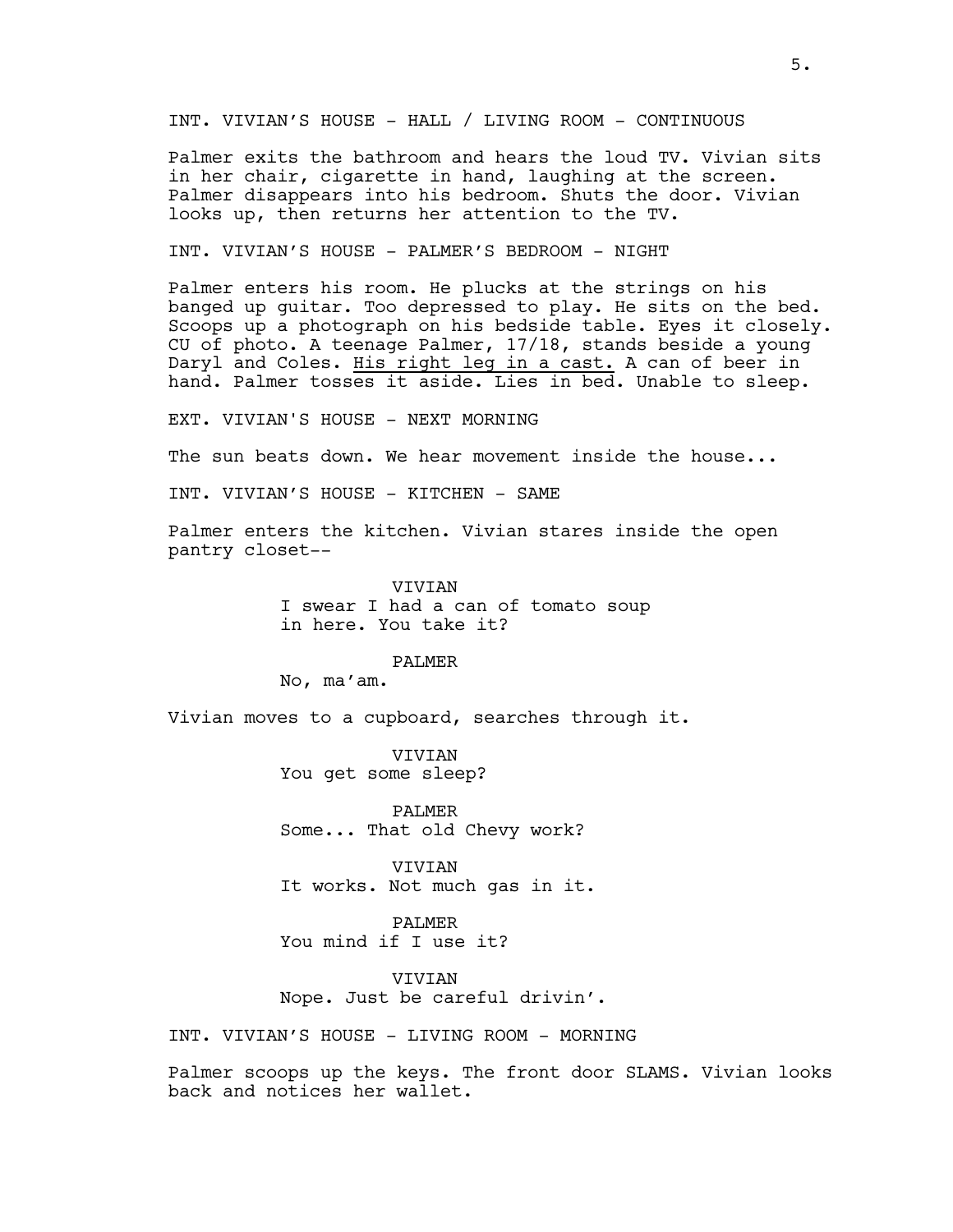INT. VIVIAN'S HOUSE - HALL / LIVING ROOM - CONTINUOUS

Palmer exits the bathroom and hears the loud TV. Vivian sits in her chair, cigarette in hand, laughing at the screen. Palmer disappears into his bedroom. Shuts the door. Vivian looks up, then returns her attention to the TV.

INT. VIVIAN'S HOUSE - PALMER'S BEDROOM - NIGHT

Palmer enters his room. He plucks at the strings on his banged up guitar. Too depressed to play. He sits on the bed. Scoops up a photograph on his bedside table. Eyes it closely. CU of photo. A teenage Palmer, 17/18, stands beside a young Daryl and Coles. His right leg in a cast. A can of beer in hand. Palmer tosses it aside. Lies in bed. Unable to sleep.

EXT. VIVIAN'S HOUSE - NEXT MORNING

The sun beats down. We hear movement inside the house...

INT. VIVIAN'S HOUSE - KITCHEN - SAME

Palmer enters the kitchen. Vivian stares inside the open pantry closet--

> VIVIAN I swear I had a can of tomato soup in here. You take it?

> > PALMER

No, ma'am.

Vivian moves to a cupboard, searches through it.

VIVIAN You get some sleep?

PALMER Some... That old Chevy work?

VIVIAN It works. Not much gas in it.

PALMER You mind if I use it?

**VIVIAN** Nope. Just be careful drivin'.

INT. VIVIAN'S HOUSE - LIVING ROOM - MORNING

Palmer scoops up the keys. The front door SLAMS. Vivian looks back and notices her wallet.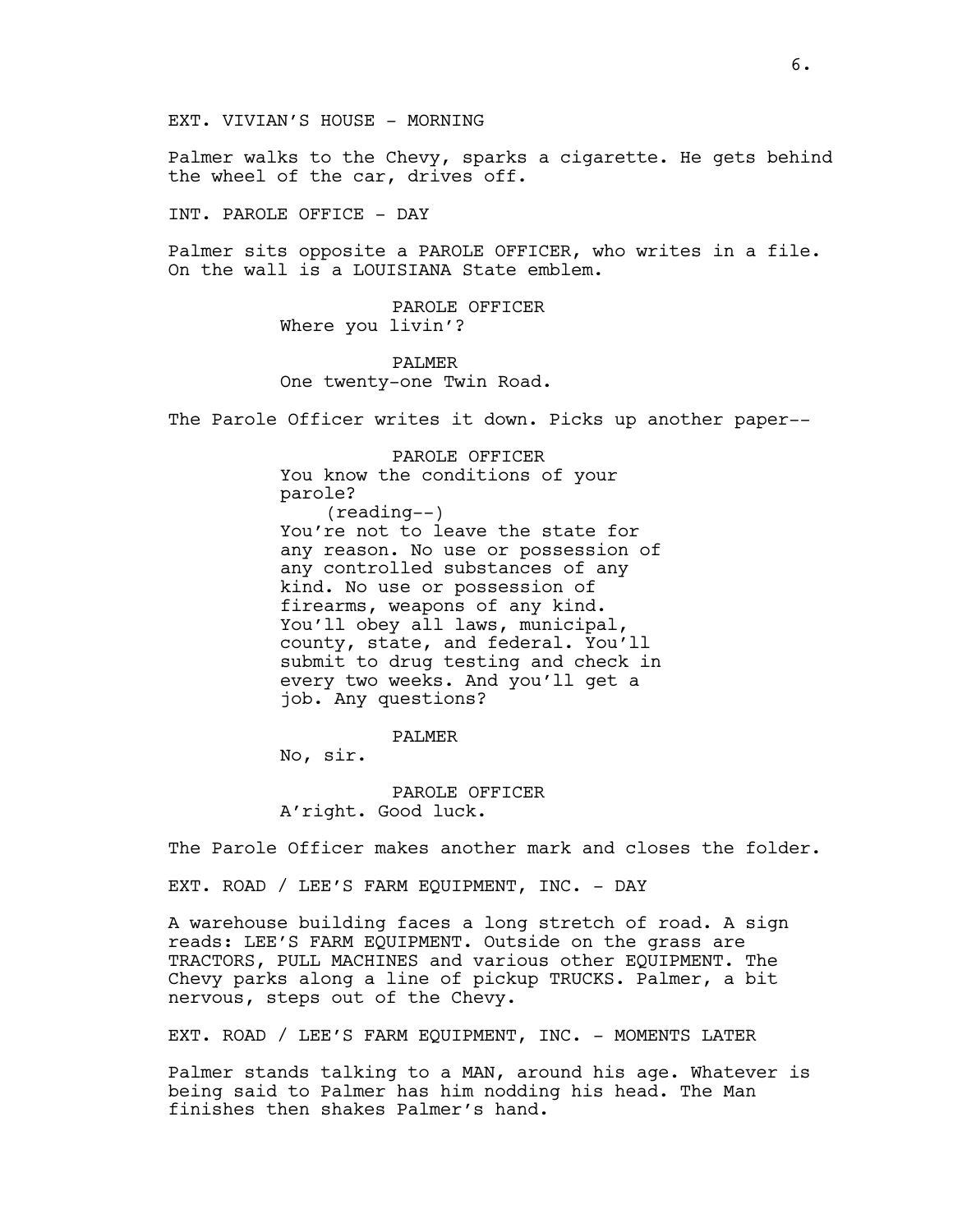EXT. VIVIAN'S HOUSE - MORNING

Palmer walks to the Chevy, sparks a cigarette. He gets behind the wheel of the car, drives off.

INT. PAROLE OFFICE - DAY

Palmer sits opposite a PAROLE OFFICER, who writes in a file. On the wall is a LOUISIANA State emblem.

> PAROLE OFFICER Where you livin'?

PALMER One twenty-one Twin Road.

The Parole Officer writes it down. Picks up another paper--

PAROLE OFFICER You know the conditions of your parole? (reading--) You're not to leave the state for any reason. No use or possession of any controlled substances of any kind. No use or possession of firearms, weapons of any kind. You'll obey all laws, municipal, county, state, and federal. You'll submit to drug testing and check in every two weeks. And you'll get a job. Any questions?

PALMER

No, sir.

PAROLE OFFICER A'right. Good luck.

The Parole Officer makes another mark and closes the folder.

EXT. ROAD / LEE'S FARM EQUIPMENT, INC. - DAY

A warehouse building faces a long stretch of road. A sign reads: LEE'S FARM EQUIPMENT. Outside on the grass are TRACTORS, PULL MACHINES and various other EQUIPMENT. The Chevy parks along a line of pickup TRUCKS. Palmer, a bit nervous, steps out of the Chevy.

EXT. ROAD / LEE'S FARM EQUIPMENT, INC. - MOMENTS LATER

Palmer stands talking to a MAN, around his age. Whatever is being said to Palmer has him nodding his head. The Man finishes then shakes Palmer's hand.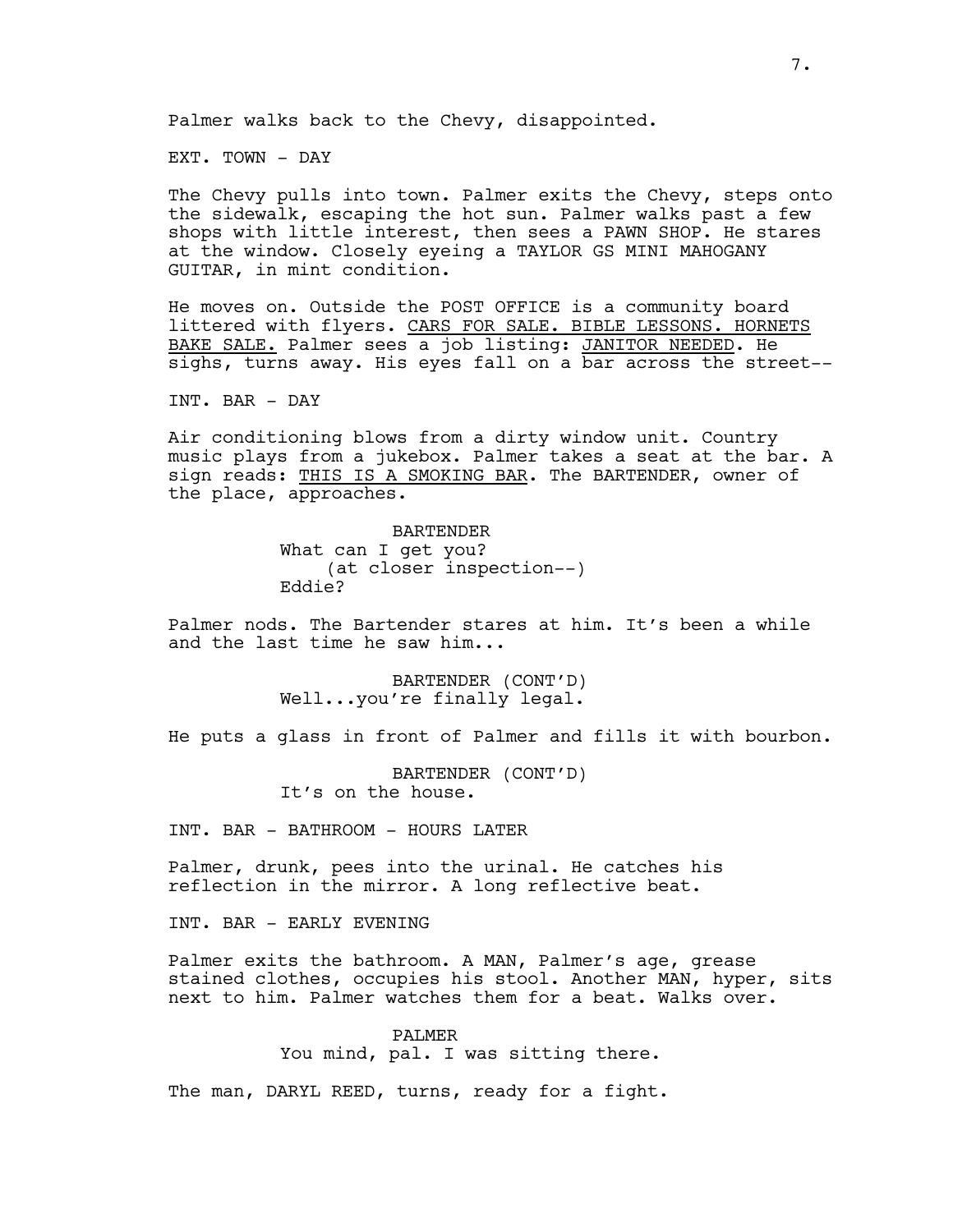Palmer walks back to the Chevy, disappointed.

EXT. TOWN - DAY

The Chevy pulls into town. Palmer exits the Chevy, steps onto the sidewalk, escaping the hot sun. Palmer walks past a few shops with little interest, then sees a PAWN SHOP. He stares at the window. Closely eyeing a TAYLOR GS MINI MAHOGANY GUITAR, in mint condition.

He moves on. Outside the POST OFFICE is a community board littered with flyers. CARS FOR SALE. BIBLE LESSONS. HORNETS BAKE SALE. Palmer sees a job listing: JANITOR NEEDED. He sighs, turns away. His eyes fall on a bar across the street--

INT. BAR - DAY

Air conditioning blows from a dirty window unit. Country music plays from a jukebox. Palmer takes a seat at the bar. A sign reads: THIS IS A SMOKING BAR. The BARTENDER, owner of the place, approaches.

> BARTENDER What can I get you? (at closer inspection--) Eddie?

Palmer nods. The Bartender stares at him. It's been a while and the last time he saw him...

> BARTENDER (CONT'D) Well...you're finally legal.

He puts a glass in front of Palmer and fills it with bourbon.

BARTENDER (CONT'D) It's on the house.

INT. BAR - BATHROOM - HOURS LATER

Palmer, drunk, pees into the urinal. He catches his reflection in the mirror. A long reflective beat.

INT. BAR - EARLY EVENING

Palmer exits the bathroom. A MAN, Palmer's age, grease stained clothes, occupies his stool. Another MAN, hyper, sits next to him. Palmer watches them for a beat. Walks over.

> PALMER You mind, pal. I was sitting there.

The man, DARYL REED, turns, ready for a fight.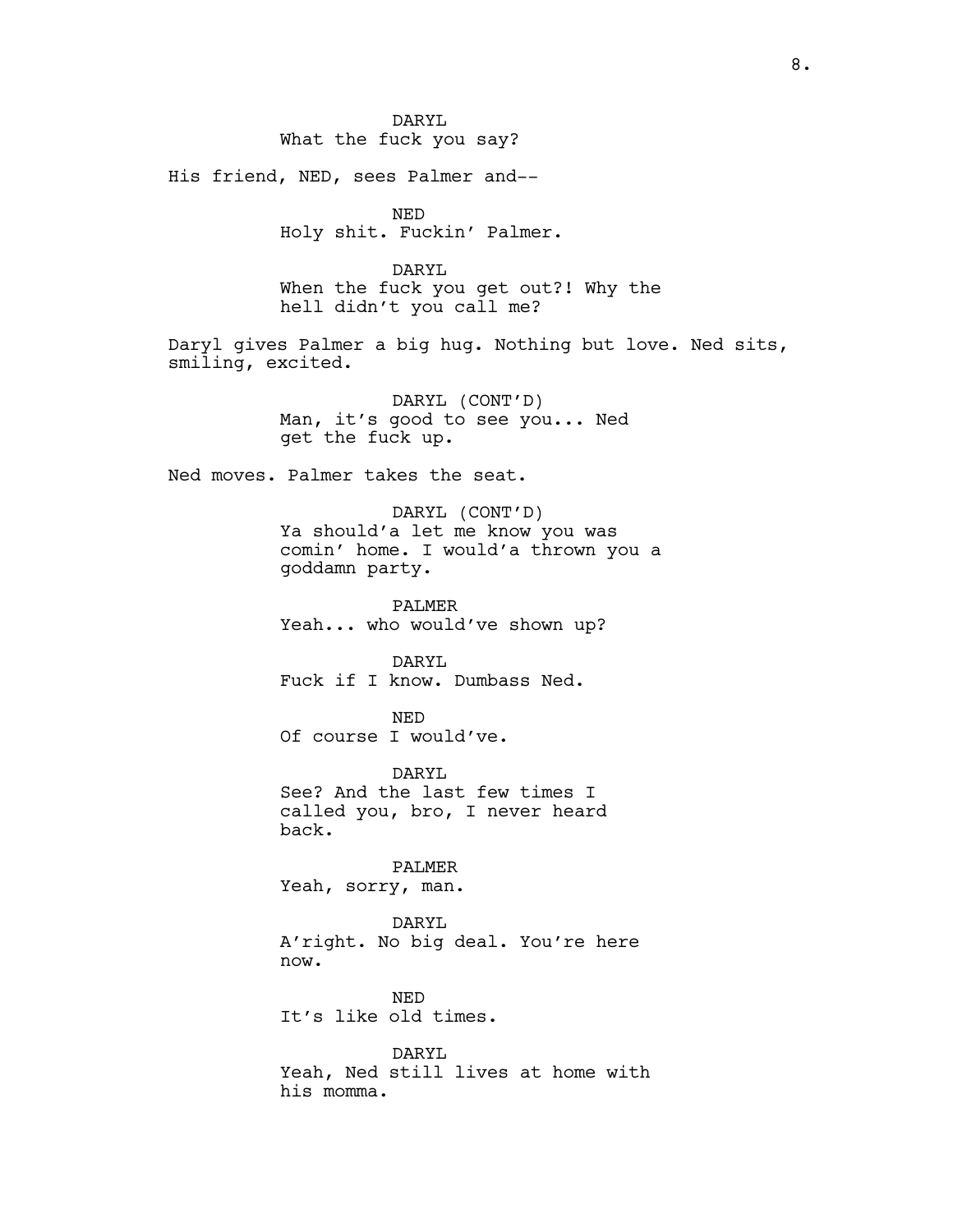His friend, NED, sees Palmer and--

NED Holy shit. Fuckin' Palmer.

DARYL When the fuck you get out?! Why the hell didn't you call me?

Daryl gives Palmer a big hug. Nothing but love. Ned sits, smiling, excited.

> DARYL (CONT'D) Man, it's good to see you... Ned get the fuck up.

Ned moves. Palmer takes the seat.

DARYL (CONT'D) Ya should'a let me know you was comin' home. I would'a thrown you a goddamn party.

PALMER Yeah... who would've shown up?

DARYL Fuck if I know. Dumbass Ned.

NED Of course I would've.

DARYL See? And the last few times I called you, bro, I never heard back.

PALMER Yeah, sorry, man.

DARYL A'right. No big deal. You're here now.

NED It's like old times.

DARYL Yeah, Ned still lives at home with his momma.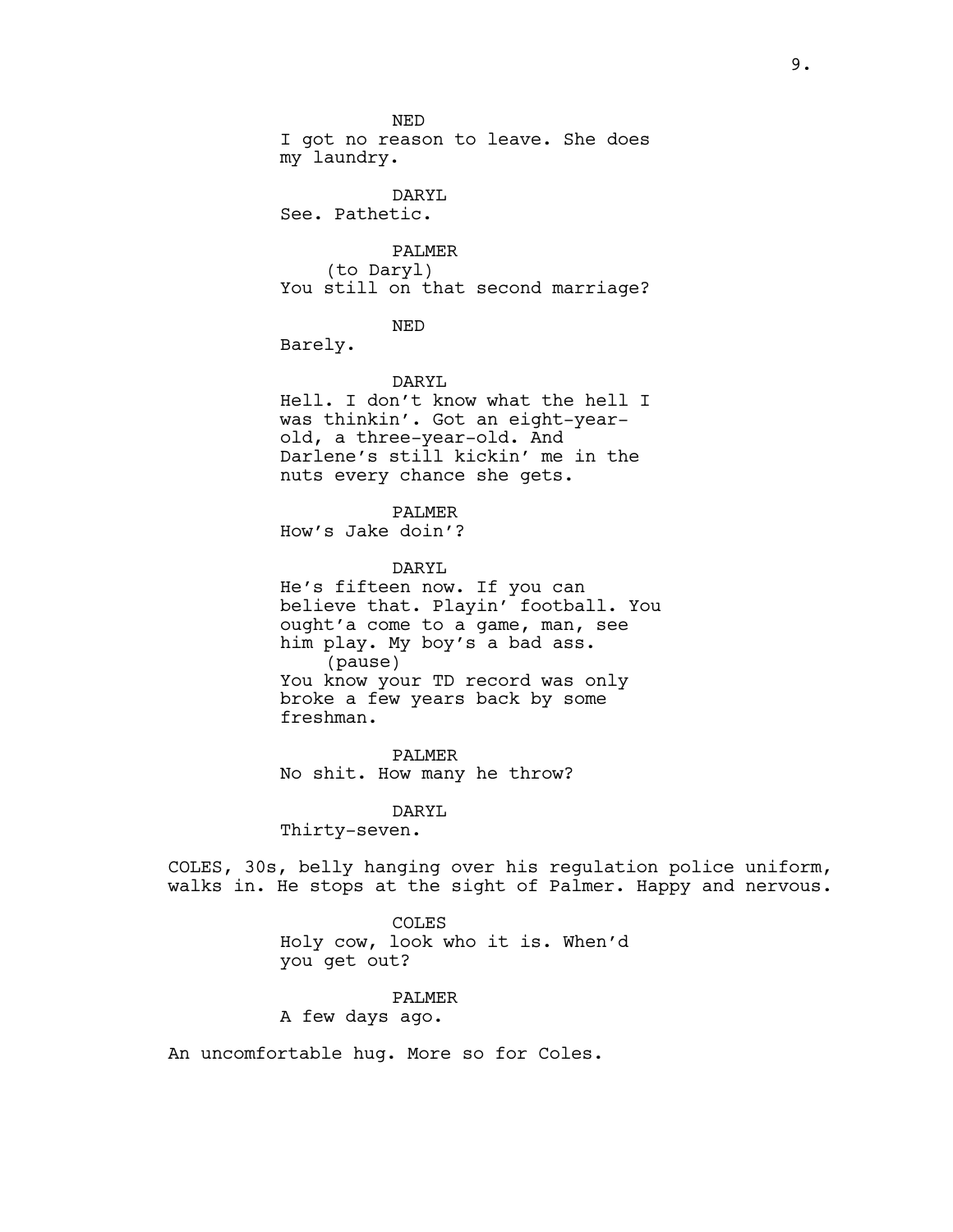NED I got no reason to leave. She does my laundry.

DARYL See. Pathetic.

PALMER (to Daryl) You still on that second marriage?

NED

Barely.

#### DARYL

Hell. I don't know what the hell I was thinkin'. Got an eight-yearold, a three-year-old. And Darlene's still kickin' me in the nuts every chance she gets.

PALMER

How's Jake doin'?

DARYL

He's fifteen now. If you can believe that. Playin' football. You ought'a come to a game, man, see him play. My boy's a bad ass. (pause) You know your TD record was only broke a few years back by some freshman.

PALMER No shit. How many he throw?

DARYL

Thirty-seven.

COLES, 30s, belly hanging over his regulation police uniform, walks in. He stops at the sight of Palmer. Happy and nervous.

COLES

Holy cow, look who it is. When'd you get out?

PALMER

A few days ago.

An uncomfortable hug. More so for Coles.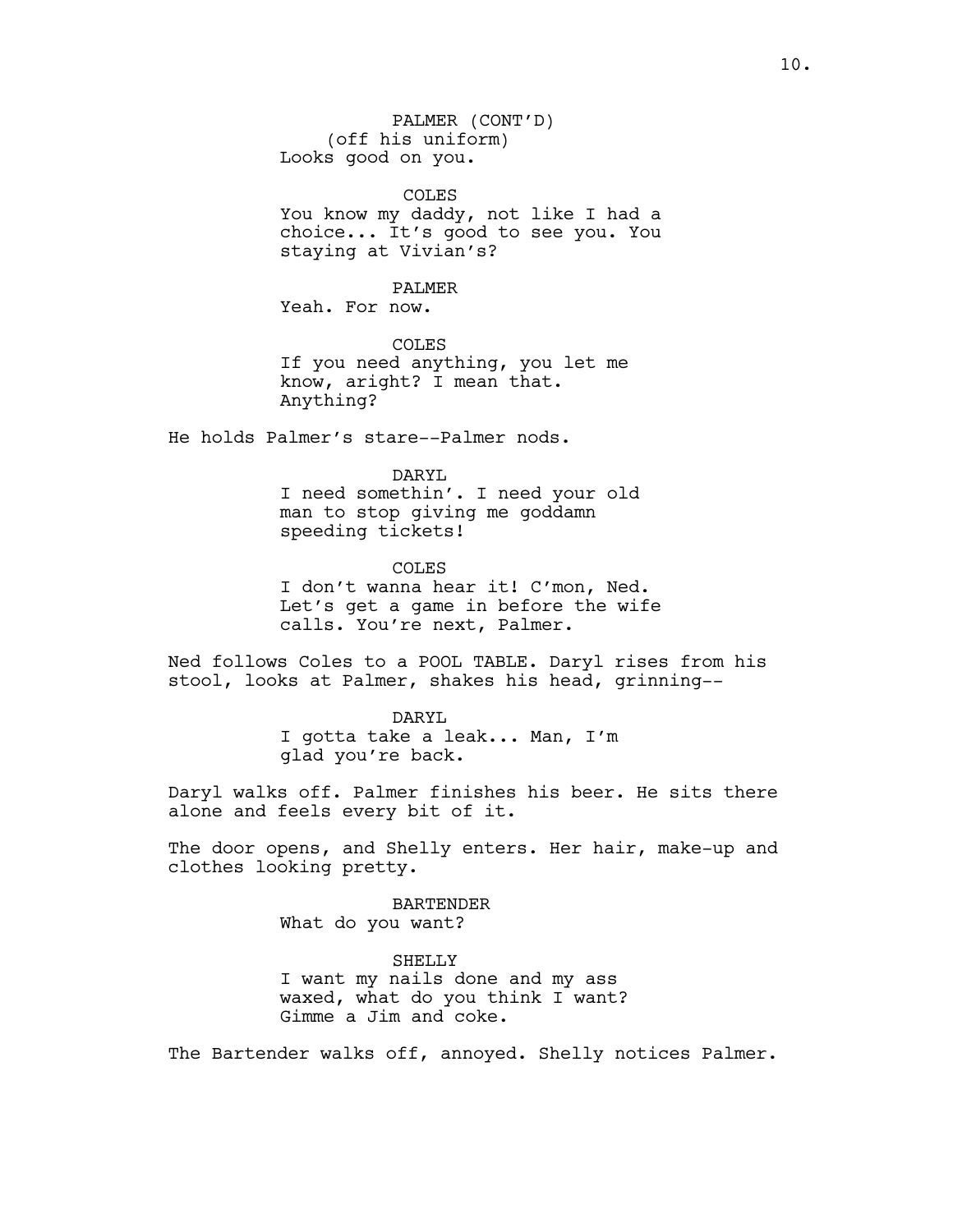PALMER (CONT'D) (off his uniform) Looks good on you.

COLES

You know my daddy, not like I had a choice... It's good to see you. You staying at Vivian's?

PALMER

Yeah. For now.

COLES If you need anything, you let me know, aright? I mean that. Anything?

He holds Palmer's stare--Palmer nods.

DARYL I need somethin'. I need your old man to stop giving me goddamn speeding tickets!

COLES I don't wanna hear it! C'mon, Ned. Let's get a game in before the wife calls. You're next, Palmer.

Ned follows Coles to a POOL TABLE. Daryl rises from his stool, looks at Palmer, shakes his head, grinning--

> DARYL I gotta take a leak... Man, I'm glad you're back.

Daryl walks off. Palmer finishes his beer. He sits there alone and feels every bit of it.

The door opens, and Shelly enters. Her hair, make-up and clothes looking pretty.

> BARTENDER What do you want?

SHELLY I want my nails done and my ass waxed, what do you think I want? Gimme a Jim and coke.

The Bartender walks off, annoyed. Shelly notices Palmer.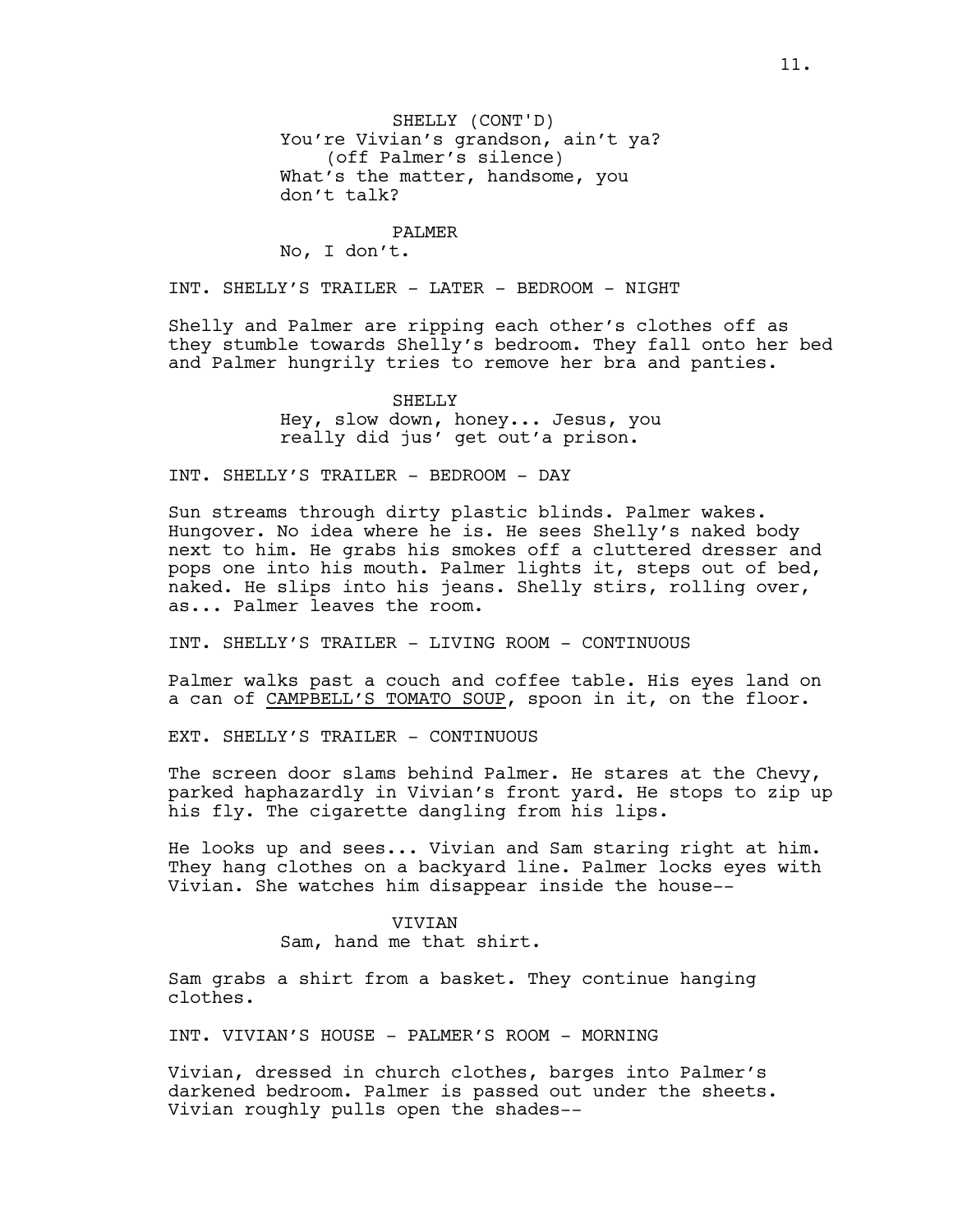## PALMER

No, I don't.

INT. SHELLY'S TRAILER - LATER - BEDROOM - NIGHT

Shelly and Palmer are ripping each other's clothes off as they stumble towards Shelly's bedroom. They fall onto her bed and Palmer hungrily tries to remove her bra and panties.

> SHELLY Hey, slow down, honey... Jesus, you really did jus' get out'a prison.

INT. SHELLY'S TRAILER - BEDROOM - DAY

Sun streams through dirty plastic blinds. Palmer wakes. Hungover. No idea where he is. He sees Shelly's naked body next to him. He grabs his smokes off a cluttered dresser and pops one into his mouth. Palmer lights it, steps out of bed, naked. He slips into his jeans. Shelly stirs, rolling over, as... Palmer leaves the room.

INT. SHELLY'S TRAILER - LIVING ROOM - CONTINUOUS

Palmer walks past a couch and coffee table. His eyes land on a can of CAMPBELL'S TOMATO SOUP, spoon in it, on the floor.

EXT. SHELLY'S TRAILER - CONTINUOUS

The screen door slams behind Palmer. He stares at the Chevy, parked haphazardly in Vivian's front yard. He stops to zip up his fly. The cigarette dangling from his lips.

He looks up and sees... Vivian and Sam staring right at him. They hang clothes on a backyard line. Palmer locks eyes with Vivian. She watches him disappear inside the house--

#### VIVIAN

Sam, hand me that shirt.

Sam grabs a shirt from a basket. They continue hanging clothes.

INT. VIVIAN'S HOUSE - PALMER'S ROOM - MORNING

Vivian, dressed in church clothes, barges into Palmer's darkened bedroom. Palmer is passed out under the sheets. Vivian roughly pulls open the shades--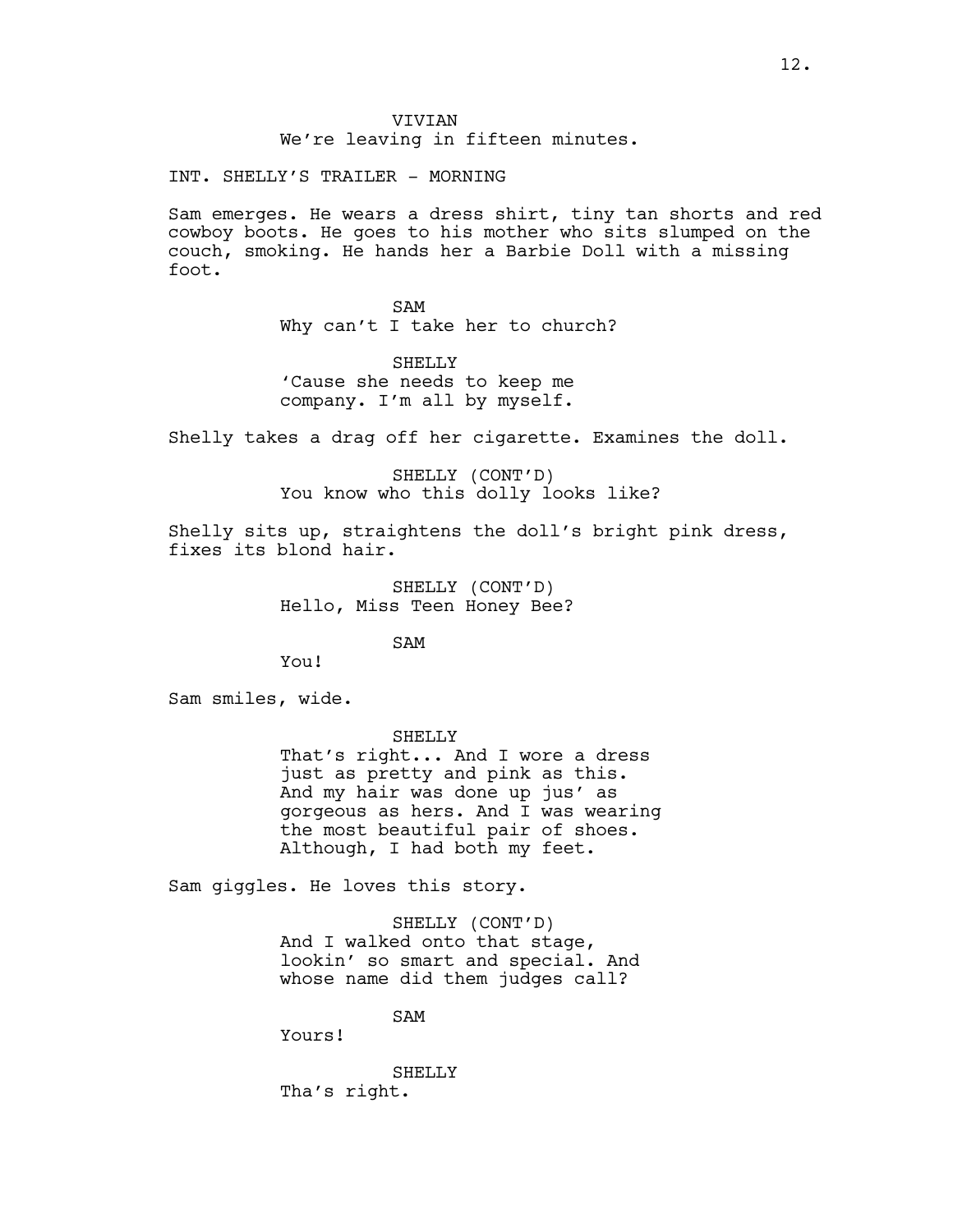VIVIAN We're leaving in fifteen minutes.

INT. SHELLY'S TRAILER - MORNING

Sam emerges. He wears a dress shirt, tiny tan shorts and red cowboy boots. He goes to his mother who sits slumped on the couch, smoking. He hands her a Barbie Doll with a missing foot.

> SAM Why can't I take her to church?

SHELLY 'Cause she needs to keep me company. I'm all by myself.

Shelly takes a drag off her cigarette. Examines the doll.

SHELLY (CONT'D) You know who this dolly looks like?

Shelly sits up, straightens the doll's bright pink dress, fixes its blond hair.

> SHELLY (CONT'D) Hello, Miss Teen Honey Bee?

> > SAM

You!

Sam smiles, wide.

SHELLY

That's right... And I wore a dress just as pretty and pink as this. And my hair was done up jus' as gorgeous as hers. And I was wearing the most beautiful pair of shoes. Although, I had both my feet.

Sam giggles. He loves this story.

SHELLY (CONT'D) And I walked onto that stage, lookin' so smart and special. And whose name did them judges call?

SAM

Yours!

SHELLY Tha's right.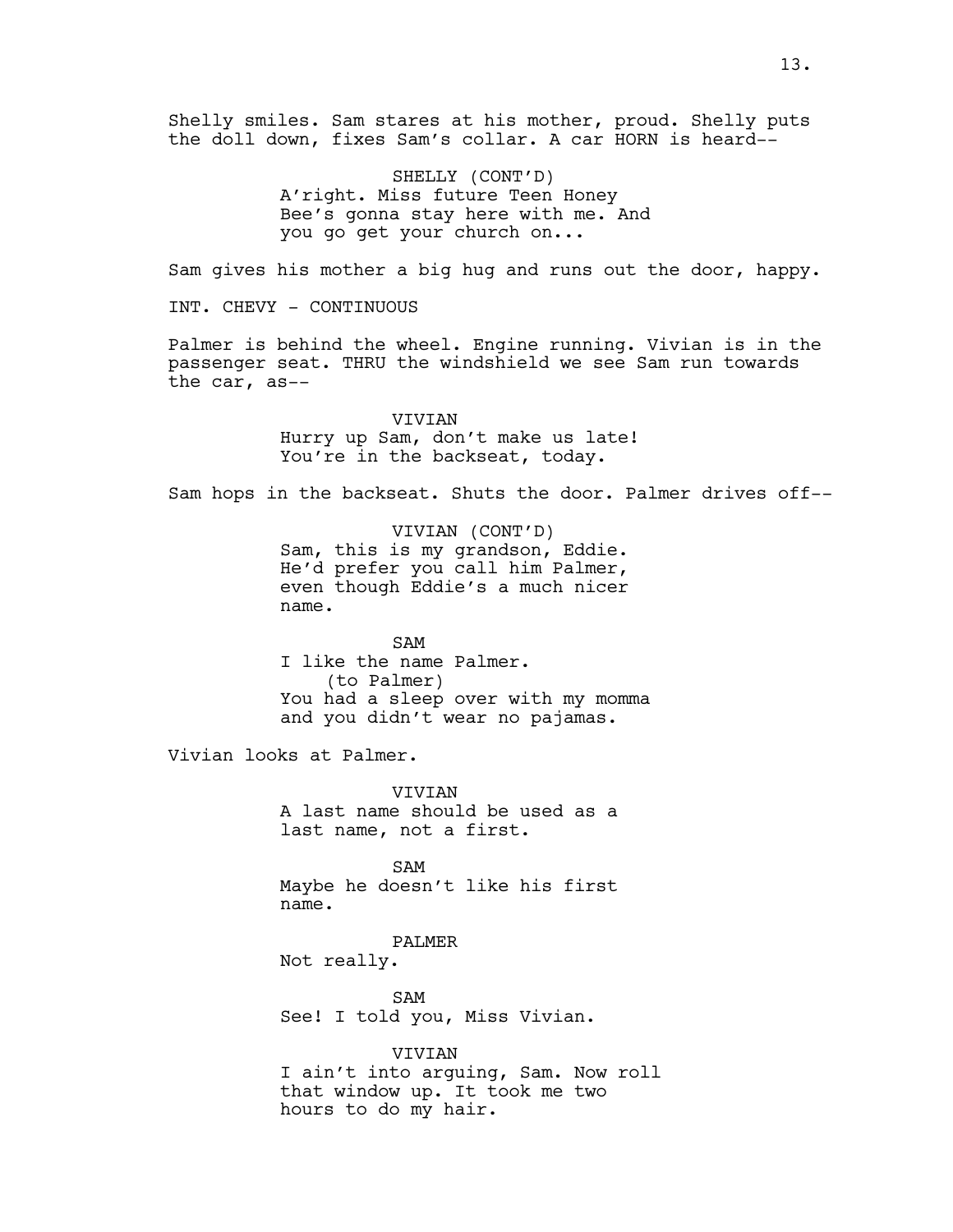Shelly smiles. Sam stares at his mother, proud. Shelly puts the doll down, fixes Sam's collar. A car HORN is heard--

> SHELLY (CONT'D) A'right. Miss future Teen Honey Bee's gonna stay here with me. And you go get your church on...

Sam gives his mother a big hug and runs out the door, happy.

INT. CHEVY - CONTINUOUS

Palmer is behind the wheel. Engine running. Vivian is in the passenger seat. THRU the windshield we see Sam run towards the car, as--

> VIVIAN Hurry up Sam, don't make us late! You're in the backseat, today.

Sam hops in the backseat. Shuts the door. Palmer drives off--

VIVIAN (CONT'D) Sam, this is my grandson, Eddie. He'd prefer you call him Palmer, even though Eddie's a much nicer name.

SAM I like the name Palmer. (to Palmer) You had a sleep over with my momma and you didn't wear no pajamas.

Vivian looks at Palmer.

VIVIAN A last name should be used as a last name, not a first.

SAM Maybe he doesn't like his first name.

PALMER

Not really.

SAM See! I told you, Miss Vivian.

VIVIAN I ain't into arguing, Sam. Now roll that window up. It took me two hours to do my hair.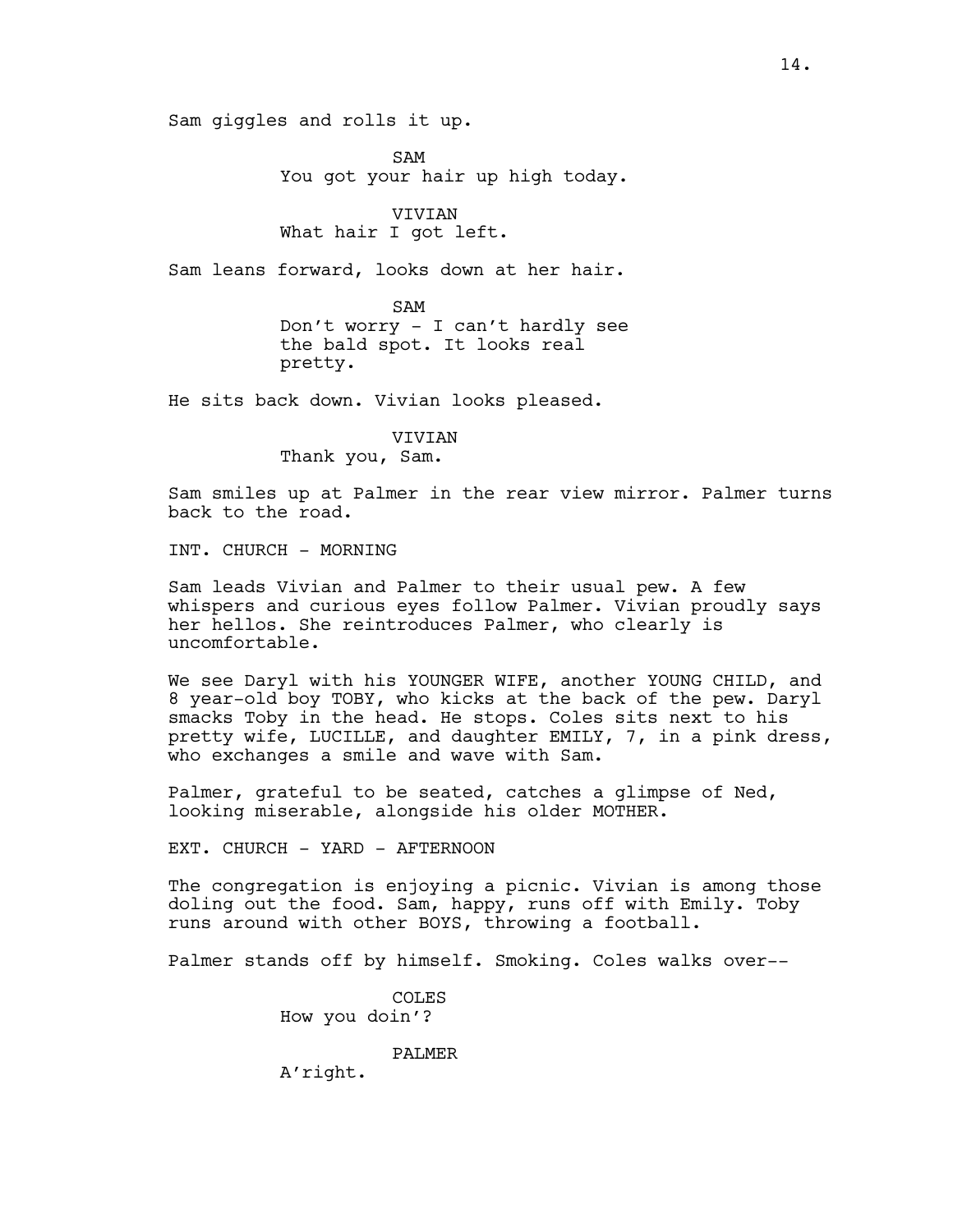Sam giggles and rolls it up.

SAM You got your hair up high today.

VIVIAN What hair I got left.

Sam leans forward, looks down at her hair.

SAM Don't worry - I can't hardly see the bald spot. It looks real pretty.

He sits back down. Vivian looks pleased.

VIVIAN Thank you, Sam.

Sam smiles up at Palmer in the rear view mirror. Palmer turns back to the road.

INT. CHURCH - MORNING

Sam leads Vivian and Palmer to their usual pew. A few whispers and curious eyes follow Palmer. Vivian proudly says her hellos. She reintroduces Palmer, who clearly is uncomfortable.

We see Daryl with his YOUNGER WIFE, another YOUNG CHILD, and 8 year-old boy TOBY, who kicks at the back of the pew. Daryl smacks Toby in the head. He stops. Coles sits next to his pretty wife, LUCILLE, and daughter EMILY, 7, in a pink dress, who exchanges a smile and wave with Sam.

Palmer, grateful to be seated, catches a glimpse of Ned, looking miserable, alongside his older MOTHER.

EXT. CHURCH - YARD - AFTERNOON

The congregation is enjoying a picnic. Vivian is among those doling out the food. Sam, happy, runs off with Emily. Toby runs around with other BOYS, throwing a football.

Palmer stands off by himself. Smoking. Coles walks over--

COLES How you doin'?

PALMER

A'right.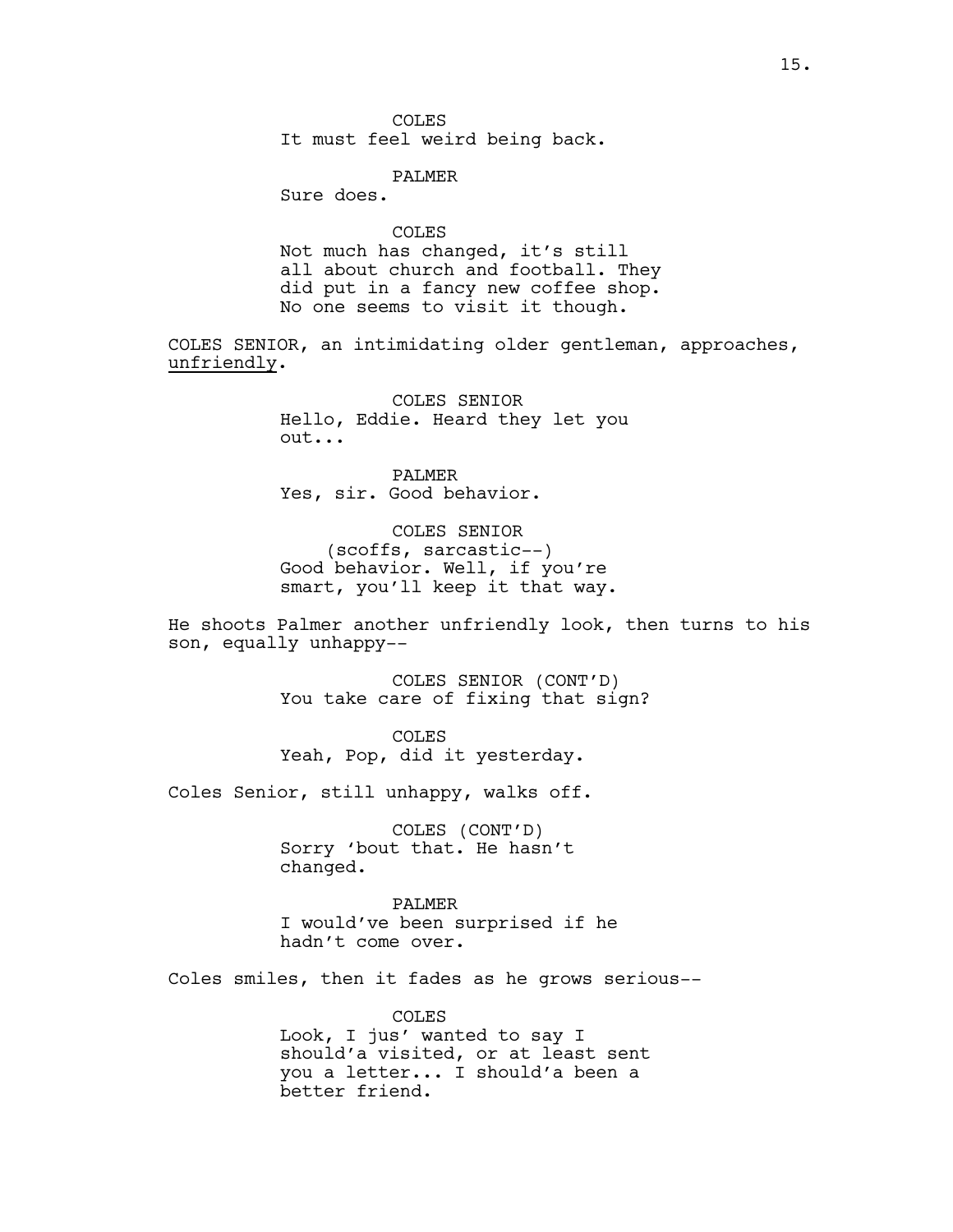COLES

It must feel weird being back.

PALMER

Sure does.

COLES

Not much has changed, it's still all about church and football. They did put in a fancy new coffee shop. No one seems to visit it though.

COLES SENIOR, an intimidating older gentleman, approaches, unfriendly.

> COLES SENIOR Hello, Eddie. Heard they let you out...

PALMER Yes, sir. Good behavior.

COLES SENIOR (scoffs, sarcastic--) Good behavior. Well, if you're smart, you'll keep it that way.

He shoots Palmer another unfriendly look, then turns to his son, equally unhappy--

> COLES SENIOR (CONT'D) You take care of fixing that sign?

COLES Yeah, Pop, did it yesterday.

Coles Senior, still unhappy, walks off.

COLES (CONT'D) Sorry 'bout that. He hasn't changed.

PALMER I would've been surprised if he hadn't come over.

Coles smiles, then it fades as he grows serious--

COLES Look, I jus' wanted to say I should'a visited, or at least sent you a letter... I should'a been a better friend.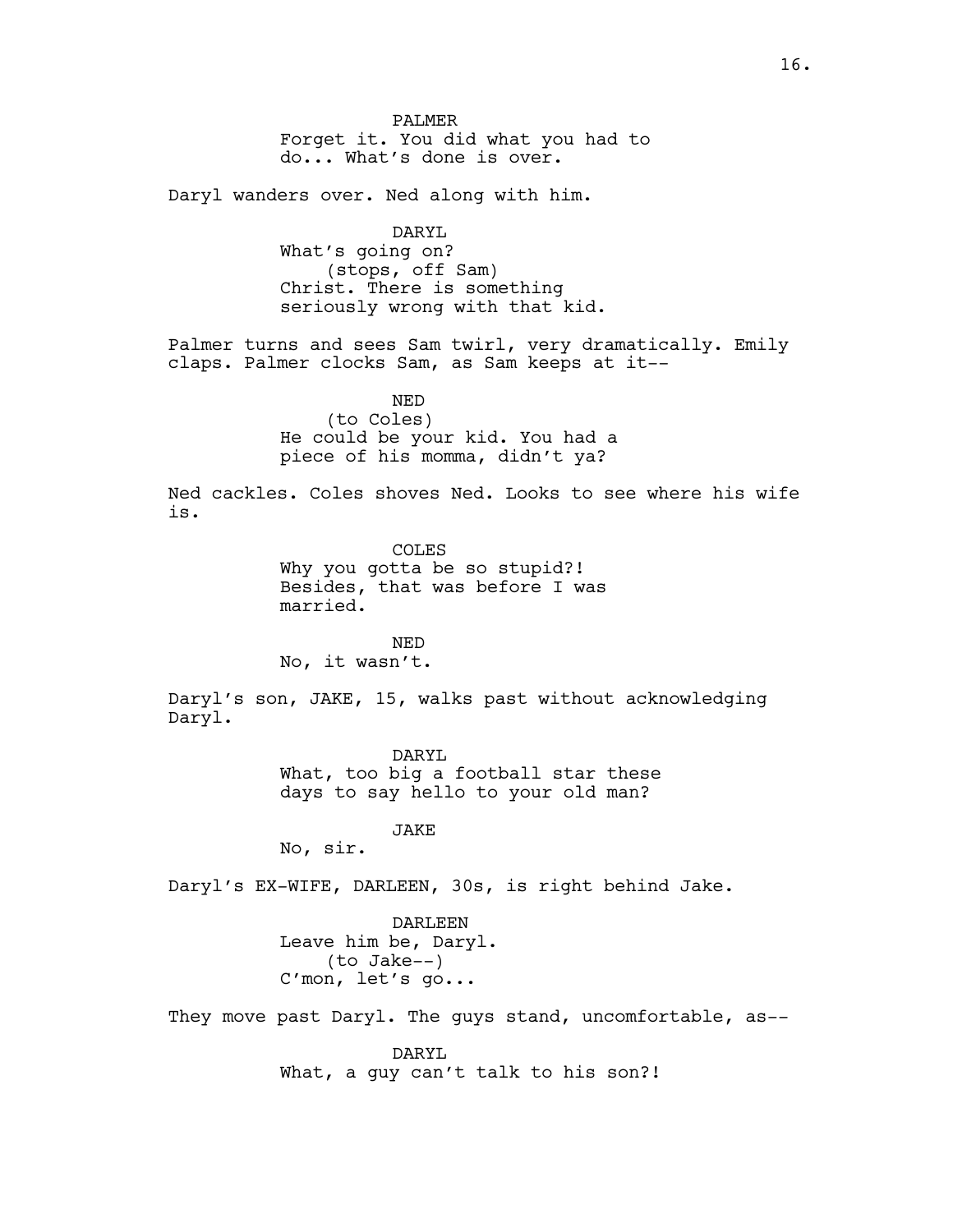PALMER Forget it. You did what you had to do... What's done is over.

Daryl wanders over. Ned along with him.

DARYL What's going on? (stops, off Sam) Christ. There is something seriously wrong with that kid.

Palmer turns and sees Sam twirl, very dramatically. Emily claps. Palmer clocks Sam, as Sam keeps at it--

> NED (to Coles) He could be your kid. You had a piece of his momma, didn't ya?

Ned cackles. Coles shoves Ned. Looks to see where his wife is.

> COLES Why you gotta be so stupid?! Besides, that was before I was married.

NED No, it wasn't.

Daryl's son, JAKE, 15, walks past without acknowledging Daryl.

> DARYL What, too big a football star these days to say hello to your old man?

> > JAKE

No, sir.

Daryl's EX-WIFE, DARLEEN, 30s, is right behind Jake.

DARLEEN Leave him be, Daryl. (to Jake--) C'mon, let's go...

They move past Daryl. The guys stand, uncomfortable, as--

DARYL What, a guy can't talk to his son?!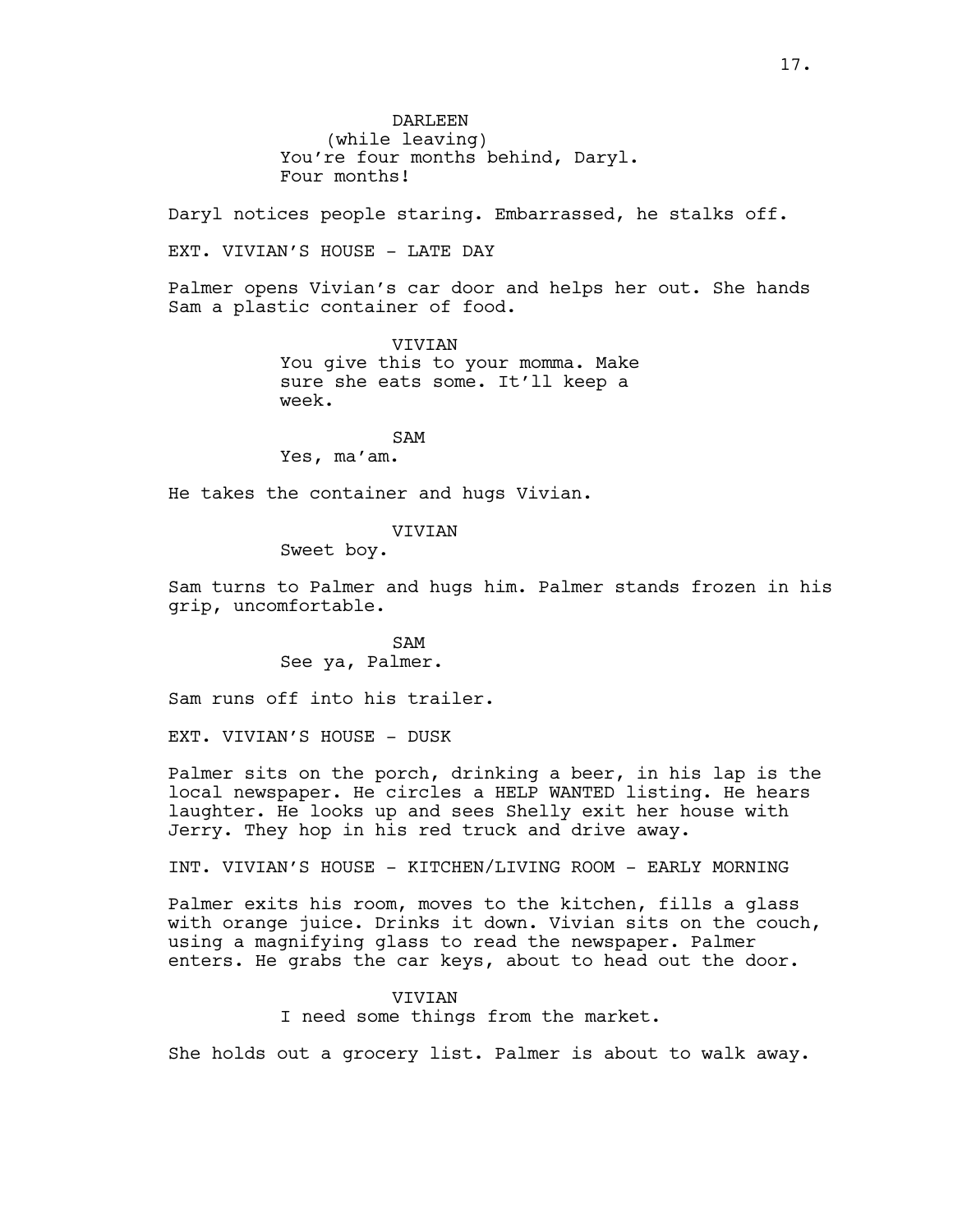DARLEEN (while leaving) You're four months behind, Daryl. Four months!

Daryl notices people staring. Embarrassed, he stalks off.

EXT. VIVIAN'S HOUSE - LATE DAY

Palmer opens Vivian's car door and helps her out. She hands Sam a plastic container of food.

> VIVIAN You give this to your momma. Make sure she eats some. It'll keep a week.

SAM Yes, ma'am.

He takes the container and hugs Vivian.

#### VIVIAN

Sweet boy.

Sam turns to Palmer and hugs him. Palmer stands frozen in his grip, uncomfortable.

> SAM See ya, Palmer.

Sam runs off into his trailer.

EXT. VIVIAN'S HOUSE - DUSK

Palmer sits on the porch, drinking a beer, in his lap is the local newspaper. He circles a HELP WANTED listing. He hears laughter. He looks up and sees Shelly exit her house with Jerry. They hop in his red truck and drive away.

INT. VIVIAN'S HOUSE - KITCHEN/LIVING ROOM - EARLY MORNING

Palmer exits his room, moves to the kitchen, fills a glass with orange juice. Drinks it down. Vivian sits on the couch, using a magnifying glass to read the newspaper. Palmer enters. He grabs the car keys, about to head out the door.

> VIVIAN I need some things from the market.

She holds out a grocery list. Palmer is about to walk away.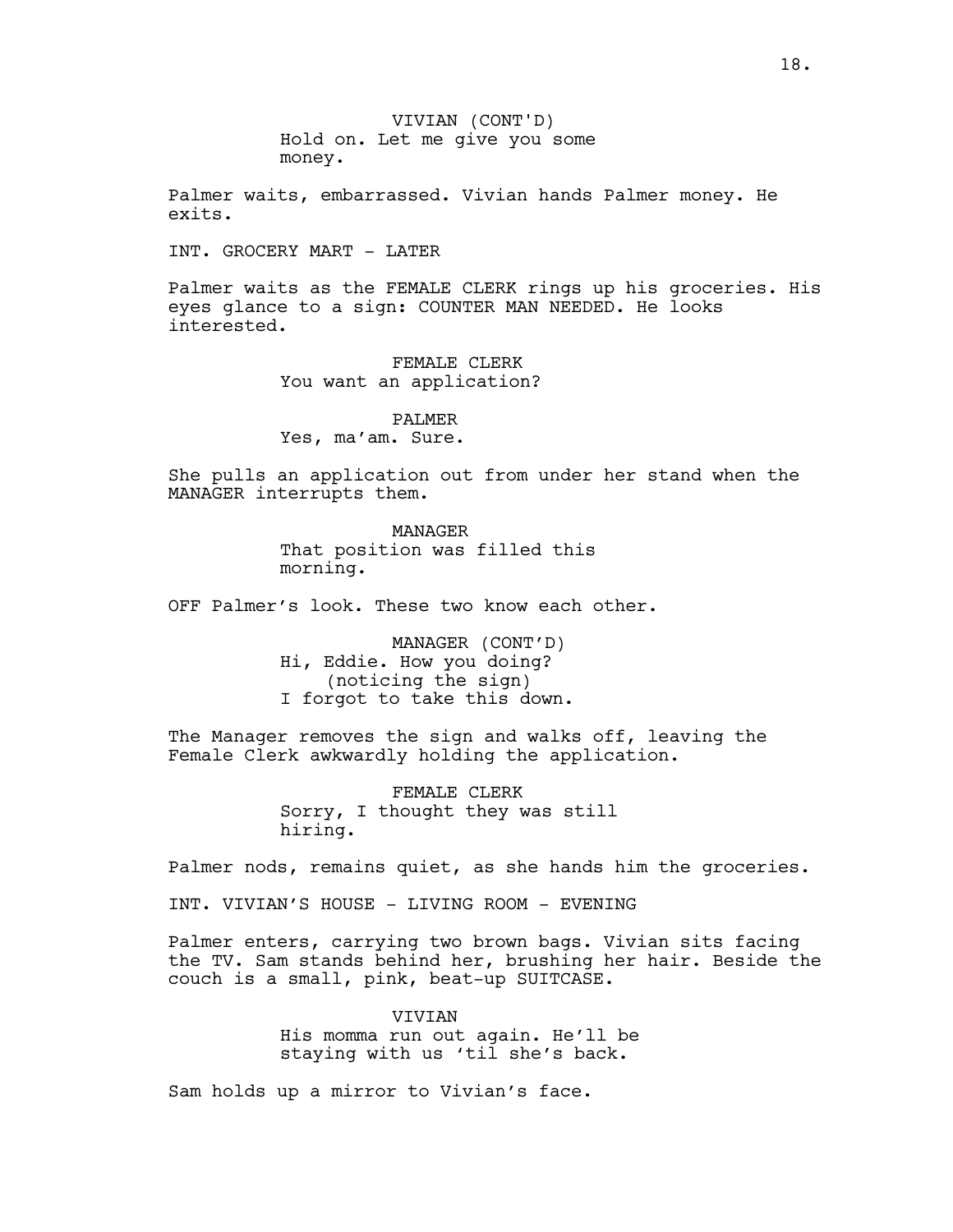VIVIAN (CONT'D) Hold on. Let me give you some money.

Palmer waits, embarrassed. Vivian hands Palmer money. He exits.

INT. GROCERY MART - LATER

Palmer waits as the FEMALE CLERK rings up his groceries. His eyes glance to a sign: COUNTER MAN NEEDED. He looks interested.

> FEMALE CLERK You want an application?

PALMER Yes, ma'am. Sure.

She pulls an application out from under her stand when the MANAGER interrupts them.

> MANAGER That position was filled this morning.

OFF Palmer's look. These two know each other.

MANAGER (CONT'D) Hi, Eddie. How you doing? (noticing the sign) I forgot to take this down.

The Manager removes the sign and walks off, leaving the Female Clerk awkwardly holding the application.

> FEMALE CLERK Sorry, I thought they was still hiring.

Palmer nods, remains quiet, as she hands him the groceries.

INT. VIVIAN'S HOUSE - LIVING ROOM - EVENING

Palmer enters, carrying two brown bags. Vivian sits facing the TV. Sam stands behind her, brushing her hair. Beside the couch is a small, pink, beat-up SUITCASE.

> **VIVIAN** His momma run out again. He'll be staying with us 'til she's back.

Sam holds up a mirror to Vivian's face.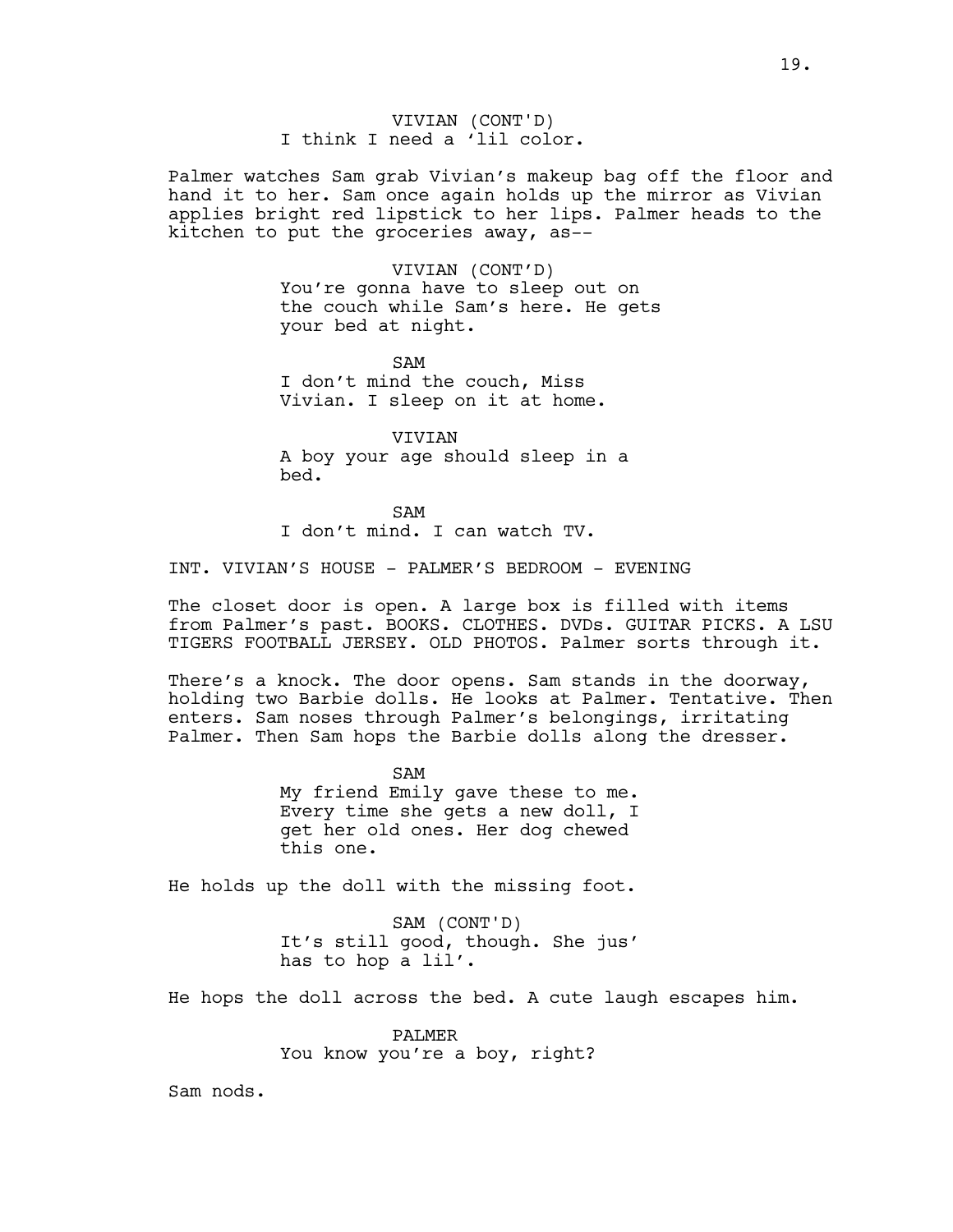Palmer watches Sam grab Vivian's makeup bag off the floor and hand it to her. Sam once again holds up the mirror as Vivian applies bright red lipstick to her lips. Palmer heads to the kitchen to put the groceries away, as--

#### VIVIAN (CONT'D)

You're gonna have to sleep out on the couch while Sam's here. He gets your bed at night.

SAM I don't mind the couch, Miss Vivian. I sleep on it at home.

VIVIAN A boy your age should sleep in a bed.

SAM I don't mind. I can watch TV.

INT. VIVIAN'S HOUSE - PALMER'S BEDROOM - EVENING

The closet door is open. A large box is filled with items from Palmer's past. BOOKS. CLOTHES. DVDs. GUITAR PICKS. A LSU TIGERS FOOTBALL JERSEY. OLD PHOTOS. Palmer sorts through it.

There's a knock. The door opens. Sam stands in the doorway, holding two Barbie dolls. He looks at Palmer. Tentative. Then enters. Sam noses through Palmer's belongings, irritating Palmer. Then Sam hops the Barbie dolls along the dresser.

> SAM My friend Emily gave these to me. Every time she gets a new doll, I get her old ones. Her dog chewed this one.

He holds up the doll with the missing foot.

SAM (CONT'D) It's still good, though. She jus' has to hop a lil'.

He hops the doll across the bed. A cute laugh escapes him.

PALMER You know you're a boy, right?

Sam nods.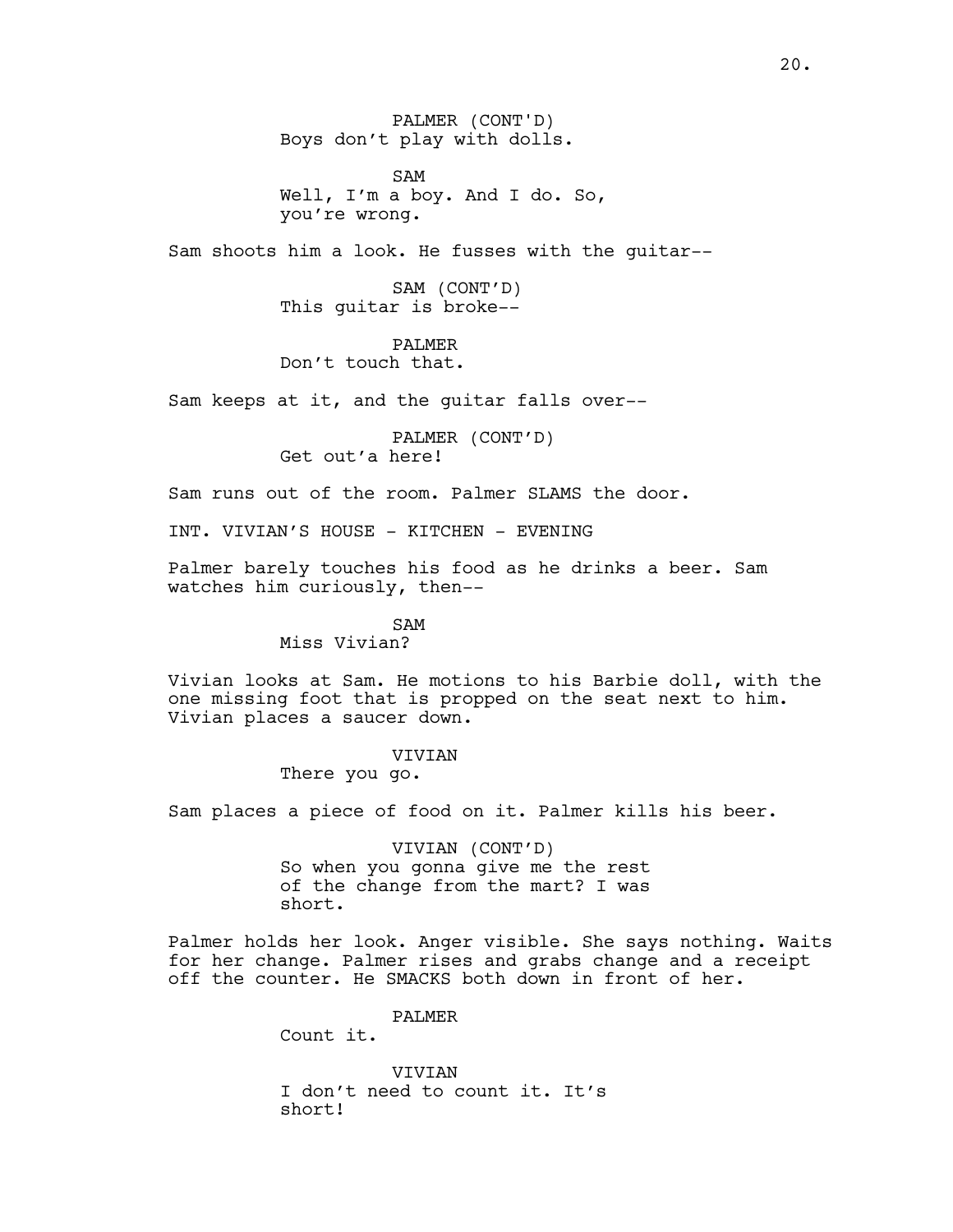PALMER (CONT'D) Boys don't play with dolls.

SAM Well, I'm a boy. And I do. So, you're wrong.

Sam shoots him a look. He fusses with the guitar--

SAM (CONT'D) This guitar is broke--

PALMER Don't touch that.

Sam keeps at it, and the guitar falls over--

PALMER (CONT'D) Get out'a here!

Sam runs out of the room. Palmer SLAMS the door.

INT. VIVIAN'S HOUSE - KITCHEN - EVENING

Palmer barely touches his food as he drinks a beer. Sam watches him curiously, then--

> SAM Miss Vivian?

Vivian looks at Sam. He motions to his Barbie doll, with the one missing foot that is propped on the seat next to him. Vivian places a saucer down.

#### VIVIAN

There you go.

Sam places a piece of food on it. Palmer kills his beer.

VIVIAN (CONT'D) So when you gonna give me the rest of the change from the mart? I was short.

Palmer holds her look. Anger visible. She says nothing. Waits for her change. Palmer rises and grabs change and a receipt off the counter. He SMACKS both down in front of her.

PALMER

Count it.

**VIVIAN** I don't need to count it. It's short!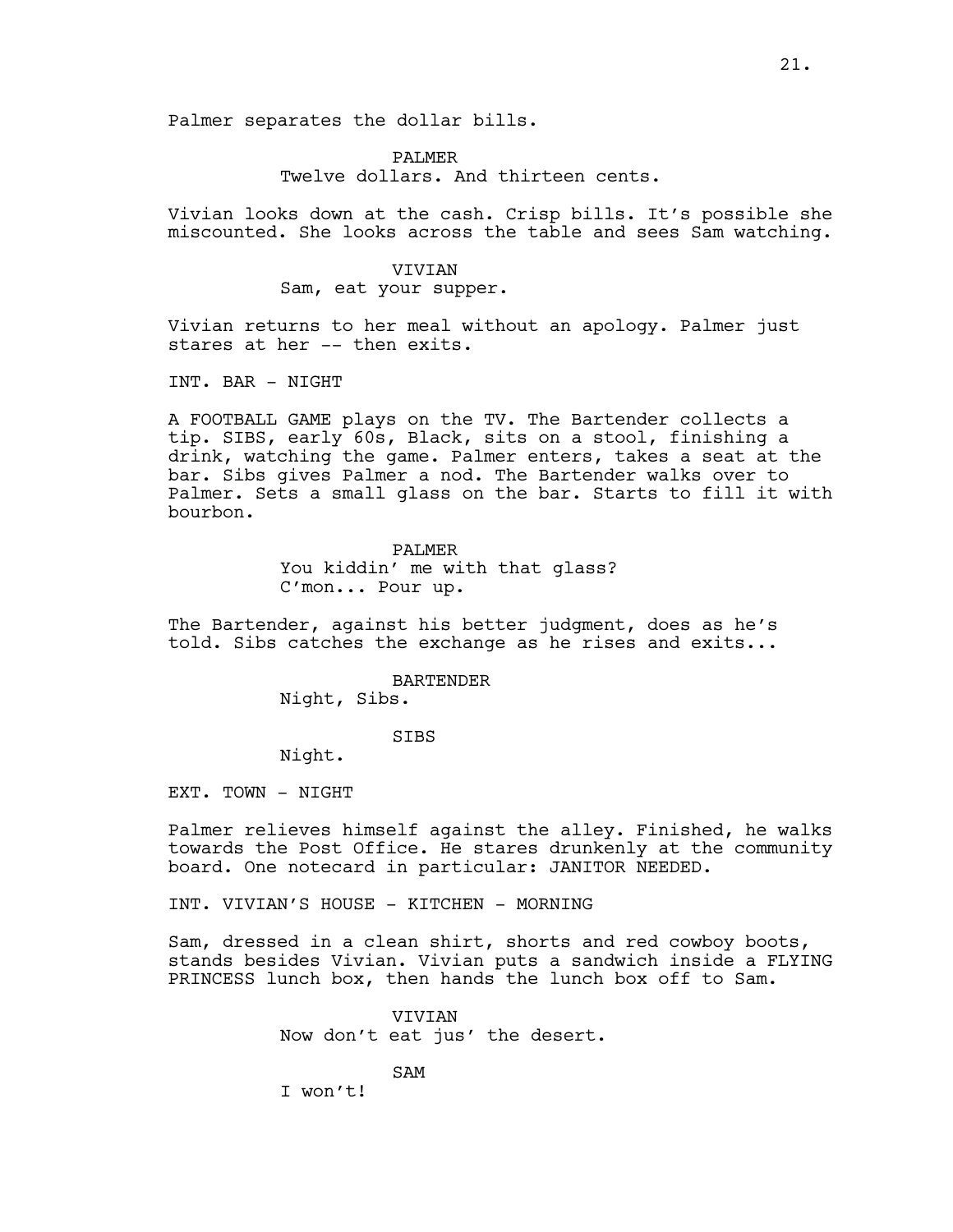Palmer separates the dollar bills.

#### PALMER

Twelve dollars. And thirteen cents.

Vivian looks down at the cash. Crisp bills. It's possible she miscounted. She looks across the table and sees Sam watching.

#### VIVIAN

Sam, eat your supper.

Vivian returns to her meal without an apology. Palmer just stares at her -- then exits.

INT. BAR - NIGHT

A FOOTBALL GAME plays on the TV. The Bartender collects a tip. SIBS, early 60s, Black, sits on a stool, finishing a drink, watching the game. Palmer enters, takes a seat at the bar. Sibs gives Palmer a nod. The Bartender walks over to Palmer. Sets a small glass on the bar. Starts to fill it with bourbon.

## PALMER You kiddin' me with that glass? C'mon... Pour up.

The Bartender, against his better judgment, does as he's told. Sibs catches the exchange as he rises and exits...

BARTENDER

Night, Sibs.

## SIBS

Night.

EXT. TOWN - NIGHT

Palmer relieves himself against the alley. Finished, he walks towards the Post Office. He stares drunkenly at the community board. One notecard in particular: JANITOR NEEDED.

INT. VIVIAN'S HOUSE - KITCHEN - MORNING

Sam, dressed in a clean shirt, shorts and red cowboy boots, stands besides Vivian. Vivian puts a sandwich inside a FLYING PRINCESS lunch box, then hands the lunch box off to Sam.

> VIVIAN Now don't eat jus' the desert.

> > SAM

I won't!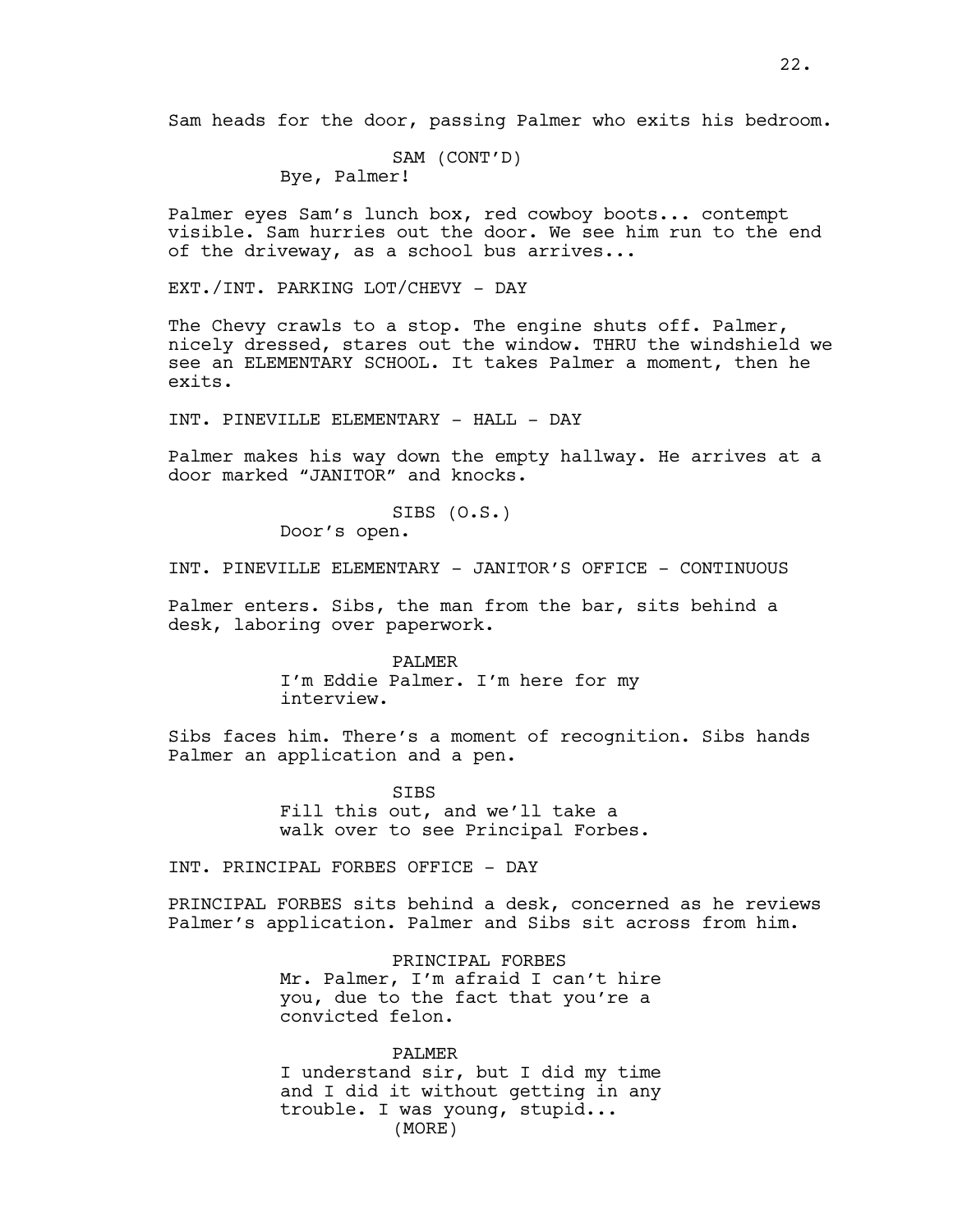Sam heads for the door, passing Palmer who exits his bedroom.

SAM (CONT'D) Bye, Palmer!

Palmer eyes Sam's lunch box, red cowboy boots... contempt visible. Sam hurries out the door. We see him run to the end of the driveway, as a school bus arrives...

EXT./INT. PARKING LOT/CHEVY - DAY

The Chevy crawls to a stop. The engine shuts off. Palmer, nicely dressed, stares out the window. THRU the windshield we see an ELEMENTARY SCHOOL. It takes Palmer a moment, then he exits.

INT. PINEVILLE ELEMENTARY - HALL - DAY

Palmer makes his way down the empty hallway. He arrives at a door marked "JANITOR" and knocks.

> SIBS (O.S.) Door's open.

INT. PINEVILLE ELEMENTARY - JANITOR'S OFFICE - CONTINUOUS

Palmer enters. Sibs, the man from the bar, sits behind a desk, laboring over paperwork.

> PALMER I'm Eddie Palmer. I'm here for my interview.

Sibs faces him. There's a moment of recognition. Sibs hands Palmer an application and a pen.

> SIBS Fill this out, and we'll take a walk over to see Principal Forbes.

INT. PRINCIPAL FORBES OFFICE - DAY

PRINCIPAL FORBES sits behind a desk, concerned as he reviews Palmer's application. Palmer and Sibs sit across from him.

> PRINCIPAL FORBES Mr. Palmer, I'm afraid I can't hire you, due to the fact that you're a convicted felon.

> PALMER I understand sir, but I did my time and I did it without getting in any trouble. I was young, stupid... (MORE)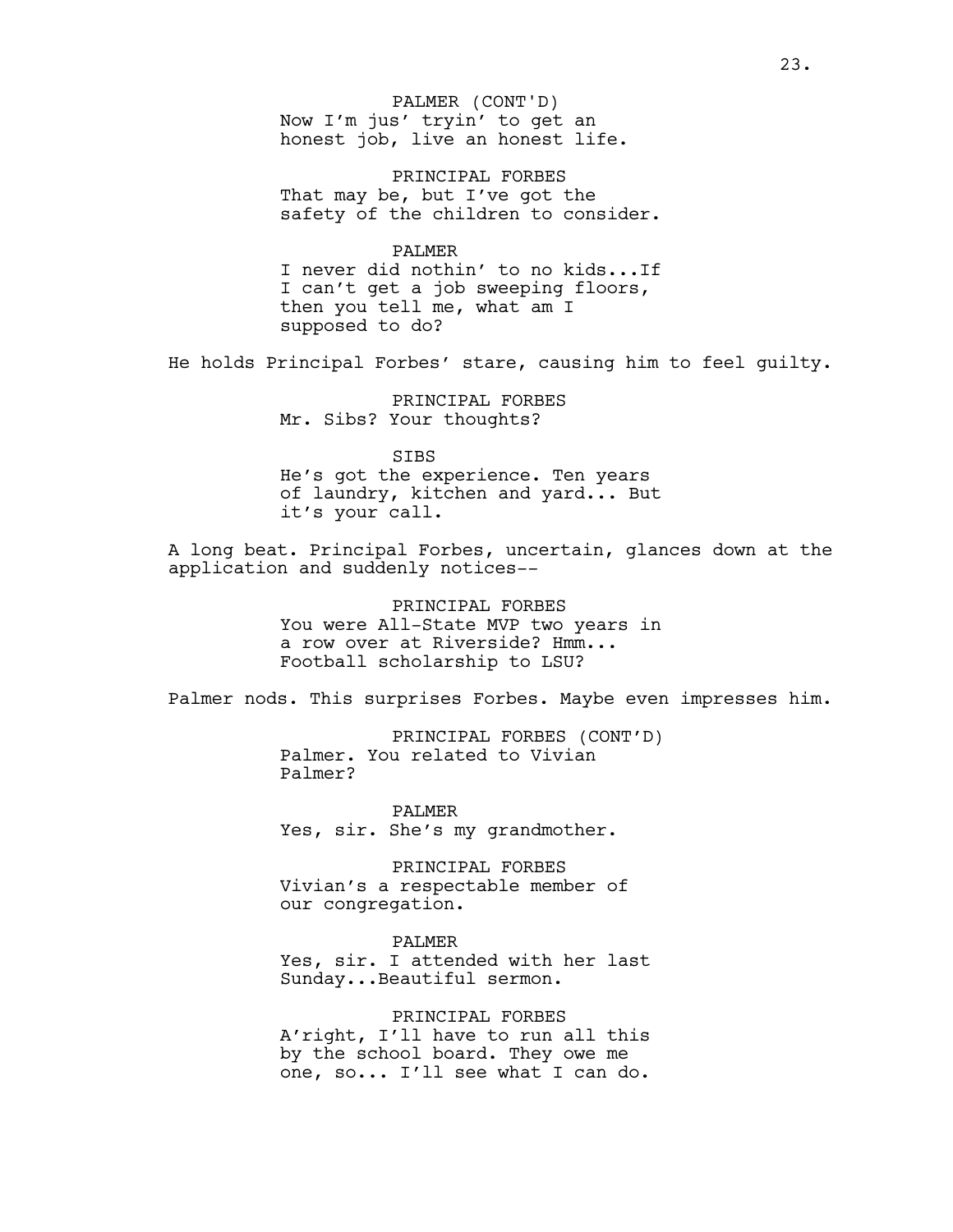Now I'm jus' tryin' to get an honest job, live an honest life. PALMER (CONT'D)

PRINCIPAL FORBES That may be, but I've got the safety of the children to consider.

#### PALMER

I never did nothin' to no kids...If I can't get a job sweeping floors, then you tell me, what am I supposed to do?

He holds Principal Forbes' stare, causing him to feel guilty.

PRINCIPAL FORBES Mr. Sibs? Your thoughts?

#### SIBS

He's got the experience. Ten years of laundry, kitchen and yard... But it's your call.

A long beat. Principal Forbes, uncertain, glances down at the application and suddenly notices--

> PRINCIPAL FORBES You were All-State MVP two years in a row over at Riverside? Hmm... Football scholarship to LSU?

Palmer nods. This surprises Forbes. Maybe even impresses him.

PRINCIPAL FORBES (CONT'D) Palmer. You related to Vivian Palmer?

PALMER Yes, sir. She's my grandmother.

PRINCIPAL FORBES Vivian's a respectable member of our congregation.

PALMER

Yes, sir. I attended with her last Sunday...Beautiful sermon.

PRINCIPAL FORBES A'right, I'll have to run all this by the school board. They owe me one, so... I'll see what I can do.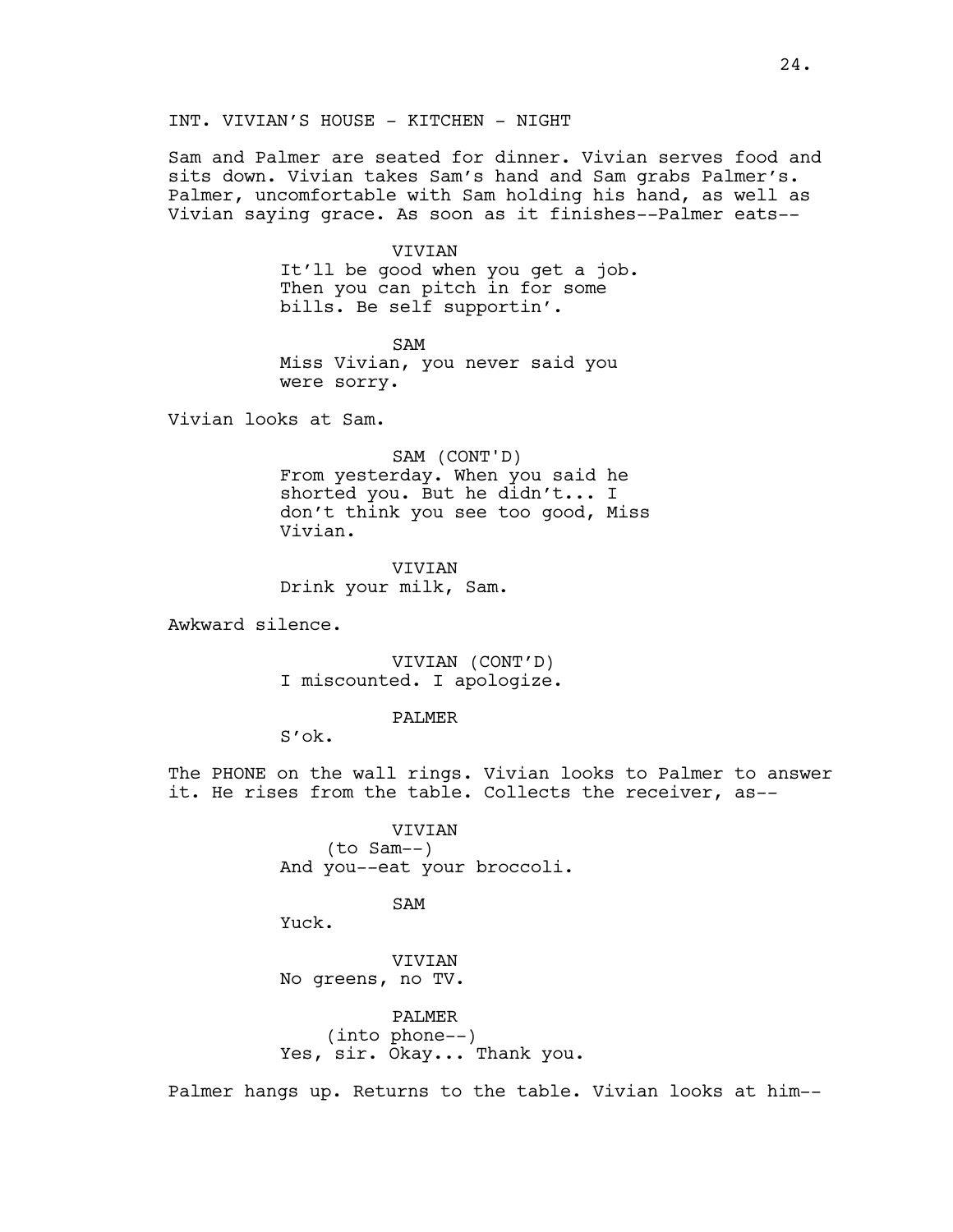Sam and Palmer are seated for dinner. Vivian serves food and sits down. Vivian takes Sam's hand and Sam grabs Palmer's. Palmer, uncomfortable with Sam holding his hand, as well as Vivian saying grace. As soon as it finishes--Palmer eats--

## VIVIAN

It'll be good when you get a job. Then you can pitch in for some bills. Be self supportin'.

SAM Miss Vivian, you never said you were sorry.

Vivian looks at Sam.

SAM (CONT'D) From yesterday. When you said he shorted you. But he didn't... I don't think you see too good, Miss Vivian.

**VIVIAN** Drink your milk, Sam.

Awkward silence.

VIVIAN (CONT'D) I miscounted. I apologize.

#### PALMER

S'ok.

The PHONE on the wall rings. Vivian looks to Palmer to answer it. He rises from the table. Collects the receiver, as--

> VIVIAN (to Sam--) And you--eat your broccoli.

> > SAM

Yuck.

VIVIAN No greens, no TV.

PALMER (into phone--) Yes, sir. Okay... Thank you.

Palmer hangs up. Returns to the table. Vivian looks at him--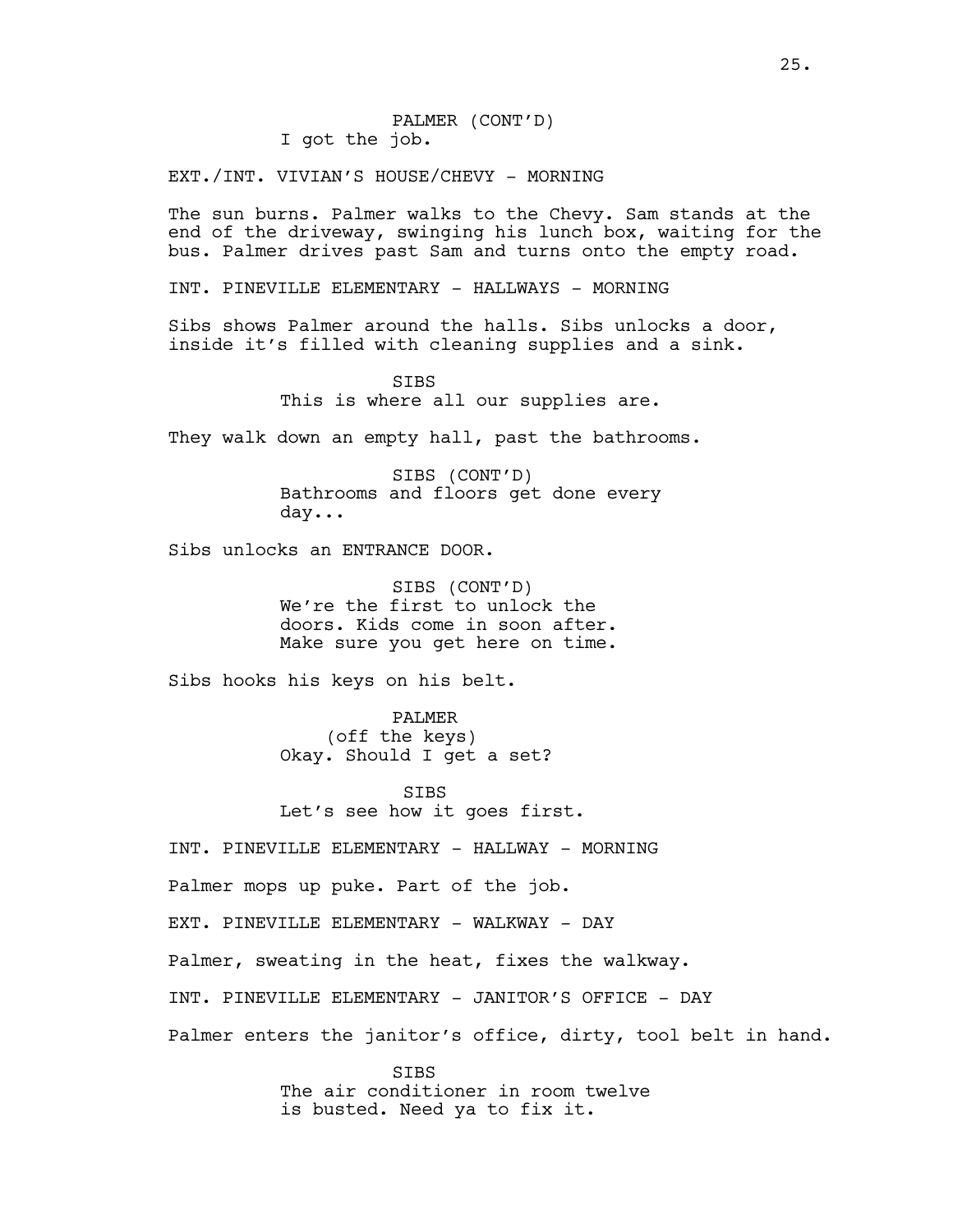EXT./INT. VIVIAN'S HOUSE/CHEVY - MORNING

The sun burns. Palmer walks to the Chevy. Sam stands at the end of the driveway, swinging his lunch box, waiting for the bus. Palmer drives past Sam and turns onto the empty road.

INT. PINEVILLE ELEMENTARY - HALLWAYS - MORNING

Sibs shows Palmer around the halls. Sibs unlocks a door, inside it's filled with cleaning supplies and a sink.

> **STBS** This is where all our supplies are.

They walk down an empty hall, past the bathrooms.

SIBS (CONT'D) Bathrooms and floors get done every day...

Sibs unlocks an ENTRANCE DOOR.

SIBS (CONT'D) We're the first to unlock the doors. Kids come in soon after. Make sure you get here on time.

Sibs hooks his keys on his belt.

PALMER (off the keys) Okay. Should I get a set?

**STBS** Let's see how it goes first.

INT. PINEVILLE ELEMENTARY - HALLWAY - MORNING

Palmer mops up puke. Part of the job.

EXT. PINEVILLE ELEMENTARY - WALKWAY - DAY

Palmer, sweating in the heat, fixes the walkway.

INT. PINEVILLE ELEMENTARY - JANITOR'S OFFICE - DAY

Palmer enters the janitor's office, dirty, tool belt in hand.

**STBS** The air conditioner in room twelve is busted. Need ya to fix it.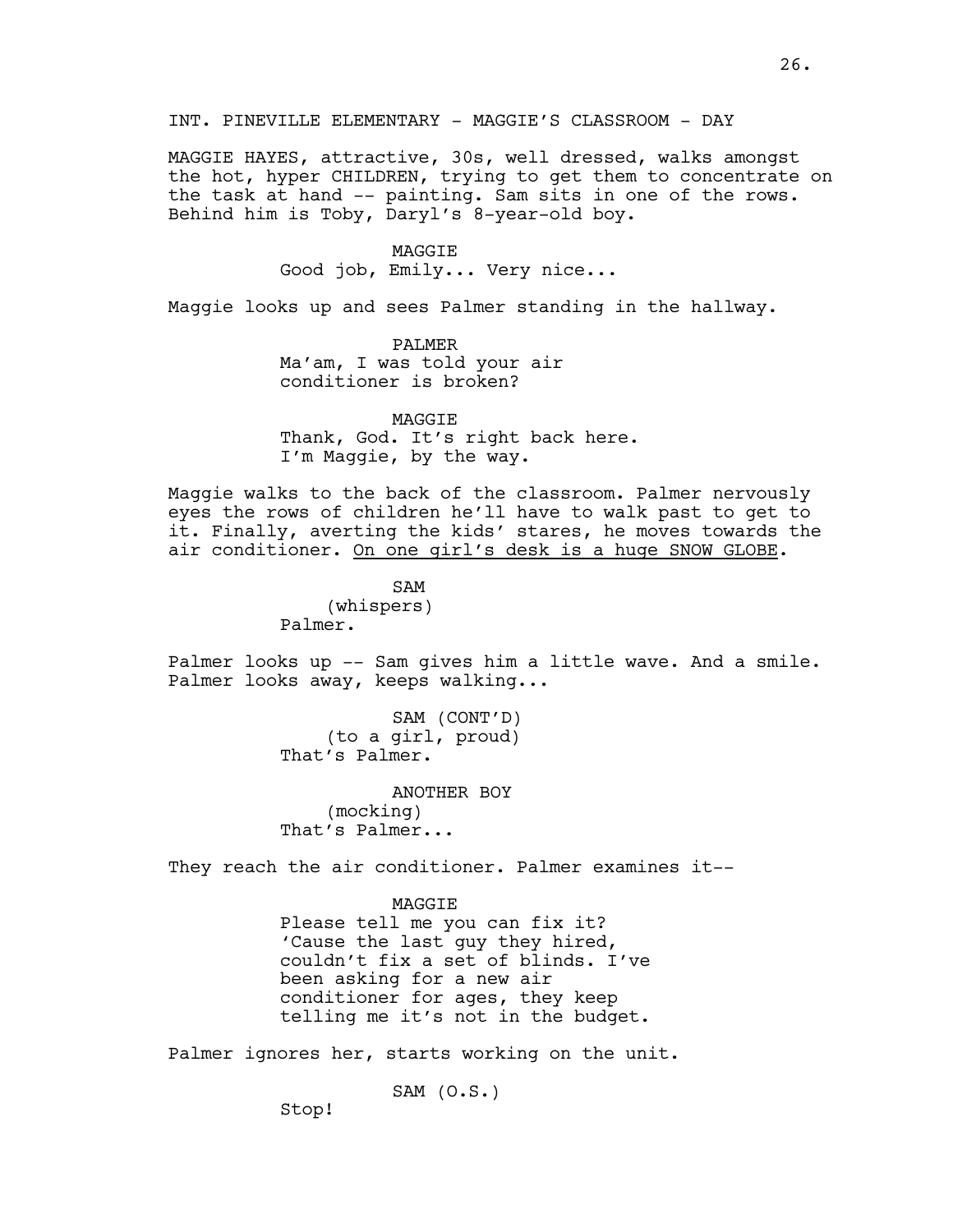MAGGIE HAYES, attractive, 30s, well dressed, walks amongst the hot, hyper CHILDREN, trying to get them to concentrate on the task at hand -- painting. Sam sits in one of the rows. Behind him is Toby, Daryl's 8-year-old boy.

#### MAGGIE

Good job, Emily... Very nice...

Maggie looks up and sees Palmer standing in the hallway.

PALMER Ma'am, I was told your air conditioner is broken?

MAGGIE Thank, God. It's right back here. I'm Maggie, by the way.

Maggie walks to the back of the classroom. Palmer nervously eyes the rows of children he'll have to walk past to get to it. Finally, averting the kids' stares, he moves towards the air conditioner. On one girl's desk is a huge SNOW GLOBE.

> SAM (whispers) Palmer.

Palmer looks up -- Sam gives him a little wave. And a smile. Palmer looks away, keeps walking...

> SAM (CONT'D) (to a girl, proud) That's Palmer.

ANOTHER BOY (mocking) That's Palmer...

They reach the air conditioner. Palmer examines it--

**MAGGTE** Please tell me you can fix it? 'Cause the last guy they hired, couldn't fix a set of blinds. I've been asking for a new air conditioner for ages, they keep telling me it's not in the budget.

Palmer ignores her, starts working on the unit.

```
SAM (0.S.)
```
Stop!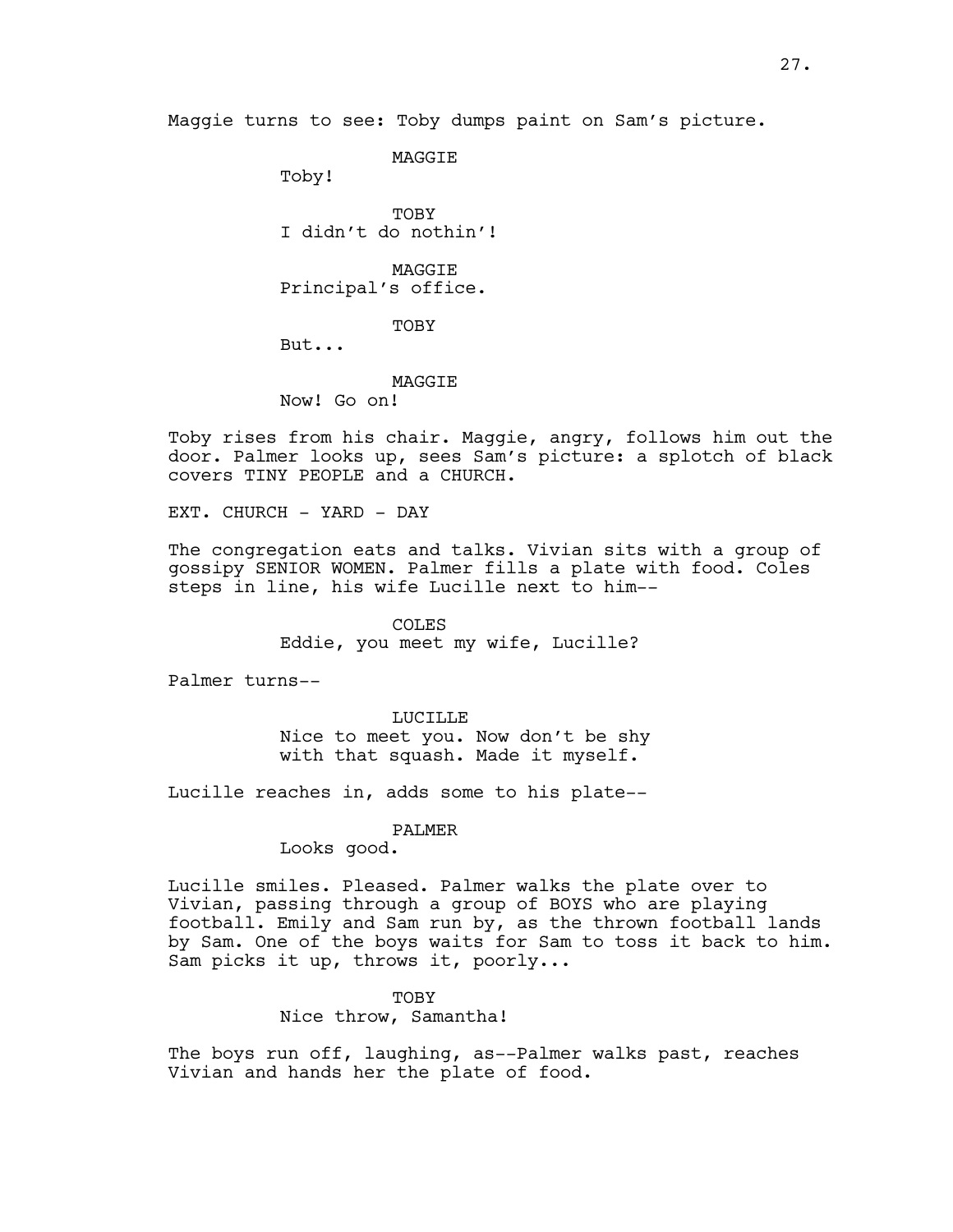**MAGGTE** 

Toby!

TOBY I didn't do nothin'!

MAGGIE Principal's office.

TOBY

But...

**MAGGTE** 

Now! Go on!

Toby rises from his chair. Maggie, angry, follows him out the door. Palmer looks up, sees Sam's picture: a splotch of black covers TINY PEOPLE and a CHURCH.

EXT. CHURCH - YARD - DAY

The congregation eats and talks. Vivian sits with a group of gossipy SENIOR WOMEN. Palmer fills a plate with food. Coles steps in line, his wife Lucille next to him--

> COLES Eddie, you meet my wife, Lucille?

Palmer turns--

LUCILLE Nice to meet you. Now don't be shy with that squash. Made it myself.

Lucille reaches in, adds some to his plate--

## PALMER

Looks good.

Lucille smiles. Pleased. Palmer walks the plate over to Vivian, passing through a group of BOYS who are playing football. Emily and Sam run by, as the thrown football lands by Sam. One of the boys waits for Sam to toss it back to him. Sam picks it up, throws it, poorly...

TOBY

Nice throw, Samantha!

The boys run off, laughing, as--Palmer walks past, reaches Vivian and hands her the plate of food.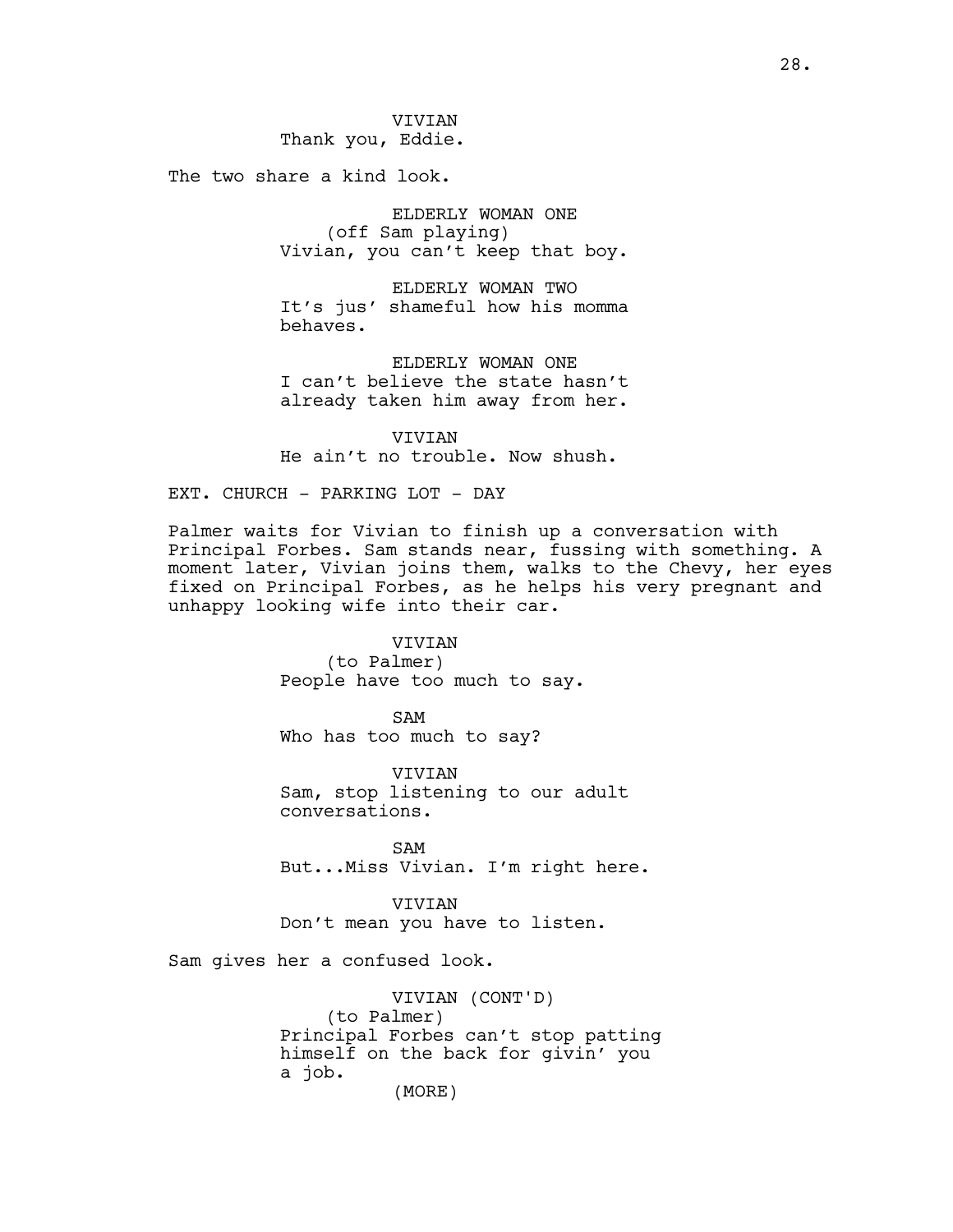The two share a kind look.

ELDERLY WOMAN ONE (off Sam playing) Vivian, you can't keep that boy.

ELDERLY WOMAN TWO It's jus' shameful how his momma behaves.

ELDERLY WOMAN ONE I can't believe the state hasn't already taken him away from her.

VIVIAN He ain't no trouble. Now shush.

EXT. CHURCH - PARKING LOT - DAY

Palmer waits for Vivian to finish up a conversation with Principal Forbes. Sam stands near, fussing with something. A moment later, Vivian joins them, walks to the Chevy, her eyes fixed on Principal Forbes, as he helps his very pregnant and unhappy looking wife into their car.

VIVIAN

(to Palmer) People have too much to say.

SAM Who has too much to say?

VIVIAN Sam, stop listening to our adult conversations.

SAM But...Miss Vivian. I'm right here.

VIVIAN Don't mean you have to listen.

Sam gives her a confused look.

VIVIAN (CONT'D) (to Palmer) Principal Forbes can't stop patting himself on the back for givin' you a job. (MORE)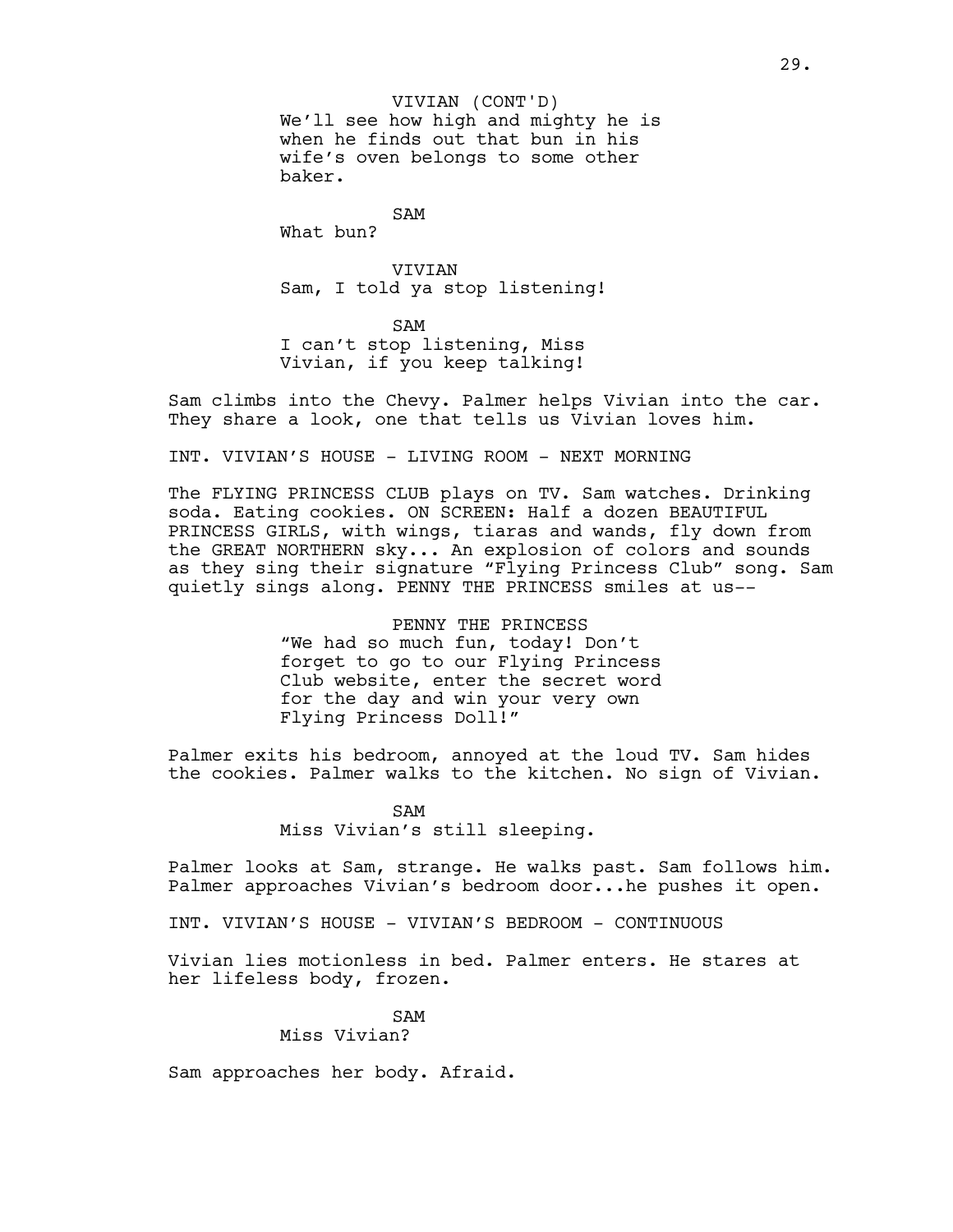We'll see how high and mighty he is when he finds out that bun in his wife's oven belongs to some other baker. VIVIAN (CONT'D)

SAM What bun?

VIVIAN Sam, I told ya stop listening!

SAM I can't stop listening, Miss Vivian, if you keep talking!

Sam climbs into the Chevy. Palmer helps Vivian into the car. They share a look, one that tells us Vivian loves him.

INT. VIVIAN'S HOUSE - LIVING ROOM - NEXT MORNING

The FLYING PRINCESS CLUB plays on TV. Sam watches. Drinking soda. Eating cookies. ON SCREEN: Half a dozen BEAUTIFUL PRINCESS GIRLS, with wings, tiaras and wands, fly down from the GREAT NORTHERN sky... An explosion of colors and sounds as they sing their signature "Flying Princess Club" song. Sam quietly sings along. PENNY THE PRINCESS smiles at us--

> PENNY THE PRINCESS "We had so much fun, today! Don't forget to go to our Flying Princess Club website, enter the secret word for the day and win your very own Flying Princess Doll!"

Palmer exits his bedroom, annoyed at the loud TV. Sam hides the cookies. Palmer walks to the kitchen. No sign of Vivian.

> SAM Miss Vivian's still sleeping.

Palmer looks at Sam, strange. He walks past. Sam follows him. Palmer approaches Vivian's bedroom door...he pushes it open.

INT. VIVIAN'S HOUSE - VIVIAN'S BEDROOM - CONTINUOUS

Vivian lies motionless in bed. Palmer enters. He stares at her lifeless body, frozen.

> SAM Miss Vivian?

Sam approaches her body. Afraid.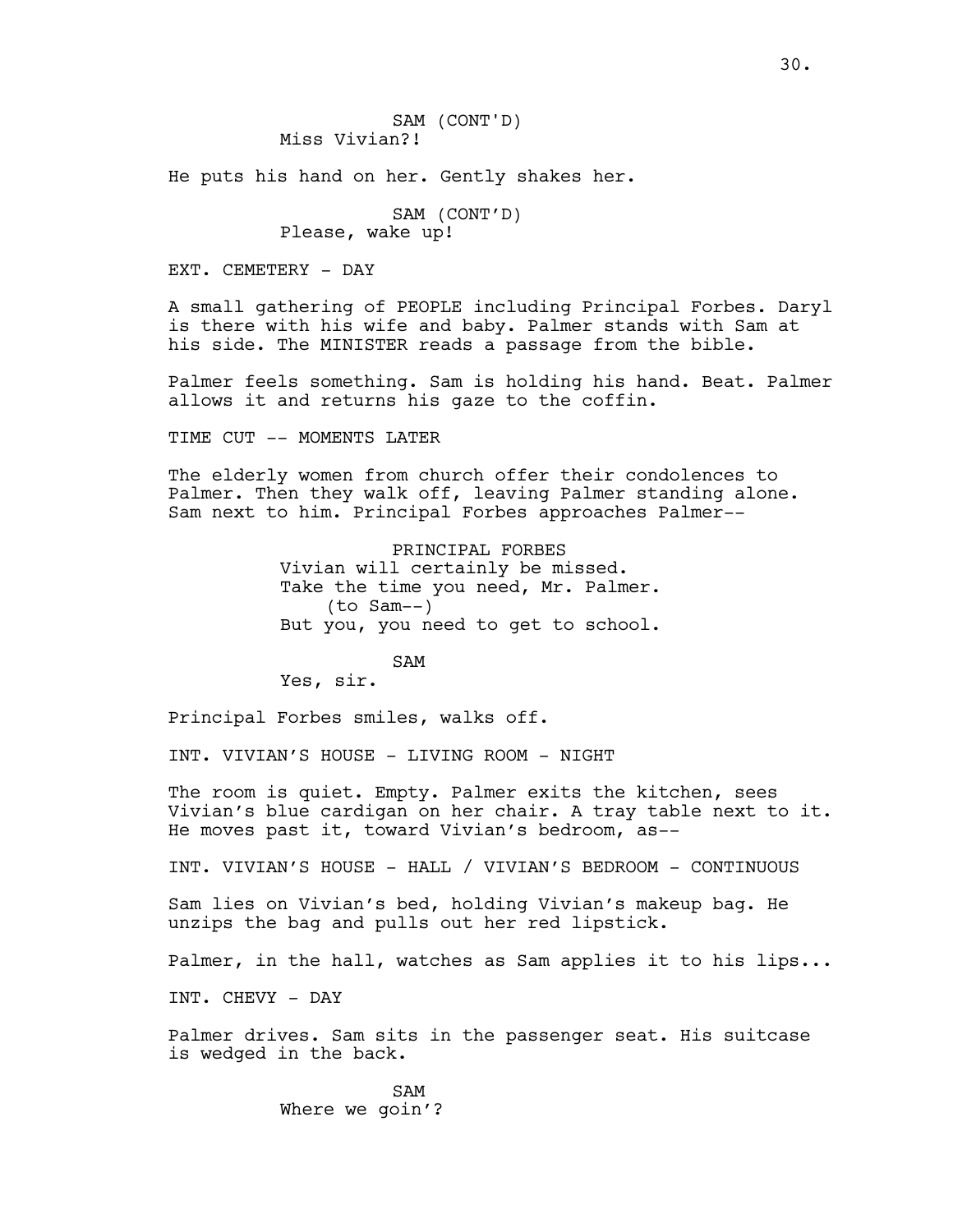He puts his hand on her. Gently shakes her.

SAM (CONT'D) Please, wake up!

EXT. CEMETERY - DAY

A small gathering of PEOPLE including Principal Forbes. Daryl is there with his wife and baby. Palmer stands with Sam at his side. The MINISTER reads a passage from the bible.

Palmer feels something. Sam is holding his hand. Beat. Palmer allows it and returns his gaze to the coffin.

TIME CUT -- MOMENTS LATER

The elderly women from church offer their condolences to Palmer. Then they walk off, leaving Palmer standing alone. Sam next to him. Principal Forbes approaches Palmer--

> PRINCIPAL FORBES Vivian will certainly be missed. Take the time you need, Mr. Palmer. (to Sam--) But you, you need to get to school.

> > SAM

Yes, sir.

Principal Forbes smiles, walks off.

INT. VIVIAN'S HOUSE - LIVING ROOM - NIGHT

The room is quiet. Empty. Palmer exits the kitchen, sees Vivian's blue cardigan on her chair. A tray table next to it. He moves past it, toward Vivian's bedroom, as--

INT. VIVIAN'S HOUSE - HALL / VIVIAN'S BEDROOM - CONTINUOUS

Sam lies on Vivian's bed, holding Vivian's makeup bag. He unzips the bag and pulls out her red lipstick.

Palmer, in the hall, watches as Sam applies it to his lips...

INT. CHEVY - DAY

Palmer drives. Sam sits in the passenger seat. His suitcase is wedged in the back.

> SAM Where we goin'?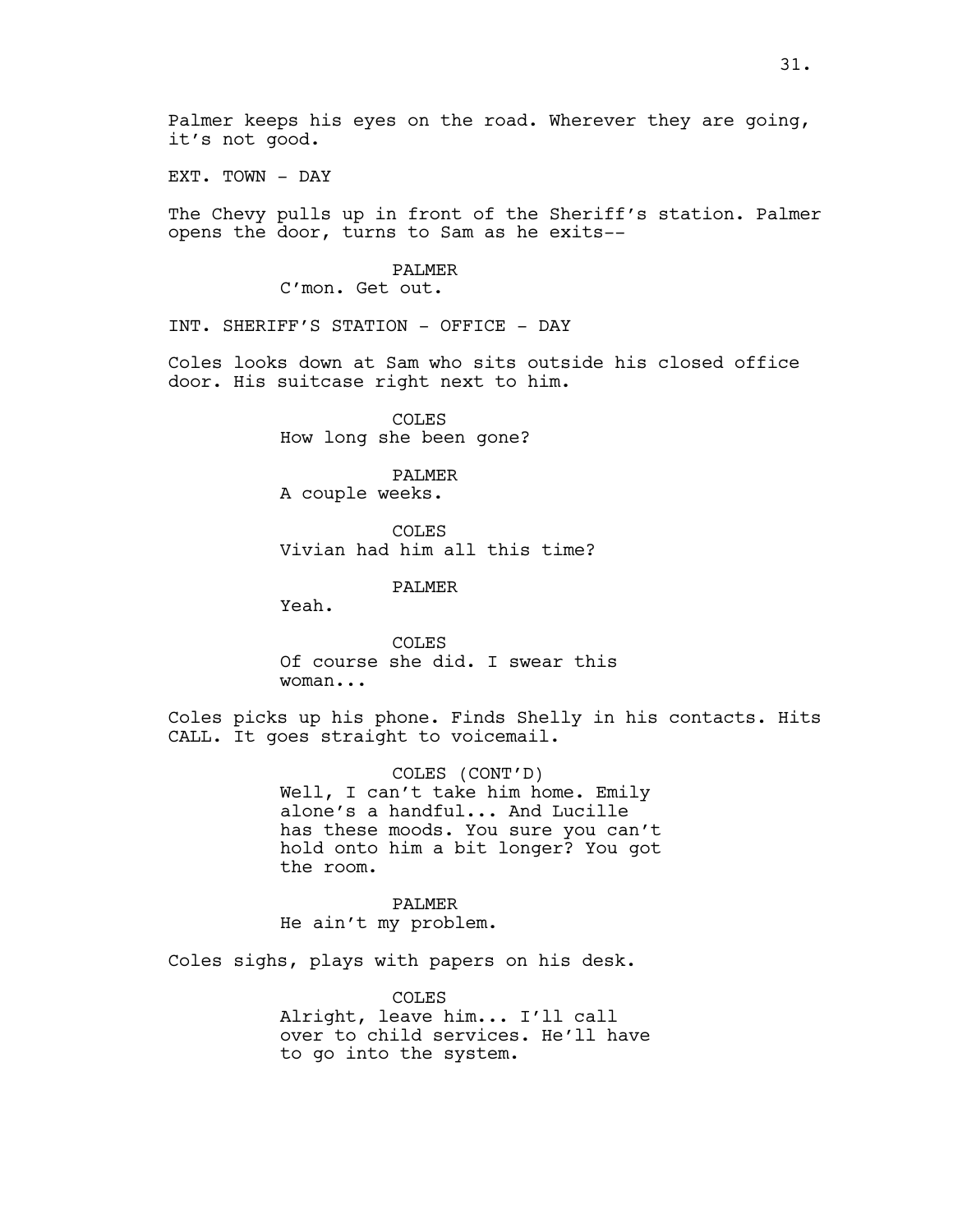EXT. TOWN - DAY

The Chevy pulls up in front of the Sheriff's station. Palmer opens the door, turns to Sam as he exits--

## PALMER

C'mon. Get out.

INT. SHERIFF'S STATION - OFFICE - DAY

Coles looks down at Sam who sits outside his closed office door. His suitcase right next to him.

> COLES How long she been gone?

PALMER A couple weeks.

COLES Vivian had him all this time?

PALMER

Yeah.

COLES Of course she did. I swear this woman...

Coles picks up his phone. Finds Shelly in his contacts. Hits CALL. It goes straight to voicemail.

> COLES (CONT'D) Well, I can't take him home. Emily alone's a handful... And Lucille has these moods. You sure you can't hold onto him a bit longer? You got the room.

PALMER He ain't my problem.

Coles sighs, plays with papers on his desk.

COLES Alright, leave him... I'll call over to child services. He'll have to go into the system.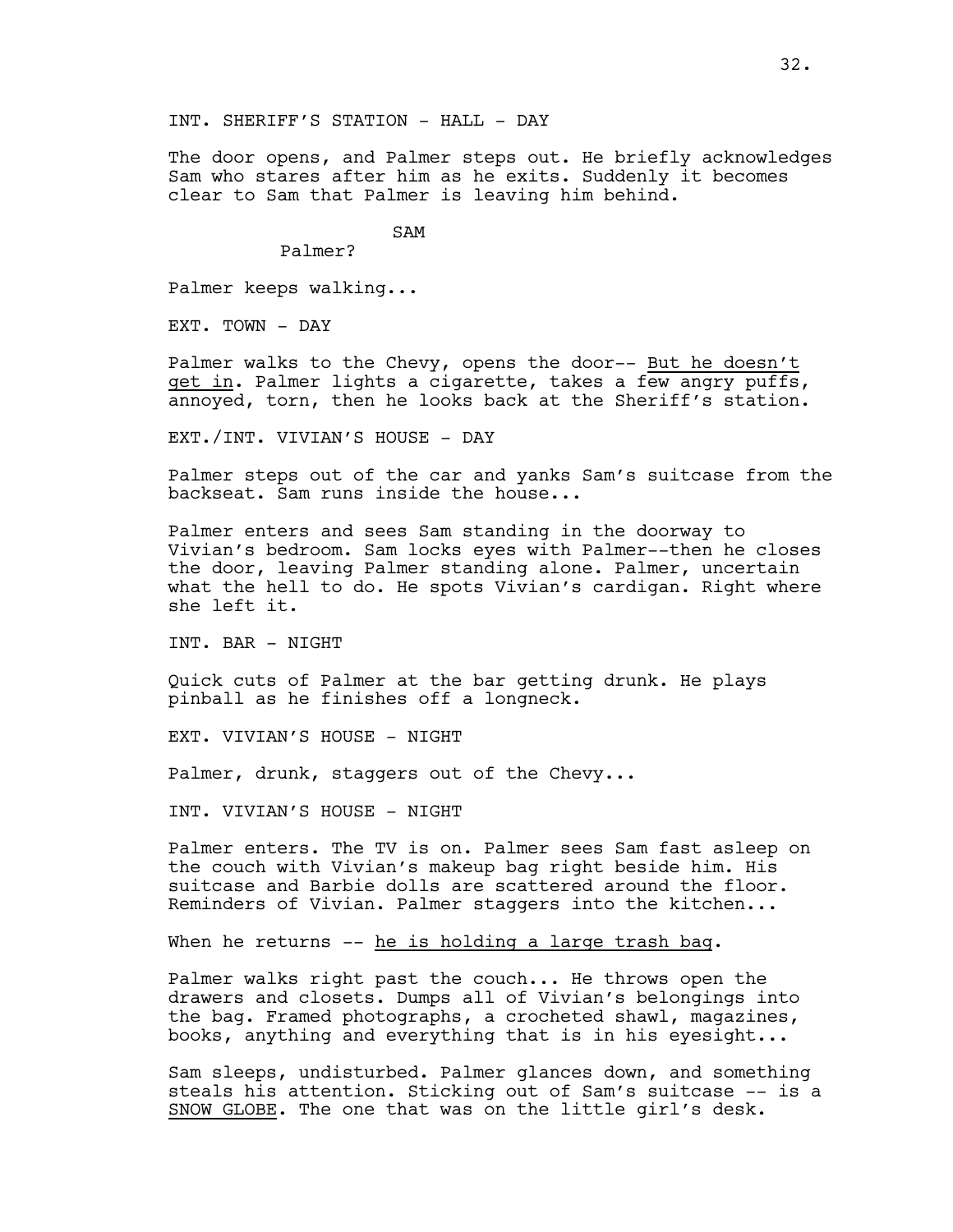The door opens, and Palmer steps out. He briefly acknowledges Sam who stares after him as he exits. Suddenly it becomes clear to Sam that Palmer is leaving him behind.

SAM

Palmer?

Palmer keeps walking...

EXT. TOWN - DAY

Palmer walks to the Chevy, opens the door-- But he doesn't get in. Palmer lights a cigarette, takes a few angry puffs, annoyed, torn, then he looks back at the Sheriff's station.

EXT./INT. VIVIAN'S HOUSE - DAY

Palmer steps out of the car and yanks Sam's suitcase from the backseat. Sam runs inside the house...

Palmer enters and sees Sam standing in the doorway to Vivian's bedroom. Sam locks eyes with Palmer--then he closes the door, leaving Palmer standing alone. Palmer, uncertain what the hell to do. He spots Vivian's cardigan. Right where she left it.

INT. BAR - NIGHT

Quick cuts of Palmer at the bar getting drunk. He plays pinball as he finishes off a longneck.

EXT. VIVIAN'S HOUSE - NIGHT

Palmer, drunk, staggers out of the Chevy...

INT. VIVIAN'S HOUSE - NIGHT

Palmer enters. The TV is on. Palmer sees Sam fast asleep on the couch with Vivian's makeup bag right beside him. His suitcase and Barbie dolls are scattered around the floor. Reminders of Vivian. Palmer staggers into the kitchen...

When he returns -- he is holding a large trash bag.

Palmer walks right past the couch... He throws open the drawers and closets. Dumps all of Vivian's belongings into the bag. Framed photographs, a crocheted shawl, magazines, books, anything and everything that is in his eyesight...

Sam sleeps, undisturbed. Palmer glances down, and something steals his attention. Sticking out of Sam's suitcase -- is a SNOW GLOBE. The one that was on the little girl's desk.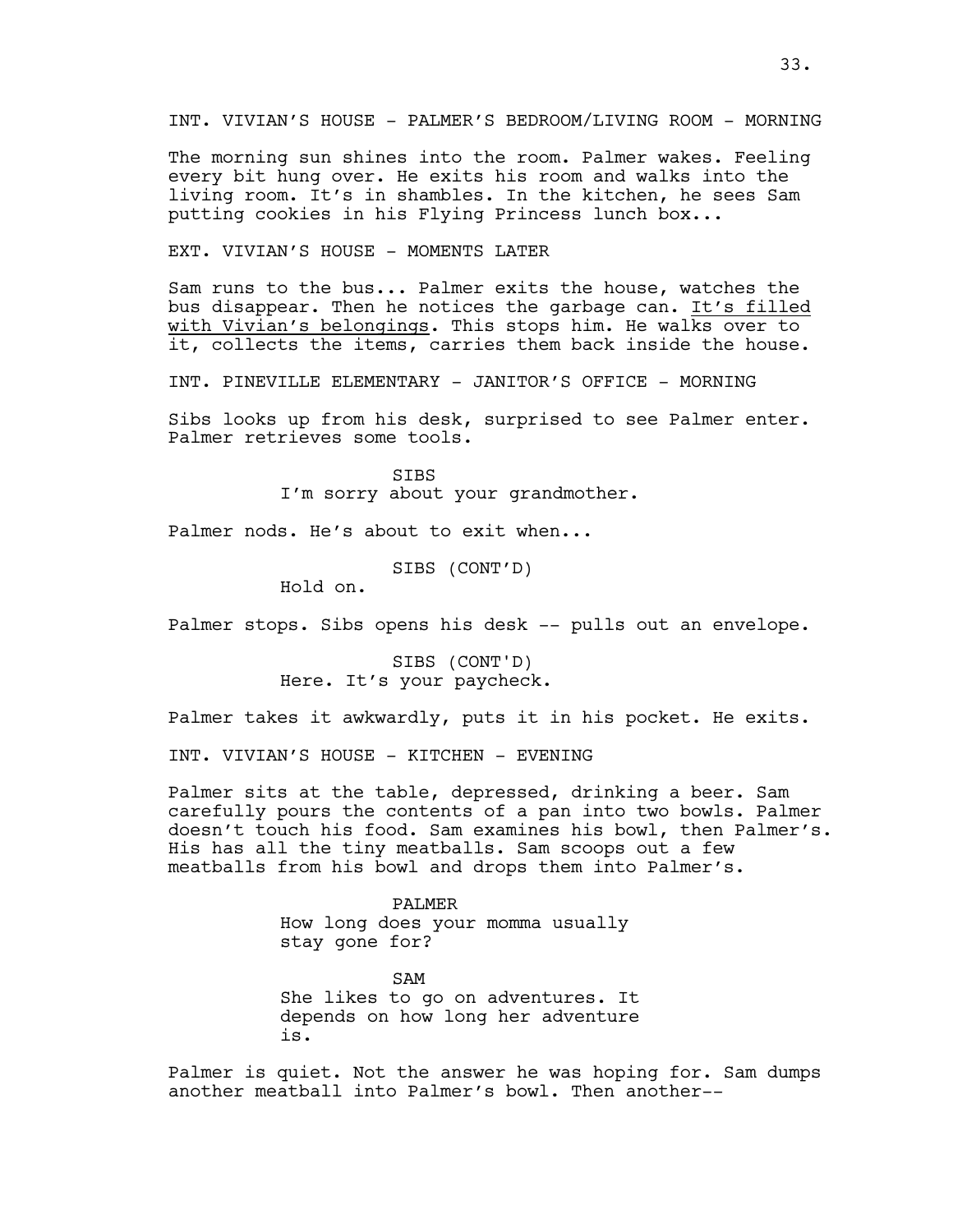The morning sun shines into the room. Palmer wakes. Feeling every bit hung over. He exits his room and walks into the living room. It's in shambles. In the kitchen, he sees Sam putting cookies in his Flying Princess lunch box...

EXT. VIVIAN'S HOUSE - MOMENTS LATER

Sam runs to the bus... Palmer exits the house, watches the bus disappear. Then he notices the garbage can. It's filled with Vivian's belongings. This stops him. He walks over to it, collects the items, carries them back inside the house.

INT. PINEVILLE ELEMENTARY - JANITOR'S OFFICE - MORNING

Sibs looks up from his desk, surprised to see Palmer enter. Palmer retrieves some tools.

> **STBS** I'm sorry about your grandmother.

Palmer nods. He's about to exit when...

SIBS (CONT'D)

Hold on.

Palmer stops. Sibs opens his desk -- pulls out an envelope.

SIBS (CONT'D) Here. It's your paycheck.

Palmer takes it awkwardly, puts it in his pocket. He exits.

INT. VIVIAN'S HOUSE - KITCHEN - EVENING

Palmer sits at the table, depressed, drinking a beer. Sam carefully pours the contents of a pan into two bowls. Palmer doesn't touch his food. Sam examines his bowl, then Palmer's. His has all the tiny meatballs. Sam scoops out a few meatballs from his bowl and drops them into Palmer's.

> PALMER How long does your momma usually stay gone for?

SAM She likes to go on adventures. It depends on how long her adventure is.

Palmer is quiet. Not the answer he was hoping for. Sam dumps another meatball into Palmer's bowl. Then another--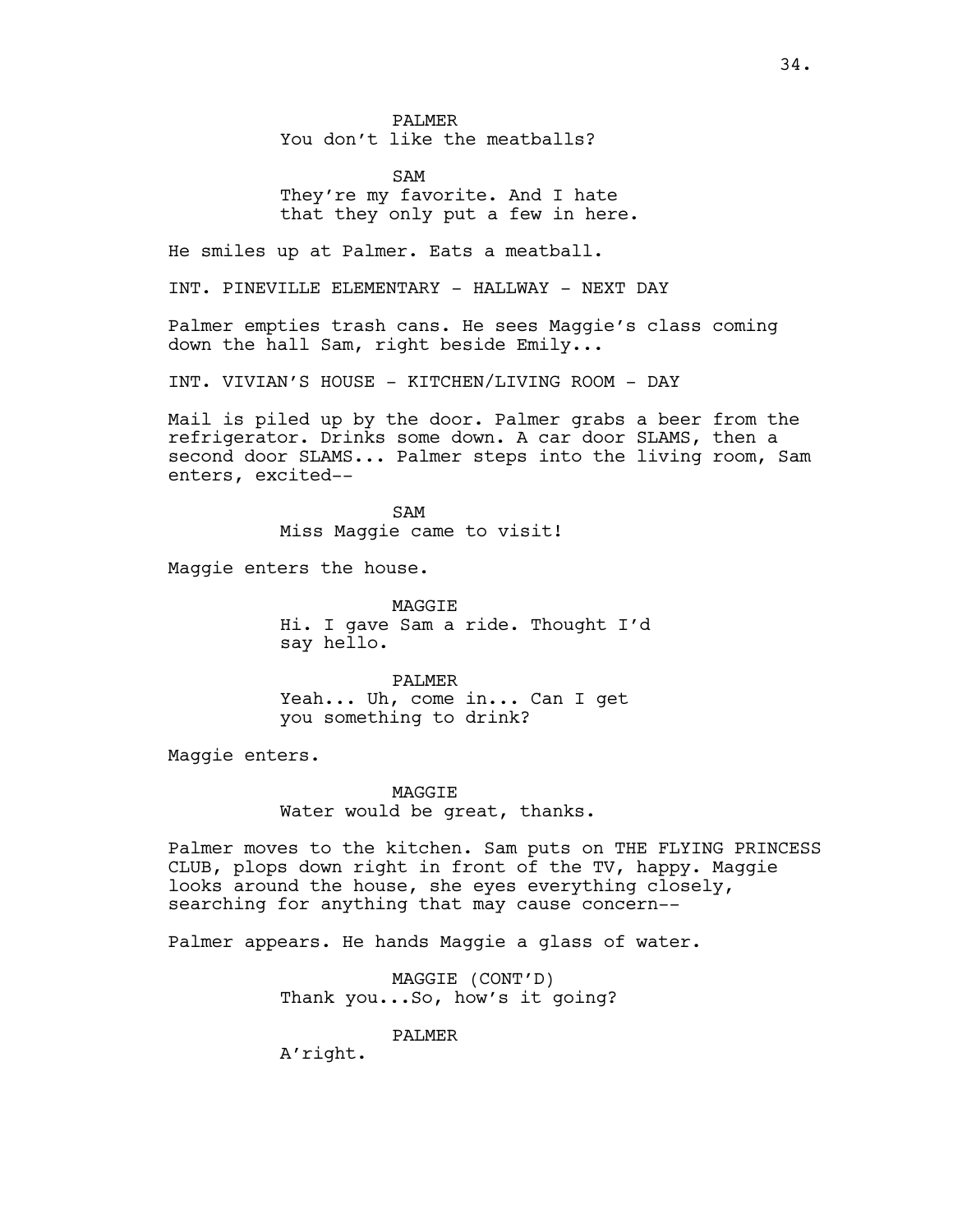PALMER You don't like the meatballs?

SAM They're my favorite. And I hate that they only put a few in here.

He smiles up at Palmer. Eats a meatball.

INT. PINEVILLE ELEMENTARY - HALLWAY - NEXT DAY

Palmer empties trash cans. He sees Maggie's class coming down the hall Sam, right beside Emily...

INT. VIVIAN'S HOUSE - KITCHEN/LIVING ROOM - DAY

Mail is piled up by the door. Palmer grabs a beer from the refrigerator. Drinks some down. A car door SLAMS, then a second door SLAMS... Palmer steps into the living room, Sam enters, excited--

> SAM Miss Maggie came to visit!

Maggie enters the house.

MAGGIE Hi. I gave Sam a ride. Thought I'd say hello.

PALMER Yeah... Uh, come in... Can I get you something to drink?

Maggie enters.

**MAGGTE** Water would be great, thanks.

Palmer moves to the kitchen. Sam puts on THE FLYING PRINCESS CLUB, plops down right in front of the TV, happy. Maggie looks around the house, she eyes everything closely, searching for anything that may cause concern--

Palmer appears. He hands Maggie a glass of water.

MAGGIE (CONT'D) Thank you...So, how's it going?

PALMER

A'right.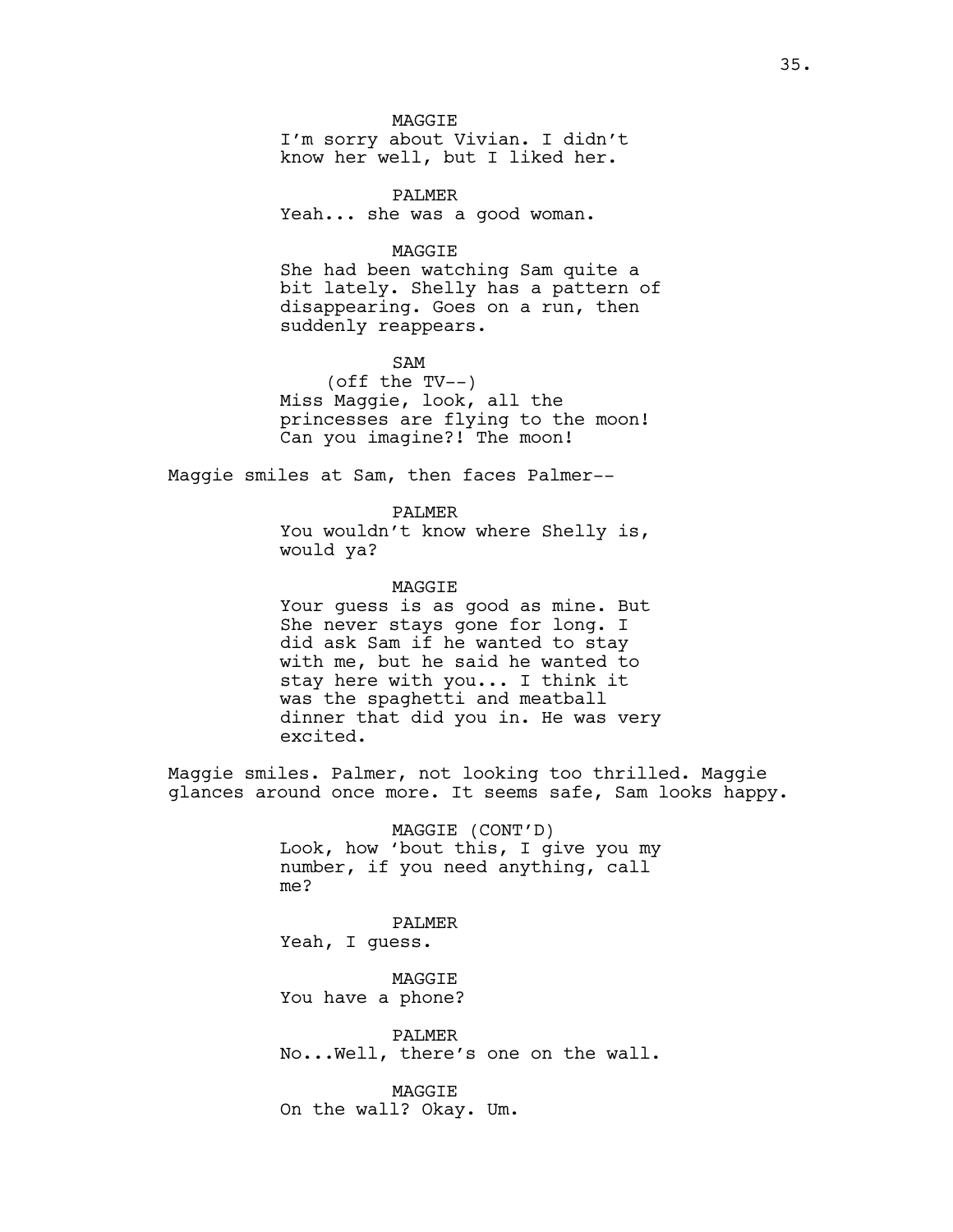**MAGGTE** 

I'm sorry about Vivian. I didn't know her well, but I liked her.

PALMER Yeah... she was a good woman.

#### MAGGIE

She had been watching Sam quite a bit lately. Shelly has a pattern of disappearing. Goes on a run, then suddenly reappears.

SAM (off the TV--) Miss Maggie, look, all the princesses are flying to the moon! Can you imagine?! The moon!

Maggie smiles at Sam, then faces Palmer--

PALMER You wouldn't know where Shelly is, would ya?

#### MAGGIE

Your guess is as good as mine. But She never stays gone for long. I did ask Sam if he wanted to stay with me, but he said he wanted to stay here with you... I think it was the spaghetti and meatball dinner that did you in. He was very excited.

Maggie smiles. Palmer, not looking too thrilled. Maggie glances around once more. It seems safe, Sam looks happy.

> MAGGIE (CONT'D) Look, how 'bout this, I give you my number, if you need anything, call me?

PALMER Yeah, I guess.

MAGGIE You have a phone?

PALMER No...Well, there's one on the wall.

MAGGIE On the wall? Okay. Um.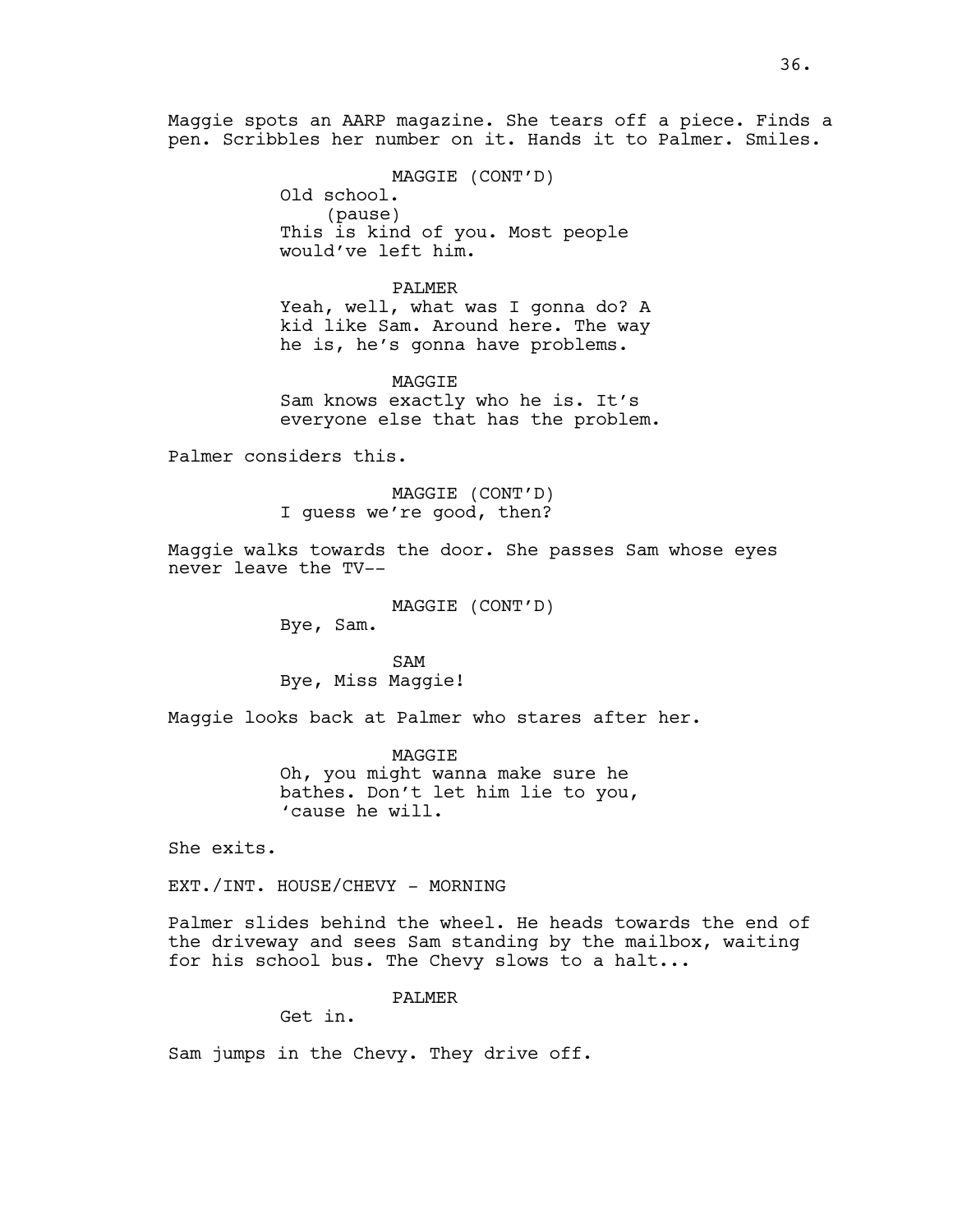Maggie spots an AARP magazine. She tears off a piece. Finds a pen. Scribbles her number on it. Hands it to Palmer. Smiles.

> MAGGIE (CONT'D) Old school. (pause) This is kind of you. Most people would've left him.

PALMER Yeah, well, what was I gonna do? A kid like Sam. Around here. The way he is, he's gonna have problems.

MAGGIE Sam knows exactly who he is. It's everyone else that has the problem.

Palmer considers this.

MAGGIE (CONT'D) I guess we're good, then?

Maggie walks towards the door. She passes Sam whose eyes never leave the TV--

> MAGGIE (CONT'D) Bye, Sam.

SAM Bye, Miss Maggie!

Maggie looks back at Palmer who stares after her.

MAGGIE Oh, you might wanna make sure he bathes. Don't let him lie to you, 'cause he will.

She exits.

EXT./INT. HOUSE/CHEVY - MORNING

Palmer slides behind the wheel. He heads towards the end of the driveway and sees Sam standing by the mailbox, waiting for his school bus. The Chevy slows to a halt...

PALMER

Get in.

Sam jumps in the Chevy. They drive off.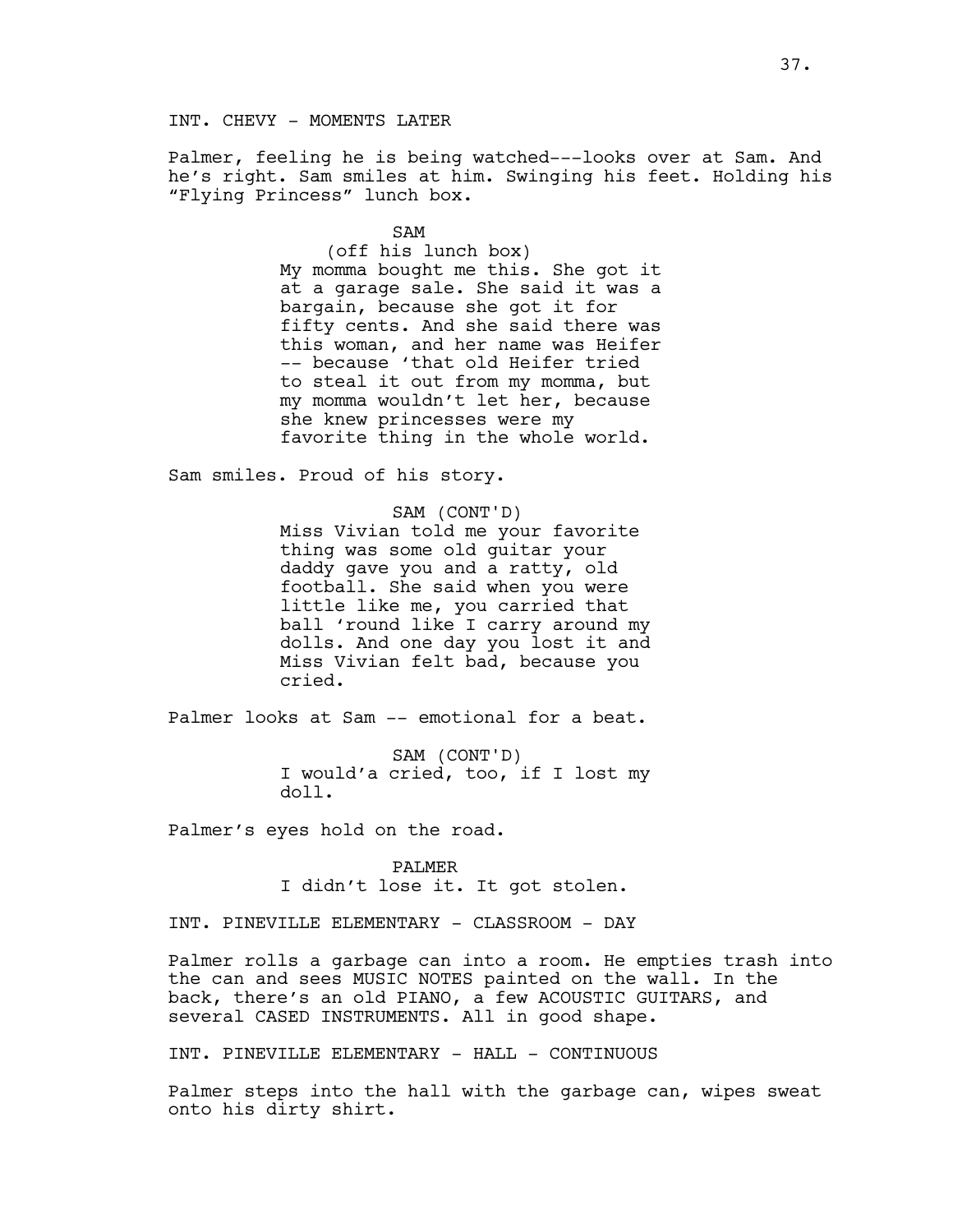INT. CHEVY - MOMENTS LATER

Palmer, feeling he is being watched---looks over at Sam. And he's right. Sam smiles at him. Swinging his feet. Holding his "Flying Princess" lunch box.

> SAM (off his lunch box) My momma bought me this. She got it at a garage sale. She said it was a bargain, because she got it for fifty cents. And she said there was this woman, and her name was Heifer -- because 'that old Heifer tried to steal it out from my momma, but my momma wouldn't let her, because she knew princesses were my favorite thing in the whole world.

Sam smiles. Proud of his story.

SAM (CONT'D) Miss Vivian told me your favorite thing was some old guitar your daddy gave you and a ratty, old football. She said when you were little like me, you carried that ball 'round like I carry around my dolls. And one day you lost it and Miss Vivian felt bad, because you cried.

Palmer looks at Sam -- emotional for a beat.

SAM (CONT'D) I would'a cried, too, if I lost my doll.

Palmer's eyes hold on the road.

PALMER I didn't lose it. It got stolen.

INT. PINEVILLE ELEMENTARY - CLASSROOM - DAY

Palmer rolls a garbage can into a room. He empties trash into the can and sees MUSIC NOTES painted on the wall. In the back, there's an old PIANO, a few ACOUSTIC GUITARS, and several CASED INSTRUMENTS. All in good shape.

INT. PINEVILLE ELEMENTARY - HALL - CONTINUOUS

Palmer steps into the hall with the garbage can, wipes sweat onto his dirty shirt.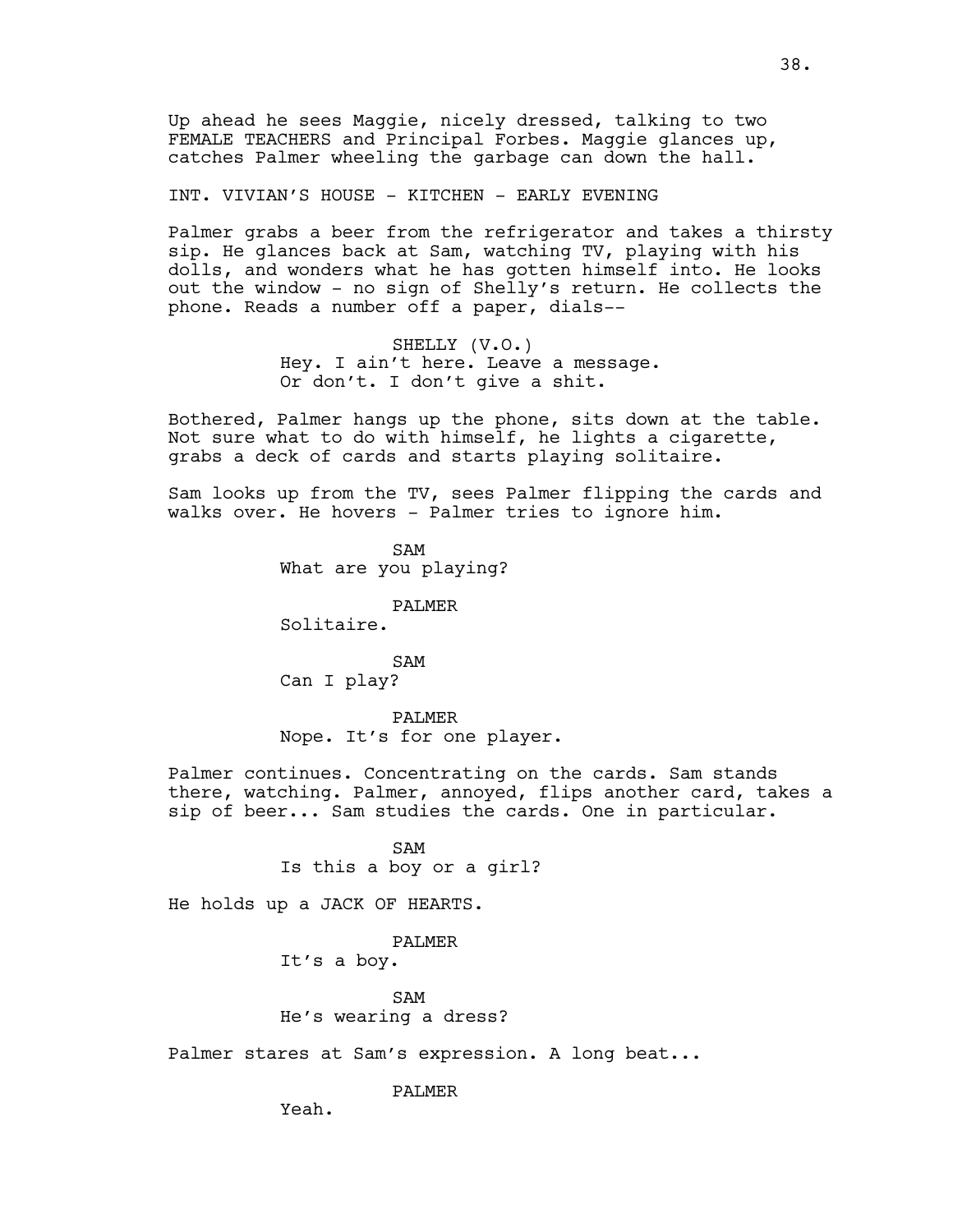Up ahead he sees Maggie, nicely dressed, talking to two FEMALE TEACHERS and Principal Forbes. Maggie glances up, catches Palmer wheeling the garbage can down the hall.

INT. VIVIAN'S HOUSE - KITCHEN - EARLY EVENING

Palmer grabs a beer from the refrigerator and takes a thirsty sip. He glances back at Sam, watching TV, playing with his dolls, and wonders what he has gotten himself into. He looks out the window - no sign of Shelly's return. He collects the phone. Reads a number off a paper, dials--

> SHELLY (V.O.) Hey. I ain't here. Leave a message. Or don't. I don't give a shit.

Bothered, Palmer hangs up the phone, sits down at the table. Not sure what to do with himself, he lights a cigarette, grabs a deck of cards and starts playing solitaire.

Sam looks up from the TV, sees Palmer flipping the cards and walks over. He hovers - Palmer tries to ignore him.

> SAM What are you playing?

> > PALMER

Solitaire.

SAM Can I play?

PALMER Nope. It's for one player.

Palmer continues. Concentrating on the cards. Sam stands there, watching. Palmer, annoyed, flips another card, takes a sip of beer... Sam studies the cards. One in particular.

> SAM Is this a boy or a girl?

He holds up a JACK OF HEARTS.

# PALMER

It's a boy.

SAM He's wearing a dress?

Palmer stares at Sam's expression. A long beat...

PALMER

Yeah.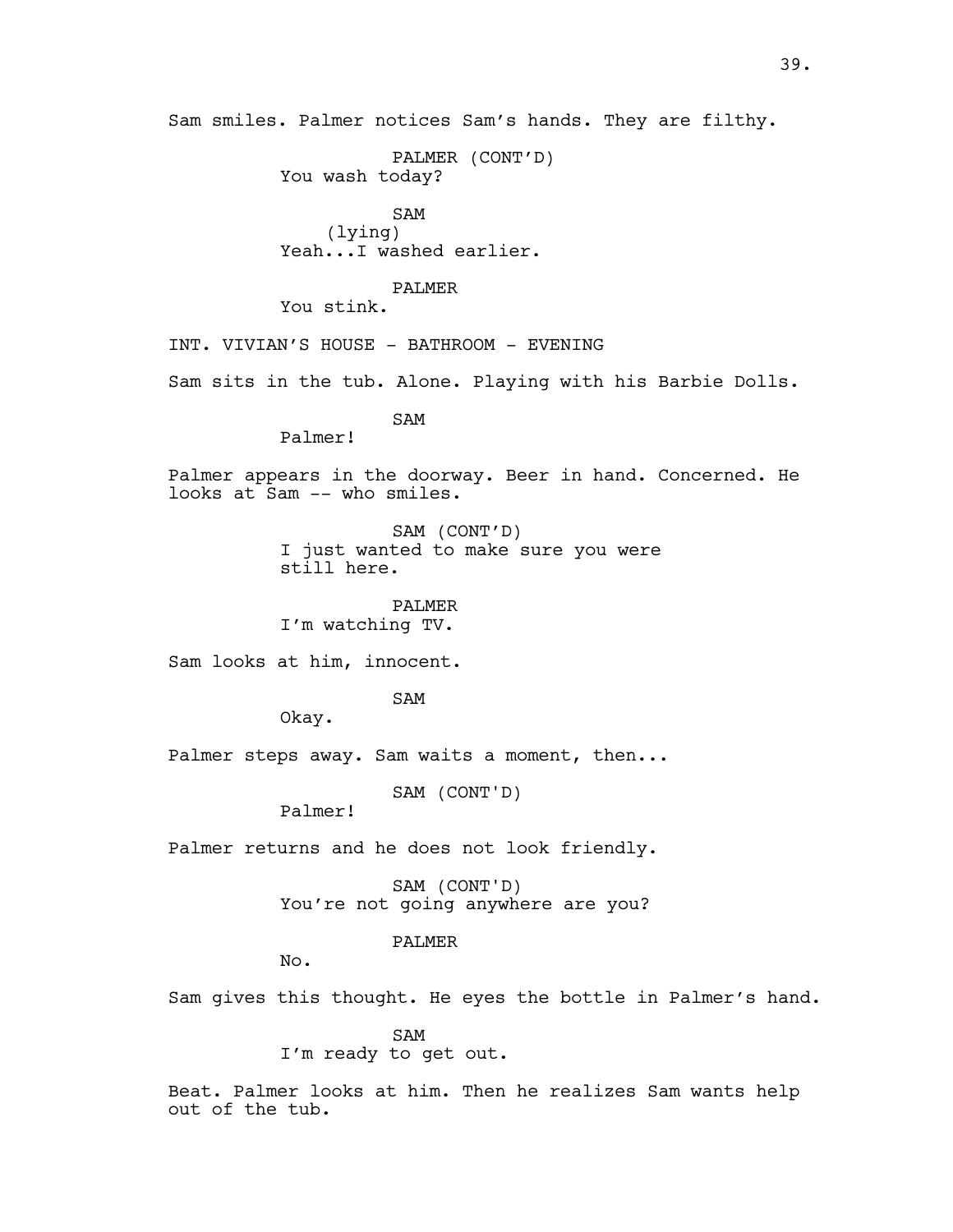PALMER (CONT'D) You wash today?

SAM (lying) Yeah...I washed earlier.

PALMER

You stink.

INT. VIVIAN'S HOUSE - BATHROOM - EVENING

Sam sits in the tub. Alone. Playing with his Barbie Dolls.

SAM

Palmer!

Palmer appears in the doorway. Beer in hand. Concerned. He looks at Sam -- who smiles.

> SAM (CONT'D) I just wanted to make sure you were still here.

PALMER I'm watching TV.

Sam looks at him, innocent.

SAM

Okay.

Palmer steps away. Sam waits a moment, then...

SAM (CONT'D)

Palmer!

Palmer returns and he does not look friendly.

SAM (CONT'D) You're not going anywhere are you?

PALMER

No.

Sam gives this thought. He eyes the bottle in Palmer's hand.

SAM

I'm ready to get out.

Beat. Palmer looks at him. Then he realizes Sam wants help out of the tub.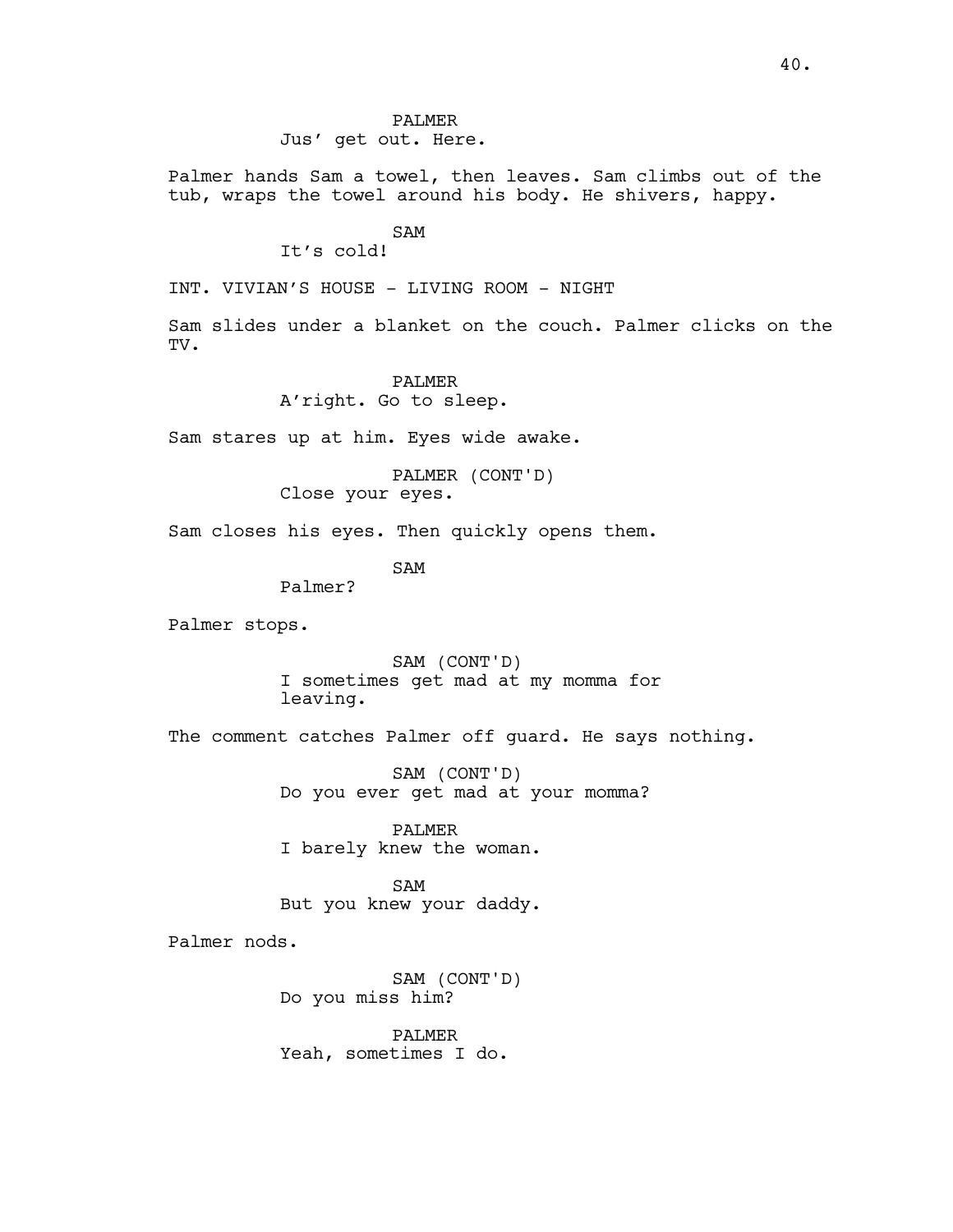# PALMER Jus' get out. Here.

Palmer hands Sam a towel, then leaves. Sam climbs out of the tub, wraps the towel around his body. He shivers, happy.

# SAM

It's cold!

INT. VIVIAN'S HOUSE - LIVING ROOM - NIGHT

Sam slides under a blanket on the couch. Palmer clicks on the TV.

# PALMER

A'right. Go to sleep.

Sam stares up at him. Eyes wide awake.

PALMER (CONT'D) Close your eyes.

Sam closes his eyes. Then quickly opens them.

SAM

Palmer?

Palmer stops.

SAM (CONT'D) I sometimes get mad at my momma for leaving.

The comment catches Palmer off guard. He says nothing.

SAM (CONT'D) Do you ever get mad at your momma?

PALMER I barely knew the woman.

SAM But you knew your daddy.

Palmer nods.

SAM (CONT'D) Do you miss him?

PALMER Yeah, sometimes I do.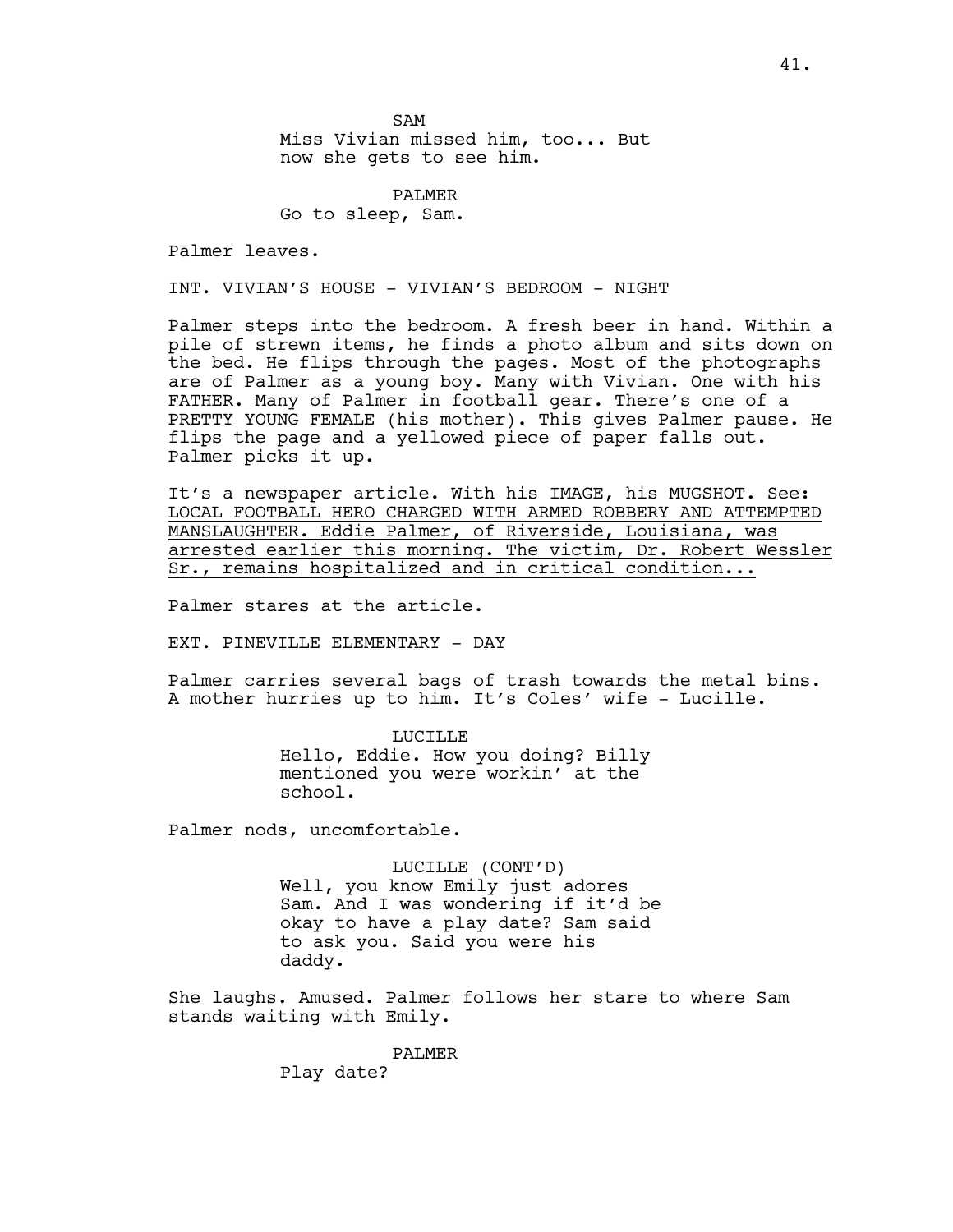SAM Miss Vivian missed him, too... But now she gets to see him.

PALMER Go to sleep, Sam.

Palmer leaves.

INT. VIVIAN'S HOUSE - VIVIAN'S BEDROOM - NIGHT

Palmer steps into the bedroom. A fresh beer in hand. Within a pile of strewn items, he finds a photo album and sits down on the bed. He flips through the pages. Most of the photographs are of Palmer as a young boy. Many with Vivian. One with his FATHER. Many of Palmer in football gear. There's one of a PRETTY YOUNG FEMALE (his mother). This gives Palmer pause. He flips the page and a yellowed piece of paper falls out. Palmer picks it up.

It's a newspaper article. With his IMAGE, his MUGSHOT. See: LOCAL FOOTBALL HERO CHARGED WITH ARMED ROBBERY AND ATTEMPTED MANSLAUGHTER. Eddie Palmer, of Riverside, Louisiana, was arrested earlier this morning. The victim, Dr. Robert Wessler Sr., remains hospitalized and in critical condition...

Palmer stares at the article.

EXT. PINEVILLE ELEMENTARY - DAY

Palmer carries several bags of trash towards the metal bins. A mother hurries up to him. It's Coles' wife - Lucille.

> LUCILLE Hello, Eddie. How you doing? Billy mentioned you were workin' at the school.

Palmer nods, uncomfortable.

LUCILLE (CONT'D) Well, you know Emily just adores Sam. And I was wondering if it'd be okay to have a play date? Sam said to ask you. Said you were his daddy.

She laughs. Amused. Palmer follows her stare to where Sam stands waiting with Emily.

> PALMER Play date?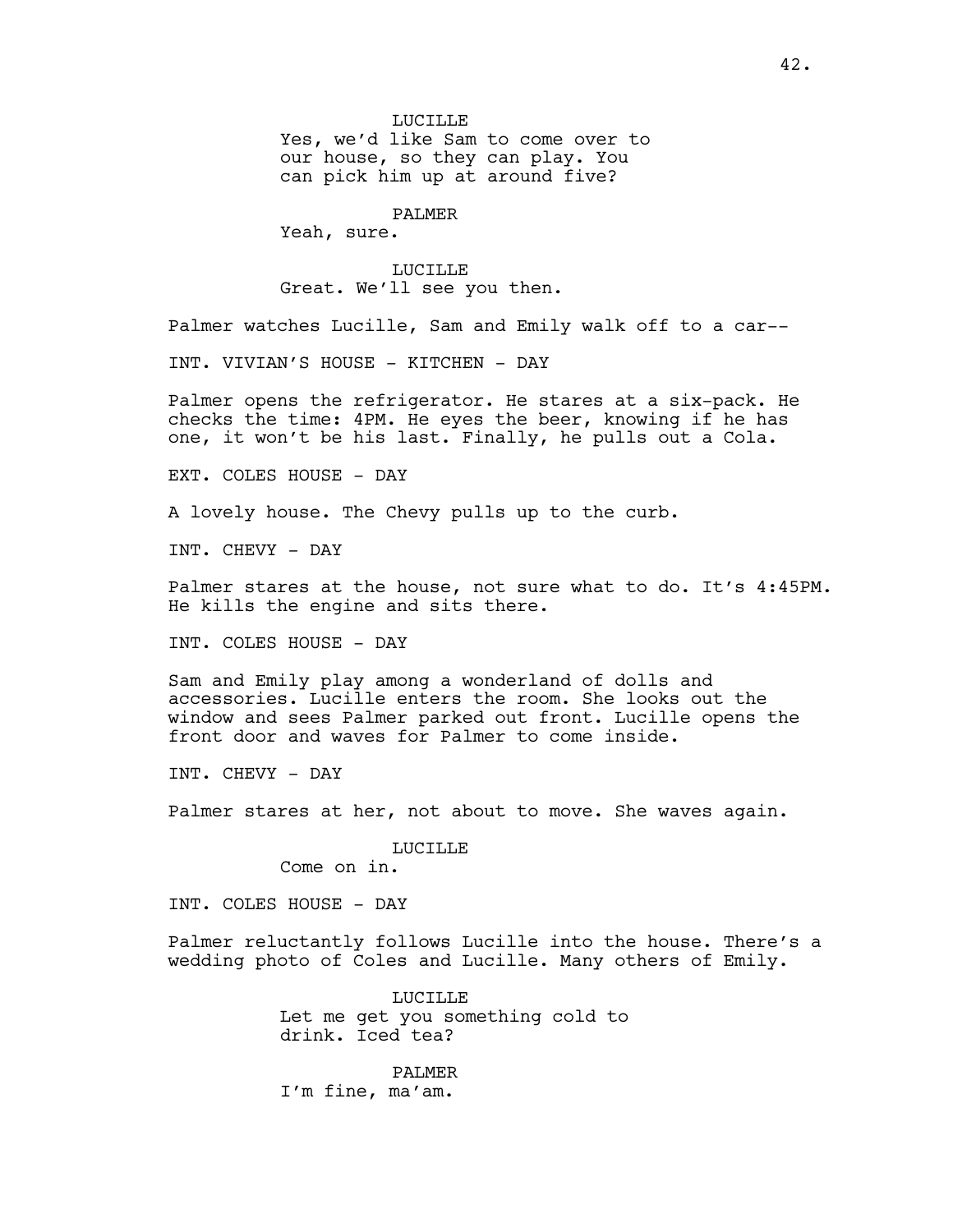Yes, we'd like Sam to come over to our house, so they can play. You can pick him up at around five?

# PALMER

Yeah, sure.

#### LUCILLE

Great. We'll see you then.

Palmer watches Lucille, Sam and Emily walk off to a car--

INT. VIVIAN'S HOUSE - KITCHEN - DAY

Palmer opens the refrigerator. He stares at a six-pack. He checks the time: 4PM. He eyes the beer, knowing if he has one, it won't be his last. Finally, he pulls out a Cola.

EXT. COLES HOUSE - DAY

A lovely house. The Chevy pulls up to the curb.

INT. CHEVY - DAY

Palmer stares at the house, not sure what to do. It's 4:45PM. He kills the engine and sits there.

INT. COLES HOUSE - DAY

Sam and Emily play among a wonderland of dolls and accessories. Lucille enters the room. She looks out the window and sees Palmer parked out front. Lucille opens the front door and waves for Palmer to come inside.

INT. CHEVY - DAY

Palmer stares at her, not about to move. She waves again.

#### LUCILLE

Come on in.

INT. COLES HOUSE - DAY

Palmer reluctantly follows Lucille into the house. There's a wedding photo of Coles and Lucille. Many others of Emily.

> LUCILLE Let me get you something cold to drink. Iced tea?

PALMER I'm fine, ma'am.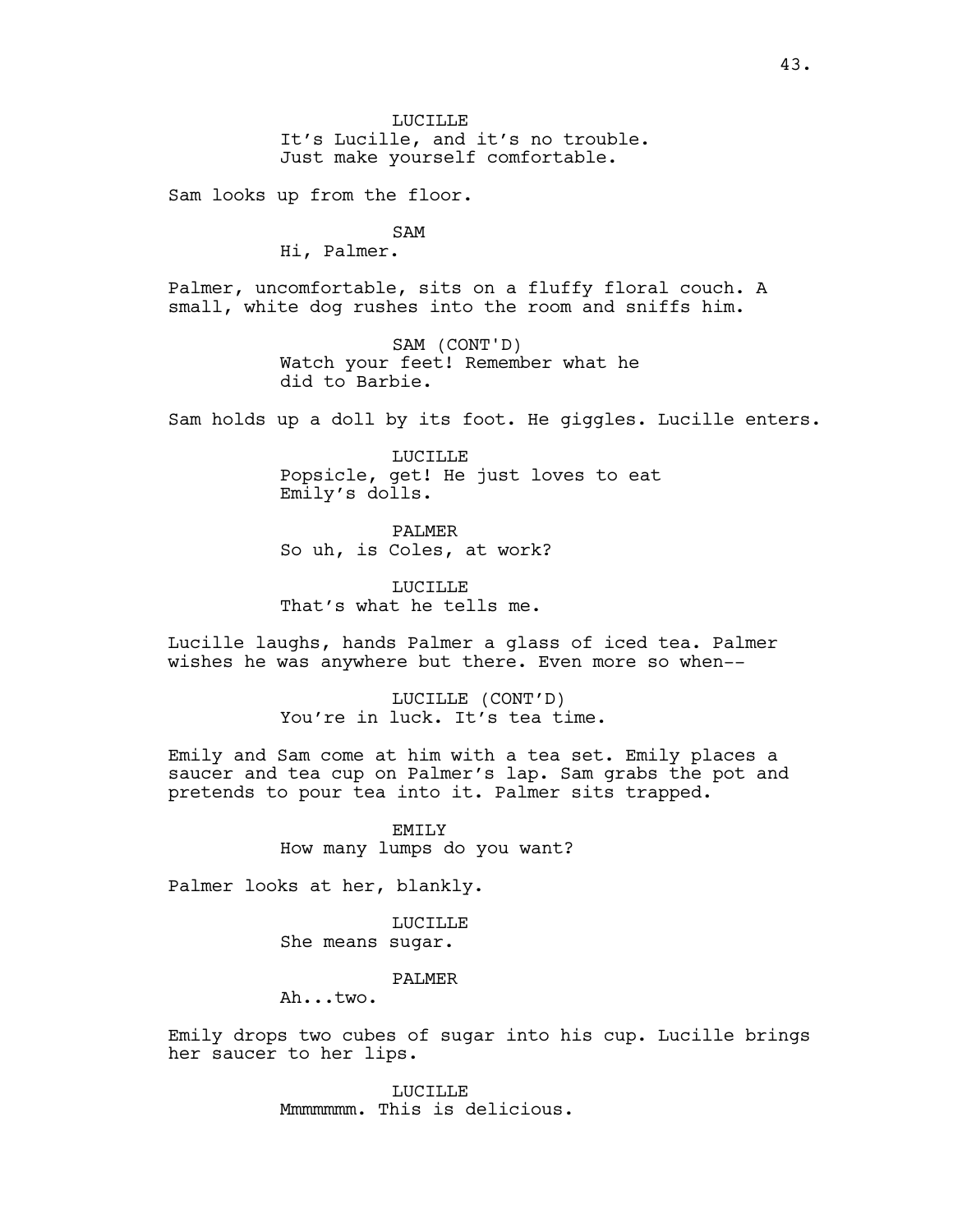Sam looks up from the floor.

# SAM

Hi, Palmer.

Palmer, uncomfortable, sits on a fluffy floral couch. A small, white dog rushes into the room and sniffs him.

> SAM (CONT'D) Watch your feet! Remember what he did to Barbie.

Sam holds up a doll by its foot. He giggles. Lucille enters.

LUCILLE Popsicle, get! He just loves to eat Emily's dolls.

PALMER So uh, is Coles, at work?

**LUCTLLE** That's what he tells me.

Lucille laughs, hands Palmer a glass of iced tea. Palmer wishes he was anywhere but there. Even more so when--

> LUCILLE (CONT'D) You're in luck. It's tea time.

Emily and Sam come at him with a tea set. Emily places a saucer and tea cup on Palmer's lap. Sam grabs the pot and pretends to pour tea into it. Palmer sits trapped.

> EMILY How many lumps do you want?

Palmer looks at her, blankly.

LUCILLE She means sugar.

# PALMER

Ah...two.

Emily drops two cubes of sugar into his cup. Lucille brings her saucer to her lips.

> LUCILLE Mmmmmmm. This is delicious.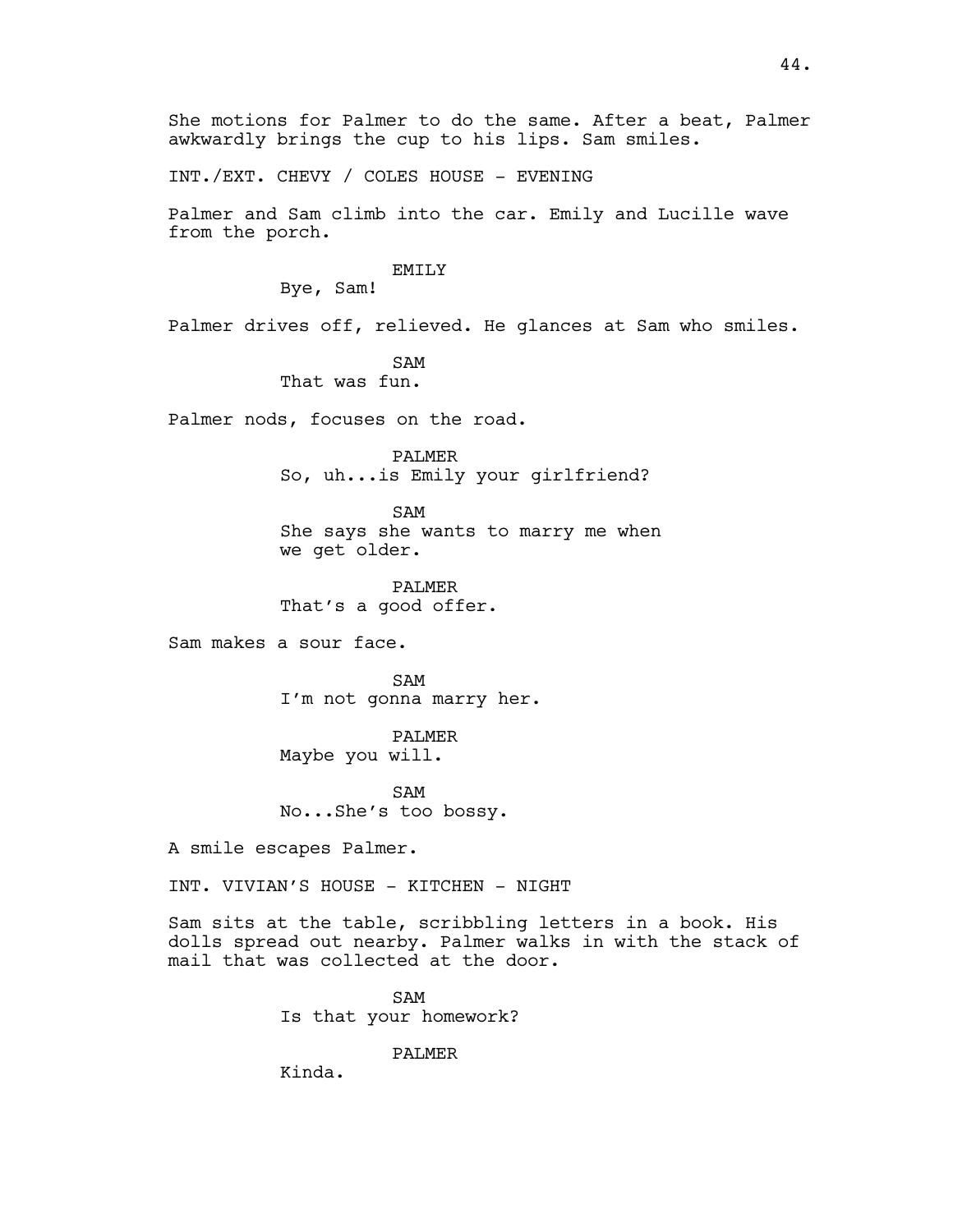She motions for Palmer to do the same. After a beat, Palmer awkwardly brings the cup to his lips. Sam smiles.

INT./EXT. CHEVY / COLES HOUSE - EVENING

Palmer and Sam climb into the car. Emily and Lucille wave from the porch.

#### EMILY

Bye, Sam!

Palmer drives off, relieved. He glances at Sam who smiles.

SAM

That was fun.

Palmer nods, focuses on the road.

PALMER So, uh...is Emily your girlfriend?

SAM She says she wants to marry me when we get older.

PALMER That's a good offer.

Sam makes a sour face.

SAM I'm not gonna marry her.

PALMER Maybe you will.

SAM No...She's too bossy.

A smile escapes Palmer.

INT. VIVIAN'S HOUSE - KITCHEN - NIGHT

Sam sits at the table, scribbling letters in a book. His dolls spread out nearby. Palmer walks in with the stack of mail that was collected at the door.

> SAM Is that your homework?

> > PALMER

Kinda.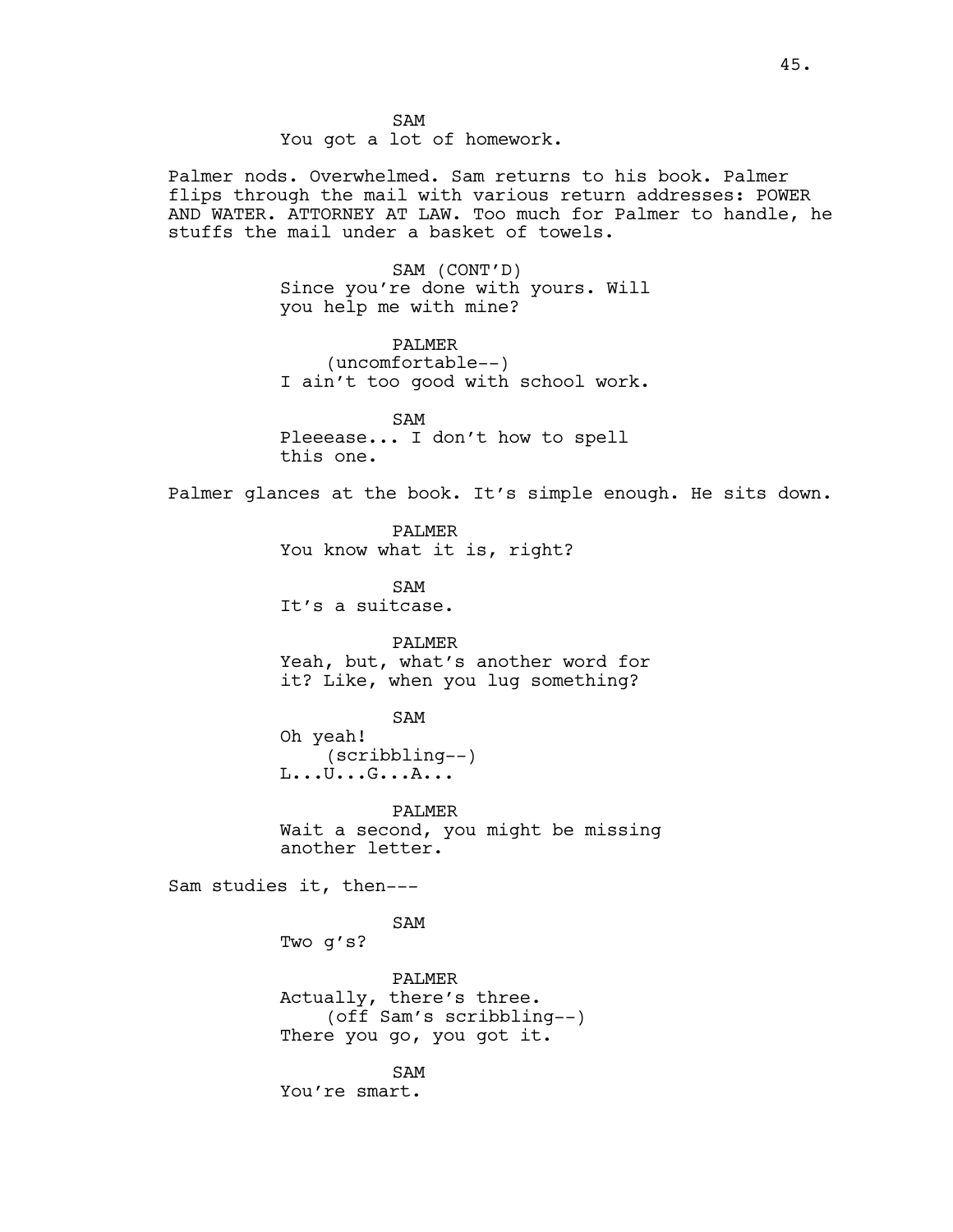Palmer nods. Overwhelmed. Sam returns to his book. Palmer flips through the mail with various return addresses: POWER AND WATER. ATTORNEY AT LAW. Too much for Palmer to handle, he stuffs the mail under a basket of towels.

> SAM (CONT'D) Since you're done with yours. Will you help me with mine?

> PALMER (uncomfortable--) I ain't too good with school work.

SAM Pleeease... I don't how to spell this one.

Palmer glances at the book. It's simple enough. He sits down.

PALMER You know what it is, right?

SAM It's a suitcase.

PALMER Yeah, but, what's another word for it? Like, when you lug something?

SAM

Oh yeah! (scribbling--) L...U...G...A...

PALMER Wait a second, you might be missing another letter.

Sam studies it, then---

SAM Two g's?

PALMER Actually, there's three. (off Sam's scribbling--) There you go, you got it.

SAM You're smart.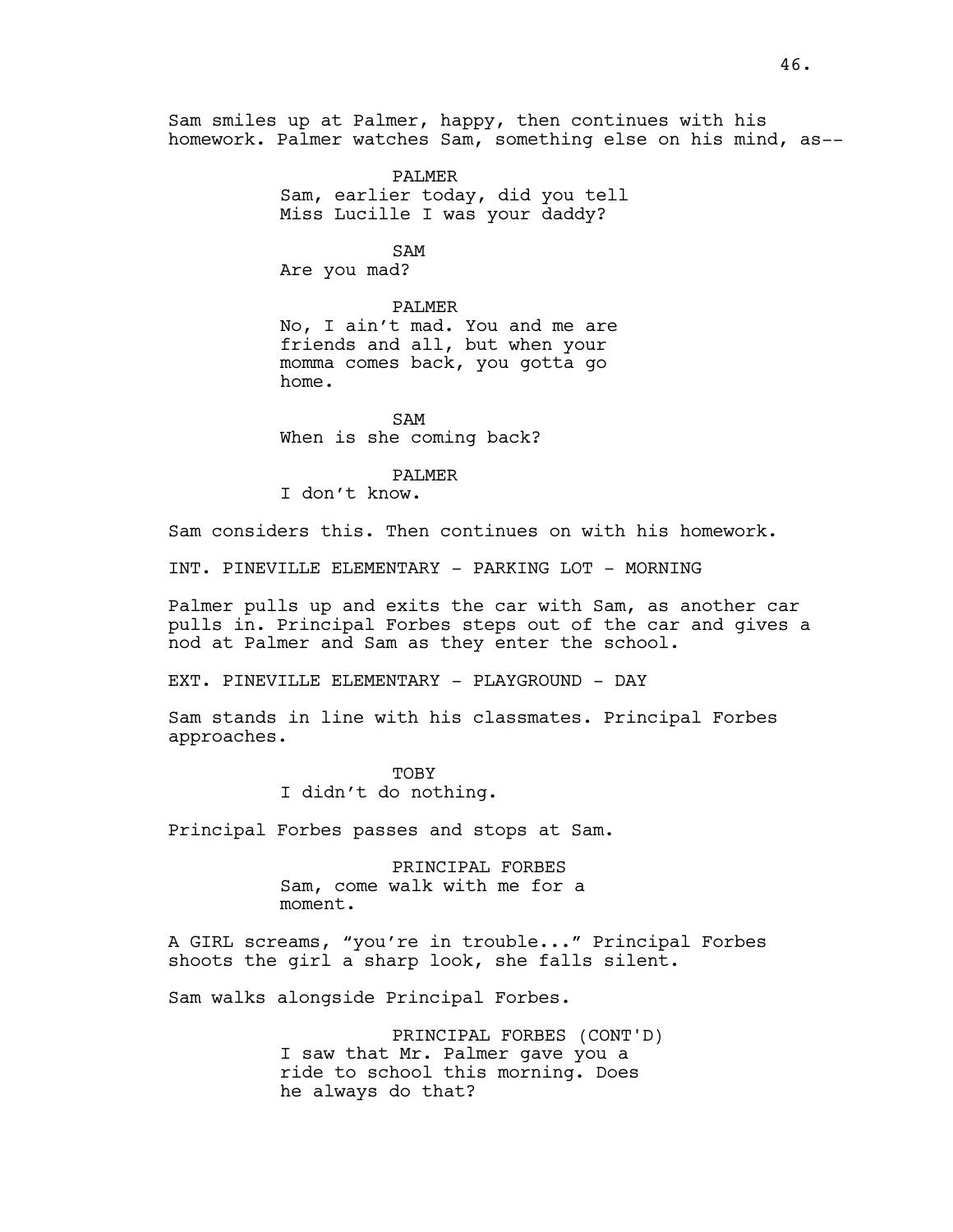Sam smiles up at Palmer, happy, then continues with his homework. Palmer watches Sam, something else on his mind, as--

> PALMER Sam, earlier today, did you tell Miss Lucille I was your daddy?

> > SAM

Are you mad?

#### PALMER

No, I ain't mad. You and me are friends and all, but when your momma comes back, you gotta go home.

SAM When is she coming back?

#### PALMER

I don't know.

Sam considers this. Then continues on with his homework.

INT. PINEVILLE ELEMENTARY - PARKING LOT - MORNING

Palmer pulls up and exits the car with Sam, as another car pulls in. Principal Forbes steps out of the car and gives a nod at Palmer and Sam as they enter the school.

EXT. PINEVILLE ELEMENTARY - PLAYGROUND - DAY

Sam stands in line with his classmates. Principal Forbes approaches.

> TOBY I didn't do nothing.

Principal Forbes passes and stops at Sam.

PRINCIPAL FORBES Sam, come walk with me for a moment.

A GIRL screams, "you're in trouble..." Principal Forbes shoots the girl a sharp look, she falls silent.

Sam walks alongside Principal Forbes.

PRINCIPAL FORBES (CONT'D) I saw that Mr. Palmer gave you a ride to school this morning. Does he always do that?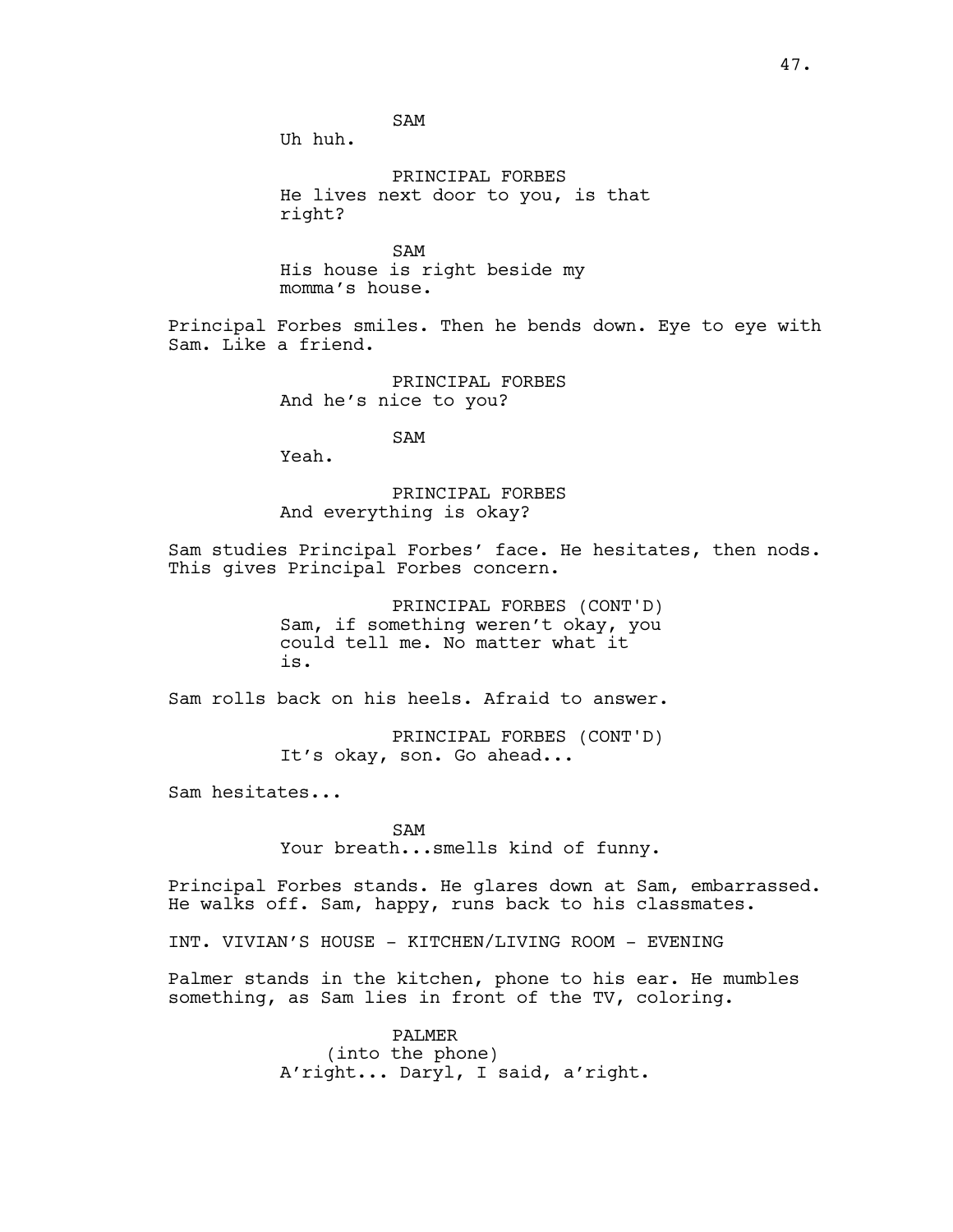SAM

Uh huh.

PRINCIPAL FORBES He lives next door to you, is that right?

SAM His house is right beside my momma's house.

Principal Forbes smiles. Then he bends down. Eye to eye with Sam. Like a friend.

> PRINCIPAL FORBES And he's nice to you?

> > SAM

Yeah.

PRINCIPAL FORBES And everything is okay?

Sam studies Principal Forbes' face. He hesitates, then nods. This gives Principal Forbes concern.

> PRINCIPAL FORBES (CONT'D) Sam, if something weren't okay, you could tell me. No matter what it is.

Sam rolls back on his heels. Afraid to answer.

PRINCIPAL FORBES (CONT'D) It's okay, son. Go ahead...

Sam hesitates...

SAM Your breath...smells kind of funny.

Principal Forbes stands. He glares down at Sam, embarrassed. He walks off. Sam, happy, runs back to his classmates.

INT. VIVIAN'S HOUSE - KITCHEN/LIVING ROOM - EVENING

Palmer stands in the kitchen, phone to his ear. He mumbles something, as Sam lies in front of the TV, coloring.

> PALMER (into the phone) A'right... Daryl, I said, a'right.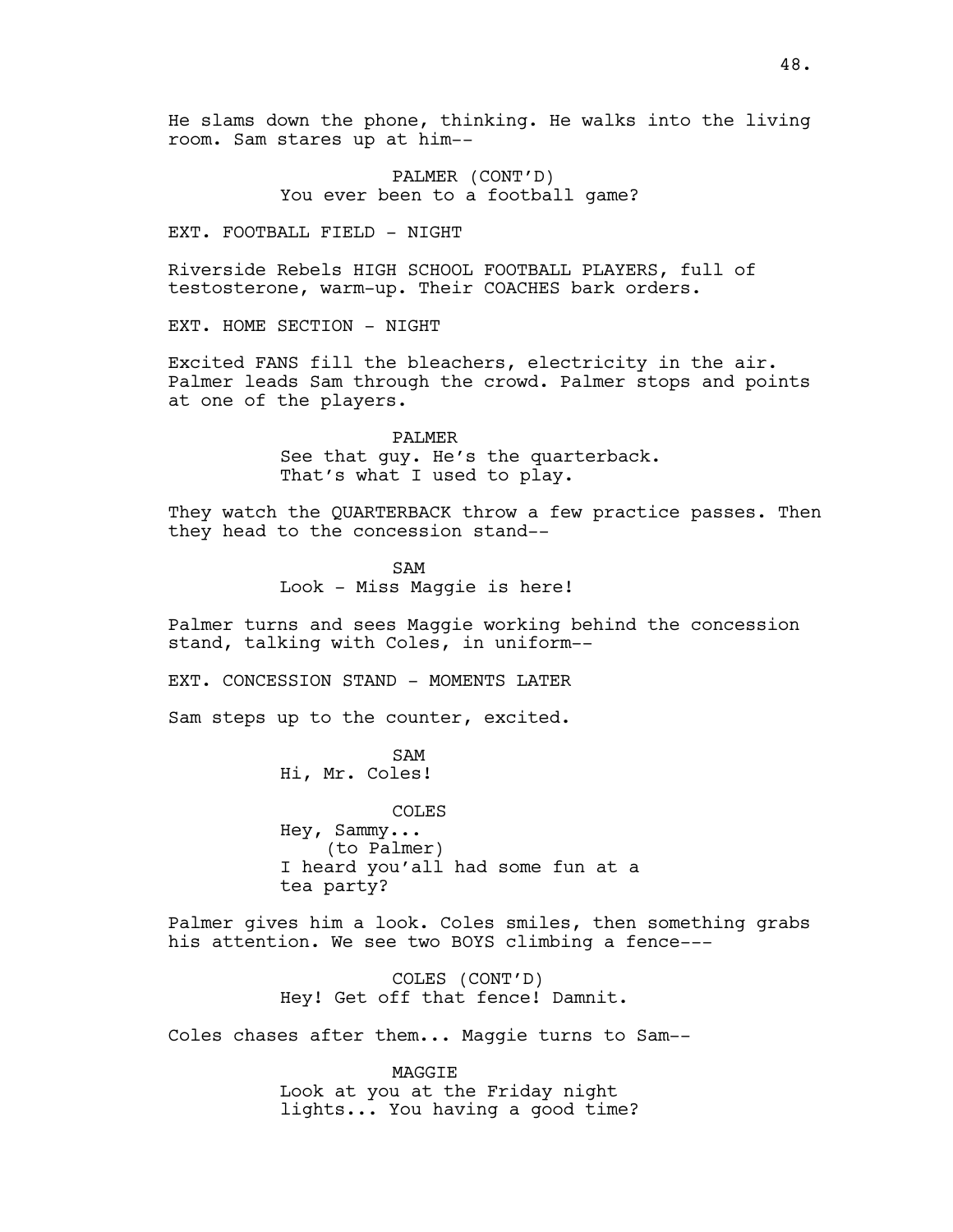PALMER (CONT'D) You ever been to a football game?

EXT. FOOTBALL FIELD - NIGHT

Riverside Rebels HIGH SCHOOL FOOTBALL PLAYERS, full of testosterone, warm-up. Their COACHES bark orders.

EXT. HOME SECTION - NIGHT

Excited FANS fill the bleachers, electricity in the air. Palmer leads Sam through the crowd. Palmer stops and points at one of the players.

> PALMER See that guy. He's the quarterback. That's what I used to play.

They watch the QUARTERBACK throw a few practice passes. Then they head to the concession stand--

> SAM Look - Miss Maggie is here!

Palmer turns and sees Maggie working behind the concession stand, talking with Coles, in uniform--

EXT. CONCESSION STAND - MOMENTS LATER

Sam steps up to the counter, excited.

SAM Hi, Mr. Coles!

COLES Hey, Sammy... (to Palmer) I heard you'all had some fun at a tea party?

Palmer gives him a look. Coles smiles, then something grabs his attention. We see two BOYS climbing a fence---

> COLES (CONT'D) Hey! Get off that fence! Damnit.

Coles chases after them... Maggie turns to Sam--

MAGGIE Look at you at the Friday night lights... You having a good time?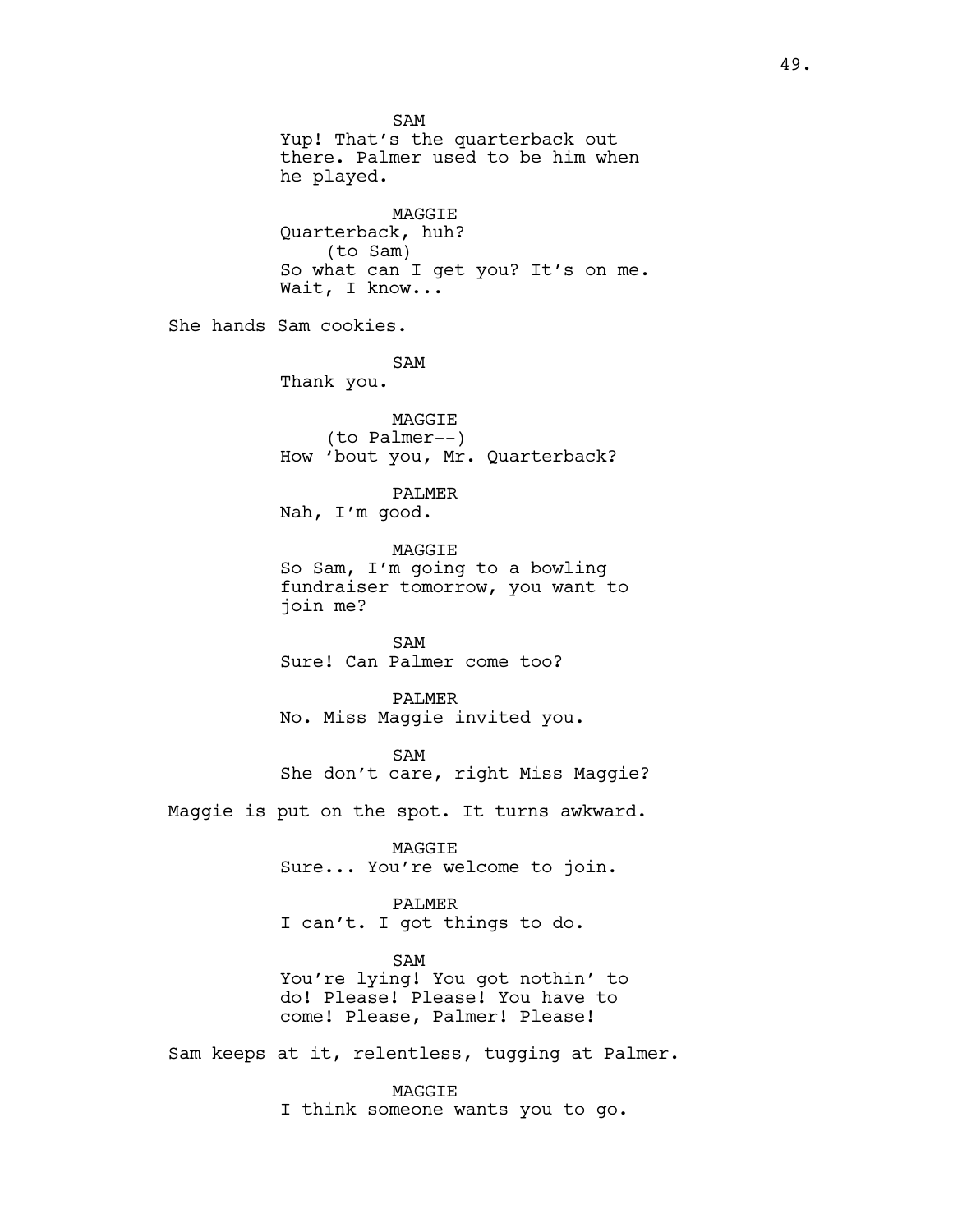SAM Yup! That's the quarterback out there. Palmer used to be him when he played. MAGGIE Quarterback, huh? (to Sam) So what can I get you? It's on me. Wait, I know... She hands Sam cookies. SAM Thank you. MAGGIE (to Palmer--) How 'bout you, Mr. Quarterback? PALMER Nah, I'm good. MAGGIE So Sam, I'm going to a bowling fundraiser tomorrow, you want to join me? SAM Sure! Can Palmer come too? PALMER No. Miss Maggie invited you. SAM She don't care, right Miss Maggie? Maggie is put on the spot. It turns awkward. MAGGIE Sure... You're welcome to join. PALMER I can't. I got things to do. SAM You're lying! You got nothin' to do! Please! Please! You have to come! Please, Palmer! Please! Sam keeps at it, relentless, tugging at Palmer. MAGGIE

I think someone wants you to go.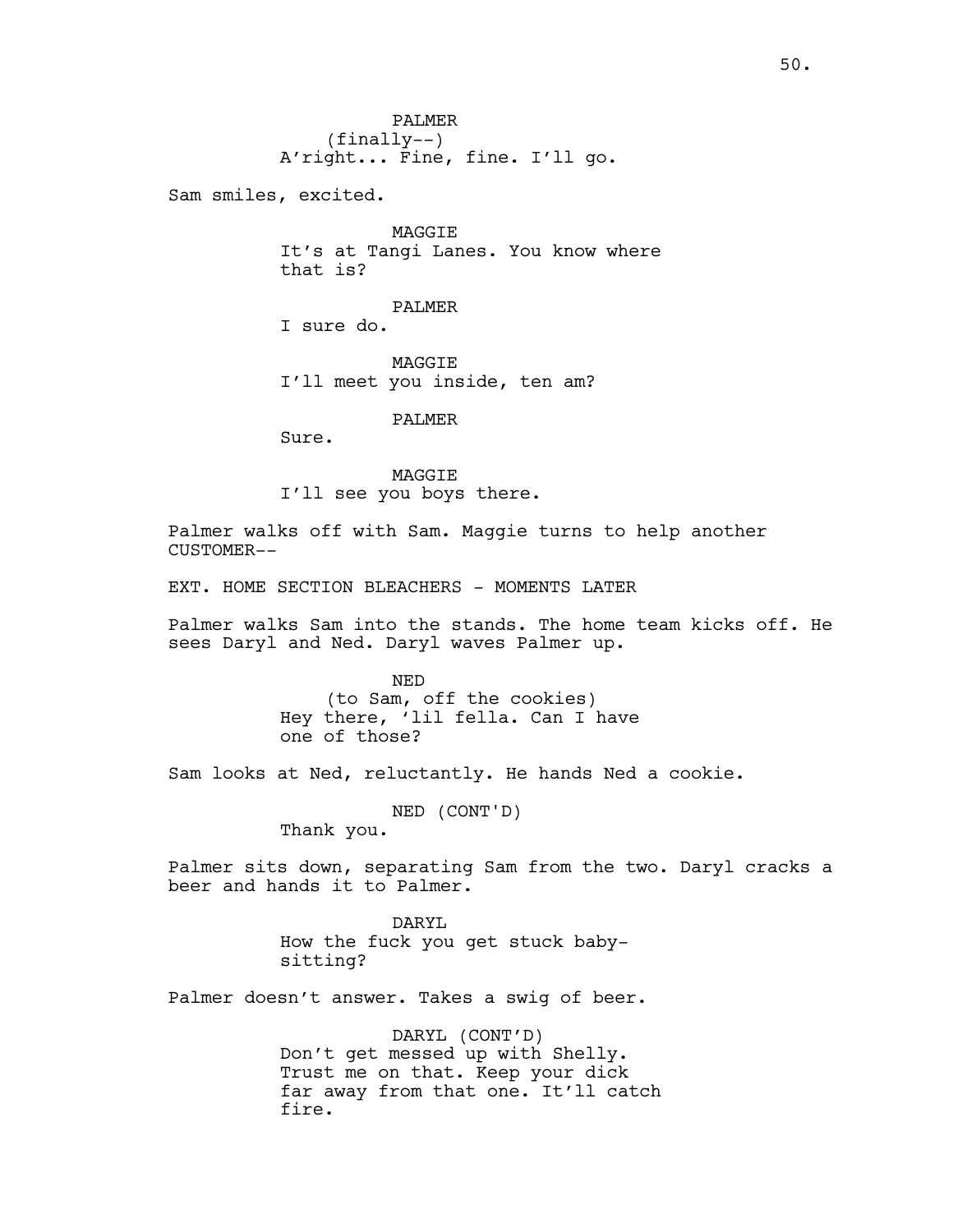Sam smiles, excited.

MAGGIE It's at Tangi Lanes. You know where that is?

PALMER I sure do.

MAGGIE I'll meet you inside, ten am?

PALMER

Sure.

MAGGIE I'll see you boys there.

Palmer walks off with Sam. Maggie turns to help another CUSTOMER--

EXT. HOME SECTION BLEACHERS - MOMENTS LATER

Palmer walks Sam into the stands. The home team kicks off. He sees Daryl and Ned. Daryl waves Palmer up.

> NED (to Sam, off the cookies) Hey there, 'lil fella. Can I have one of those?

Sam looks at Ned, reluctantly. He hands Ned a cookie.

NED (CONT'D)

Thank you.

Palmer sits down, separating Sam from the two. Daryl cracks a beer and hands it to Palmer.

> DARYL How the fuck you get stuck babysitting?

Palmer doesn't answer. Takes a swig of beer.

DARYL (CONT'D) Don't get messed up with Shelly. Trust me on that. Keep your dick far away from that one. It'll catch fire.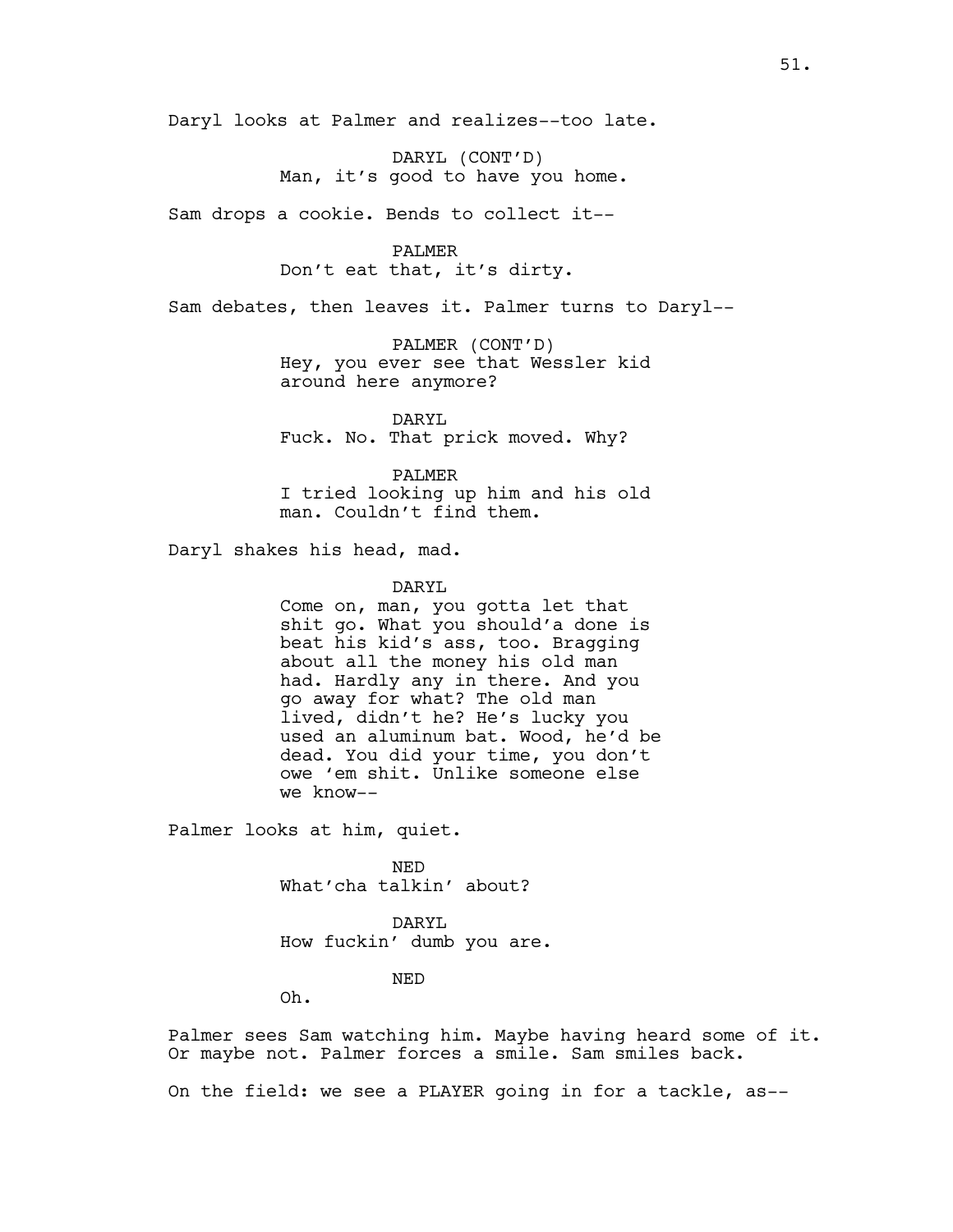Daryl looks at Palmer and realizes--too late.

DARYL (CONT'D) Man, it's good to have you home.

Sam drops a cookie. Bends to collect it--

PALMER Don't eat that, it's dirty.

Sam debates, then leaves it. Palmer turns to Daryl--

PALMER (CONT'D) Hey, you ever see that Wessler kid around here anymore?

DARYL Fuck. No. That prick moved. Why?

PALMER I tried looking up him and his old man. Couldn't find them.

Daryl shakes his head, mad.

#### DARYL

Come on, man, you gotta let that shit go. What you should'a done is beat his kid's ass, too. Bragging about all the money his old man had. Hardly any in there. And you go away for what? The old man lived, didn't he? He's lucky you used an aluminum bat. Wood, he'd be dead. You did your time, you don't owe 'em shit. Unlike someone else we know--

Palmer looks at him, quiet.

NED What'cha talkin' about?

DARYL How fuckin' dumb you are.

# NED

Oh.

Palmer sees Sam watching him. Maybe having heard some of it. Or maybe not. Palmer forces a smile. Sam smiles back.

On the field: we see a PLAYER going in for a tackle, as--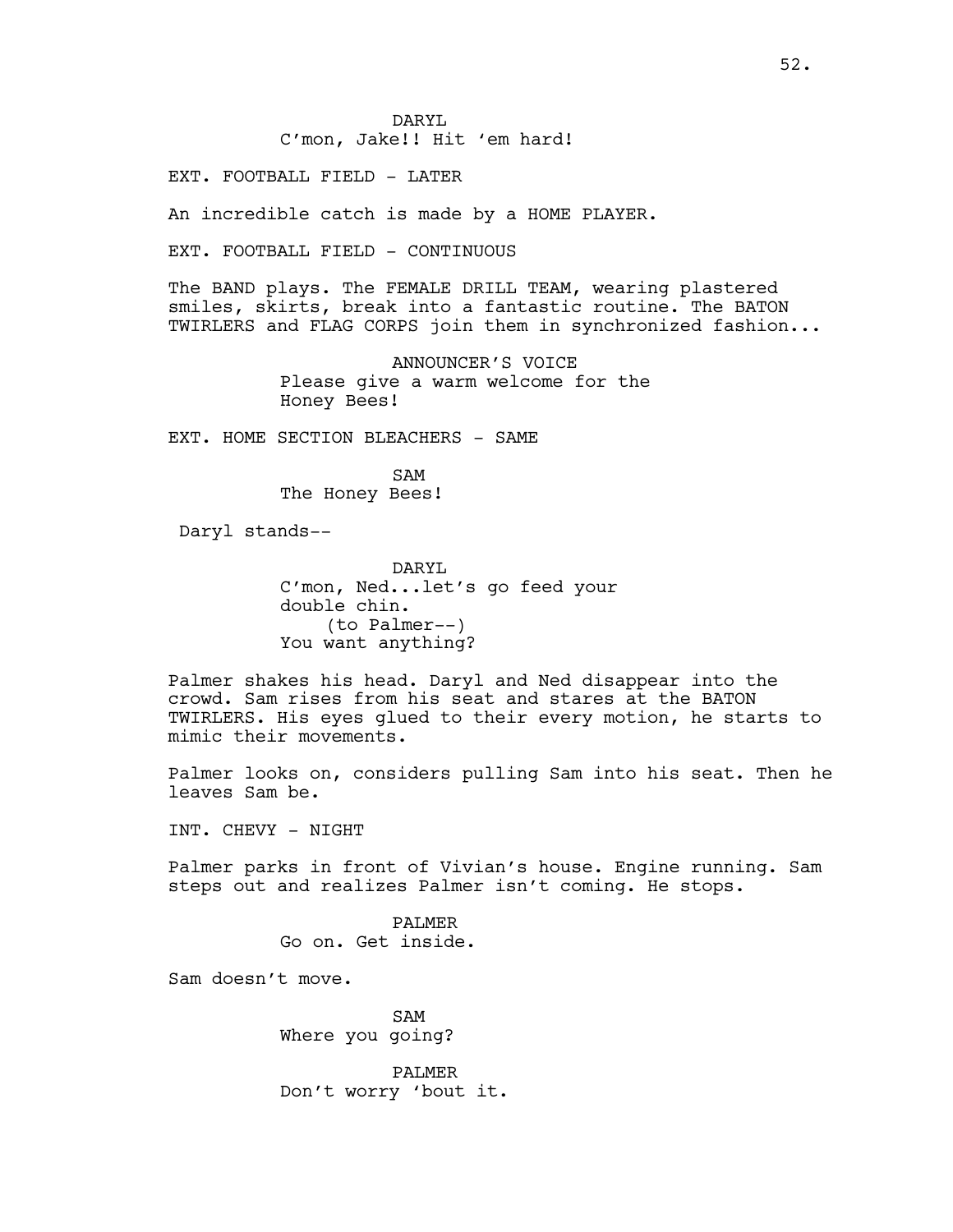DARYL C'mon, Jake!! Hit 'em hard!

EXT. FOOTBALL FIELD - LATER

An incredible catch is made by a HOME PLAYER.

EXT. FOOTBALL FIELD - CONTINUOUS

The BAND plays. The FEMALE DRILL TEAM, wearing plastered smiles, skirts, break into a fantastic routine. The BATON TWIRLERS and FLAG CORPS join them in synchronized fashion...

> ANNOUNCER'S VOICE Please give a warm welcome for the Honey Bees!

EXT. HOME SECTION BLEACHERS - SAME

SAM The Honey Bees!

Daryl stands--

DARYL C'mon, Ned...let's go feed your double chin. (to Palmer--) You want anything?

Palmer shakes his head. Daryl and Ned disappear into the crowd. Sam rises from his seat and stares at the BATON TWIRLERS. His eyes glued to their every motion, he starts to mimic their movements.

Palmer looks on, considers pulling Sam into his seat. Then he leaves Sam be.

INT. CHEVY - NIGHT

Palmer parks in front of Vivian's house. Engine running. Sam steps out and realizes Palmer isn't coming. He stops.

> PALMER Go on. Get inside.

Sam doesn't move.

SAM Where you going?

PALMER Don't worry 'bout it.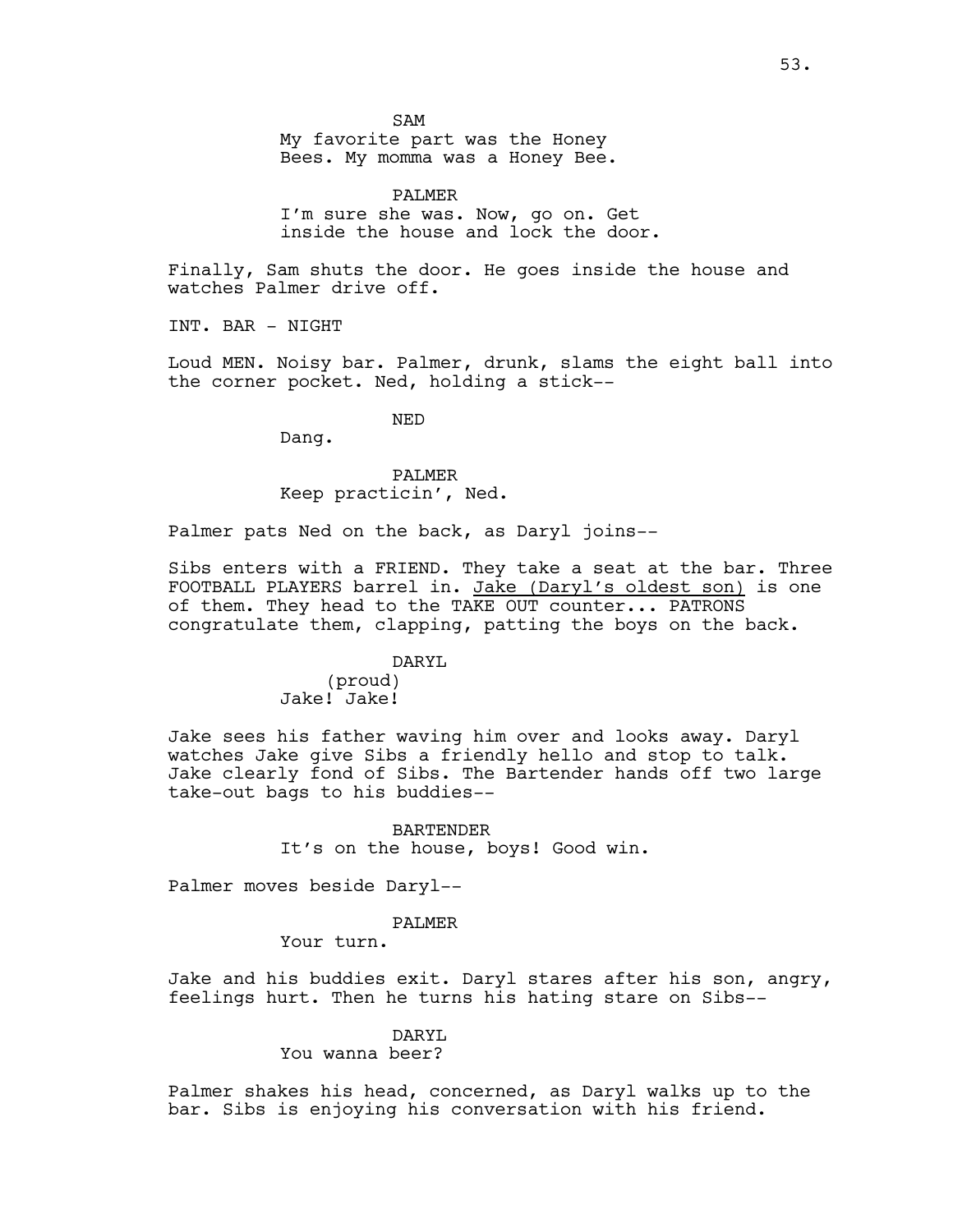SAM

My favorite part was the Honey Bees. My momma was a Honey Bee.

PALMER I'm sure she was. Now, go on. Get inside the house and lock the door.

Finally, Sam shuts the door. He goes inside the house and watches Palmer drive off.

INT. BAR - NIGHT

Loud MEN. Noisy bar. Palmer, drunk, slams the eight ball into the corner pocket. Ned, holding a stick--

NED

Dang.

# PALMER Keep practicin', Ned.

Palmer pats Ned on the back, as Daryl joins--

Sibs enters with a FRIEND. They take a seat at the bar. Three FOOTBALL PLAYERS barrel in. Jake (Daryl's oldest son) is one of them. They head to the TAKE OUT counter... PATRONS congratulate them, clapping, patting the boys on the back.

#### DARYL

(proud) Jake! Jake!

Jake sees his father waving him over and looks away. Daryl watches Jake give Sibs a friendly hello and stop to talk. Jake clearly fond of Sibs. The Bartender hands off two large take-out bags to his buddies--

> BARTENDER It's on the house, boys! Good win.

Palmer moves beside Daryl--

#### PALMER

Your turn.

Jake and his buddies exit. Daryl stares after his son, angry, feelings hurt. Then he turns his hating stare on Sibs--

# DARYL

You wanna beer?

Palmer shakes his head, concerned, as Daryl walks up to the bar. Sibs is enjoying his conversation with his friend.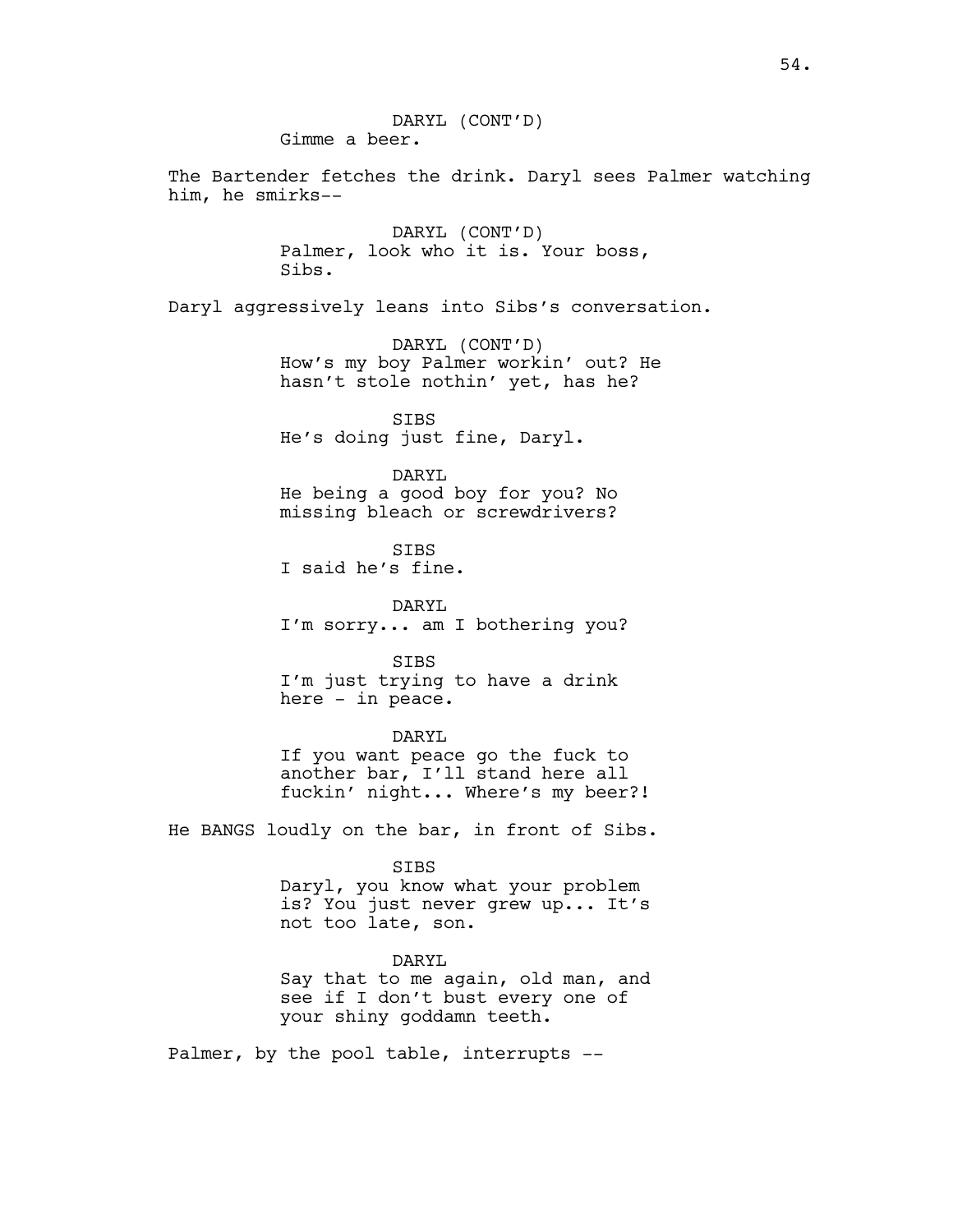DARYL (CONT'D) Gimme a beer. The Bartender fetches the drink. Daryl sees Palmer watching him, he smirks-- DARYL (CONT'D) Palmer, look who it is. Your boss, Sibs. Daryl aggressively leans into Sibs's conversation. DARYL (CONT'D) How's my boy Palmer workin' out? He hasn't stole nothin' yet, has he? SIBS He's doing just fine, Daryl. DARYL He being a good boy for you? No missing bleach or screwdrivers? SIBS I said he's fine. DARYL I'm sorry... am I bothering you? SIBS I'm just trying to have a drink here - in peace. DARYL If you want peace go the fuck to another bar, I'll stand here all fuckin' night... Where's my beer?! He BANGS loudly on the bar, in front of Sibs. SIBS Daryl, you know what your problem is? You just never grew up... It's not too late, son. DARYL Say that to me again, old man, and see if I don't bust every one of your shiny goddamn teeth. Palmer, by the pool table, interrupts --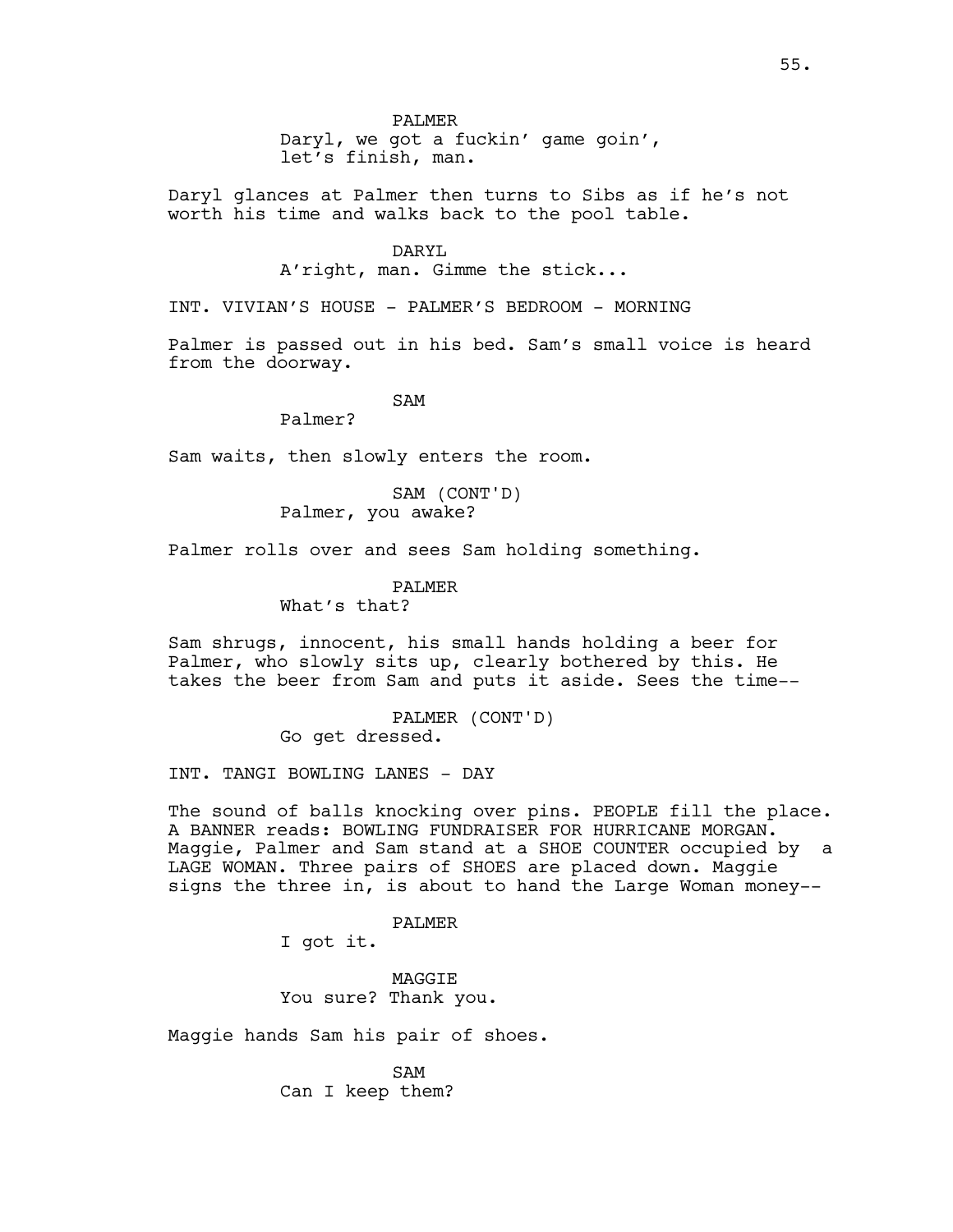Daryl, we got a fuckin' game goin', let's finish, man.

Daryl glances at Palmer then turns to Sibs as if he's not worth his time and walks back to the pool table.

#### DARYL

A'right, man. Gimme the stick...

INT. VIVIAN'S HOUSE - PALMER'S BEDROOM - MORNING

Palmer is passed out in his bed. Sam's small voice is heard from the doorway.

SAM

Palmer?

Sam waits, then slowly enters the room.

SAM (CONT'D) Palmer, you awake?

Palmer rolls over and sees Sam holding something.

PALMER

What's that?

Sam shrugs, innocent, his small hands holding a beer for Palmer, who slowly sits up, clearly bothered by this. He takes the beer from Sam and puts it aside. Sees the time--

> PALMER (CONT'D) Go get dressed.

INT. TANGI BOWLING LANES - DAY

The sound of balls knocking over pins. PEOPLE fill the place. A BANNER reads: BOWLING FUNDRAISER FOR HURRICANE MORGAN. Maggie, Palmer and Sam stand at a SHOE COUNTER occupied by a LAGE WOMAN. Three pairs of SHOES are placed down. Maggie signs the three in, is about to hand the Large Woman money--

PALMER

I got it.

MAGGIE You sure? Thank you.

Maggie hands Sam his pair of shoes.

SAM Can I keep them?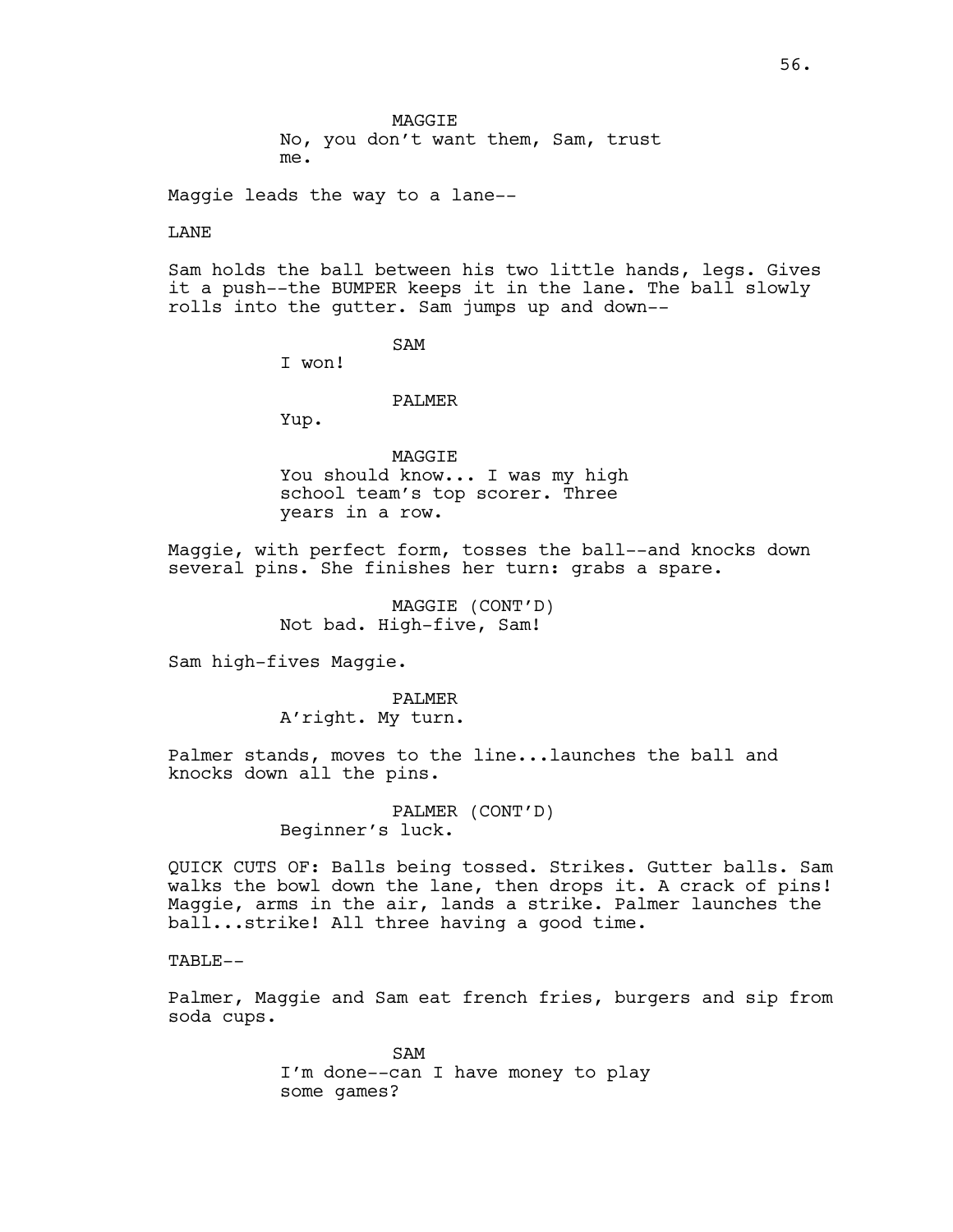Maggie leads the way to a lane--

#### LANE

Sam holds the ball between his two little hands, legs. Gives it a push--the BUMPER keeps it in the lane. The ball slowly rolls into the gutter. Sam jumps up and down--

### SAM

I won!

#### PALMER

Yup.

MAGGIE You should know... I was my high school team's top scorer. Three years in a row.

Maggie, with perfect form, tosses the ball--and knocks down several pins. She finishes her turn: grabs a spare.

> MAGGIE (CONT'D) Not bad. High-five, Sam!

Sam high-fives Maggie.

PALMER A'right. My turn.

Palmer stands, moves to the line...launches the ball and knocks down all the pins.

> PALMER (CONT'D) Beginner's luck.

QUICK CUTS OF: Balls being tossed. Strikes. Gutter balls. Sam walks the bowl down the lane, then drops it. A crack of pins! Maggie, arms in the air, lands a strike. Palmer launches the ball...strike! All three having a good time.

TABLE--

Palmer, Maggie and Sam eat french fries, burgers and sip from soda cups.

> SAM I'm done--can I have money to play some games?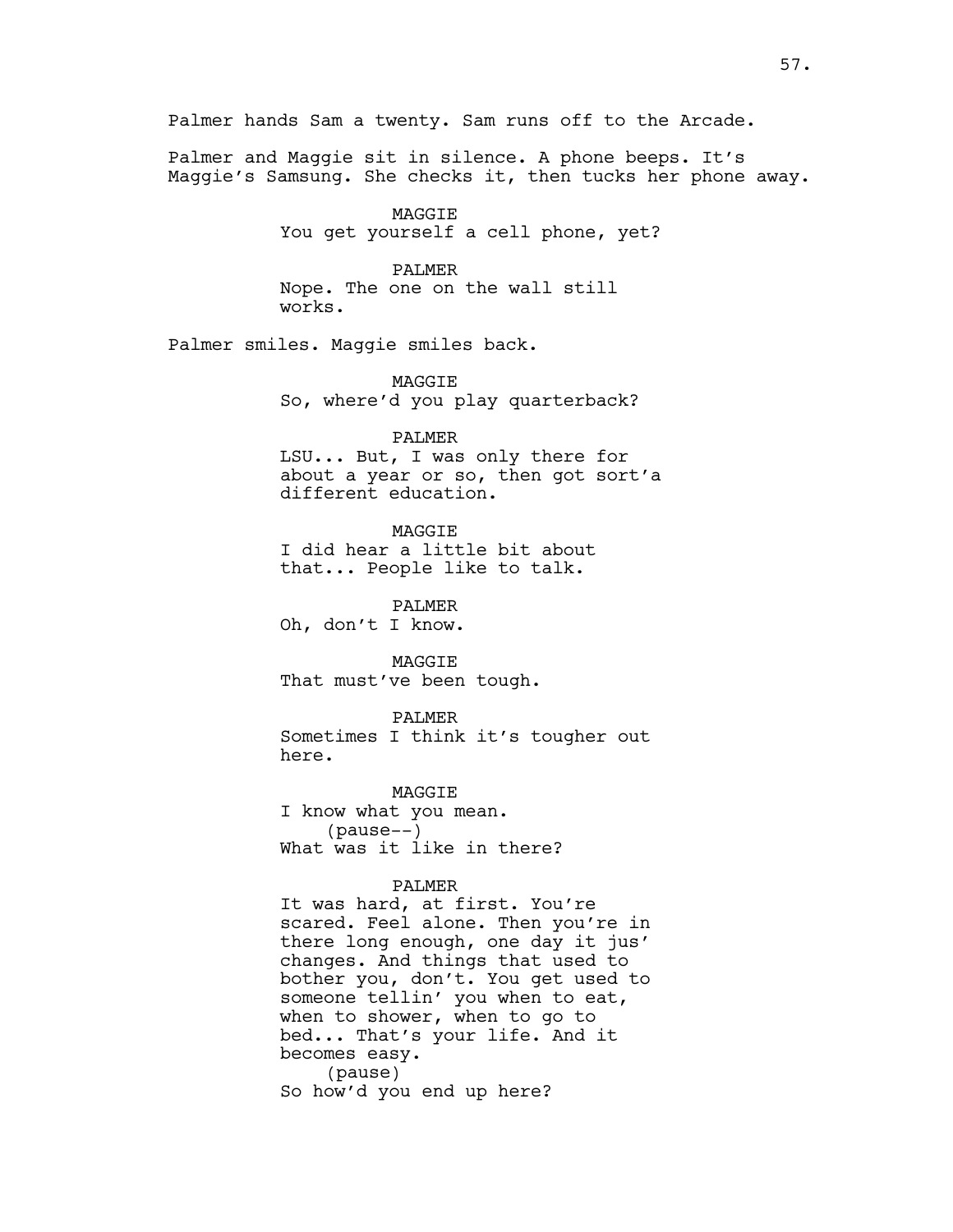Palmer and Maggie sit in silence. A phone beeps. It's Maggie's Samsung. She checks it, then tucks her phone away.

> MAGGIE You get yourself a cell phone, yet?

#### PALMER

Nope. The one on the wall still works.

Palmer smiles. Maggie smiles back.

MAGGIE So, where'd you play quarterback?

PALMER

LSU... But, I was only there for about a year or so, then got sort'a different education.

**MAGGTE** 

I did hear a little bit about that... People like to talk.

PALMER Oh, don't I know.

**MAGGTE** That must've been tough.

PALMER Sometimes I think it's tougher out here.

MAGGIE I know what you mean. (pause--) What was it like in there?

#### PALMER

It was hard, at first. You're scared. Feel alone. Then you're in there long enough, one day it jus' changes. And things that used to bother you, don't. You get used to someone tellin' you when to eat, when to shower, when to go to bed... That's your life. And it becomes easy. (pause) So how'd you end up here?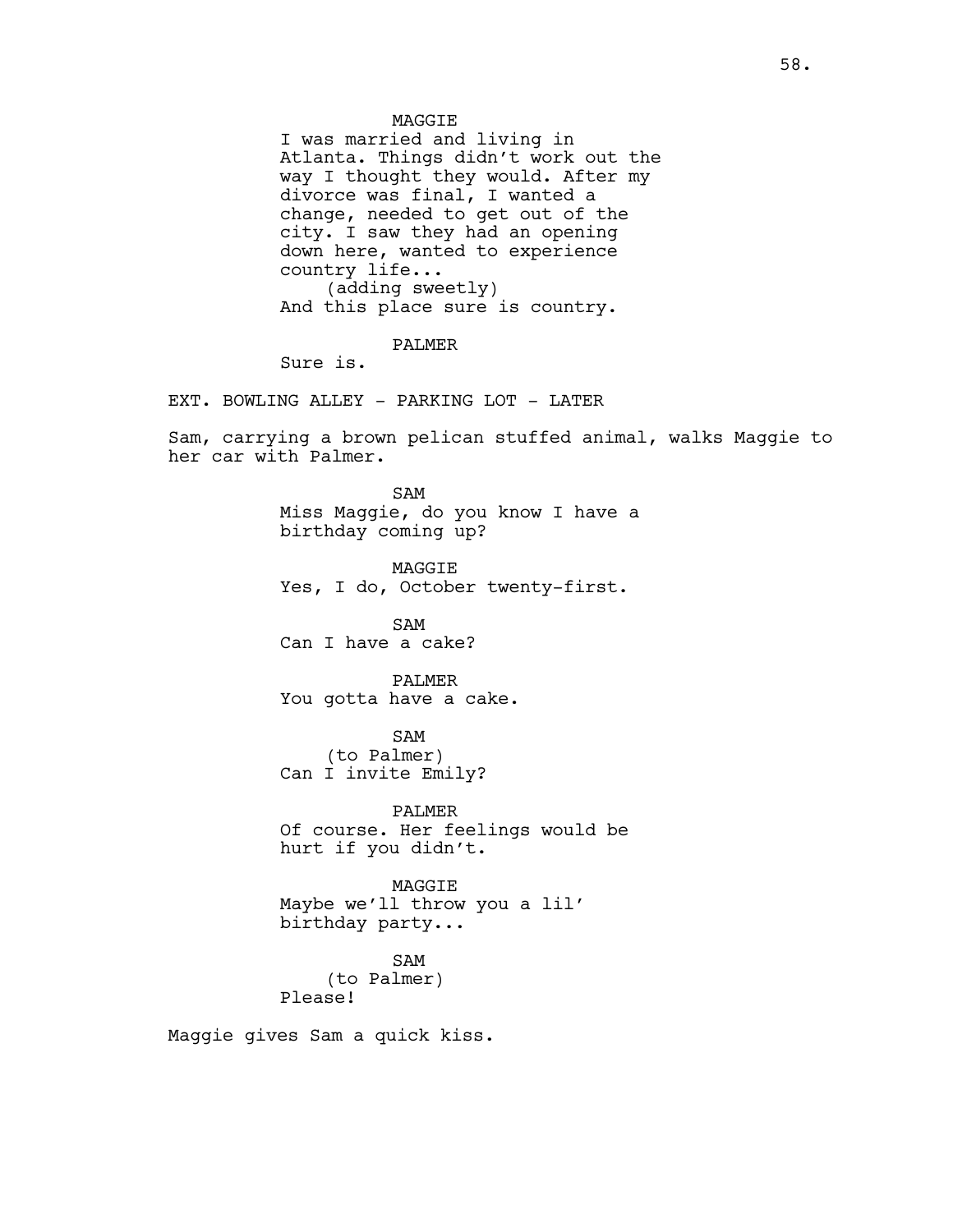I was married and living in Atlanta. Things didn't work out the way I thought they would. After my divorce was final, I wanted a change, needed to get out of the city. I saw they had an opening down here, wanted to experience country life... (adding sweetly) And this place sure is country.

PALMER

Sure is.

EXT. BOWLING ALLEY - PARKING LOT - LATER

Sam, carrying a brown pelican stuffed animal, walks Maggie to her car with Palmer.

> SAM Miss Maggie, do you know I have a birthday coming up?

MAGGIE Yes, I do, October twenty-first.

SAM Can I have a cake?

PALMER You gotta have a cake.

SAM (to Palmer) Can I invite Emily?

PALMER Of course. Her feelings would be hurt if you didn't.

MAGGIE Maybe we'll throw you a lil' birthday party...

SAM (to Palmer) Please!

Maggie gives Sam a quick kiss.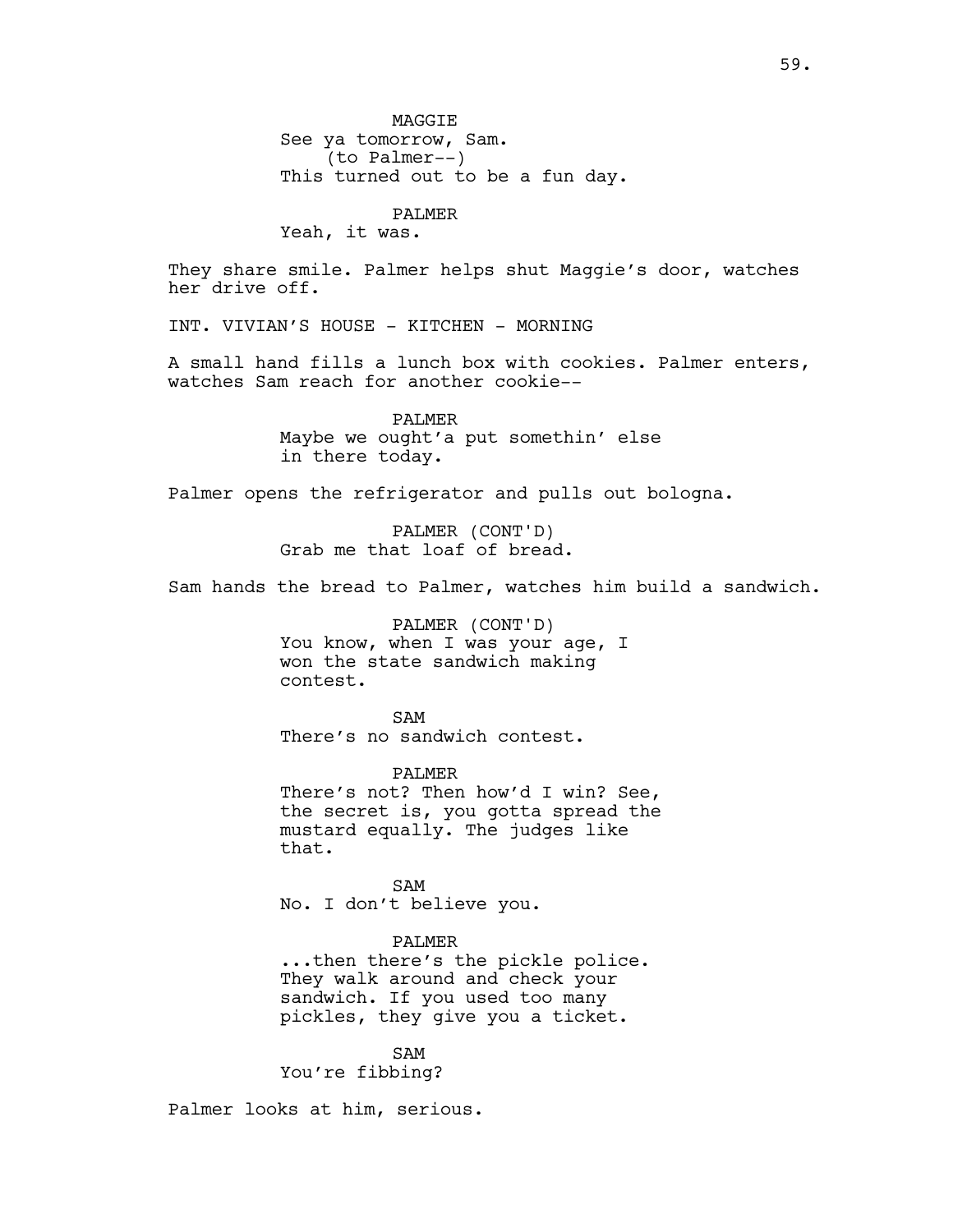**MAGGTE** See ya tomorrow, Sam. (to Palmer--) This turned out to be a fun day.

# PALMER

Yeah, it was.

They share smile. Palmer helps shut Maggie's door, watches her drive off.

INT. VIVIAN'S HOUSE - KITCHEN - MORNING

A small hand fills a lunch box with cookies. Palmer enters, watches Sam reach for another cookie--

> PALMER Maybe we ought'a put somethin' else in there today.

Palmer opens the refrigerator and pulls out bologna.

PALMER (CONT'D) Grab me that loaf of bread.

Sam hands the bread to Palmer, watches him build a sandwich.

PALMER (CONT'D) You know, when I was your age, I won the state sandwich making contest.

SAM There's no sandwich contest.

PALMER There's not? Then how'd I win? See, the secret is, you gotta spread the mustard equally. The judges like that.

SAM No. I don't believe you.

# PALMER

...then there's the pickle police. They walk around and check your sandwich. If you used too many pickles, they give you a ticket.

SAM You're fibbing?

Palmer looks at him, serious.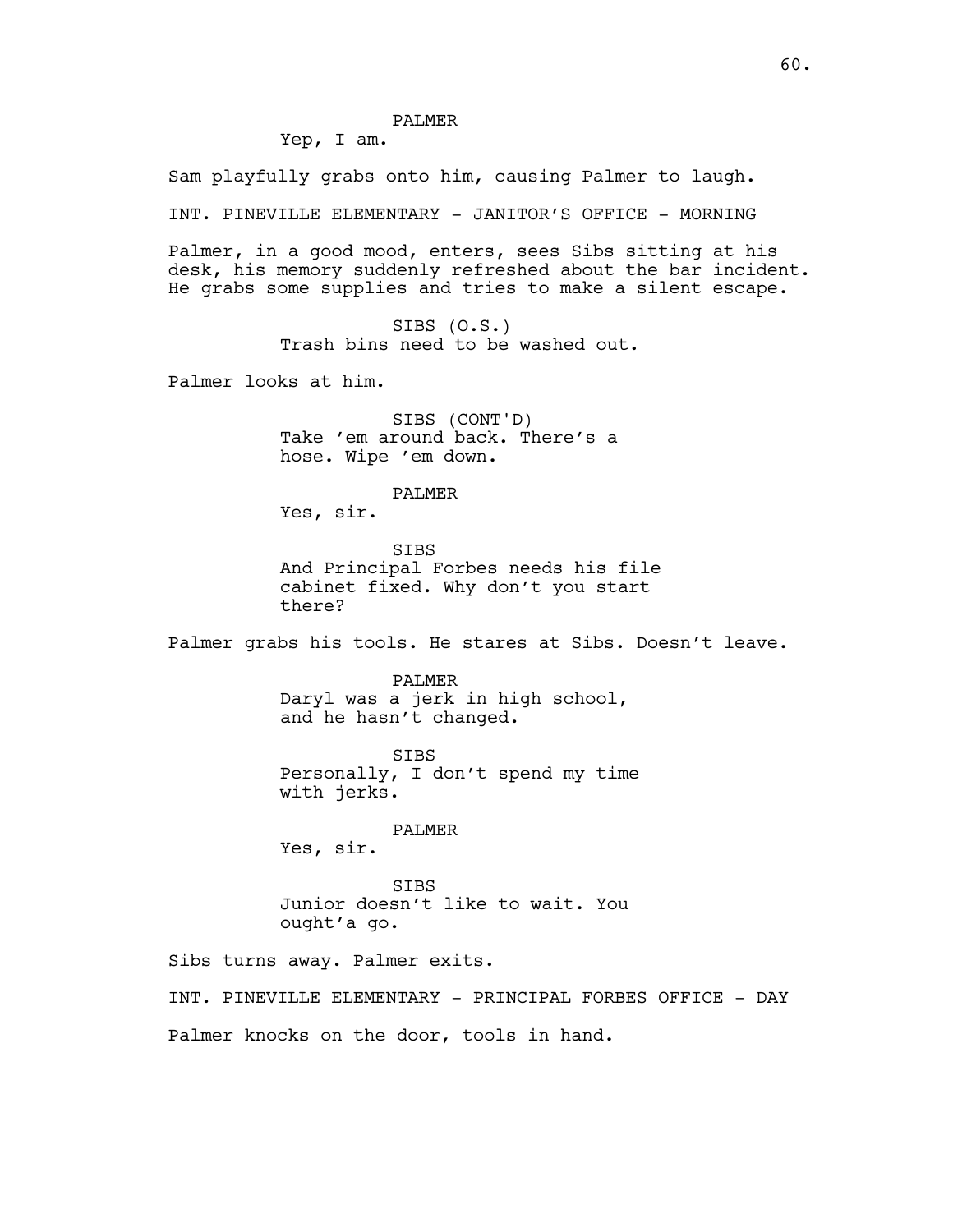PALMER

Yep, I am.

Sam playfully grabs onto him, causing Palmer to laugh.

INT. PINEVILLE ELEMENTARY - JANITOR'S OFFICE - MORNING

Palmer, in a good mood, enters, sees Sibs sitting at his desk, his memory suddenly refreshed about the bar incident. He grabs some supplies and tries to make a silent escape.

> SIBS (O.S.) Trash bins need to be washed out.

Palmer looks at him.

SIBS (CONT'D) Take 'em around back. There's a hose. Wipe 'em down.

PALMER

Yes, sir.

SIBS And Principal Forbes needs his file cabinet fixed. Why don't you start there?

Palmer grabs his tools. He stares at Sibs. Doesn't leave.

PALMER Daryl was a jerk in high school, and he hasn't changed.

SIBS Personally, I don't spend my time with jerks.

PALMER

Yes, sir.

**STBS** Junior doesn't like to wait. You ought'a go.

Sibs turns away. Palmer exits.

INT. PINEVILLE ELEMENTARY - PRINCIPAL FORBES OFFICE - DAY Palmer knocks on the door, tools in hand.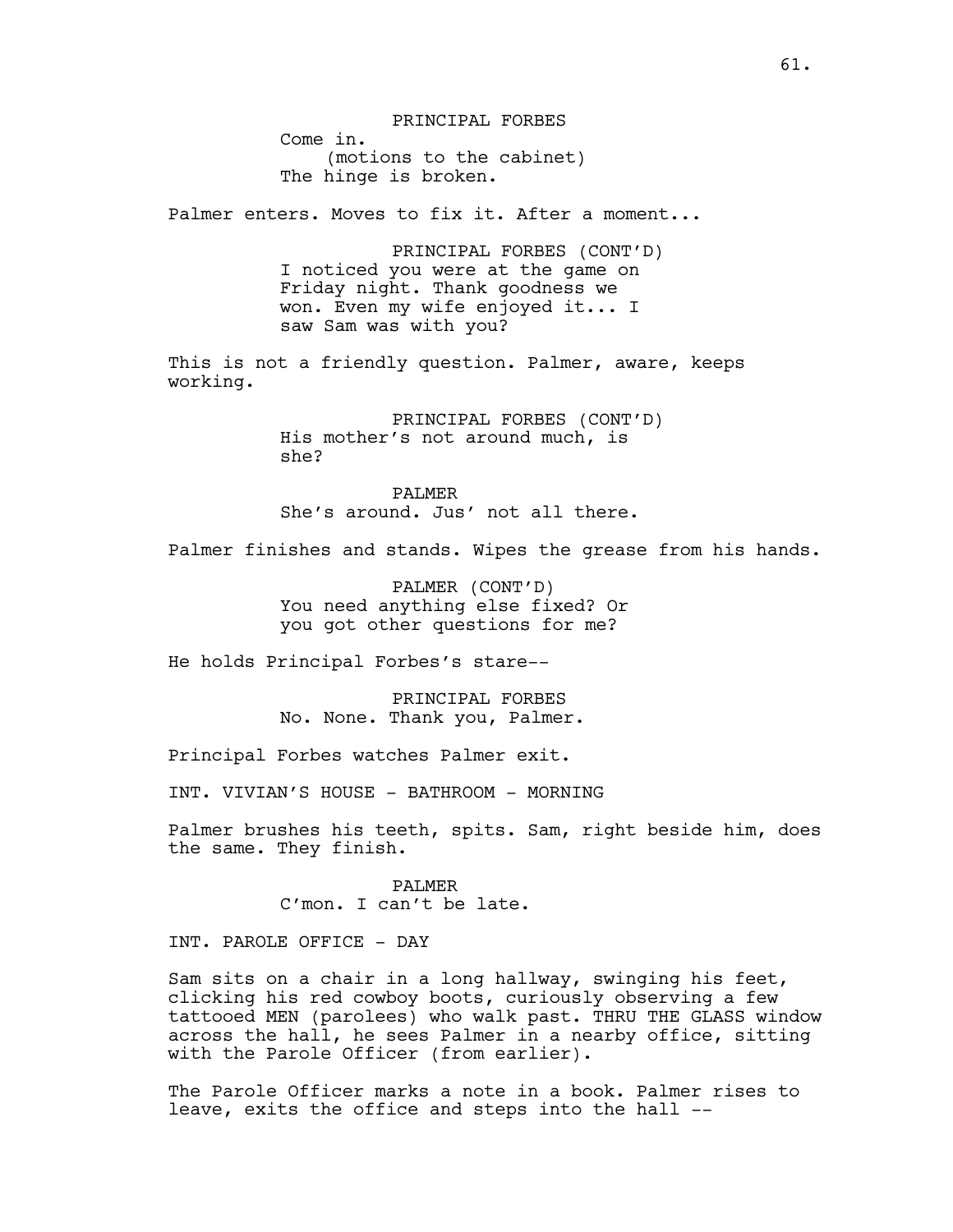PRINCIPAL FORBES Come in. (motions to the cabinet) The hinge is broken. Palmer enters. Moves to fix it. After a moment... PRINCIPAL FORBES (CONT'D) I noticed you were at the game on Friday night. Thank goodness we won. Even my wife enjoyed it... I saw Sam was with you? This is not a friendly question. Palmer, aware, keeps working. PRINCIPAL FORBES (CONT'D) His mother's not around much, is she? PALMER She's around. Jus' not all there. Palmer finishes and stands. Wipes the grease from his hands. PALMER (CONT'D) You need anything else fixed? Or you got other questions for me? He holds Principal Forbes's stare-- PRINCIPAL FORBES No. None. Thank you, Palmer. Principal Forbes watches Palmer exit. INT. VIVIAN'S HOUSE - BATHROOM - MORNING Palmer brushes his teeth, spits. Sam, right beside him, does the same. They finish. PALMER C'mon. I can't be late.

INT. PAROLE OFFICE - DAY

Sam sits on a chair in a long hallway, swinging his feet, clicking his red cowboy boots, curiously observing a few tattooed MEN (parolees) who walk past. THRU THE GLASS window across the hall, he sees Palmer in a nearby office, sitting with the Parole Officer (from earlier).

The Parole Officer marks a note in a book. Palmer rises to leave, exits the office and steps into the hall --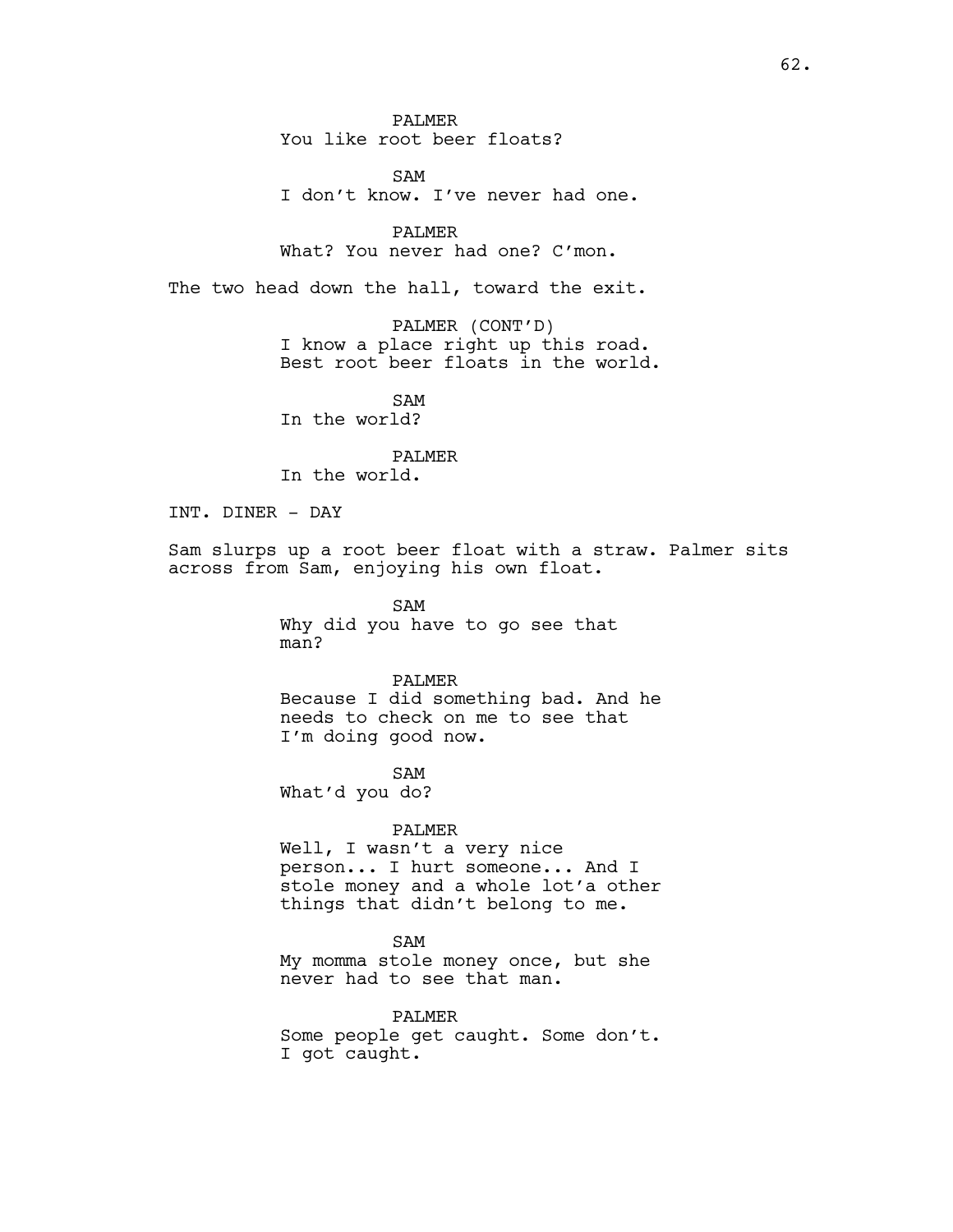PALMER You like root beer floats?

SAM I don't know. I've never had one.

PALMER What? You never had one? C'mon.

The two head down the hall, toward the exit.

PALMER (CONT'D) I know a place right up this road. Best root beer floats in the world.

SAM In the world?

PALMER

In the world.

INT. DINER - DAY

Sam slurps up a root beer float with a straw. Palmer sits across from Sam, enjoying his own float.

> SAM Why did you have to go see that man?

PALMER Because I did something bad. And he needs to check on me to see that I'm doing good now.

SAM What'd you do?

#### PALMER

Well, I wasn't a very nice person... I hurt someone... And I stole money and a whole lot'a other things that didn't belong to me.

SAM

My momma stole money once, but she never had to see that man.

PALMER Some people get caught. Some don't. I got caught.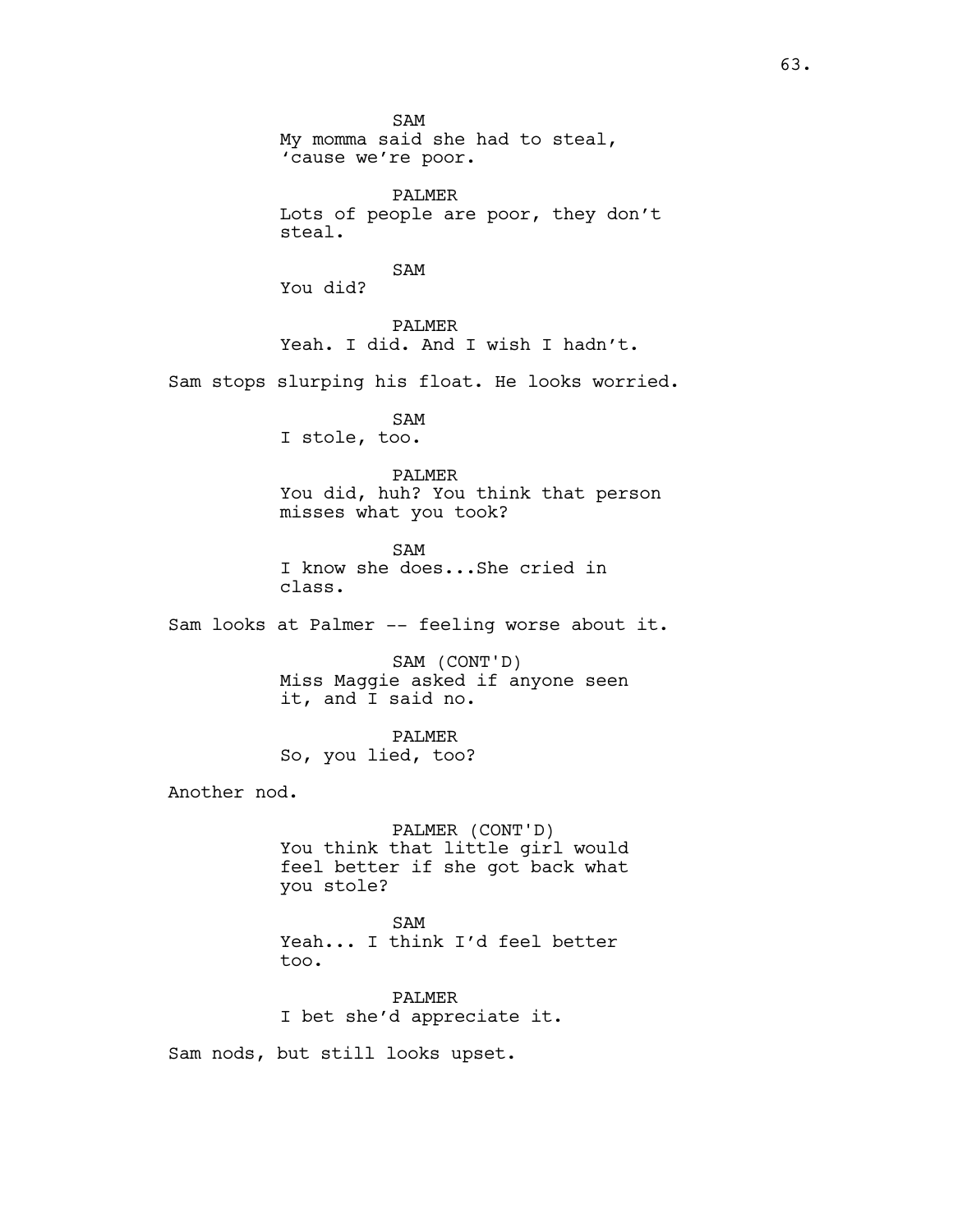SAM My momma said she had to steal, 'cause we're poor. PALMER Lots of people are poor, they don't steal. SAM You did? PALMER Yeah. I did. And I wish I hadn't. Sam stops slurping his float. He looks worried. SAM I stole, too. PALMER You did, huh? You think that person misses what you took? SAM I know she does...She cried in class. Sam looks at Palmer -- feeling worse about it. SAM (CONT'D) Miss Maggie asked if anyone seen it, and I said no. PALMER So, you lied, too? Another nod. PALMER (CONT'D) You think that little girl would feel better if she got back what you stole? SAM Yeah... I think I'd feel better too. PALMER I bet she'd appreciate it. Sam nods, but still looks upset.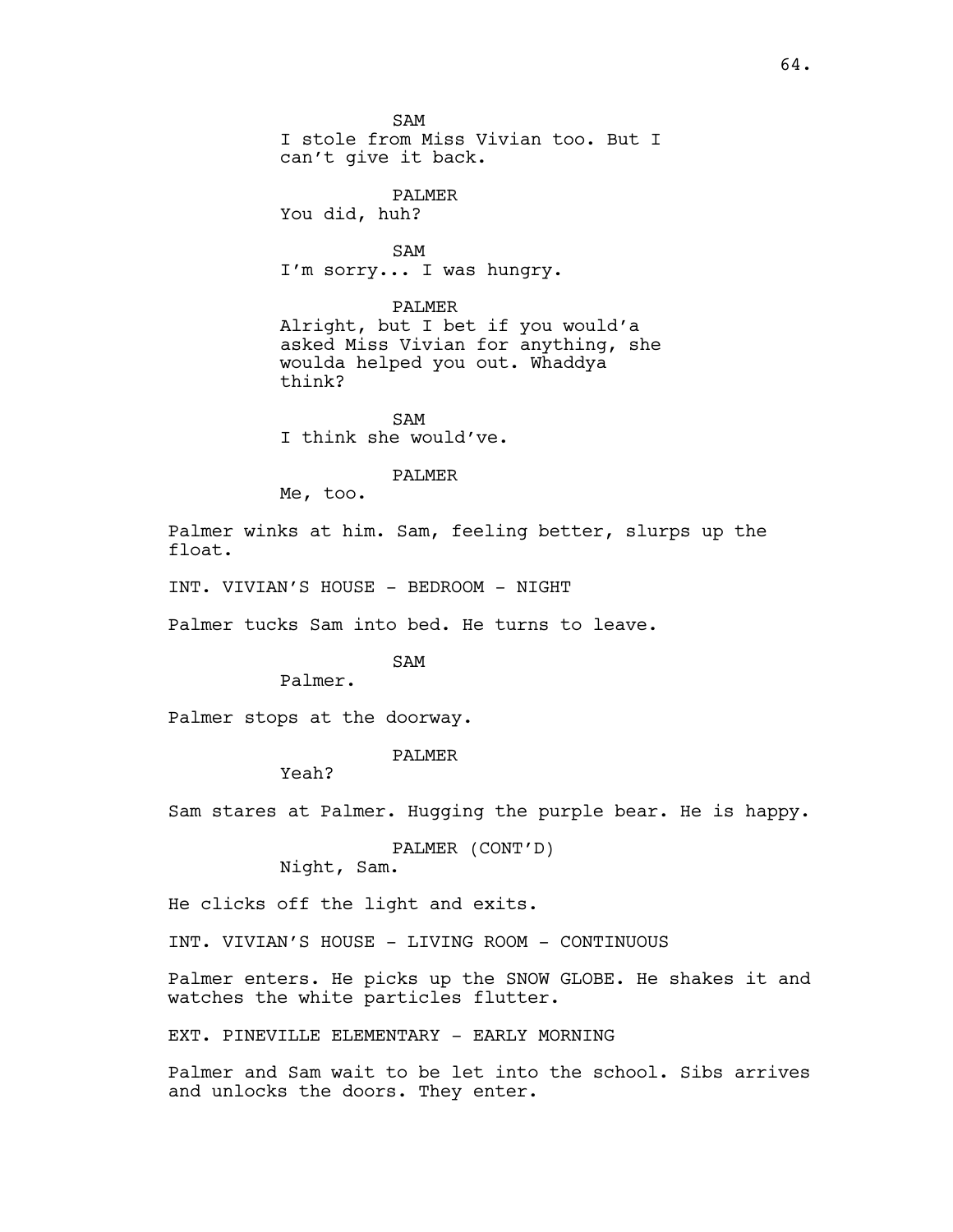SAM I stole from Miss Vivian too. But I can't give it back.

PALMER You did, huh?

SAM I'm sorry... I was hungry.

PALMER

Alright, but I bet if you would'a asked Miss Vivian for anything, she woulda helped you out. Whaddya think?

SAM I think she would've.

### PALMER

Me, too.

Palmer winks at him. Sam, feeling better, slurps up the float.

INT. VIVIAN'S HOUSE - BEDROOM - NIGHT

Palmer tucks Sam into bed. He turns to leave.

SAM

Palmer.

Palmer stops at the doorway.

PALMER

Yeah?

Sam stares at Palmer. Hugging the purple bear. He is happy.

PALMER (CONT'D)

Night, Sam.

He clicks off the light and exits.

INT. VIVIAN'S HOUSE - LIVING ROOM - CONTINUOUS

Palmer enters. He picks up the SNOW GLOBE. He shakes it and watches the white particles flutter.

EXT. PINEVILLE ELEMENTARY - EARLY MORNING

Palmer and Sam wait to be let into the school. Sibs arrives and unlocks the doors. They enter.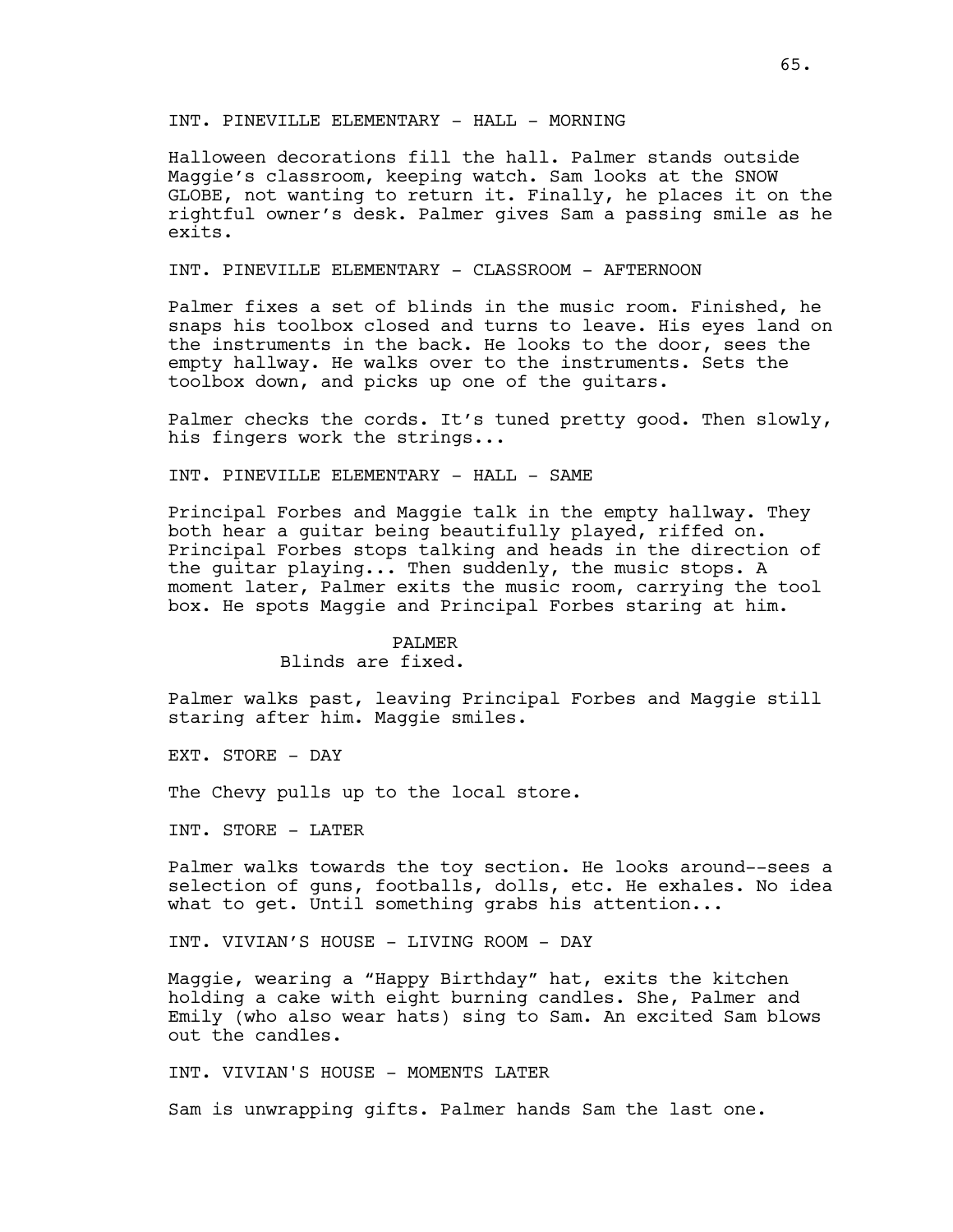### INT. PINEVILLE ELEMENTARY - HALL - MORNING

Halloween decorations fill the hall. Palmer stands outside Maggie's classroom, keeping watch. Sam looks at the SNOW GLOBE, not wanting to return it. Finally, he places it on the rightful owner's desk. Palmer gives Sam a passing smile as he exits.

# INT. PINEVILLE ELEMENTARY - CLASSROOM - AFTERNOON

Palmer fixes a set of blinds in the music room. Finished, he snaps his toolbox closed and turns to leave. His eyes land on the instruments in the back. He looks to the door, sees the empty hallway. He walks over to the instruments. Sets the toolbox down, and picks up one of the guitars.

Palmer checks the cords. It's tuned pretty good. Then slowly, his fingers work the strings...

INT. PINEVILLE ELEMENTARY - HALL - SAME

Principal Forbes and Maggie talk in the empty hallway. They both hear a guitar being beautifully played, riffed on. Principal Forbes stops talking and heads in the direction of the guitar playing... Then suddenly, the music stops. A moment later, Palmer exits the music room, carrying the tool box. He spots Maggie and Principal Forbes staring at him.

#### PALMER

#### Blinds are fixed.

Palmer walks past, leaving Principal Forbes and Maggie still staring after him. Maggie smiles.

EXT. STORE - DAY

The Chevy pulls up to the local store.

INT. STORE - LATER

Palmer walks towards the toy section. He looks around--sees a selection of guns, footballs, dolls, etc. He exhales. No idea what to get. Until something grabs his attention...

INT. VIVIAN'S HOUSE - LIVING ROOM - DAY

Maggie, wearing a "Happy Birthday" hat, exits the kitchen holding a cake with eight burning candles. She, Palmer and Emily (who also wear hats) sing to Sam. An excited Sam blows out the candles.

INT. VIVIAN'S HOUSE - MOMENTS LATER

Sam is unwrapping gifts. Palmer hands Sam the last one.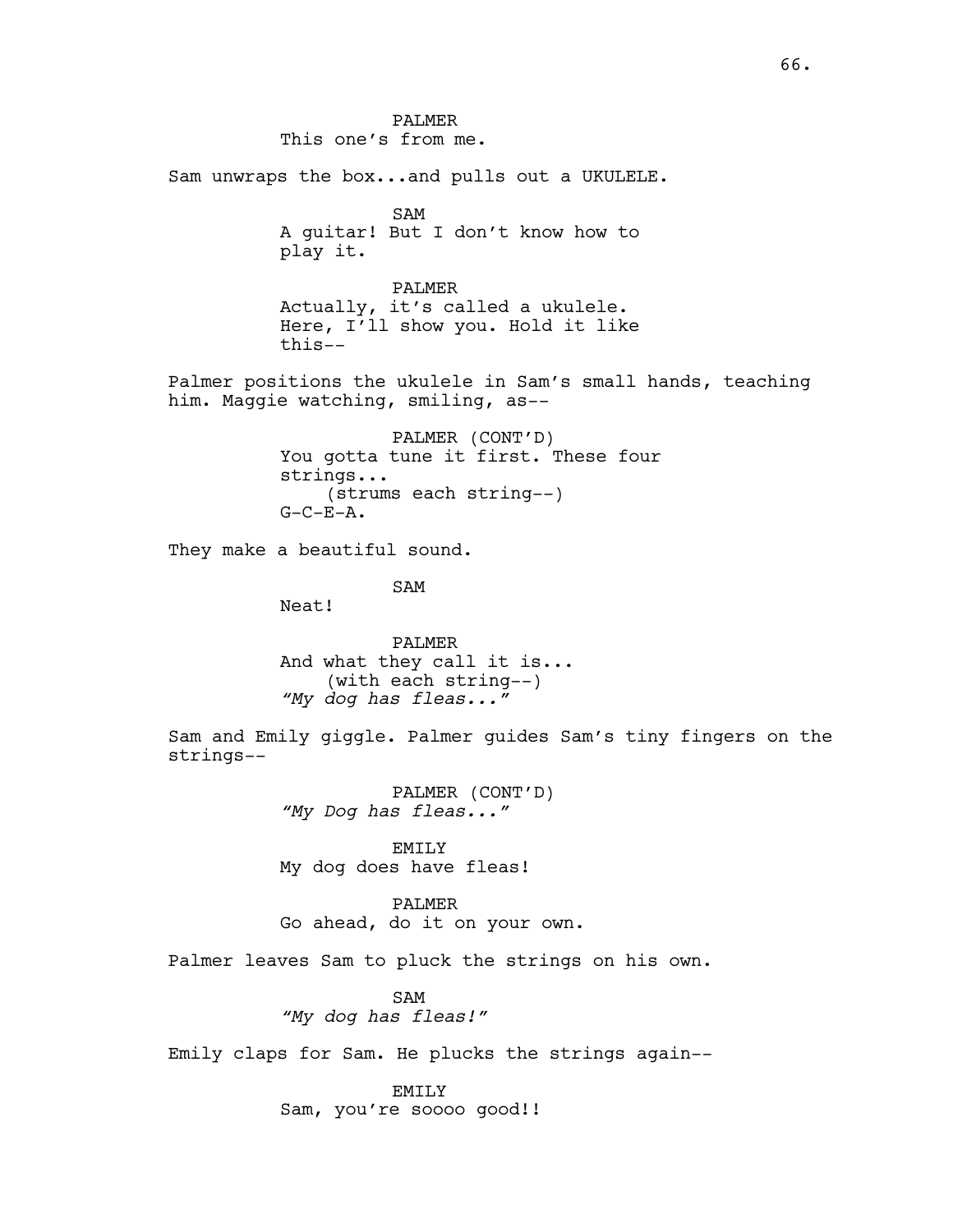PALMER This one's from me. Sam unwraps the box...and pulls out a UKULELE. SAM A guitar! But I don't know how to play it. PALMER Actually, it's called a ukulele. Here, I'll show you. Hold it like this-- Palmer positions the ukulele in Sam's small hands, teaching him. Maggie watching, smiling, as-- PALMER (CONT'D) You gotta tune it first. These four strings... (strums each string--)  $G-C-E-A.$ They make a beautiful sound. SAM Neat! PALMER And what they call it is... (with each string--) *"My dog has fleas..."* Sam and Emily giggle. Palmer guides Sam's tiny fingers on the strings-- PALMER (CONT'D) *"My Dog has fleas..."* EMILY My dog does have fleas! PALMER Go ahead, do it on your own. Palmer leaves Sam to pluck the strings on his own. SAM *"My dog has fleas!"* Emily claps for Sam. He plucks the strings again-- EMILY Sam, you're soooo good!!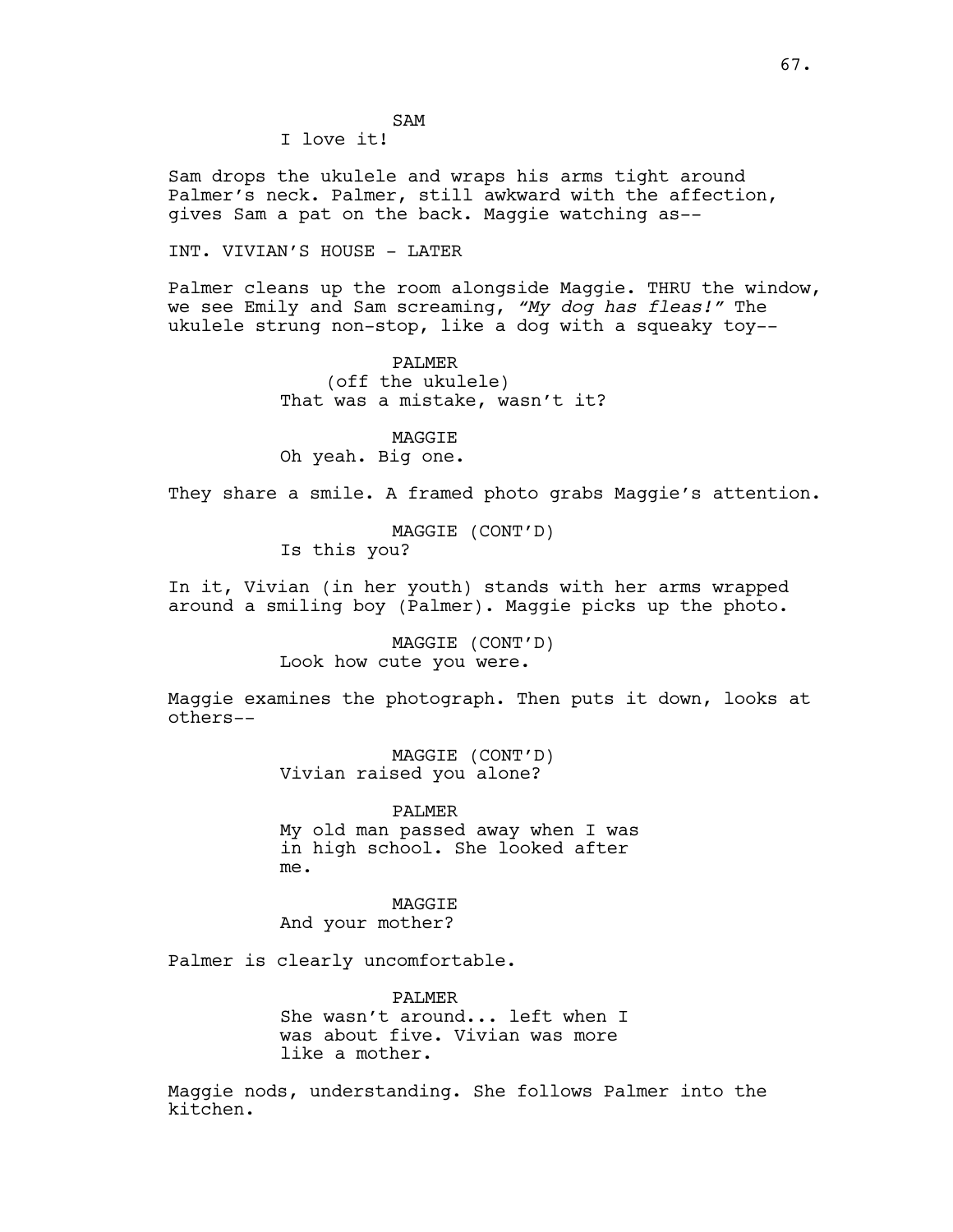I love it!

Sam drops the ukulele and wraps his arms tight around Palmer's neck. Palmer, still awkward with the affection, gives Sam a pat on the back. Maggie watching as--

INT. VIVIAN'S HOUSE - LATER

Palmer cleans up the room alongside Maggie. THRU the window, we see Emily and Sam screaming, *"My dog has fleas!"* The ukulele strung non-stop, like a dog with a squeaky toy--

> PALMER (off the ukulele) That was a mistake, wasn't it?

MAGGIE Oh yeah. Big one.

They share a smile. A framed photo grabs Maggie's attention.

MAGGIE (CONT'D) Is this you?

In it, Vivian (in her youth) stands with her arms wrapped around a smiling boy (Palmer). Maggie picks up the photo.

> MAGGIE (CONT'D) Look how cute you were.

Maggie examines the photograph. Then puts it down, looks at others--

> MAGGIE (CONT'D) Vivian raised you alone?

PALMER My old man passed away when I was in high school. She looked after me.

MAGGIE And your mother?

Palmer is clearly uncomfortable.

PALMER She wasn't around... left when I was about five. Vivian was more like a mother.

Maggie nods, understanding. She follows Palmer into the kitchen.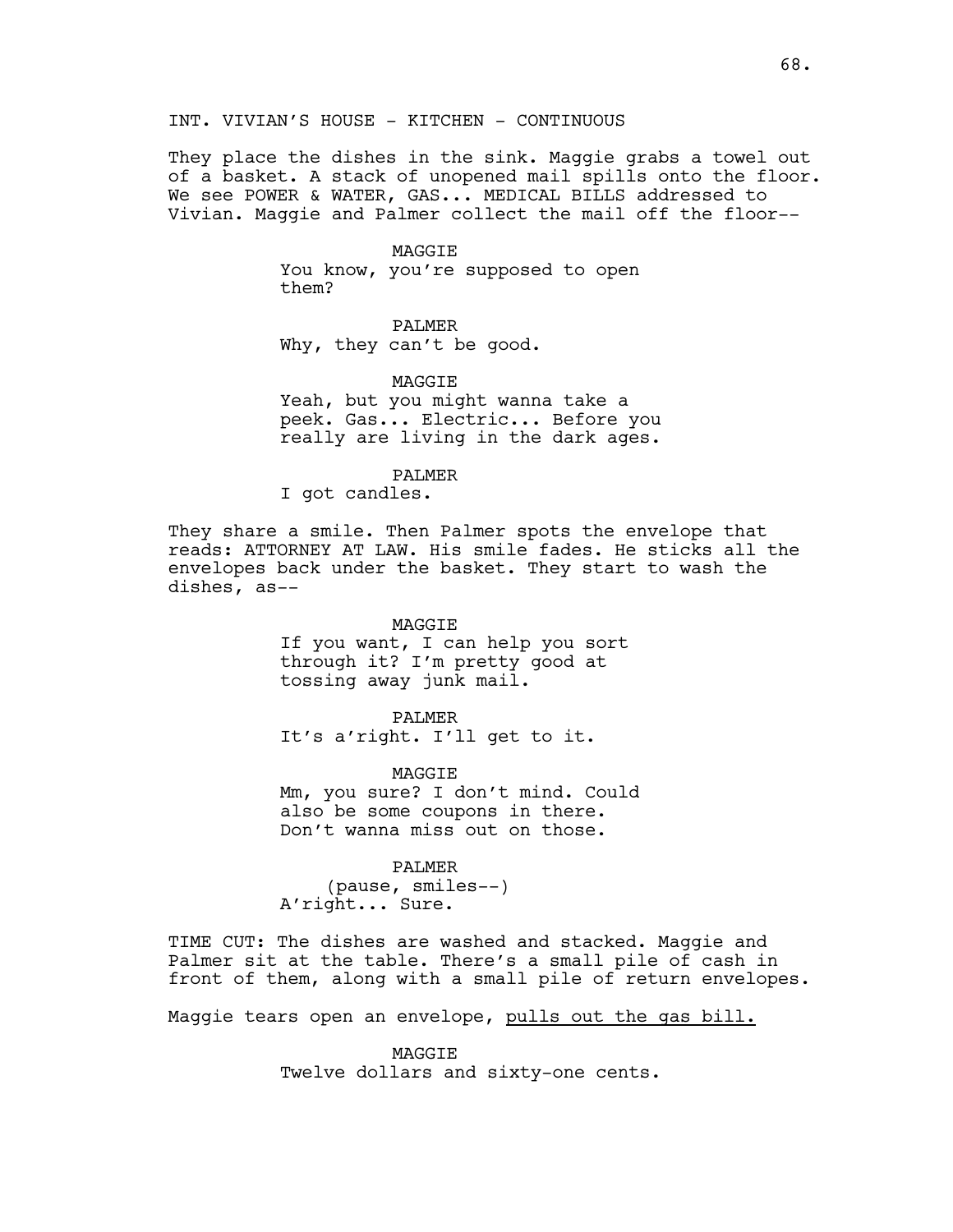They place the dishes in the sink. Maggie grabs a towel out of a basket. A stack of unopened mail spills onto the floor. We see POWER & WATER, GAS... MEDICAL BILLS addressed to Vivian. Maggie and Palmer collect the mail off the floor--

#### MAGGIE

You know, you're supposed to open them?

# PALMER

Why, they can't be good.

#### MAGGIE

Yeah, but you might wanna take a peek. Gas... Electric... Before you really are living in the dark ages.

#### PALMER

I got candles.

They share a smile. Then Palmer spots the envelope that reads: ATTORNEY AT LAW. His smile fades. He sticks all the envelopes back under the basket. They start to wash the dishes, as--

### MAGGIE

If you want, I can help you sort through it? I'm pretty good at tossing away junk mail.

#### PALMER

It's a'right. I'll get to it.

MAGGIE Mm, you sure? I don't mind. Could also be some coupons in there. Don't wanna miss out on those.

#### PALMER

(pause, smiles--) A'right... Sure.

TIME CUT: The dishes are washed and stacked. Maggie and Palmer sit at the table. There's a small pile of cash in front of them, along with a small pile of return envelopes.

Maggie tears open an envelope, pulls out the gas bill.

MAGGIE Twelve dollars and sixty-one cents.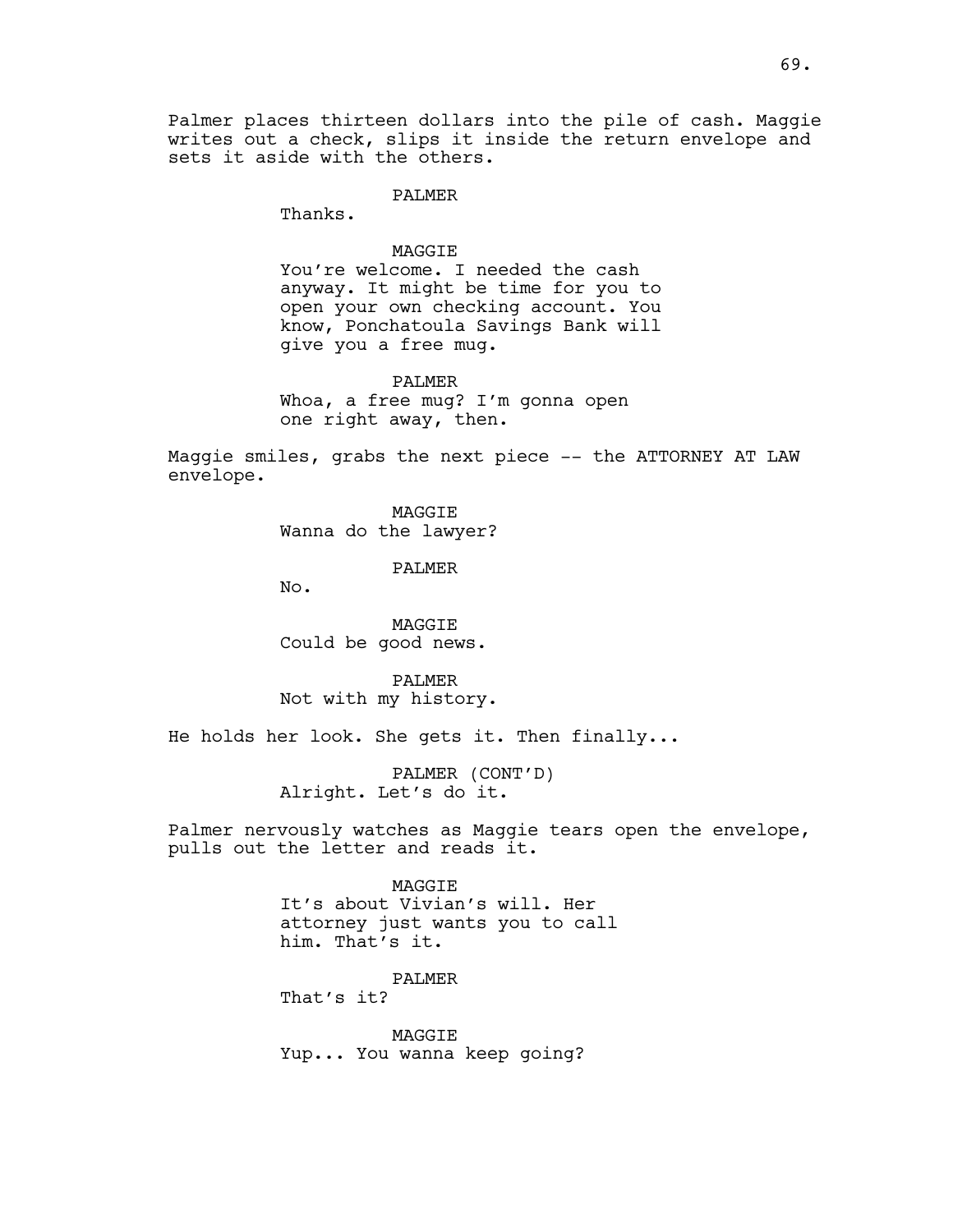Palmer places thirteen dollars into the pile of cash. Maggie writes out a check, slips it inside the return envelope and sets it aside with the others.

PALMER

Thanks.

#### MAGGIE

You're welcome. I needed the cash anyway. It might be time for you to open your own checking account. You know, Ponchatoula Savings Bank will give you a free mug.

PALMER Whoa, a free mug? I'm gonna open one right away, then.

Maggie smiles, grabs the next piece -- the ATTORNEY AT LAW envelope.

> MAGGIE Wanna do the lawyer?

> > PALMER

No.

MAGGIE Could be good news.

PALMER Not with my history.

He holds her look. She gets it. Then finally...

PALMER (CONT'D) Alright. Let's do it.

Palmer nervously watches as Maggie tears open the envelope, pulls out the letter and reads it.

> MAGGIE It's about Vivian's will. Her attorney just wants you to call him. That's it.

PALMER That's it?

MAGGIE Yup... You wanna keep going?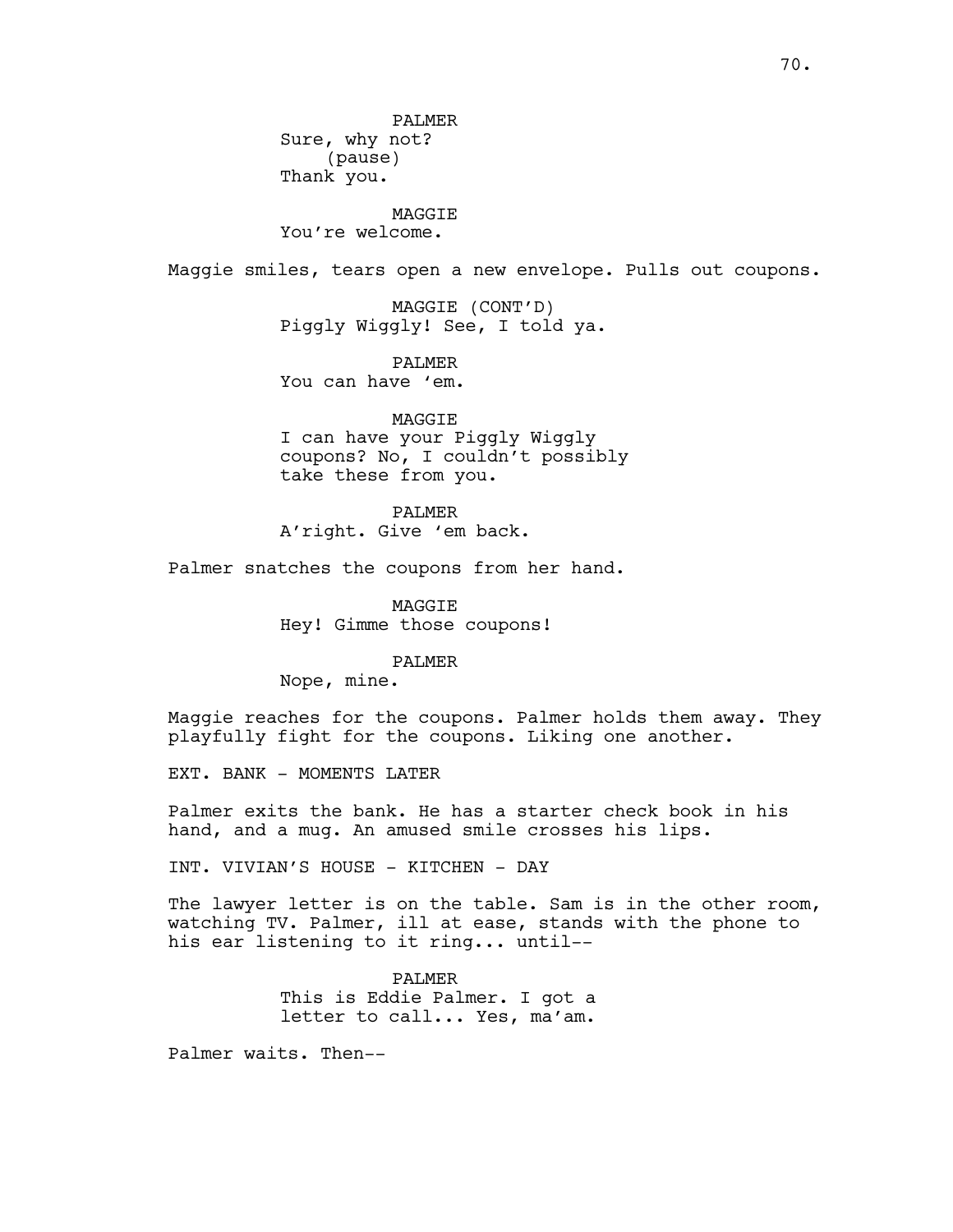PALMER Sure, why not? (pause) Thank you.

# MAGGIE

You're welcome.

Maggie smiles, tears open a new envelope. Pulls out coupons.

MAGGIE (CONT'D) Piggly Wiggly! See, I told ya.

PALMER You can have 'em.

MAGGIE I can have your Piggly Wiggly coupons? No, I couldn't possibly take these from you.

PALMER A'right. Give 'em back.

Palmer snatches the coupons from her hand.

MAGGIE Hey! Gimme those coupons!

PALMER

Nope, mine.

Maggie reaches for the coupons. Palmer holds them away. They playfully fight for the coupons. Liking one another.

EXT. BANK - MOMENTS LATER

Palmer exits the bank. He has a starter check book in his hand, and a mug. An amused smile crosses his lips.

INT. VIVIAN'S HOUSE - KITCHEN - DAY

The lawyer letter is on the table. Sam is in the other room, watching TV. Palmer, ill at ease, stands with the phone to his ear listening to it ring... until--

> PALMER This is Eddie Palmer. I got a letter to call... Yes, ma'am.

Palmer waits. Then--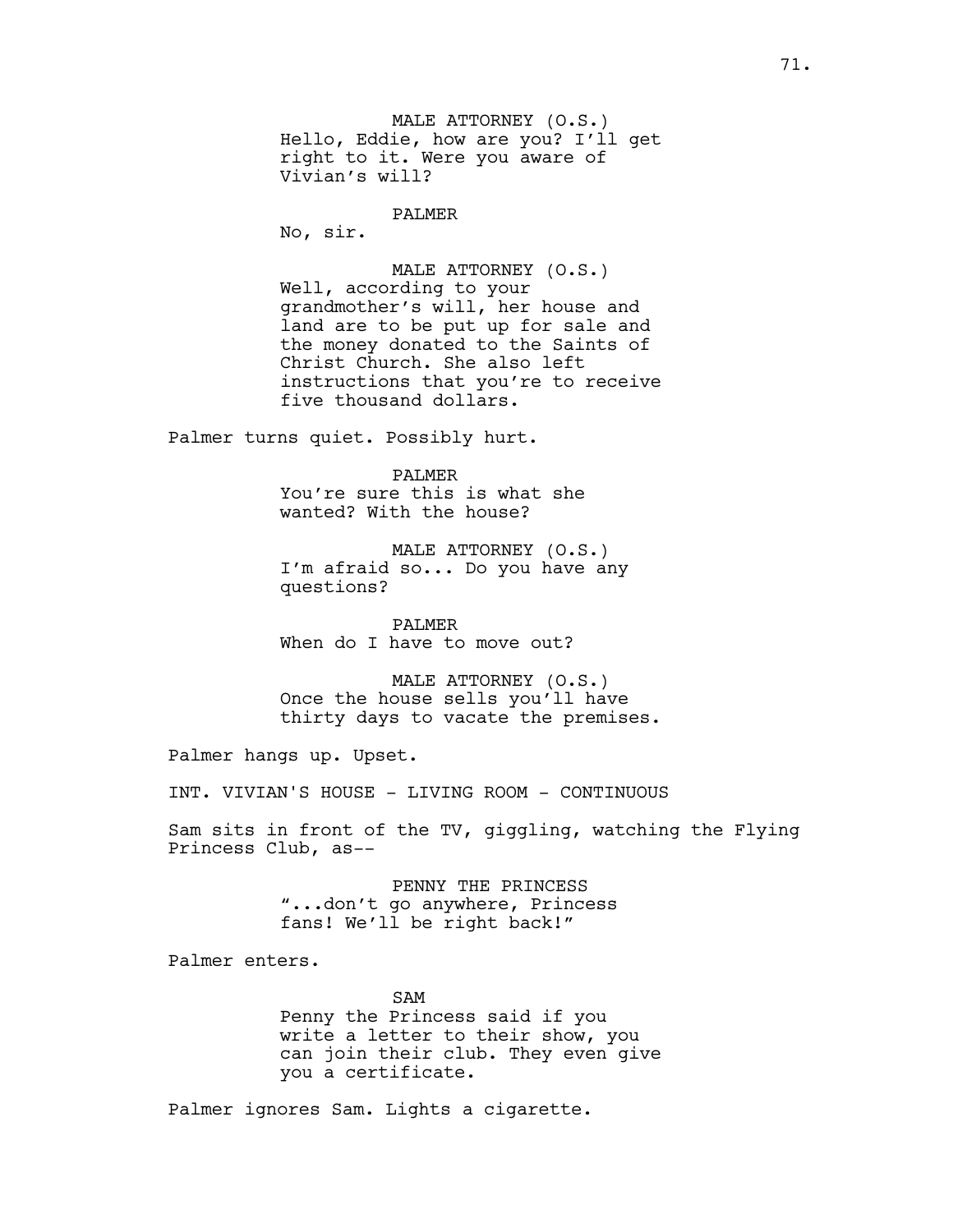MALE ATTORNEY (O.S.) Hello, Eddie, how are you? I'll get right to it. Were you aware of Vivian's will?

PALMER

No, sir.

MALE ATTORNEY (O.S.) Well, according to your grandmother's will, her house and land are to be put up for sale and the money donated to the Saints of Christ Church. She also left instructions that you're to receive five thousand dollars.

Palmer turns quiet. Possibly hurt.

PALMER You're sure this is what she wanted? With the house?

MALE ATTORNEY (O.S.) I'm afraid so... Do you have any questions?

PALMER When do I have to move out?

MALE ATTORNEY (O.S.) Once the house sells you'll have thirty days to vacate the premises.

Palmer hangs up. Upset.

INT. VIVIAN'S HOUSE - LIVING ROOM - CONTINUOUS

Sam sits in front of the TV, giggling, watching the Flying Princess Club, as--

> PENNY THE PRINCESS "...don't go anywhere, Princess fans! We'll be right back!"

Palmer enters.

SAM Penny the Princess said if you write a letter to their show, you can join their club. They even give you a certificate.

Palmer ignores Sam. Lights a cigarette.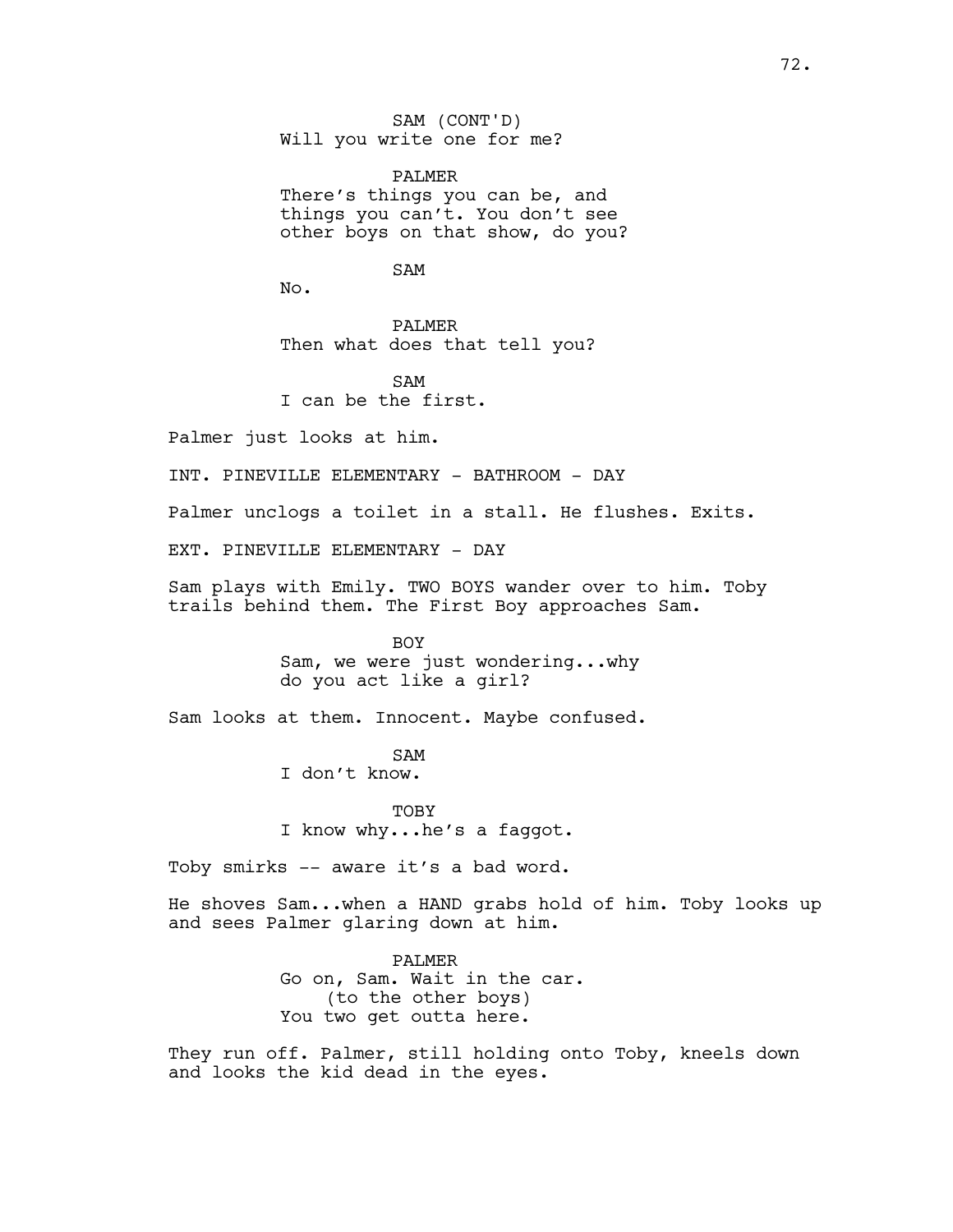SAM (CONT'D) Will you write one for me?

PALMER There's things you can be, and things you can't. You don't see other boys on that show, do you?

SAM

No.

PALMER Then what does that tell you?

SAM I can be the first.

Palmer just looks at him.

INT. PINEVILLE ELEMENTARY - BATHROOM - DAY

Palmer unclogs a toilet in a stall. He flushes. Exits.

EXT. PINEVILLE ELEMENTARY - DAY

Sam plays with Emily. TWO BOYS wander over to him. Toby trails behind them. The First Boy approaches Sam.

> BOY Sam, we were just wondering...why do you act like a girl?

Sam looks at them. Innocent. Maybe confused.

SAM I don't know.

**TOBY** I know why...he's a faggot.

Toby smirks -- aware it's a bad word.

He shoves Sam...when a HAND grabs hold of him. Toby looks up and sees Palmer glaring down at him.

> PALMER Go on, Sam. Wait in the car. (to the other boys) You two get outta here.

They run off. Palmer, still holding onto Toby, kneels down and looks the kid dead in the eyes.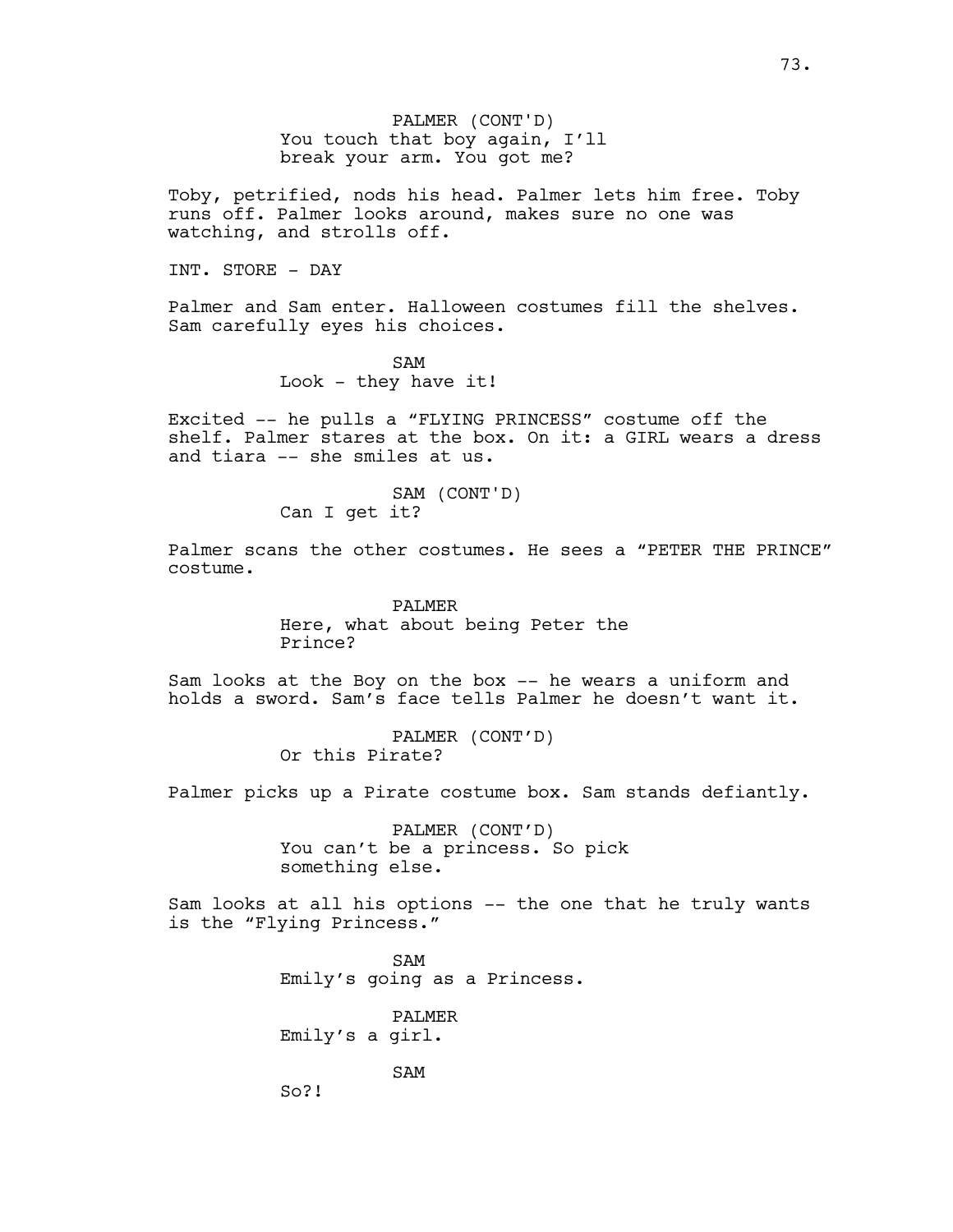PALMER (CONT'D) You touch that boy again, I'll break your arm. You got me?

Toby, petrified, nods his head. Palmer lets him free. Toby runs off. Palmer looks around, makes sure no one was watching, and strolls off.

INT. STORE - DAY

Palmer and Sam enter. Halloween costumes fill the shelves. Sam carefully eyes his choices.

> SAM Look  $-$  they have it!

Excited -- he pulls a "FLYING PRINCESS" costume off the shelf. Palmer stares at the box. On it: a GIRL wears a dress and tiara -- she smiles at us.

# SAM (CONT'D)

Can I get it?

Palmer scans the other costumes. He sees a "PETER THE PRINCE" costume.

> PALMER Here, what about being Peter the Prince?

Sam looks at the Boy on the box -- he wears a uniform and holds a sword. Sam's face tells Palmer he doesn't want it.

> PALMER (CONT'D) Or this Pirate?

Palmer picks up a Pirate costume box. Sam stands defiantly.

PALMER (CONT'D) You can't be a princess. So pick something else.

Sam looks at all his options -- the one that he truly wants is the "Flying Princess."

> SAM Emily's going as a Princess.

PALMER Emily's a girl.

SAM

So?!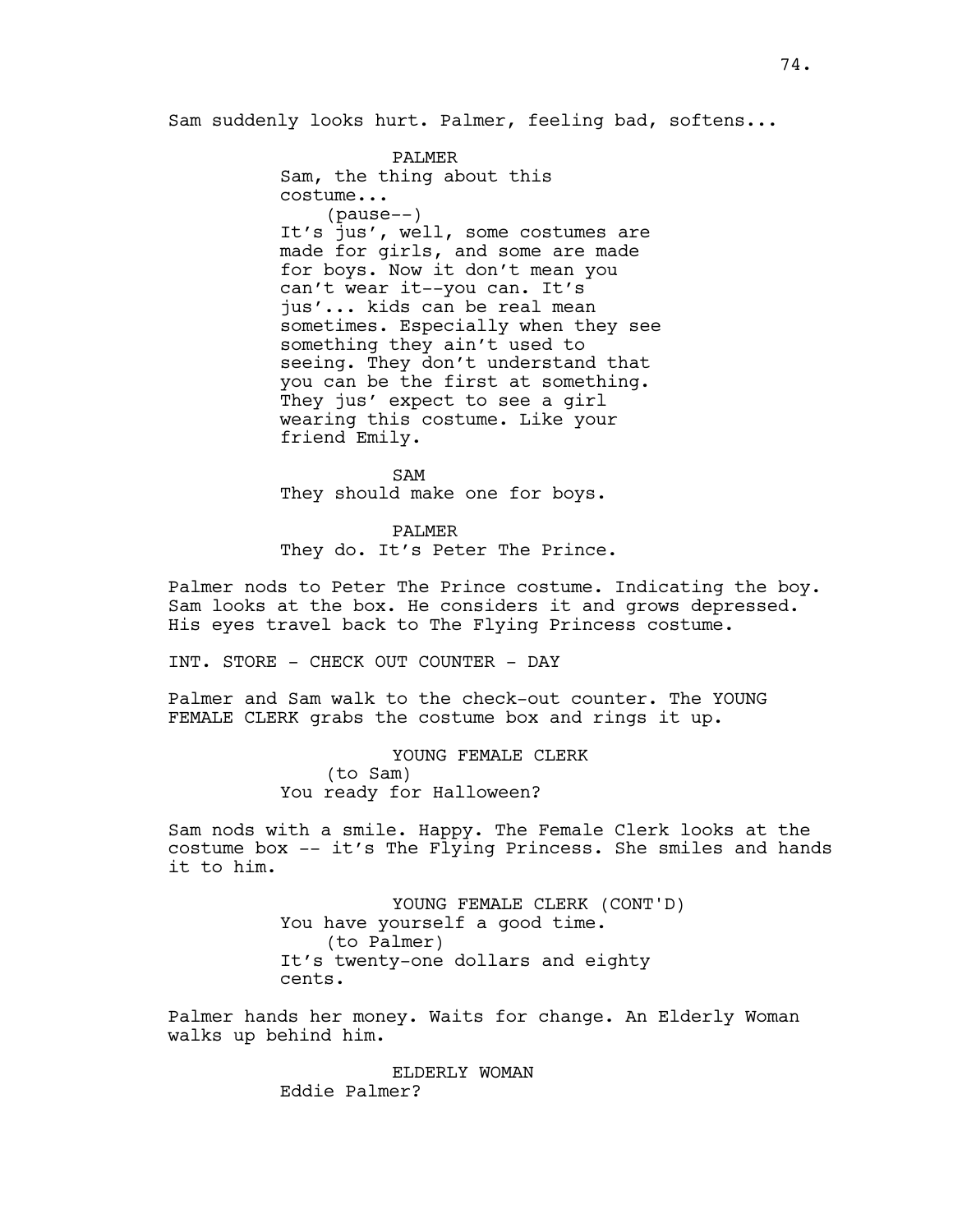Sam suddenly looks hurt. Palmer, feeling bad, softens...

PALMER Sam, the thing about this costume... (pause--) It's jus', well, some costumes are made for girls, and some are made for boys. Now it don't mean you can't wear it--you can. It's jus'... kids can be real mean sometimes. Especially when they see something they ain't used to seeing. They don't understand that you can be the first at something. They jus' expect to see a girl wearing this costume. Like your friend Emily.

SAM They should make one for boys.

PALMER They do. It's Peter The Prince.

Palmer nods to Peter The Prince costume. Indicating the boy. Sam looks at the box. He considers it and grows depressed. His eyes travel back to The Flying Princess costume.

INT. STORE - CHECK OUT COUNTER - DAY

Palmer and Sam walk to the check-out counter. The YOUNG FEMALE CLERK grabs the costume box and rings it up.

> YOUNG FEMALE CLERK (to Sam) You ready for Halloween?

Sam nods with a smile. Happy. The Female Clerk looks at the costume box -- it's The Flying Princess. She smiles and hands it to him.

> YOUNG FEMALE CLERK (CONT'D) You have yourself a good time. (to Palmer) It's twenty-one dollars and eighty cents.

Palmer hands her money. Waits for change. An Elderly Woman walks up behind him.

> ELDERLY WOMAN Eddie Palmer?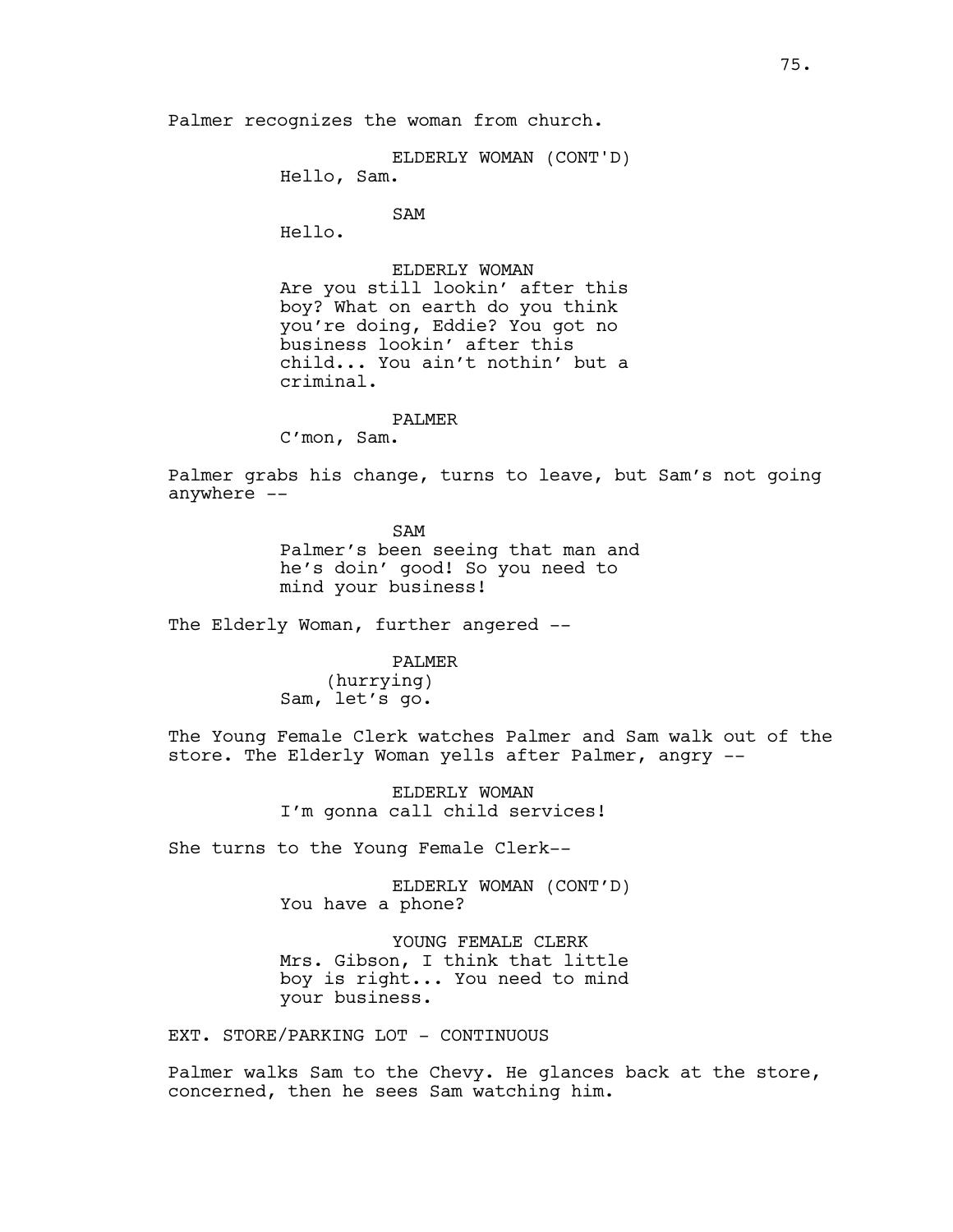Palmer recognizes the woman from church.

ELDERLY WOMAN (CONT'D)

Hello, Sam.

SAM

Hello.

ELDERLY WOMAN

Are you still lookin' after this boy? What on earth do you think you're doing, Eddie? You got no business lookin' after this child... You ain't nothin' but a criminal.

### PALMER

C'mon, Sam.

Palmer grabs his change, turns to leave, but Sam's not going anywhere --

> SAM Palmer's been seeing that man and he's doin' good! So you need to mind your business!

The Elderly Woman, further angered --

PALMER

(hurrying) Sam, let's go.

The Young Female Clerk watches Palmer and Sam walk out of the store. The Elderly Woman yells after Palmer, angry --

> ELDERLY WOMAN I'm gonna call child services!

She turns to the Young Female Clerk--

ELDERLY WOMAN (CONT'D) You have a phone?

YOUNG FEMALE CLERK Mrs. Gibson, I think that little boy is right... You need to mind your business.

EXT. STORE/PARKING LOT - CONTINUOUS

Palmer walks Sam to the Chevy. He glances back at the store, concerned, then he sees Sam watching him.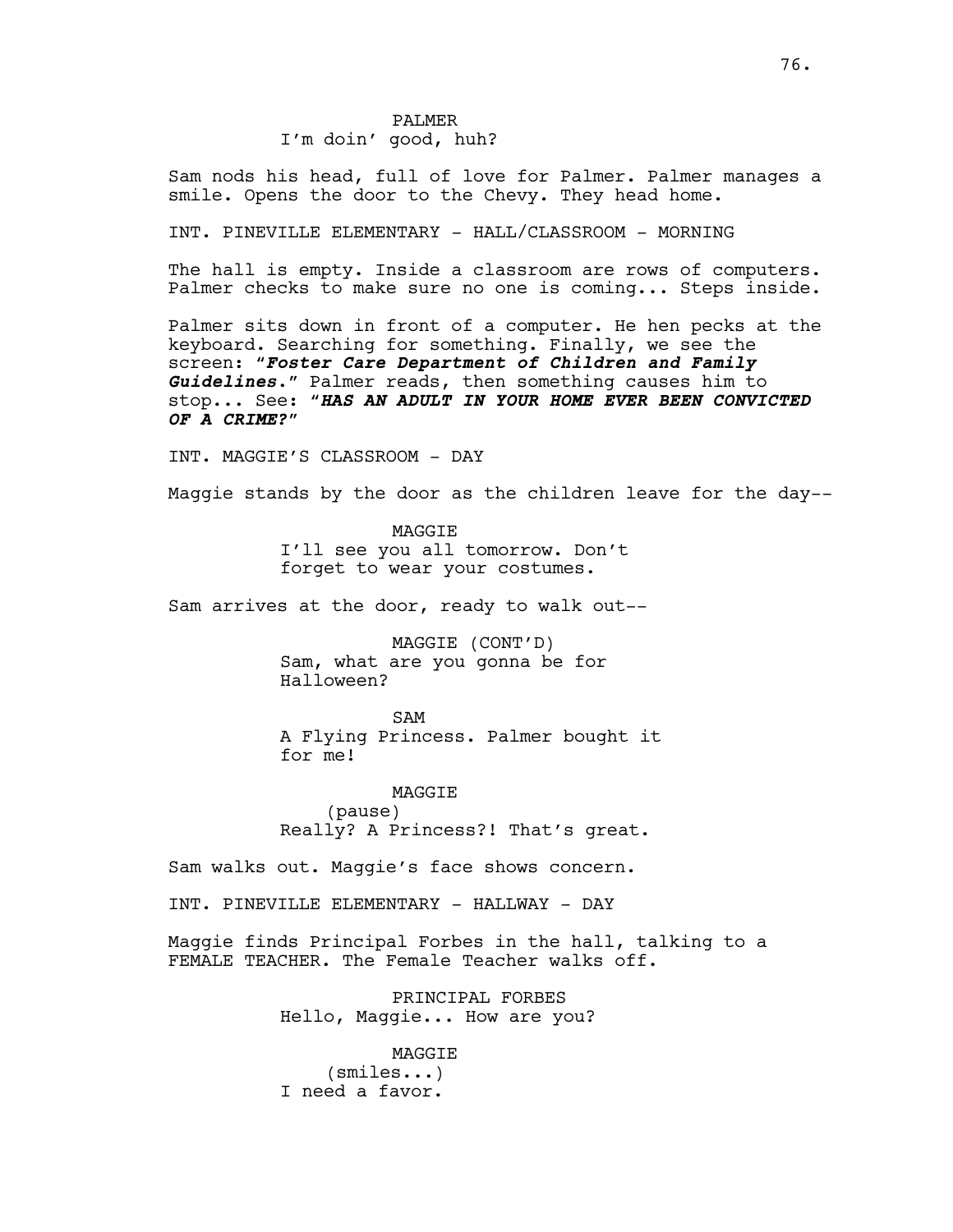# PALMER I'm doin' good, huh?

Sam nods his head, full of love for Palmer. Palmer manages a smile. Opens the door to the Chevy. They head home.

INT. PINEVILLE ELEMENTARY - HALL/CLASSROOM - MORNING

The hall is empty. Inside a classroom are rows of computers. Palmer checks to make sure no one is coming... Steps inside.

Palmer sits down in front of a computer. He hen pecks at the keyboard. Searching for something. Finally, we see the screen: "*Foster Care Department of Children and Family Guidelines*." Palmer reads, then something causes him to stop... See: "*HAS AN ADULT IN YOUR HOME EVER BEEN CONVICTED OF A CRIME?*"

INT. MAGGIE'S CLASSROOM - DAY

Maggie stands by the door as the children leave for the day--

MAGGIE I'll see you all tomorrow. Don't forget to wear your costumes.

Sam arrives at the door, ready to walk out--

MAGGIE (CONT'D) Sam, what are you gonna be for Halloween?

SAM A Flying Princess. Palmer bought it for me!

MAGGIE (pause) Really? A Princess?! That's great.

Sam walks out. Maggie's face shows concern.

INT. PINEVILLE ELEMENTARY - HALLWAY - DAY

Maggie finds Principal Forbes in the hall, talking to a FEMALE TEACHER. The Female Teacher walks off.

> PRINCIPAL FORBES Hello, Maggie... How are you?

MAGGIE (smiles...) I need a favor.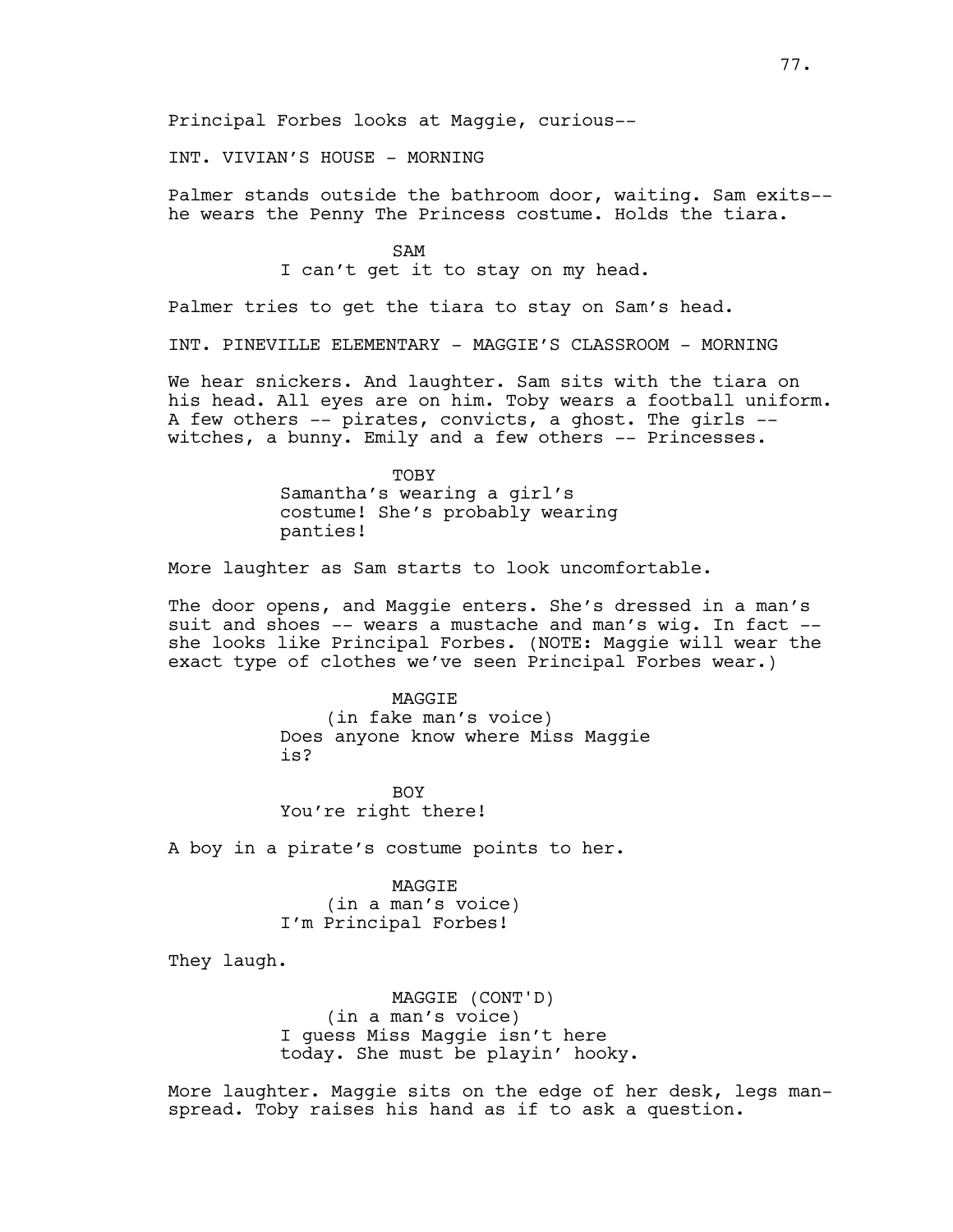Principal Forbes looks at Maggie, curious--

INT. VIVIAN'S HOUSE - MORNING

Palmer stands outside the bathroom door, waiting. Sam exits- he wears the Penny The Princess costume. Holds the tiara.

SAM

I can't get it to stay on my head.

Palmer tries to get the tiara to stay on Sam's head.

INT. PINEVILLE ELEMENTARY - MAGGIE'S CLASSROOM - MORNING

We hear snickers. And laughter. Sam sits with the tiara on his head. All eyes are on him. Toby wears a football uniform. A few others -- pirates, convicts, a ghost. The girls - witches, a bunny. Emily and a few others -- Princesses.

> **TOBY** Samantha's wearing a girl's costume! She's probably wearing panties!

More laughter as Sam starts to look uncomfortable.

The door opens, and Maggie enters. She's dressed in a man's suit and shoes -- wears a mustache and man's wig. In fact - she looks like Principal Forbes. (NOTE: Maggie will wear the exact type of clothes we've seen Principal Forbes wear.)

**MAGGTE** 

(in fake man's voice) Does anyone know where Miss Maggie is?

BOY You're right there!

A boy in a pirate's costume points to her.

MAGGIE (in a man's voice) I'm Principal Forbes!

They laugh.

MAGGIE (CONT'D) (in a man's voice) I guess Miss Maggie isn't here today. She must be playin' hooky.

More laughter. Maggie sits on the edge of her desk, legs manspread. Toby raises his hand as if to ask a question.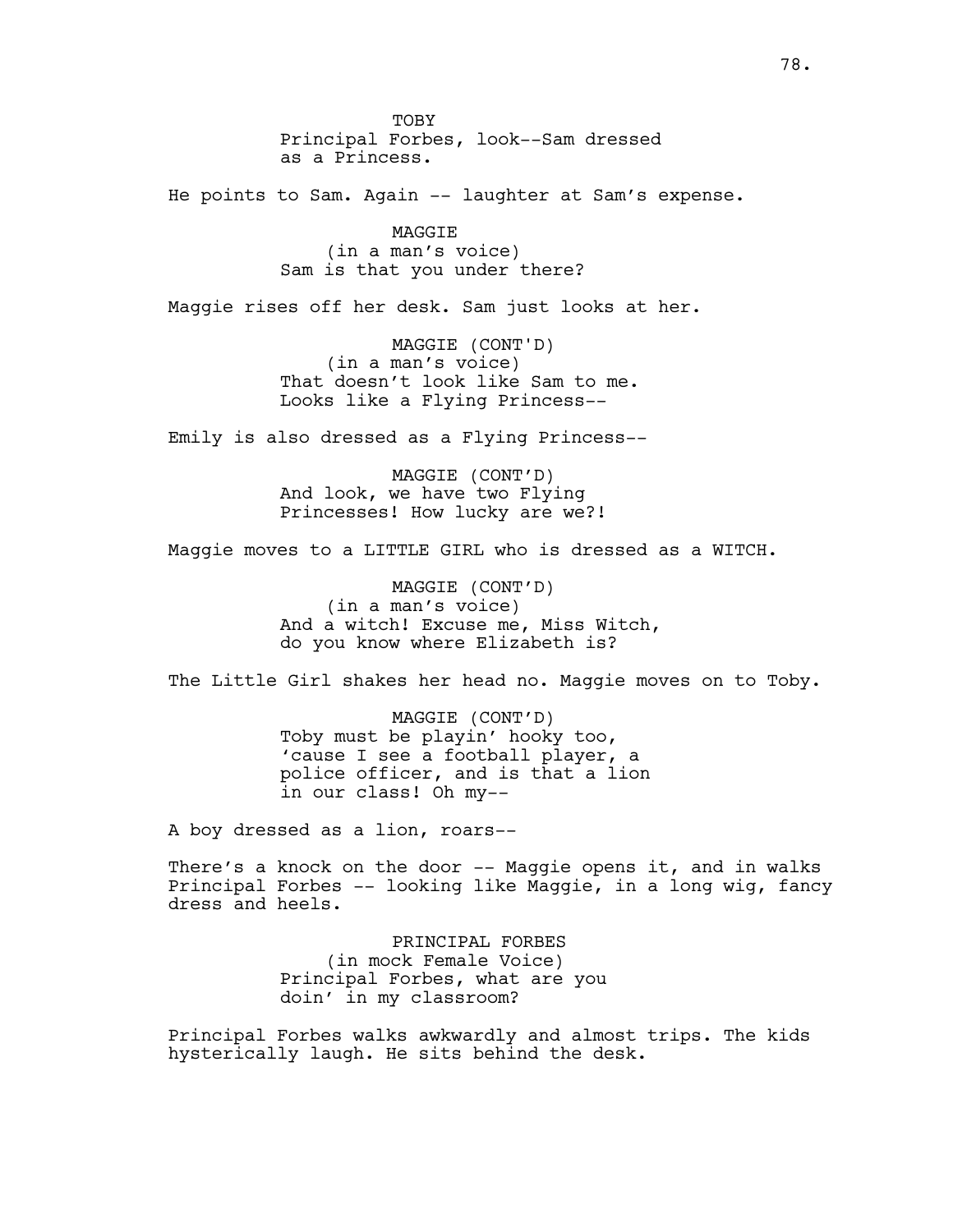TOBY Principal Forbes, look--Sam dressed as a Princess. He points to Sam. Again -- laughter at Sam's expense. MAGGIE (in a man's voice) Sam is that you under there? Maggie rises off her desk. Sam just looks at her. MAGGIE (CONT'D) (in a man's voice) That doesn't look like Sam to me. Looks like a Flying Princess-- Emily is also dressed as a Flying Princess-- MAGGIE (CONT'D) And look, we have two Flying Princesses! How lucky are we?! Maggie moves to a LITTLE GIRL who is dressed as a WITCH. MAGGIE (CONT'D) (in a man's voice) And a witch! Excuse me, Miss Witch, do you know where Elizabeth is? The Little Girl shakes her head no. Maggie moves on to Toby. MAGGIE (CONT'D) Toby must be playin' hooky too, 'cause I see a football player, a police officer, and is that a lion in our class! Oh my-- A boy dressed as a lion, roars-- There's a knock on the door -- Maggie opens it, and in walks Principal Forbes -- looking like Maggie, in a long wig, fancy dress and heels. PRINCIPAL FORBES (in mock Female Voice) Principal Forbes, what are you doin' in my classroom?

Principal Forbes walks awkwardly and almost trips. The kids hysterically laugh. He sits behind the desk.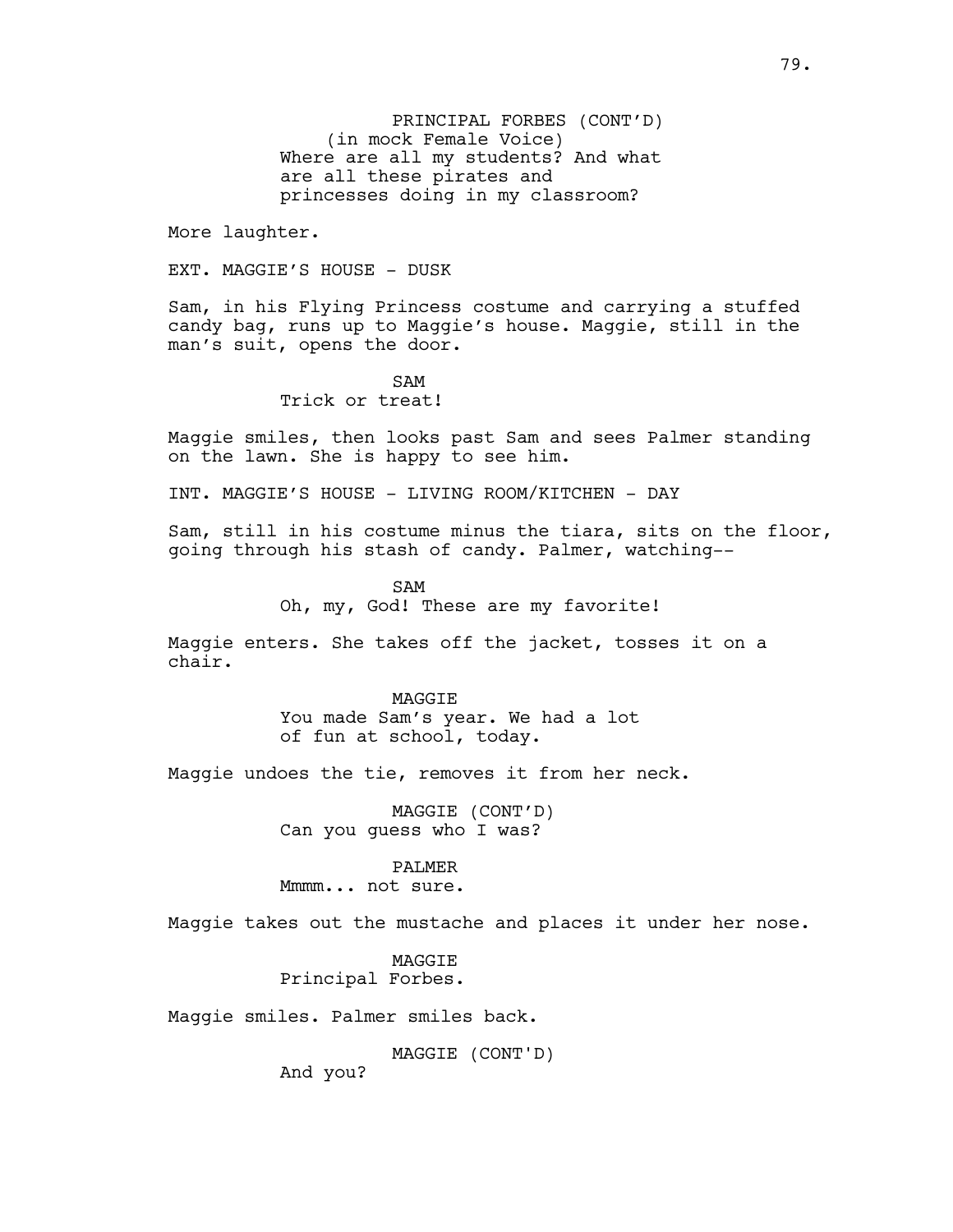PRINCIPAL FORBES (CONT'D) (in mock Female Voice) Where are all my students? And what are all these pirates and princesses doing in my classroom?

More laughter.

EXT. MAGGIE'S HOUSE - DUSK

Sam, in his Flying Princess costume and carrying a stuffed candy bag, runs up to Maggie's house. Maggie, still in the man's suit, opens the door.

SAM

Trick or treat!

Maggie smiles, then looks past Sam and sees Palmer standing on the lawn. She is happy to see him.

INT. MAGGIE'S HOUSE - LIVING ROOM/KITCHEN - DAY

Sam, still in his costume minus the tiara, sits on the floor, going through his stash of candy. Palmer, watching--

> SAM Oh, my, God! These are my favorite!

Maggie enters. She takes off the jacket, tosses it on a chair.

> **MAGGTE** You made Sam's year. We had a lot of fun at school, today.

Maggie undoes the tie, removes it from her neck.

MAGGIE (CONT'D) Can you guess who I was?

PALMER

Mmmm... not sure.

Maggie takes out the mustache and places it under her nose.

MAGGIE Principal Forbes.

Maggie smiles. Palmer smiles back.

MAGGIE (CONT'D)

And you?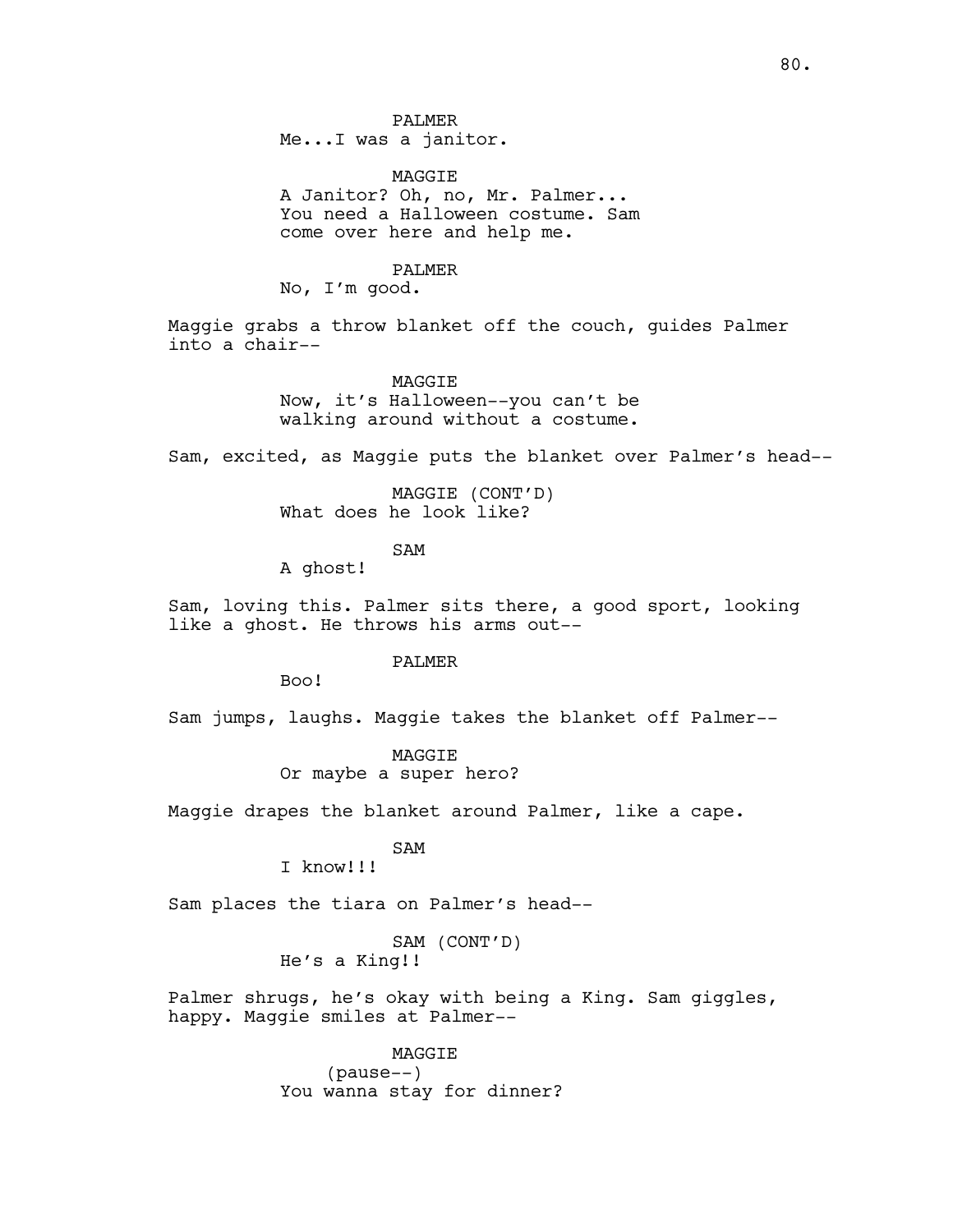PALMER Me...I was a janitor.

MAGGIE A Janitor? Oh, no, Mr. Palmer... You need a Halloween costume. Sam come over here and help me.

#### PALMER

No, I'm good.

Maggie grabs a throw blanket off the couch, guides Palmer into a chair--

#### **MAGGTE**

Now, it's Halloween--you can't be walking around without a costume.

Sam, excited, as Maggie puts the blanket over Palmer's head--

MAGGIE (CONT'D) What does he look like?

SAM

A ghost!

Sam, loving this. Palmer sits there, a good sport, looking like a ghost. He throws his arms out--

### PALMER

Boo!

Sam jumps, laughs. Maggie takes the blanket off Palmer--

MAGGIE Or maybe a super hero?

Maggie drapes the blanket around Palmer, like a cape.

# SAM

I know!!!

Sam places the tiara on Palmer's head--

# SAM (CONT'D) He's a King!!

Palmer shrugs, he's okay with being a King. Sam giggles, happy. Maggie smiles at Palmer--

> MAGGIE (pause--) You wanna stay for dinner?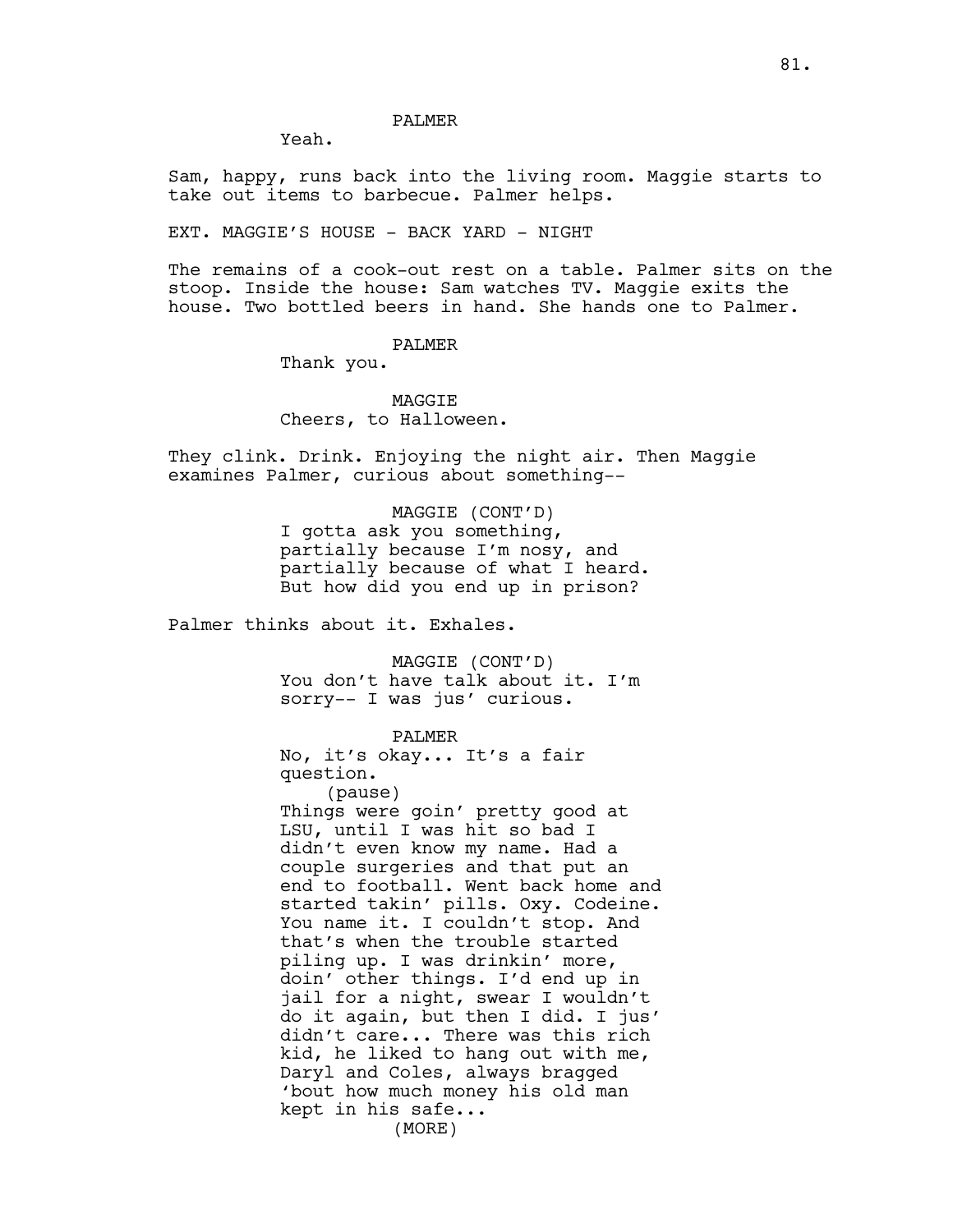## PALMER

Yeah.

Sam, happy, runs back into the living room. Maggie starts to take out items to barbecue. Palmer helps.

EXT. MAGGIE'S HOUSE - BACK YARD - NIGHT

The remains of a cook-out rest on a table. Palmer sits on the stoop. Inside the house: Sam watches TV. Maggie exits the house. Two bottled beers in hand. She hands one to Palmer.

### PALMER

Thank you.

# **MAGGTE** Cheers, to Halloween.

They clink. Drink. Enjoying the night air. Then Maggie examines Palmer, curious about something--

### MAGGIE (CONT'D)

I gotta ask you something, partially because I'm nosy, and partially because of what I heard. But how did you end up in prison?

Palmer thinks about it. Exhales.

MAGGIE (CONT'D) You don't have talk about it. I'm sorry-- I was jus' curious.

### PALMER

No, it's okay... It's a fair question.

(pause) Things were goin' pretty good at LSU, until I was hit so bad I didn't even know my name. Had a couple surgeries and that put an end to football. Went back home and started takin' pills. Oxy. Codeine. You name it. I couldn't stop. And that's when the trouble started piling up. I was drinkin' more, doin' other things. I'd end up in jail for a night, swear I wouldn't do it again, but then I did. I jus' didn't care... There was this rich kid, he liked to hang out with me, Daryl and Coles, always bragged 'bout how much money his old man kept in his safe... (MORE)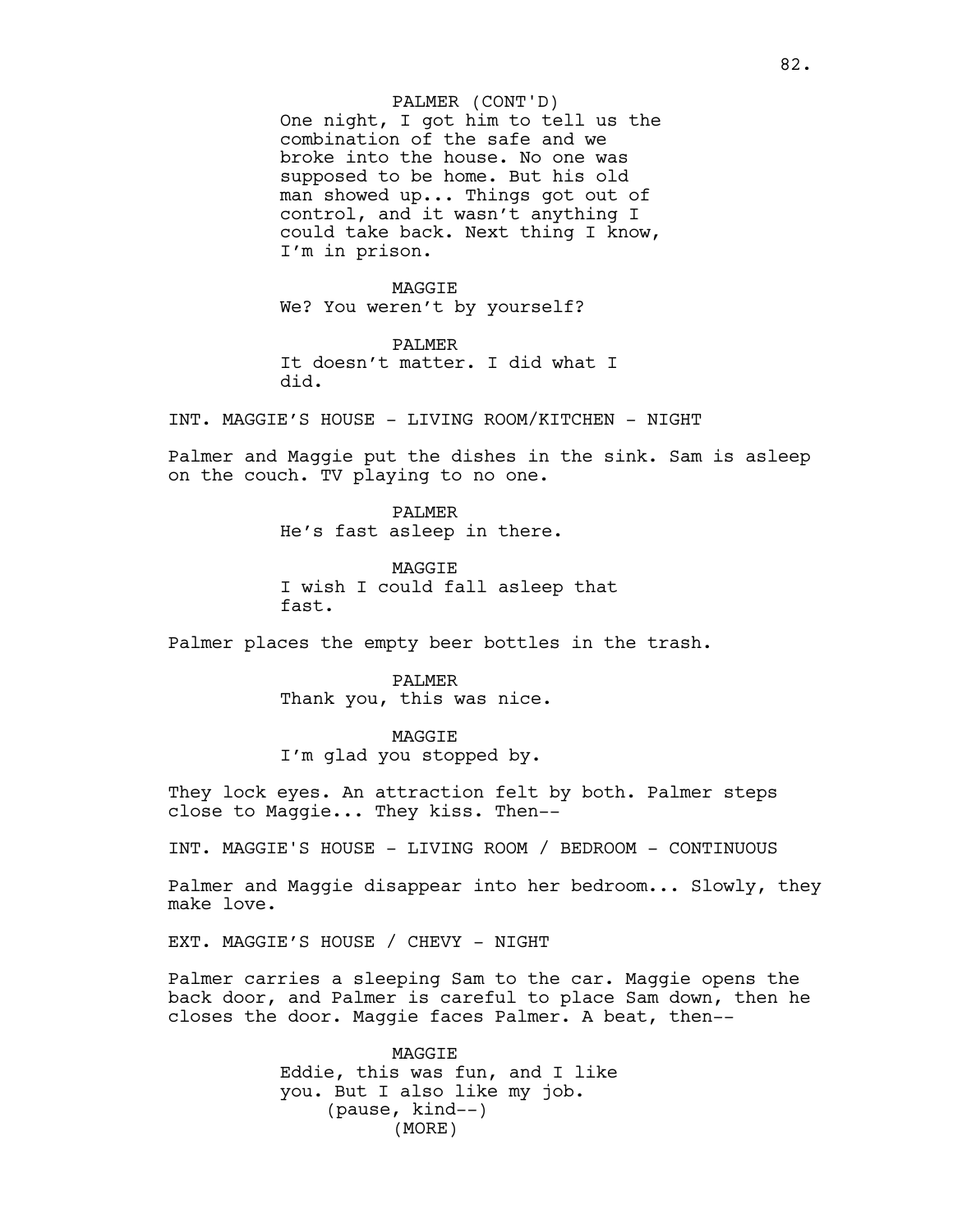### PALMER (CONT'D)

One night, I got him to tell us the combination of the safe and we broke into the house. No one was supposed to be home. But his old man showed up... Things got out of control, and it wasn't anything I could take back. Next thing I know, I'm in prison.

MAGGIE We? You weren't by yourself?

PALMER It doesn't matter. I did what I did.

INT. MAGGIE'S HOUSE - LIVING ROOM/KITCHEN - NIGHT

Palmer and Maggie put the dishes in the sink. Sam is asleep on the couch. TV playing to no one.

> PALMER He's fast asleep in there.

**MAGGTE** I wish I could fall asleep that fast.

Palmer places the empty beer bottles in the trash.

PALMER Thank you, this was nice.

MAGGIE I'm glad you stopped by.

They lock eyes. An attraction felt by both. Palmer steps close to Maggie... They kiss. Then--

INT. MAGGIE'S HOUSE - LIVING ROOM / BEDROOM - CONTINUOUS

Palmer and Maggie disappear into her bedroom... Slowly, they make love.

EXT. MAGGIE'S HOUSE / CHEVY - NIGHT

Palmer carries a sleeping Sam to the car. Maggie opens the back door, and Palmer is careful to place Sam down, then he closes the door. Maggie faces Palmer. A beat, then--

> MAGGIE Eddie, this was fun, and I like you. But I also like my job. (pause, kind--) (MORE)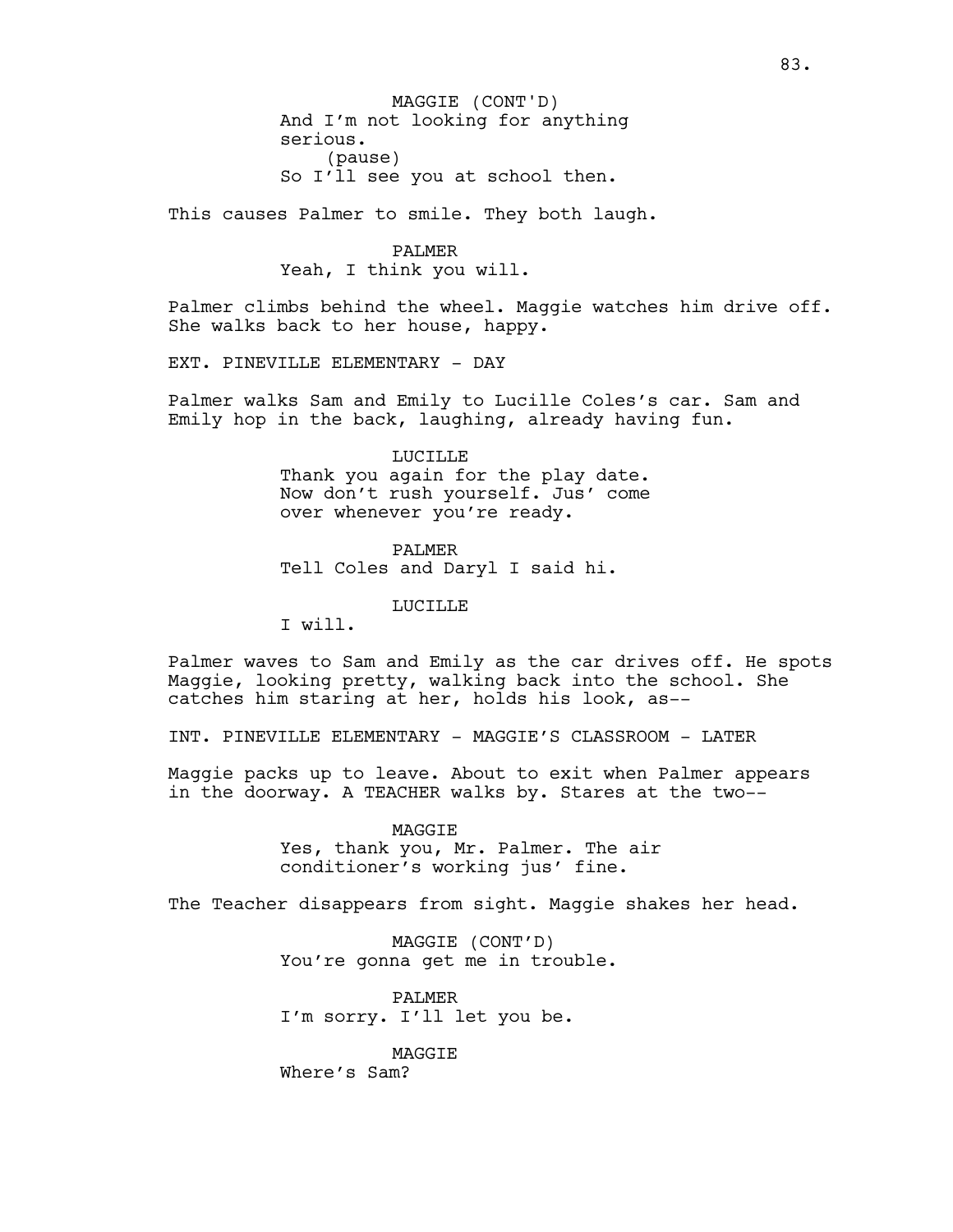And I'm not looking for anything serious. (pause) So I'll see you at school then. MAGGIE (CONT'D)

This causes Palmer to smile. They both laugh.

# PALMER Yeah, I think you will.

Palmer climbs behind the wheel. Maggie watches him drive off. She walks back to her house, happy.

EXT. PINEVILLE ELEMENTARY - DAY

Palmer walks Sam and Emily to Lucille Coles's car. Sam and Emily hop in the back, laughing, already having fun.

> LUCILLE Thank you again for the play date. Now don't rush yourself. Jus' come over whenever you're ready.

PALMER Tell Coles and Daryl I said hi.

LUCILLE

I will.

Palmer waves to Sam and Emily as the car drives off. He spots Maggie, looking pretty, walking back into the school. She catches him staring at her, holds his look, as--

INT. PINEVILLE ELEMENTARY - MAGGIE'S CLASSROOM - LATER

Maggie packs up to leave. About to exit when Palmer appears in the doorway. A TEACHER walks by. Stares at the two--

> MAGGIE Yes, thank you, Mr. Palmer. The air conditioner's working jus' fine.

The Teacher disappears from sight. Maggie shakes her head.

MAGGIE (CONT'D) You're gonna get me in trouble.

PALMER I'm sorry. I'll let you be.

MAGGIE Where's Sam?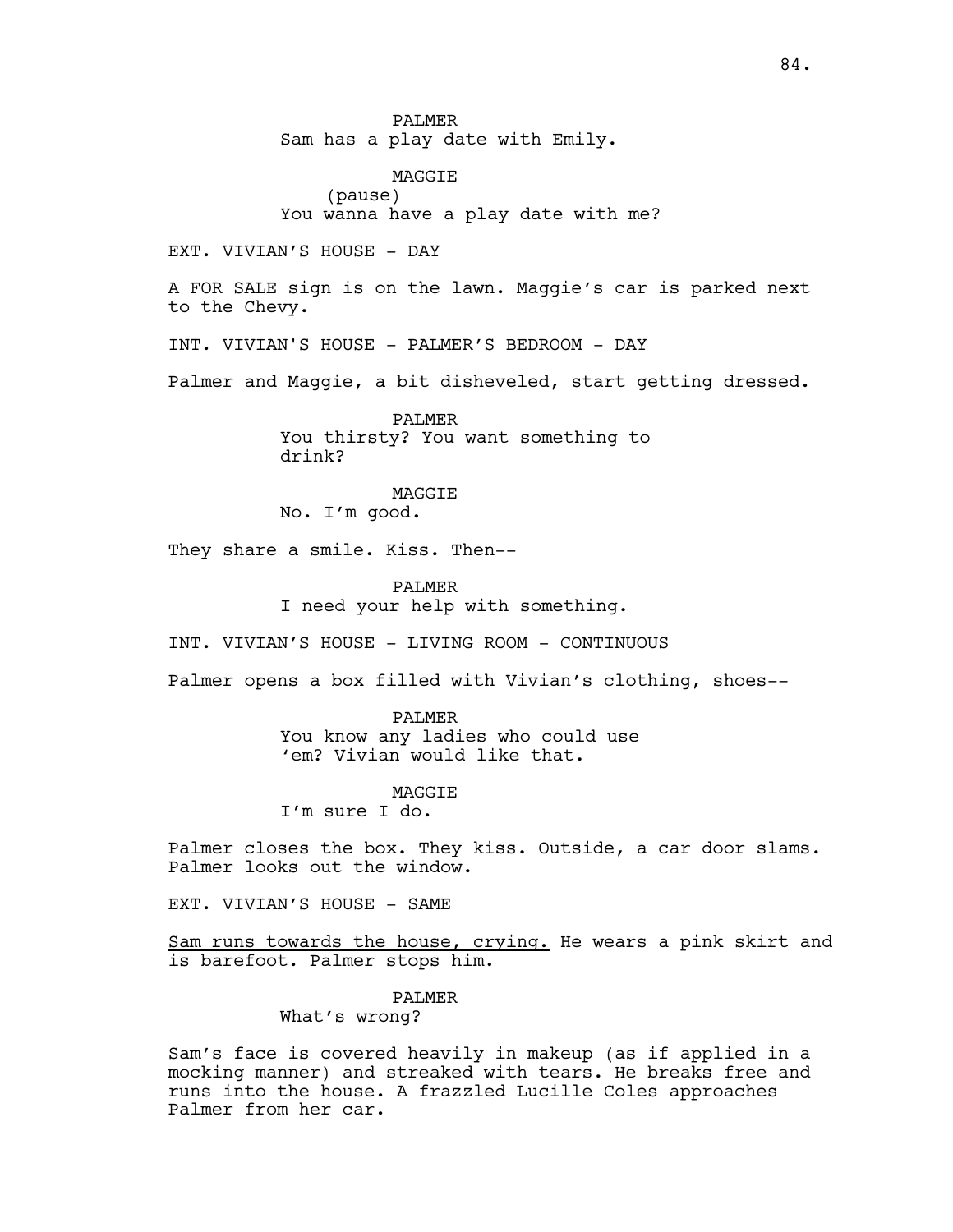PALMER Sam has a play date with Emily.

MAGGIE (pause) You wanna have a play date with me?

EXT. VIVIAN'S HOUSE - DAY

A FOR SALE sign is on the lawn. Maggie's car is parked next to the Chevy.

INT. VIVIAN'S HOUSE - PALMER'S BEDROOM - DAY

Palmer and Maggie, a bit disheveled, start getting dressed.

PALMER You thirsty? You want something to drink?

**MAGGTE** 

No. I'm good.

They share a smile. Kiss. Then--

PALMER I need your help with something.

INT. VIVIAN'S HOUSE - LIVING ROOM - CONTINUOUS

Palmer opens a box filled with Vivian's clothing, shoes--

PALMER

You know any ladies who could use 'em? Vivian would like that.

**MAGGTE** 

I'm sure I do.

Palmer closes the box. They kiss. Outside, a car door slams. Palmer looks out the window.

EXT. VIVIAN'S HOUSE - SAME

Sam runs towards the house, crying. He wears a pink skirt and is barefoot. Palmer stops him.

> PALMER What's wrong?

Sam's face is covered heavily in makeup (as if applied in a mocking manner) and streaked with tears. He breaks free and runs into the house. A frazzled Lucille Coles approaches Palmer from her car.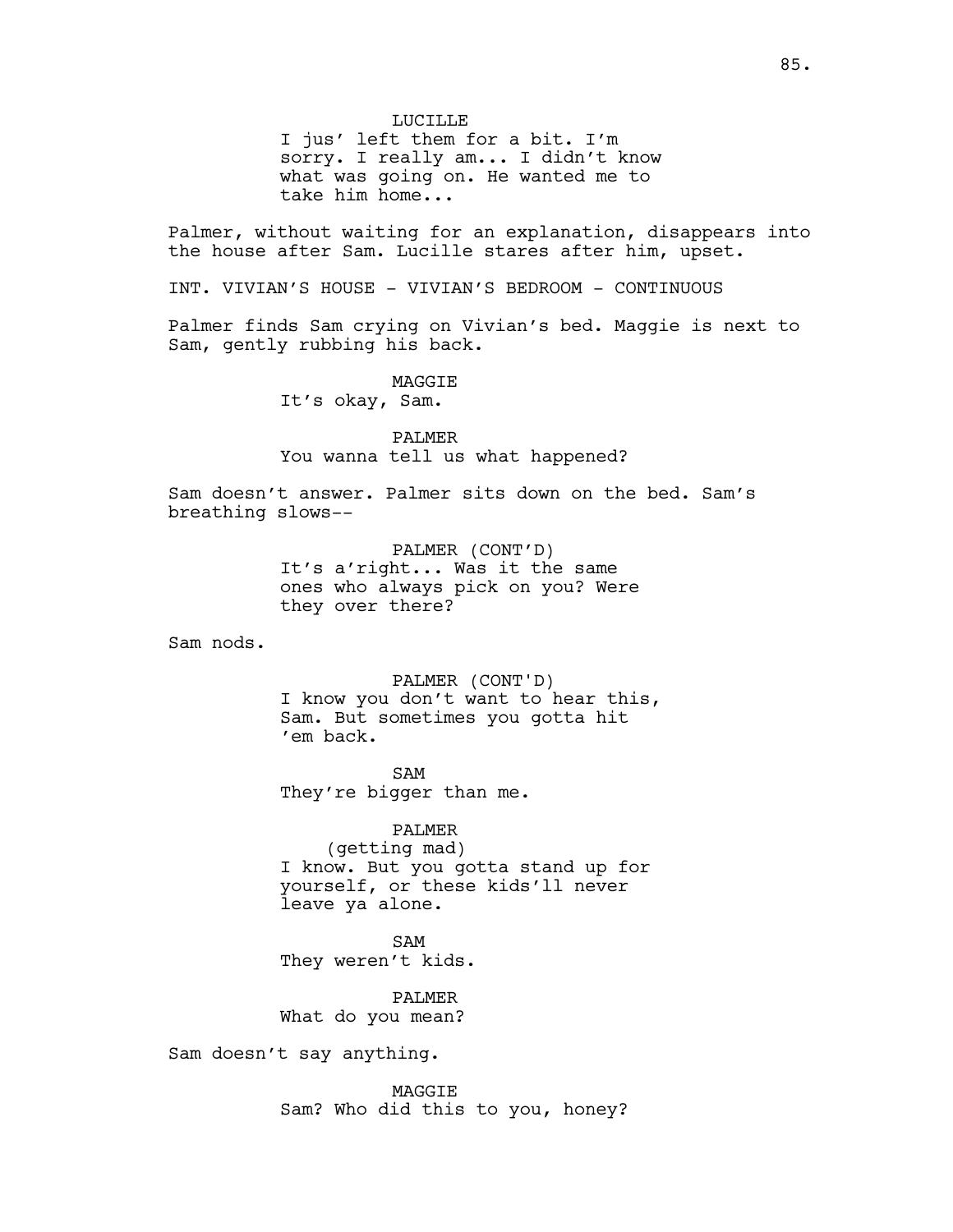LUCILLE I jus' left them for a bit. I'm sorry. I really am... I didn't know what was going on. He wanted me to take him home...

Palmer, without waiting for an explanation, disappears into the house after Sam. Lucille stares after him, upset.

INT. VIVIAN'S HOUSE - VIVIAN'S BEDROOM - CONTINUOUS

Palmer finds Sam crying on Vivian's bed. Maggie is next to Sam, gently rubbing his back.

MAGGIE

It's okay, Sam.

PALMER You wanna tell us what happened?

Sam doesn't answer. Palmer sits down on the bed. Sam's breathing slows--

> PALMER (CONT'D) It's a'right... Was it the same ones who always pick on you? Were they over there?

Sam nods.

PALMER (CONT'D) I know you don't want to hear this, Sam. But sometimes you gotta hit 'em back.

SAM They're bigger than me.

PALMER (getting mad) I know. But you gotta stand up for yourself, or these kids'll never leave ya alone.

SAM They weren't kids.

PALMER What do you mean?

Sam doesn't say anything.

MAGGIE Sam? Who did this to you, honey?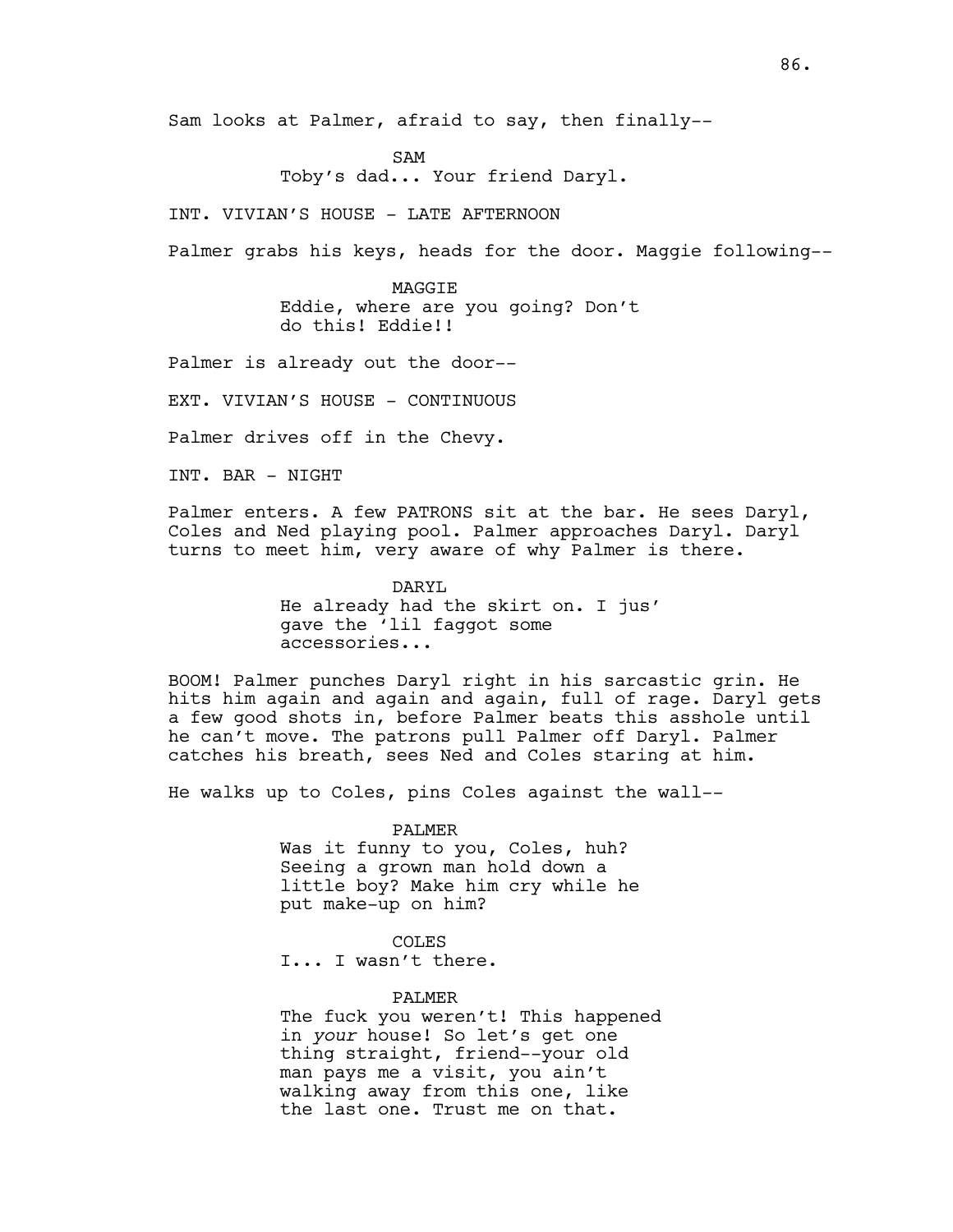Sam looks at Palmer, afraid to say, then finally--

SAM Toby's dad... Your friend Daryl.

INT. VIVIAN'S HOUSE - LATE AFTERNOON

Palmer grabs his keys, heads for the door. Maggie following--

MAGGIE Eddie, where are you going? Don't do this! Eddie!!

Palmer is already out the door--

EXT. VIVIAN'S HOUSE - CONTINUOUS

Palmer drives off in the Chevy.

INT. BAR - NIGHT

Palmer enters. A few PATRONS sit at the bar. He sees Daryl, Coles and Ned playing pool. Palmer approaches Daryl. Daryl turns to meet him, very aware of why Palmer is there.

> DARYL He already had the skirt on. I jus' gave the 'lil faggot some accessories...

BOOM! Palmer punches Daryl right in his sarcastic grin. He hits him again and again and again, full of rage. Daryl gets a few good shots in, before Palmer beats this asshole until he can't move. The patrons pull Palmer off Daryl. Palmer catches his breath, sees Ned and Coles staring at him.

He walks up to Coles, pins Coles against the wall--

PALMER Was it funny to you, Coles, huh? Seeing a grown man hold down a little boy? Make him cry while he put make-up on him?

COLES

I... I wasn't there.

#### PALMER

The fuck you weren't! This happened in *your* house! So let's get one thing straight, friend--your old man pays me a visit, you ain't walking away from this one, like the last one. Trust me on that.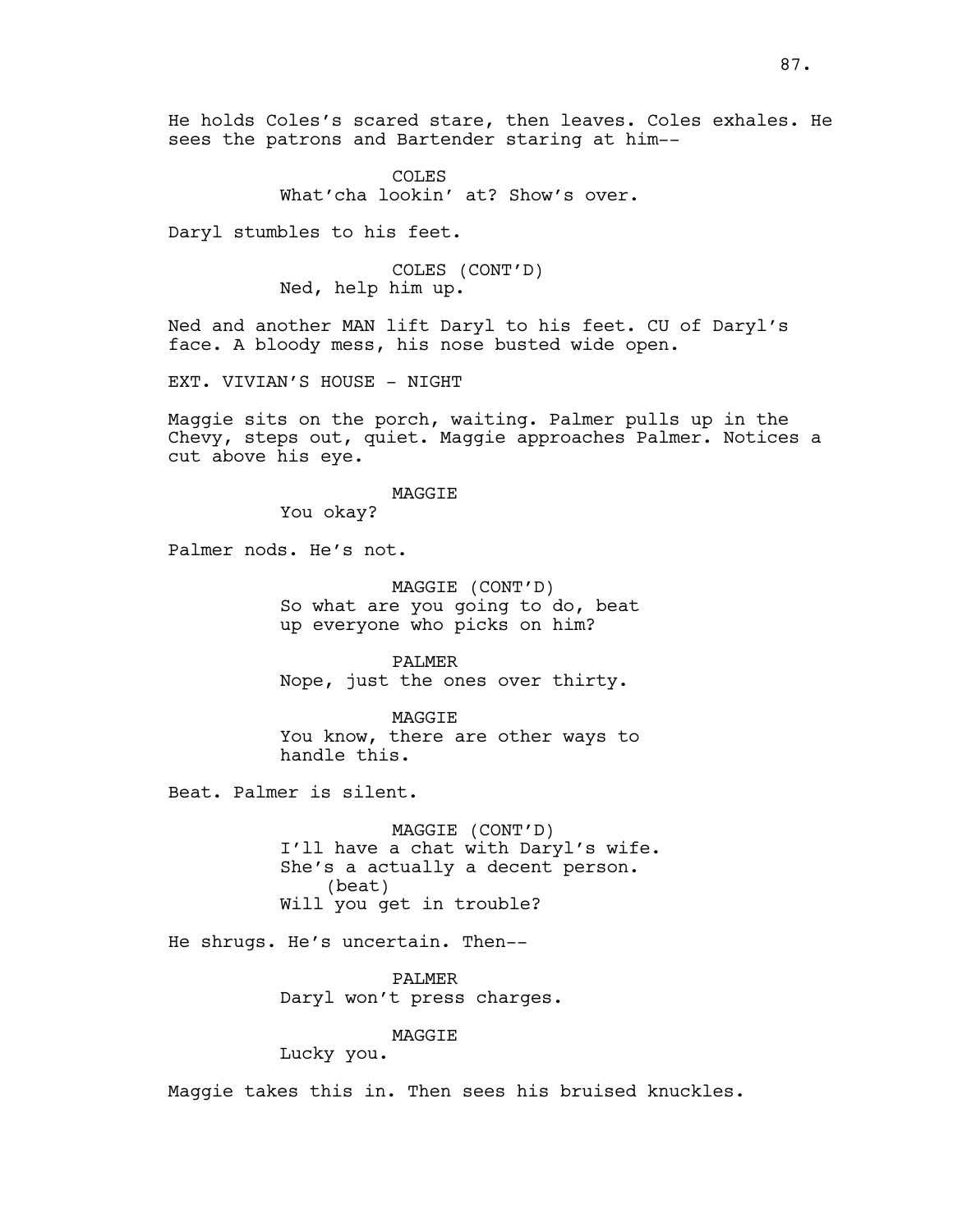COLES What'cha lookin' at? Show's over.

Daryl stumbles to his feet.

COLES (CONT'D) Ned, help him up.

Ned and another MAN lift Daryl to his feet. CU of Daryl's face. A bloody mess, his nose busted wide open.

EXT. VIVIAN'S HOUSE - NIGHT

Maggie sits on the porch, waiting. Palmer pulls up in the Chevy, steps out, quiet. Maggie approaches Palmer. Notices a cut above his eye.

#### MAGGIE

You okay?

Palmer nods. He's not.

MAGGIE (CONT'D) So what are you going to do, beat up everyone who picks on him?

PALMER Nope, just the ones over thirty.

MAGGIE You know, there are other ways to handle this.

Beat. Palmer is silent.

MAGGIE (CONT'D) I'll have a chat with Daryl's wife. She's a actually a decent person. (beat) Will you get in trouble?

He shrugs. He's uncertain. Then--

PALMER Daryl won't press charges.

## MAGGIE

Lucky you.

Maggie takes this in. Then sees his bruised knuckles.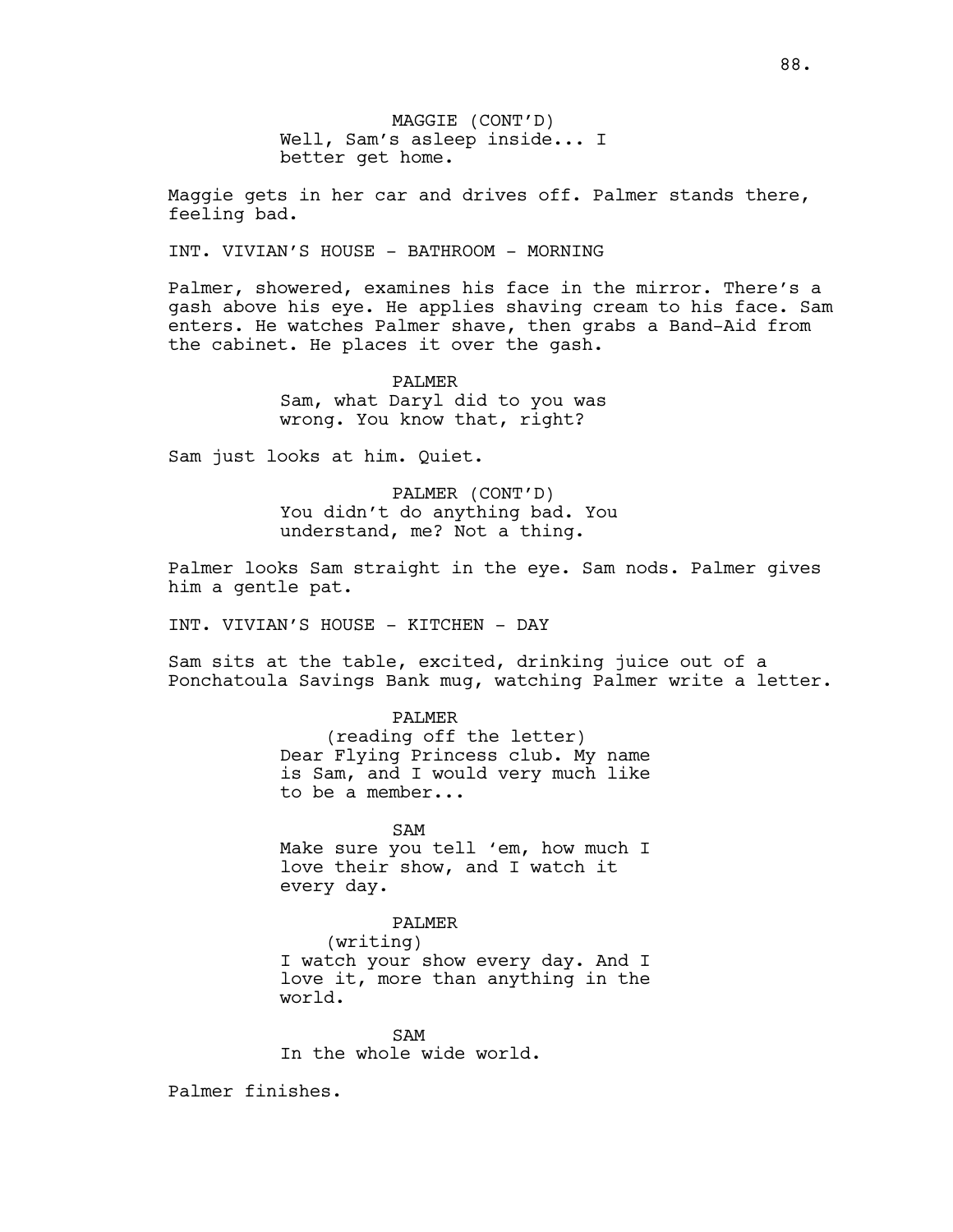MAGGIE (CONT'D) Well, Sam's asleep inside... I better get home.

Maggie gets in her car and drives off. Palmer stands there, feeling bad.

INT. VIVIAN'S HOUSE - BATHROOM - MORNING

Palmer, showered, examines his face in the mirror. There's a gash above his eye. He applies shaving cream to his face. Sam enters. He watches Palmer shave, then grabs a Band-Aid from the cabinet. He places it over the gash.

> PALMER Sam, what Daryl did to you was wrong. You know that, right?

Sam just looks at him. Quiet.

PALMER (CONT'D) You didn't do anything bad. You understand, me? Not a thing.

Palmer looks Sam straight in the eye. Sam nods. Palmer gives him a gentle pat.

INT. VIVIAN'S HOUSE - KITCHEN - DAY

Sam sits at the table, excited, drinking juice out of a Ponchatoula Savings Bank mug, watching Palmer write a letter.

> PALMER (reading off the letter) Dear Flying Princess club. My name is Sam, and I would very much like to be a member...

> SAM Make sure you tell 'em, how much I love their show, and I watch it every day.

PALMER (writing) I watch your show every day. And I love it, more than anything in the world.

SAM In the whole wide world.

Palmer finishes.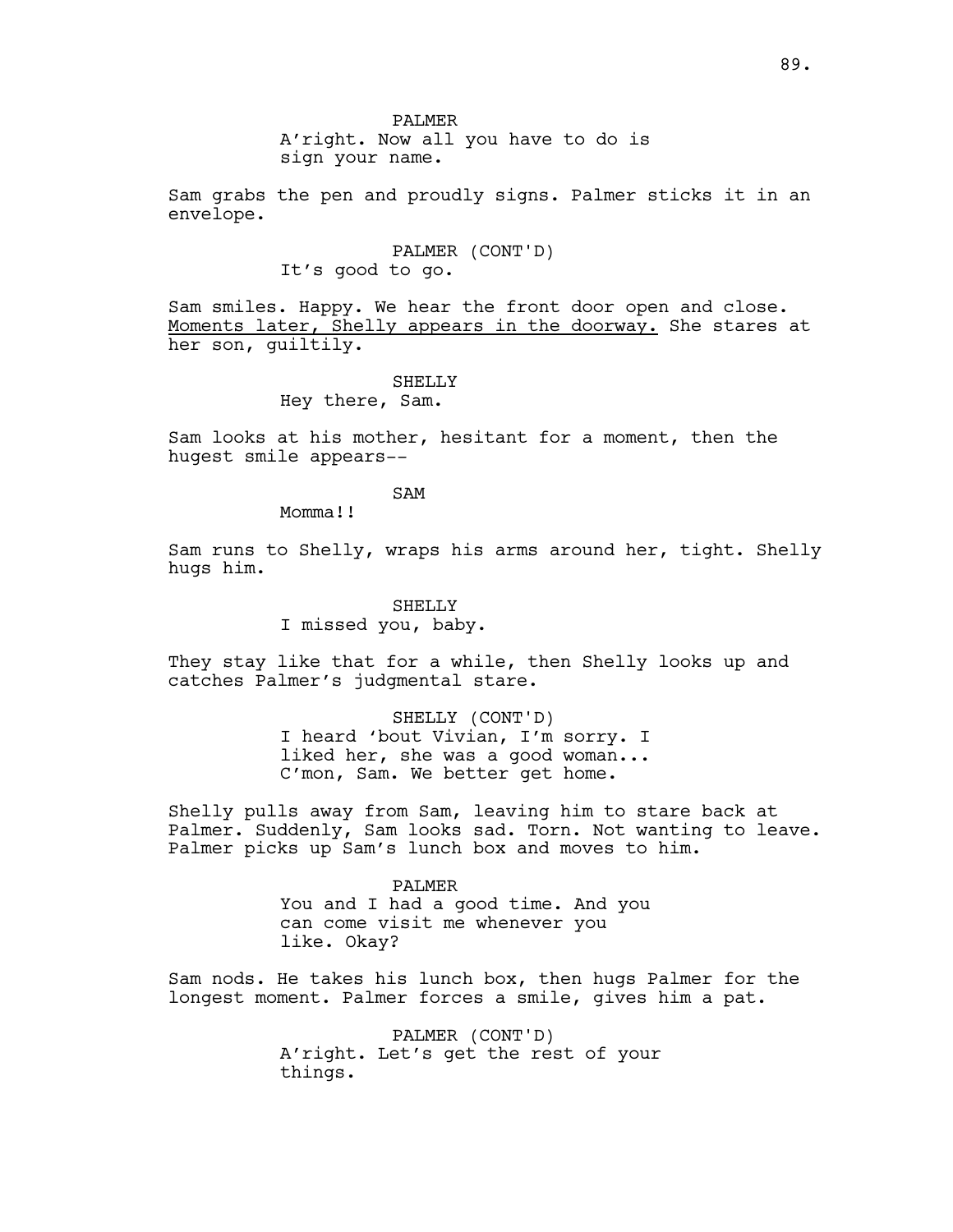A'right. Now all you have to do is sign your name.

Sam grabs the pen and proudly signs. Palmer sticks it in an envelope.

> PALMER (CONT'D) It's good to go.

Sam smiles. Happy. We hear the front door open and close. Moments later, Shelly appears in the doorway. She stares at her son, guiltily.

> SHELLY Hey there, Sam.

Sam looks at his mother, hesitant for a moment, then the hugest smile appears--

SAM

Momma!!

Sam runs to Shelly, wraps his arms around her, tight. Shelly hugs him.

> SHELLY I missed you, baby.

They stay like that for a while, then Shelly looks up and catches Palmer's judgmental stare.

> SHELLY (CONT'D) I heard 'bout Vivian, I'm sorry. I liked her, she was a good woman...

C'mon, Sam. We better get home.

Shelly pulls away from Sam, leaving him to stare back at Palmer. Suddenly, Sam looks sad. Torn. Not wanting to leave. Palmer picks up Sam's lunch box and moves to him.

PALMER

You and I had a good time. And you can come visit me whenever you like. Okay?

Sam nods. He takes his lunch box, then hugs Palmer for the longest moment. Palmer forces a smile, gives him a pat.

> PALMER (CONT'D) A'right. Let's get the rest of your things.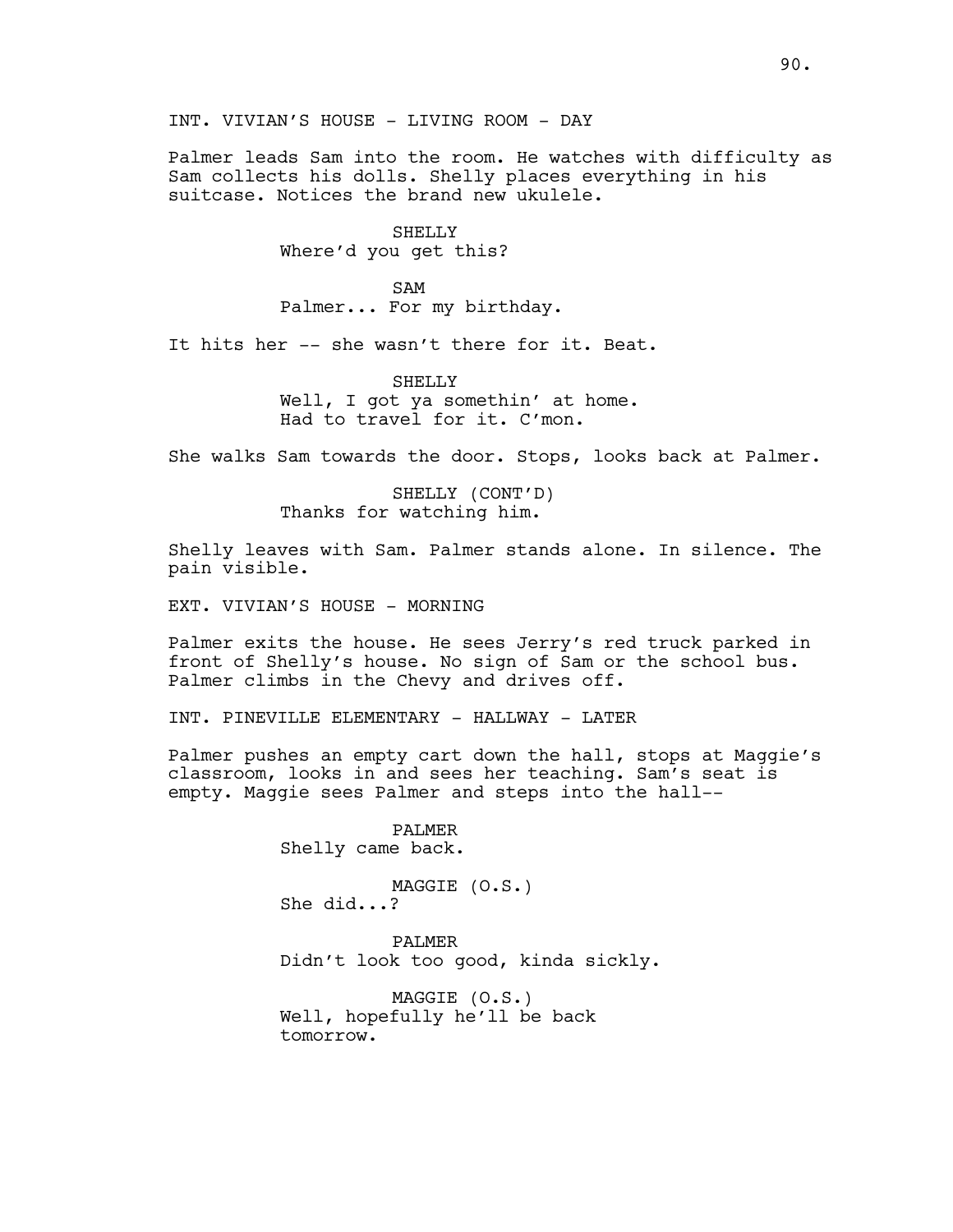Palmer leads Sam into the room. He watches with difficulty as Sam collects his dolls. Shelly places everything in his suitcase. Notices the brand new ukulele.

> SHELLY Where'd you get this?

SAM Palmer... For my birthday.

It hits her -- she wasn't there for it. Beat.

SHELLY Well, I got ya somethin' at home. Had to travel for it. C'mon.

She walks Sam towards the door. Stops, looks back at Palmer.

SHELLY (CONT'D) Thanks for watching him.

Shelly leaves with Sam. Palmer stands alone. In silence. The pain visible.

EXT. VIVIAN'S HOUSE - MORNING

Palmer exits the house. He sees Jerry's red truck parked in front of Shelly's house. No sign of Sam or the school bus. Palmer climbs in the Chevy and drives off.

INT. PINEVILLE ELEMENTARY - HALLWAY - LATER

Palmer pushes an empty cart down the hall, stops at Maggie's classroom, looks in and sees her teaching. Sam's seat is empty. Maggie sees Palmer and steps into the hall--

> PALMER Shelly came back.

MAGGIE (O.S.) She did...?

PALMER Didn't look too good, kinda sickly.

MAGGIE (O.S.) Well, hopefully he'll be back tomorrow.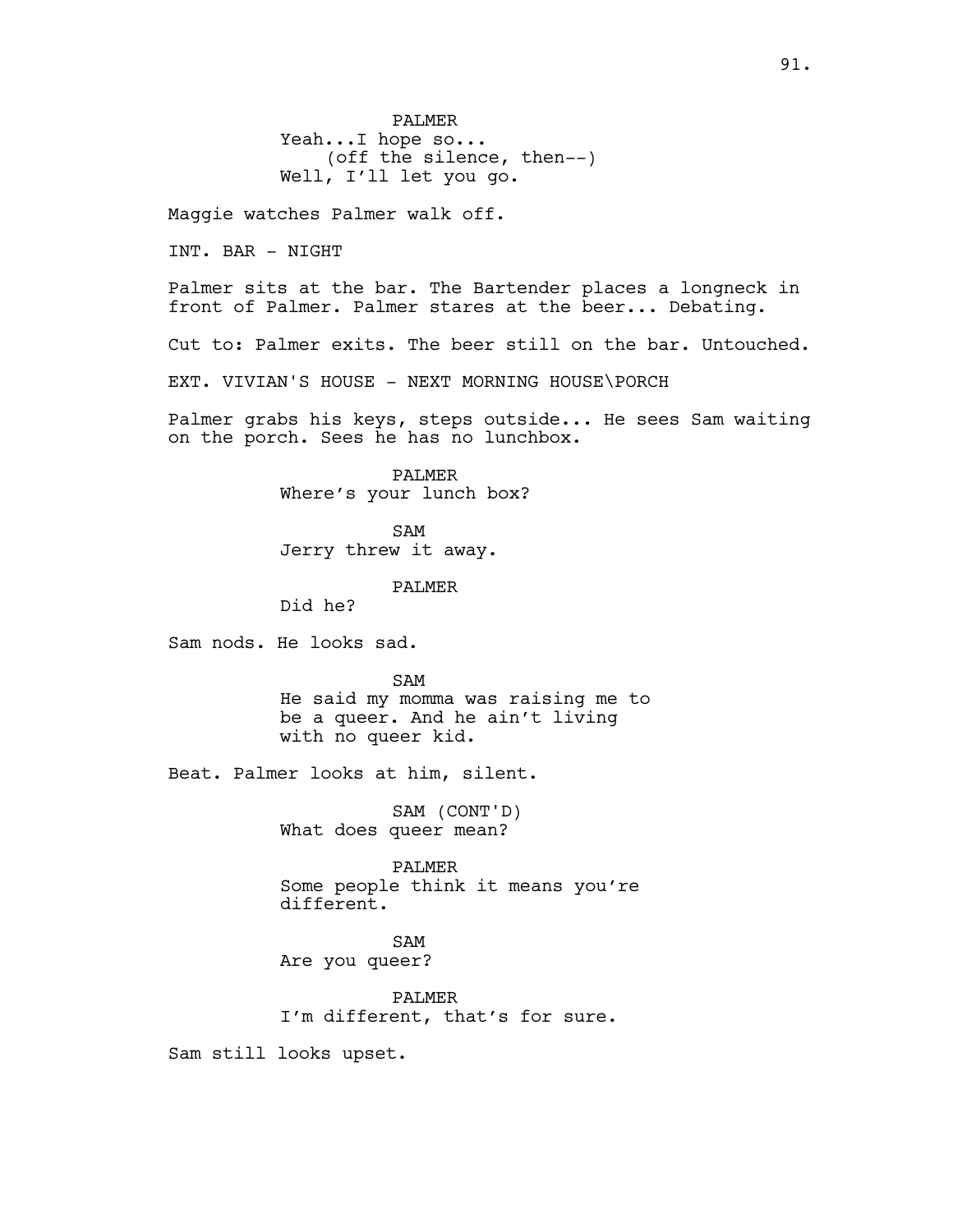PALMER Yeah...I hope so... (off the silence, then--) Well, I'll let you go.

Maggie watches Palmer walk off.

INT. BAR - NIGHT

Palmer sits at the bar. The Bartender places a longneck in front of Palmer. Palmer stares at the beer... Debating.

Cut to: Palmer exits. The beer still on the bar. Untouched.

EXT. VIVIAN'S HOUSE - NEXT MORNING HOUSE\PORCH

Palmer grabs his keys, steps outside... He sees Sam waiting on the porch. Sees he has no lunchbox.

> PALMER Where's your lunch box?

SAM Jerry threw it away.

PALMER

Did he?

Sam nods. He looks sad.

SAM He said my momma was raising me to be a queer. And he ain't living with no queer kid.

Beat. Palmer looks at him, silent.

SAM (CONT'D) What does queer mean?

PALMER Some people think it means you're different.

SAM Are you queer?

PALMER I'm different, that's for sure.

Sam still looks upset.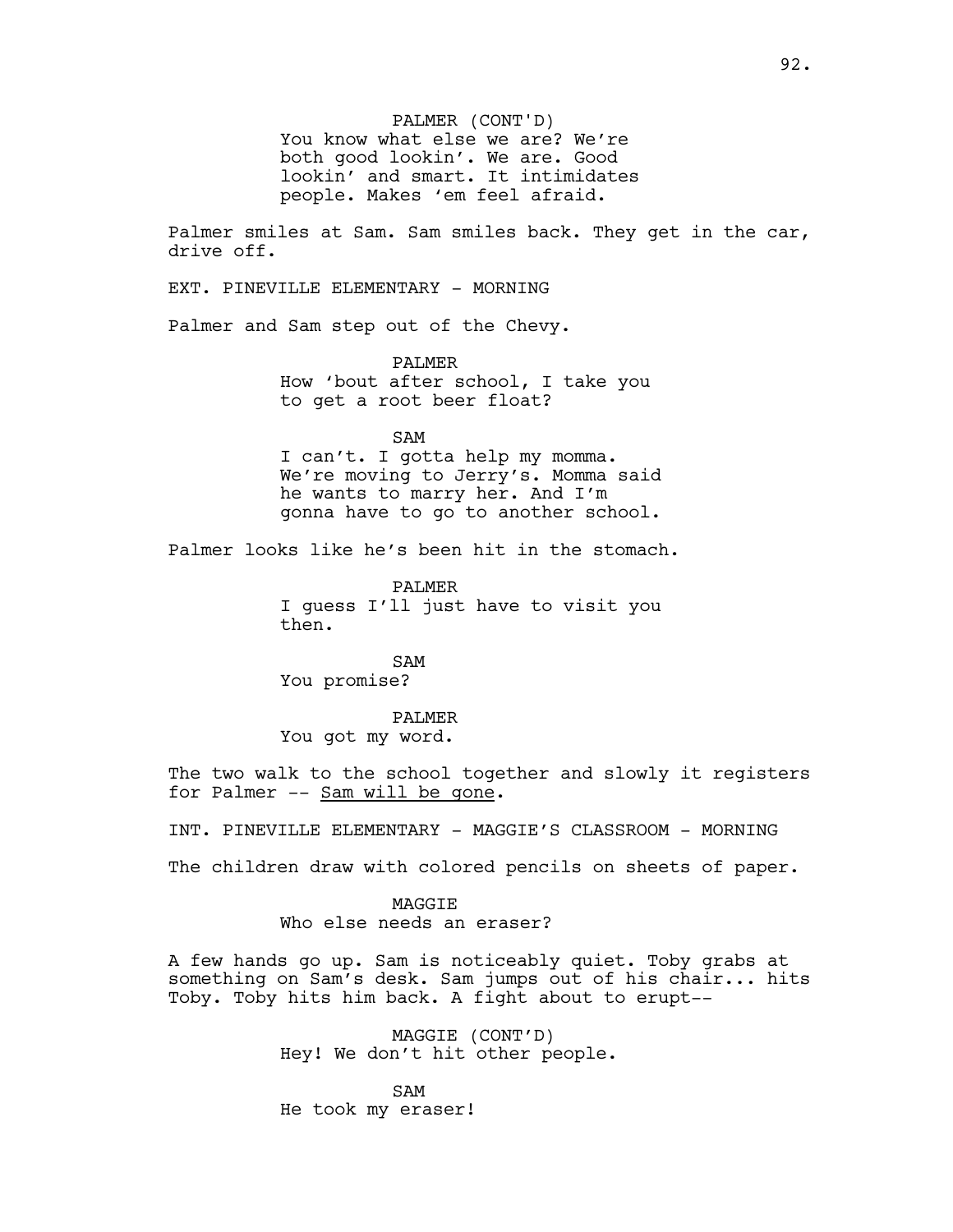PALMER (CONT'D) You know what else we are? We're both good lookin'. We are. Good lookin' and smart. It intimidates people. Makes 'em feel afraid.

Palmer smiles at Sam. Sam smiles back. They get in the car, drive off.

EXT. PINEVILLE ELEMENTARY - MORNING

Palmer and Sam step out of the Chevy.

PALMER How 'bout after school, I take you to get a root beer float?

SAM I can't. I gotta help my momma. We're moving to Jerry's. Momma said he wants to marry her. And I'm gonna have to go to another school.

Palmer looks like he's been hit in the stomach.

PALMER I guess I'll just have to visit you then.

SAM You promise?

PALMER You got my word.

The two walk to the school together and slowly it registers for Palmer -- Sam will be gone.

INT. PINEVILLE ELEMENTARY - MAGGIE'S CLASSROOM - MORNING

The children draw with colored pencils on sheets of paper.

**MAGGTE** Who else needs an eraser?

A few hands go up. Sam is noticeably quiet. Toby grabs at something on Sam's desk. Sam jumps out of his chair... hits Toby. Toby hits him back. A fight about to erupt--

> MAGGIE (CONT'D) Hey! We don't hit other people.

SAM He took my eraser!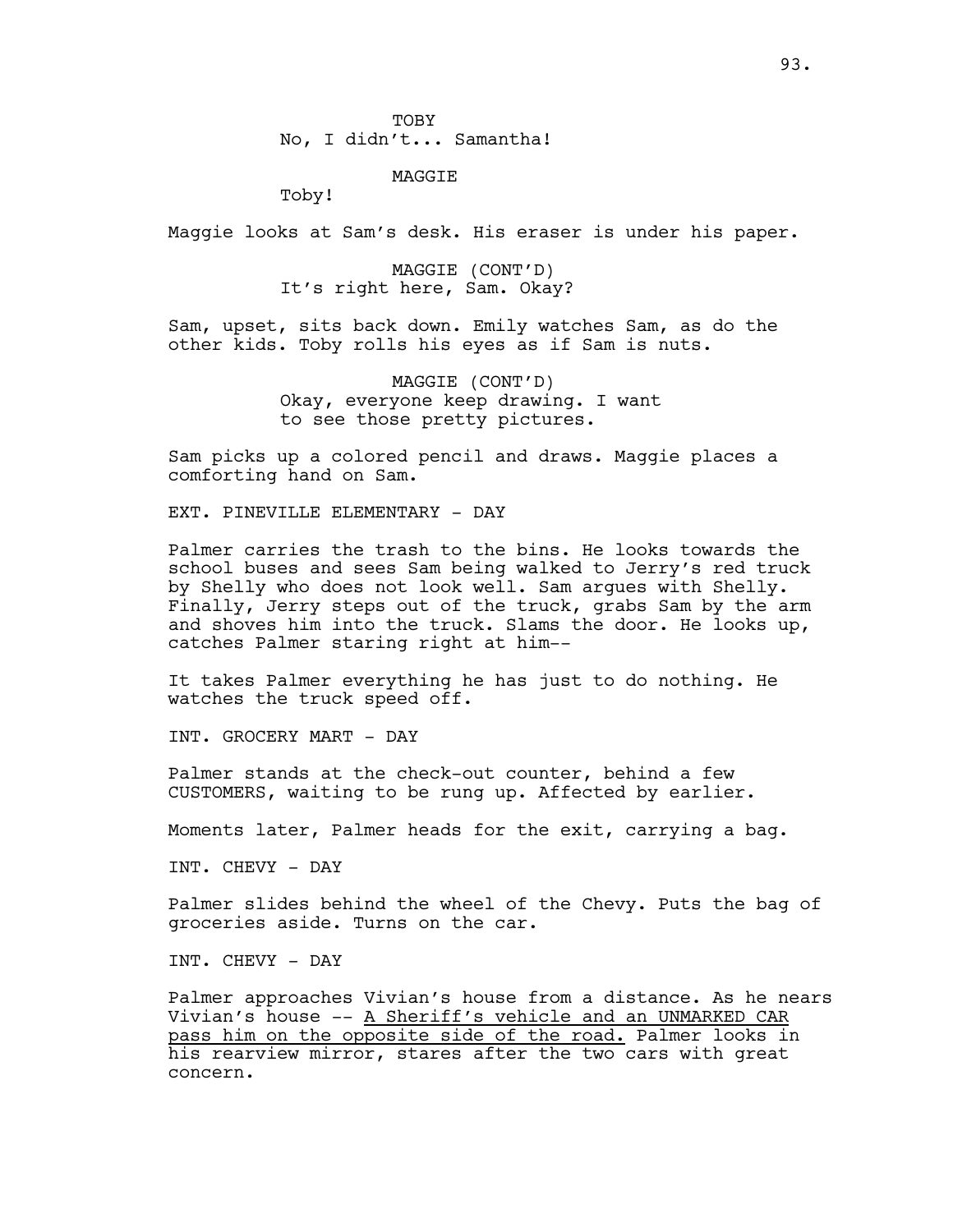MAGGIE

Toby!

Maggie looks at Sam's desk. His eraser is under his paper.

MAGGIE (CONT'D) It's right here, Sam. Okay?

Sam, upset, sits back down. Emily watches Sam, as do the other kids. Toby rolls his eyes as if Sam is nuts.

> MAGGIE (CONT'D) Okay, everyone keep drawing. I want to see those pretty pictures.

Sam picks up a colored pencil and draws. Maggie places a comforting hand on Sam.

EXT. PINEVILLE ELEMENTARY - DAY

Palmer carries the trash to the bins. He looks towards the school buses and sees Sam being walked to Jerry's red truck by Shelly who does not look well. Sam argues with Shelly. Finally, Jerry steps out of the truck, grabs Sam by the arm and shoves him into the truck. Slams the door. He looks up, catches Palmer staring right at him--

It takes Palmer everything he has just to do nothing. He watches the truck speed off.

INT. GROCERY MART - DAY

Palmer stands at the check-out counter, behind a few CUSTOMERS, waiting to be rung up. Affected by earlier.

Moments later, Palmer heads for the exit, carrying a bag.

INT. CHEVY - DAY

Palmer slides behind the wheel of the Chevy. Puts the bag of groceries aside. Turns on the car.

INT. CHEVY - DAY

Palmer approaches Vivian's house from a distance. As he nears Vivian's house -- A Sheriff's vehicle and an UNMARKED CAR pass him on the opposite side of the road. Palmer looks in his rearview mirror, stares after the two cars with great concern.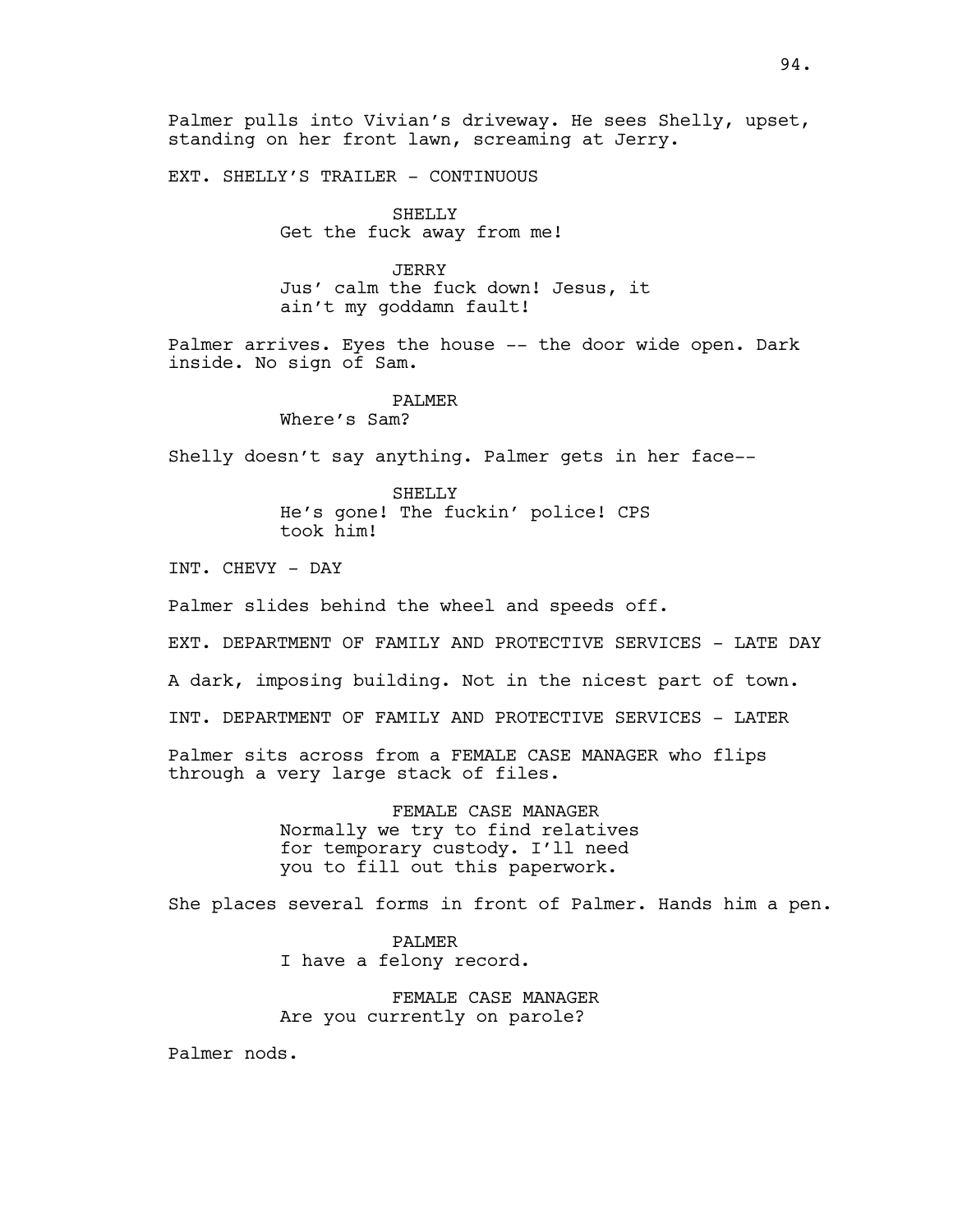Palmer pulls into Vivian's driveway. He sees Shelly, upset, standing on her front lawn, screaming at Jerry.

EXT. SHELLY'S TRAILER - CONTINUOUS

SHELLY Get the fuck away from me!

JERRY Jus' calm the fuck down! Jesus, it ain't my goddamn fault!

Palmer arrives. Eyes the house -- the door wide open. Dark inside. No sign of Sam.

PALMER

Where's Sam?

Shelly doesn't say anything. Palmer gets in her face--

SHELLY He's gone! The fuckin' police! CPS took him!

INT. CHEVY - DAY

Palmer slides behind the wheel and speeds off.

EXT. DEPARTMENT OF FAMILY AND PROTECTIVE SERVICES - LATE DAY

A dark, imposing building. Not in the nicest part of town.

INT. DEPARTMENT OF FAMILY AND PROTECTIVE SERVICES - LATER

Palmer sits across from a FEMALE CASE MANAGER who flips through a very large stack of files.

> FEMALE CASE MANAGER Normally we try to find relatives for temporary custody. I'll need you to fill out this paperwork.

She places several forms in front of Palmer. Hands him a pen.

PALMER I have a felony record.

FEMALE CASE MANAGER Are you currently on parole?

Palmer nods.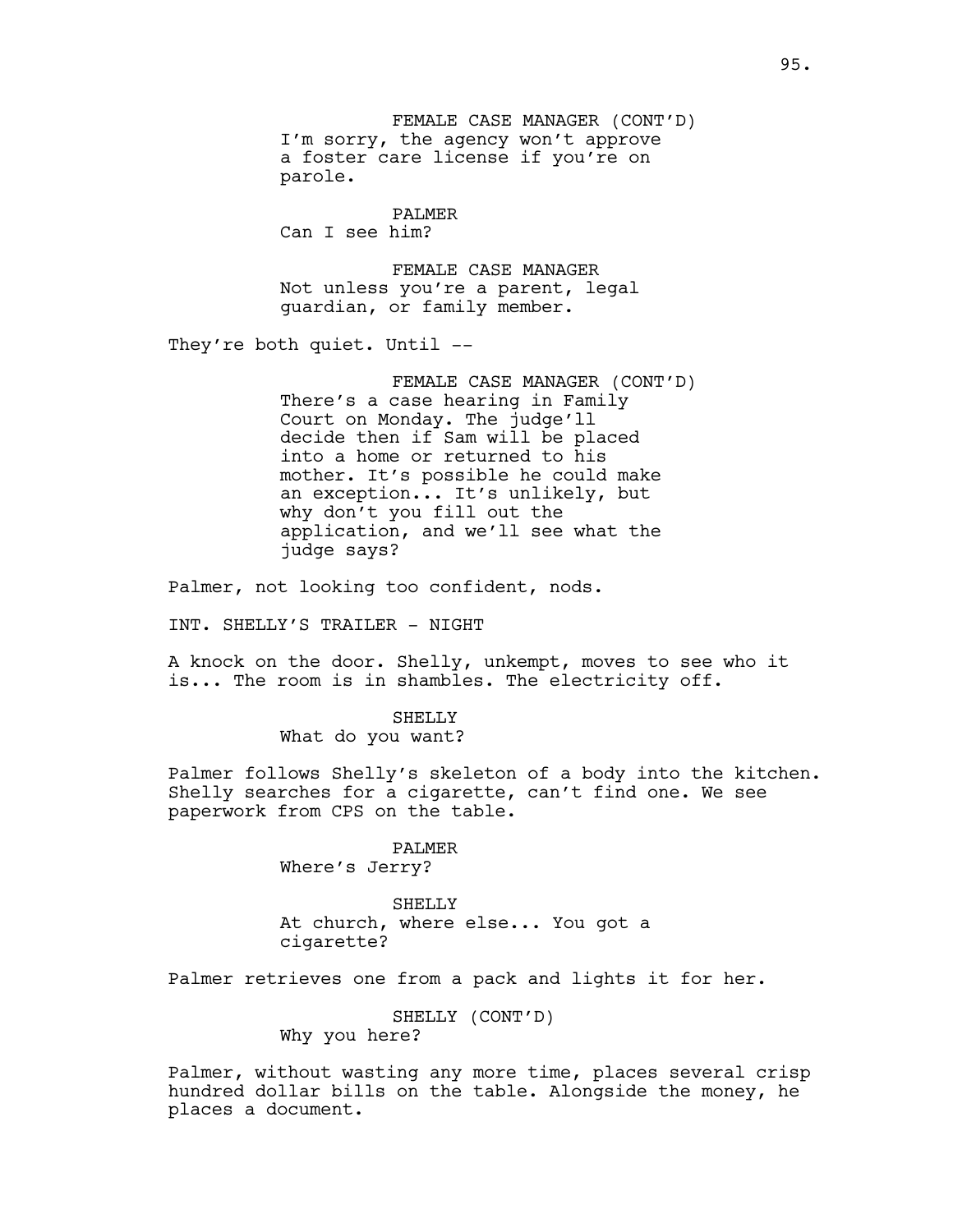FEMALE CASE MANAGER (CONT'D) I'm sorry, the agency won't approve a foster care license if you're on parole.

PALMER Can I see him?

FEMALE CASE MANAGER Not unless you're a parent, legal guardian, or family member.

They're both quiet. Until --

FEMALE CASE MANAGER (CONT'D) There's a case hearing in Family Court on Monday. The judge'll decide then if Sam will be placed into a home or returned to his mother. It's possible he could make an exception... It's unlikely, but why don't you fill out the application, and we'll see what the judge says?

Palmer, not looking too confident, nods.

INT. SHELLY'S TRAILER - NIGHT

A knock on the door. Shelly, unkempt, moves to see who it is... The room is in shambles. The electricity off.

> SHELLY What do you want?

Palmer follows Shelly's skeleton of a body into the kitchen. Shelly searches for a cigarette, can't find one. We see paperwork from CPS on the table.

> PALMER Where's Jerry?

SHELLY At church, where else... You got a cigarette?

Palmer retrieves one from a pack and lights it for her.

SHELLY (CONT'D)

Why you here?

Palmer, without wasting any more time, places several crisp hundred dollar bills on the table. Alongside the money, he places a document.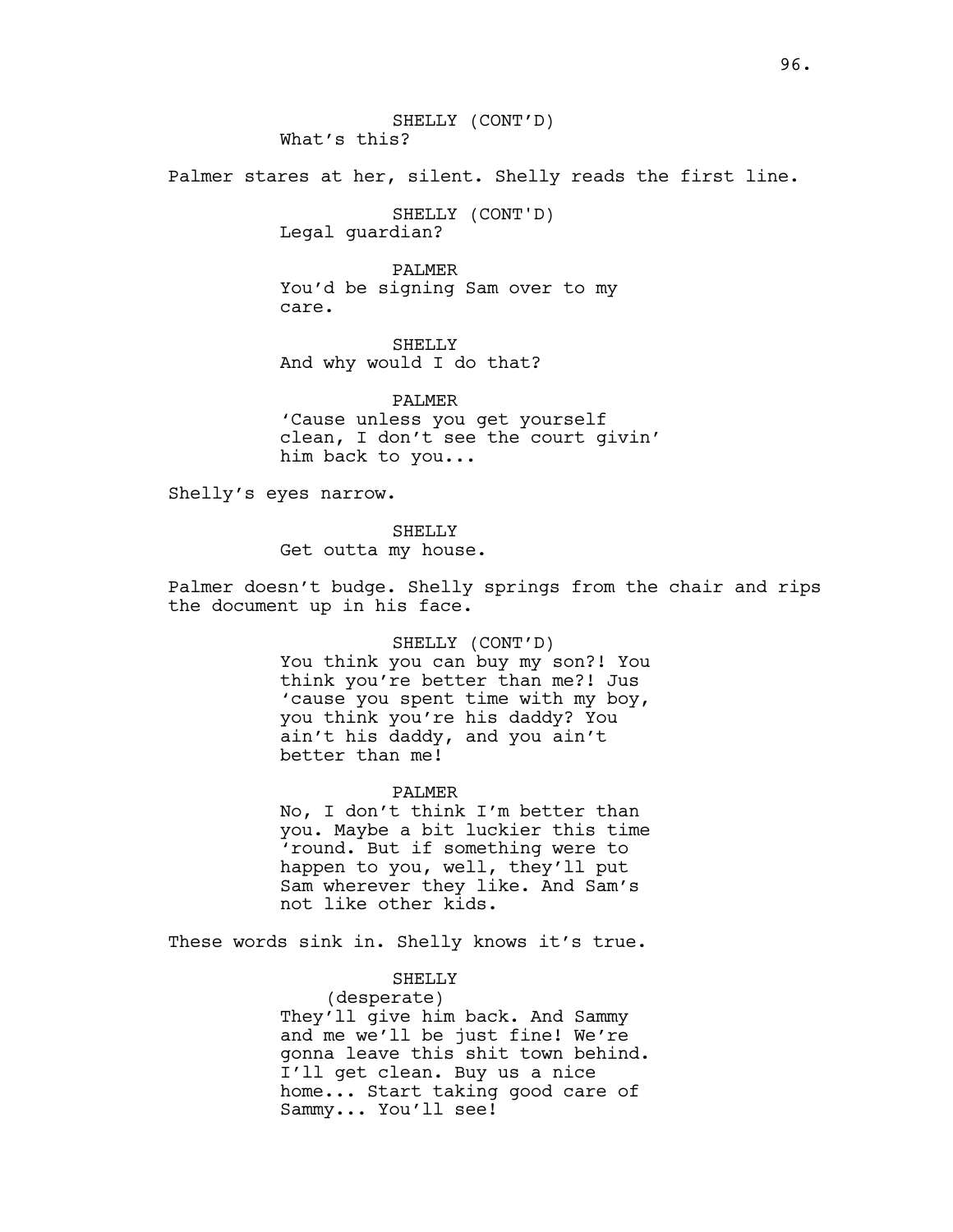Palmer stares at her, silent. Shelly reads the first line.

SHELLY (CONT'D) Legal guardian?

PALMER You'd be signing Sam over to my care.

SHELLY And why would I do that?

PALMER 'Cause unless you get yourself clean, I don't see the court givin' him back to you...

Shelly's eyes narrow.

SHELLY

Get outta my house.

Palmer doesn't budge. Shelly springs from the chair and rips the document up in his face.

#### SHELLY (CONT'D)

You think you can buy my son?! You think you're better than me?! Jus 'cause you spent time with my boy, you think you're his daddy? You ain't his daddy, and you ain't better than me!

#### PALMER

No, I don't think I'm better than you. Maybe a bit luckier this time 'round. But if something were to happen to you, well, they'll put Sam wherever they like. And Sam's not like other kids.

These words sink in. Shelly knows it's true.

# SHELLY

(desperate) They'll give him back. And Sammy and me we'll be just fine! We're gonna leave this shit town behind. I'll get clean. Buy us a nice home... Start taking good care of Sammy... You'll see!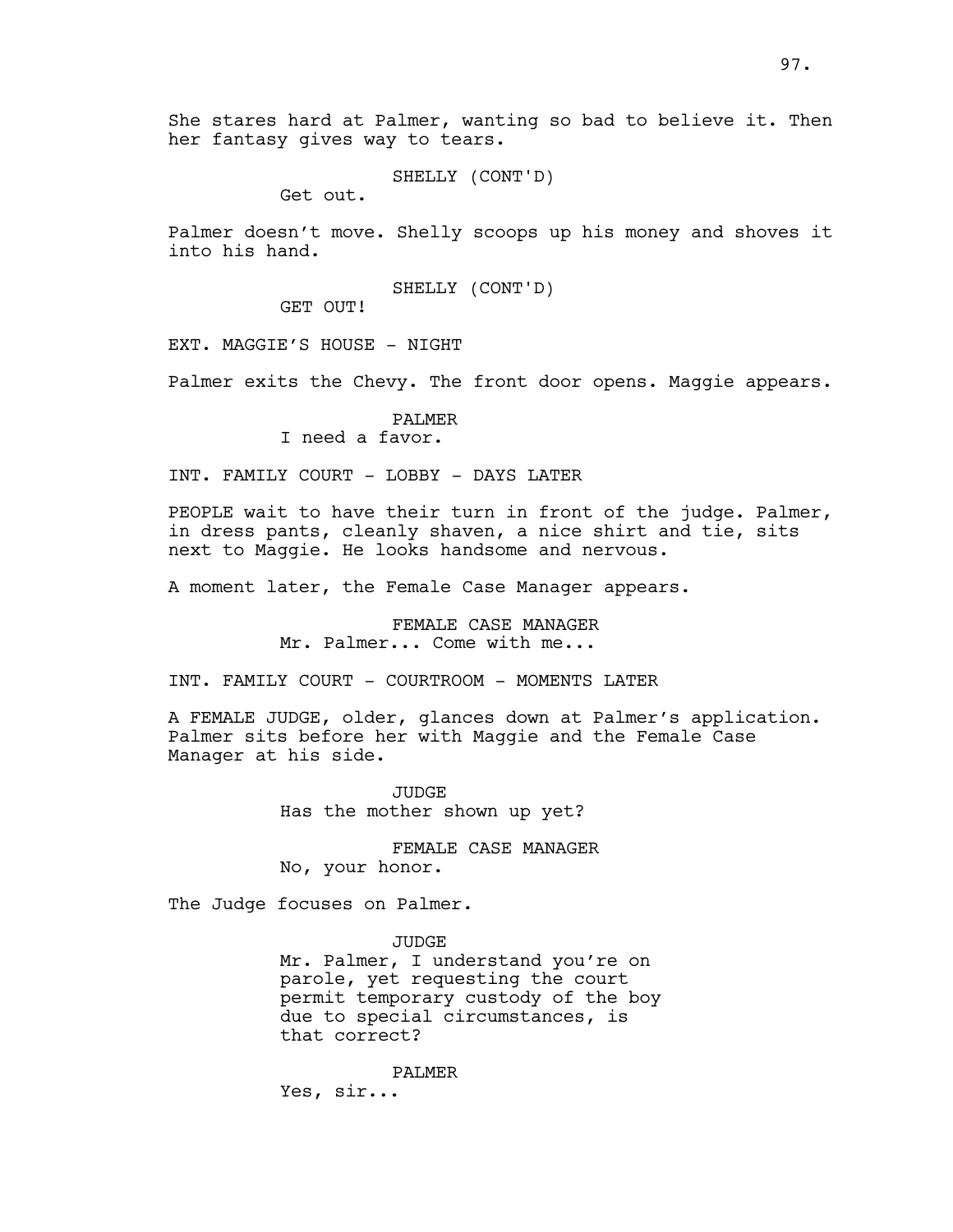She stares hard at Palmer, wanting so bad to believe it. Then her fantasy gives way to tears.

SHELLY (CONT'D)

Get out.

Palmer doesn't move. Shelly scoops up his money and shoves it into his hand.

SHELLY (CONT'D)

GET OUT!

EXT. MAGGIE'S HOUSE - NIGHT

Palmer exits the Chevy. The front door opens. Maggie appears.

PALMER I need a favor.

INT. FAMILY COURT - LOBBY - DAYS LATER

PEOPLE wait to have their turn in front of the judge. Palmer, in dress pants, cleanly shaven, a nice shirt and tie, sits next to Maggie. He looks handsome and nervous.

A moment later, the Female Case Manager appears.

FEMALE CASE MANAGER Mr. Palmer... Come with me...

INT. FAMILY COURT - COURTROOM - MOMENTS LATER

A FEMALE JUDGE, older, glances down at Palmer's application. Palmer sits before her with Maggie and the Female Case Manager at his side.

> JUDGE Has the mother shown up yet?

FEMALE CASE MANAGER No, your honor.

The Judge focuses on Palmer.

JUDGE Mr. Palmer, I understand you're on parole, yet requesting the court permit temporary custody of the boy due to special circumstances, is

that correct? PALMER

Yes, sir...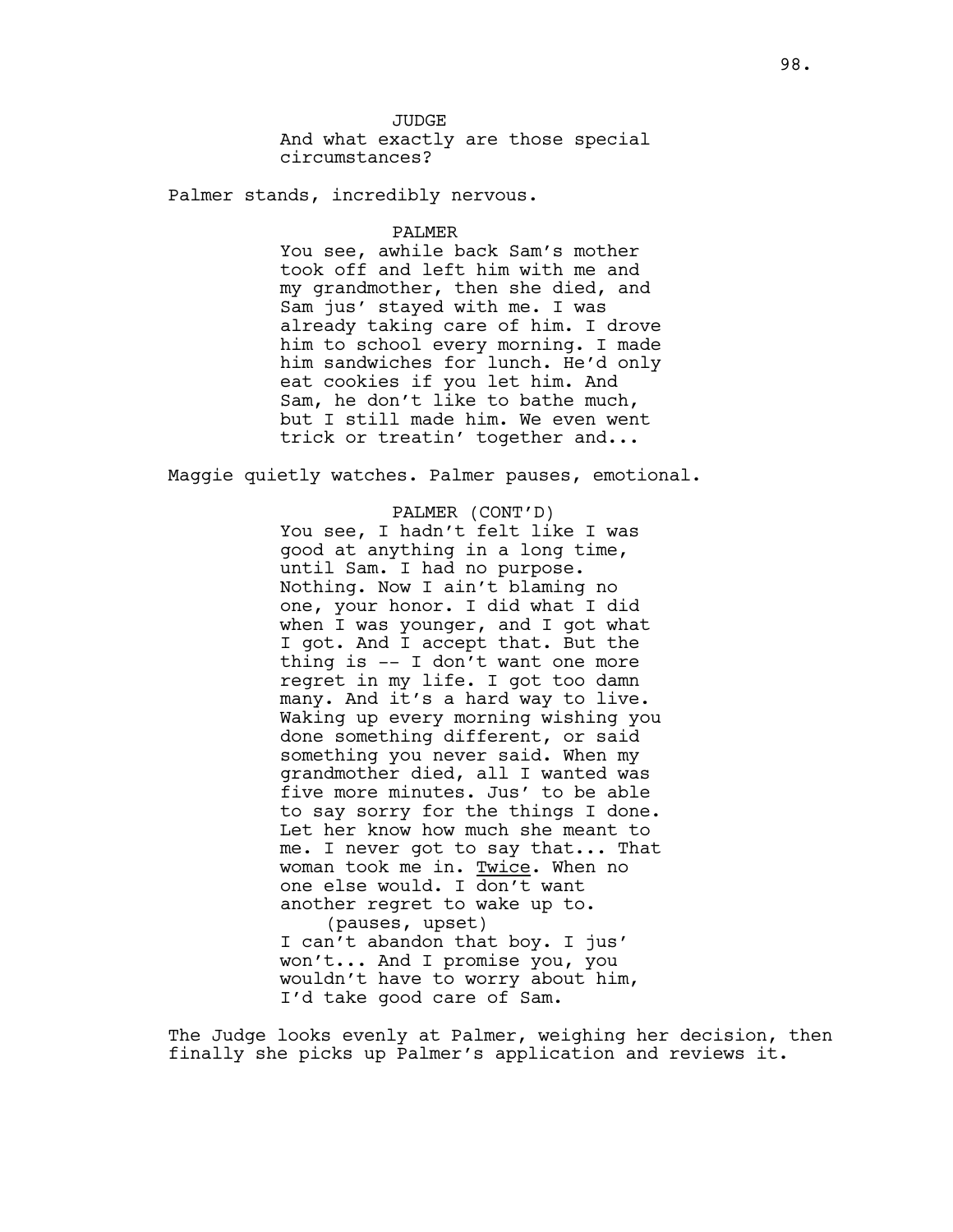**JUDGE** And what exactly are those special circumstances?

Palmer stands, incredibly nervous.

#### PALMER

You see, awhile back Sam's mother took off and left him with me and my grandmother, then she died, and Sam jus' stayed with me. I was already taking care of him. I drove him to school every morning. I made him sandwiches for lunch. He'd only eat cookies if you let him. And Sam, he don't like to bathe much, but I still made him. We even went trick or treatin' together and...

Maggie quietly watches. Palmer pauses, emotional.

### PALMER (CONT'D)

You see, I hadn't felt like I was good at anything in a long time, until Sam. I had no purpose. Nothing. Now I ain't blaming no one, your honor. I did what I did when I was younger, and I got what I got. And I accept that. But the thing is -- I don't want one more regret in my life. I got too damn many. And it's a hard way to live. Waking up every morning wishing you done something different, or said something you never said. When my grandmother died, all I wanted was five more minutes. Jus' to be able to say sorry for the things I done. Let her know how much she meant to me. I never got to say that... That woman took me in. Twice. When no one else would. I don't want another regret to wake up to. (pauses, upset) I can't abandon that boy. I jus' won't... And I promise you, you wouldn't have to worry about him, I'd take good care of Sam.

The Judge looks evenly at Palmer, weighing her decision, then finally she picks up Palmer's application and reviews it.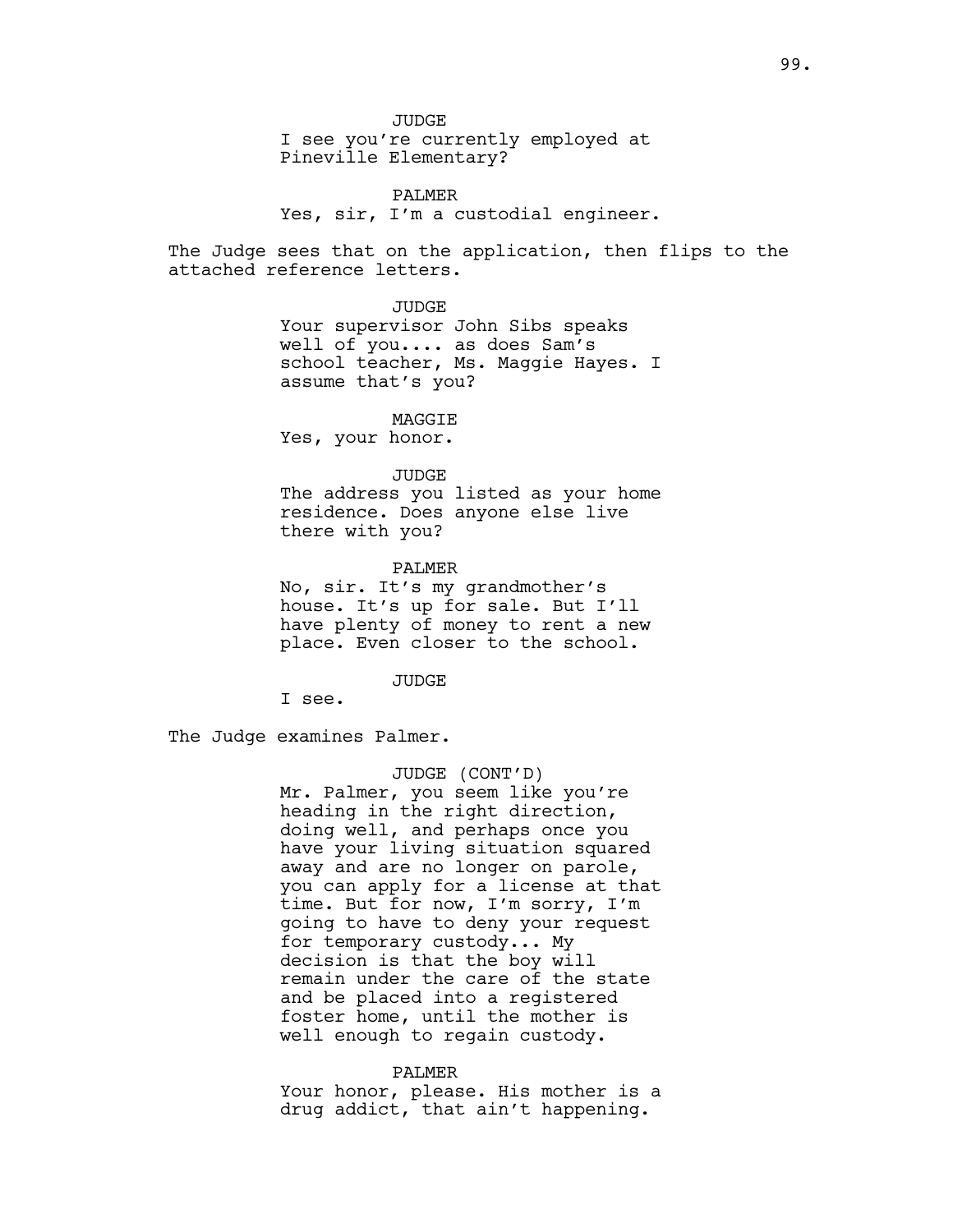JUDGE

I see you're currently employed at Pineville Elementary?

PALMER Yes, sir, I'm a custodial engineer.

The Judge sees that on the application, then flips to the attached reference letters.

#### JUDGE

Your supervisor John Sibs speaks well of you.... as does Sam's school teacher, Ms. Maggie Hayes. I assume that's you?

### MAGGIE

Yes, your honor.

## JUDGE

The address you listed as your home residence. Does anyone else live there with you?

#### PALMER

No, sir. It's my grandmother's house. It's up for sale. But I'll have plenty of money to rent a new place. Even closer to the school.

#### JUDGE

I see.

The Judge examines Palmer.

## JUDGE (CONT'D)

Mr. Palmer, you seem like you're heading in the right direction, doing well, and perhaps once you have your living situation squared away and are no longer on parole, you can apply for a license at that time. But for now, I'm sorry, I'm going to have to deny your request for temporary custody... My decision is that the boy will remain under the care of the state and be placed into a registered foster home, until the mother is well enough to regain custody.

#### PALMER

Your honor, please. His mother is a drug addict, that ain't happening.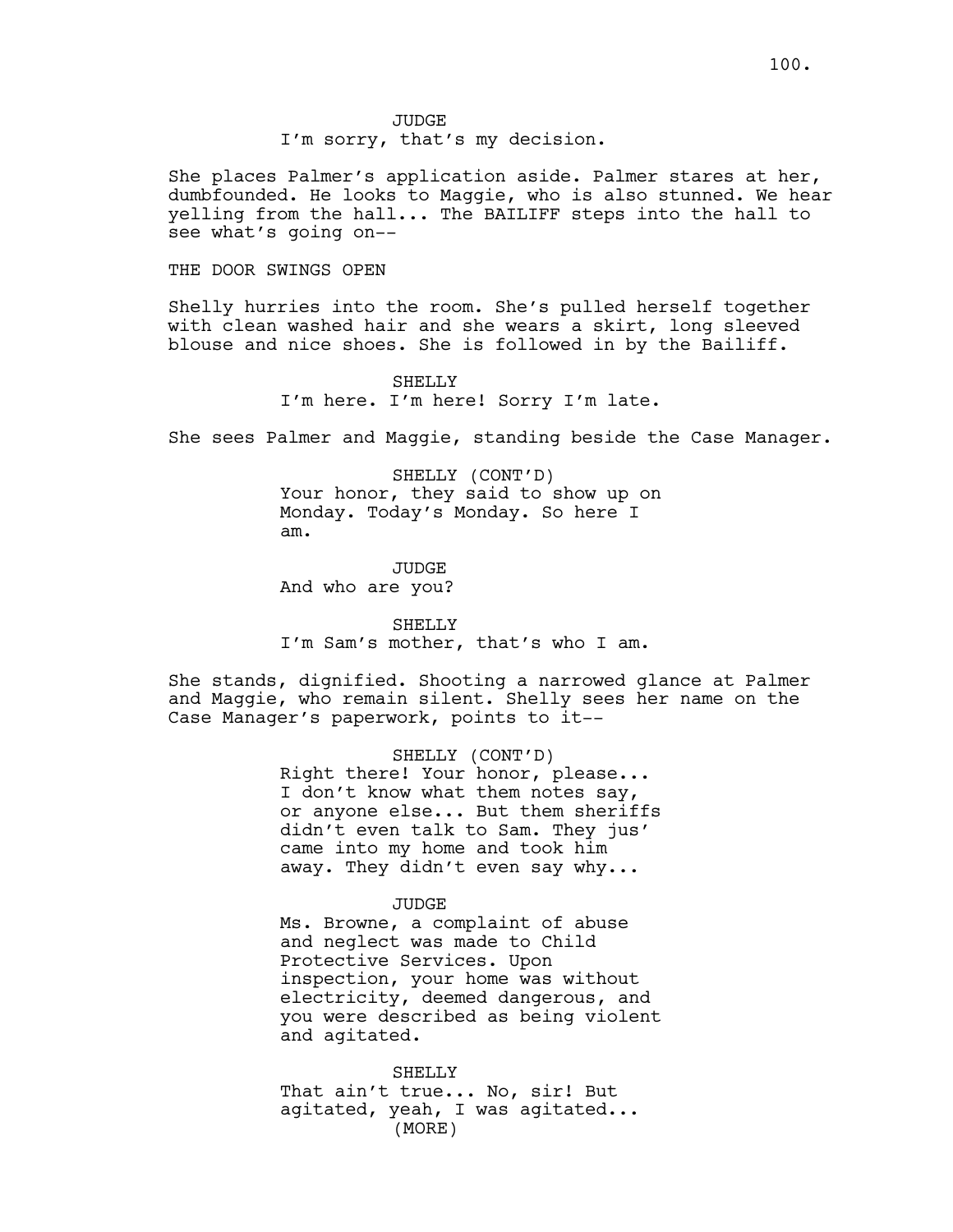JUDGE

I'm sorry, that's my decision.

She places Palmer's application aside. Palmer stares at her, dumbfounded. He looks to Maggie, who is also stunned. We hear yelling from the hall... The BAILIFF steps into the hall to see what's going on--

### THE DOOR SWINGS OPEN

Shelly hurries into the room. She's pulled herself together with clean washed hair and she wears a skirt, long sleeved blouse and nice shoes. She is followed in by the Bailiff.

> SHELLY I'm here. I'm here! Sorry I'm late.

She sees Palmer and Maggie, standing beside the Case Manager.

SHELLY (CONT'D) Your honor, they said to show up on Monday. Today's Monday. So here I am.

JUDGE And who are you?

SHELLY I'm Sam's mother, that's who I am.

She stands, dignified. Shooting a narrowed glance at Palmer and Maggie, who remain silent. Shelly sees her name on the Case Manager's paperwork, points to it--

> SHELLY (CONT'D) Right there! Your honor, please... I don't know what them notes say, or anyone else... But them sheriffs didn't even talk to Sam. They jus' came into my home and took him away. They didn't even say why...

#### JUDGE

Ms. Browne, a complaint of abuse and neglect was made to Child Protective Services. Upon inspection, your home was without electricity, deemed dangerous, and you were described as being violent and agitated.

SHELLY That ain't true... No, sir! But agitated, yeah, I was agitated... (MORE)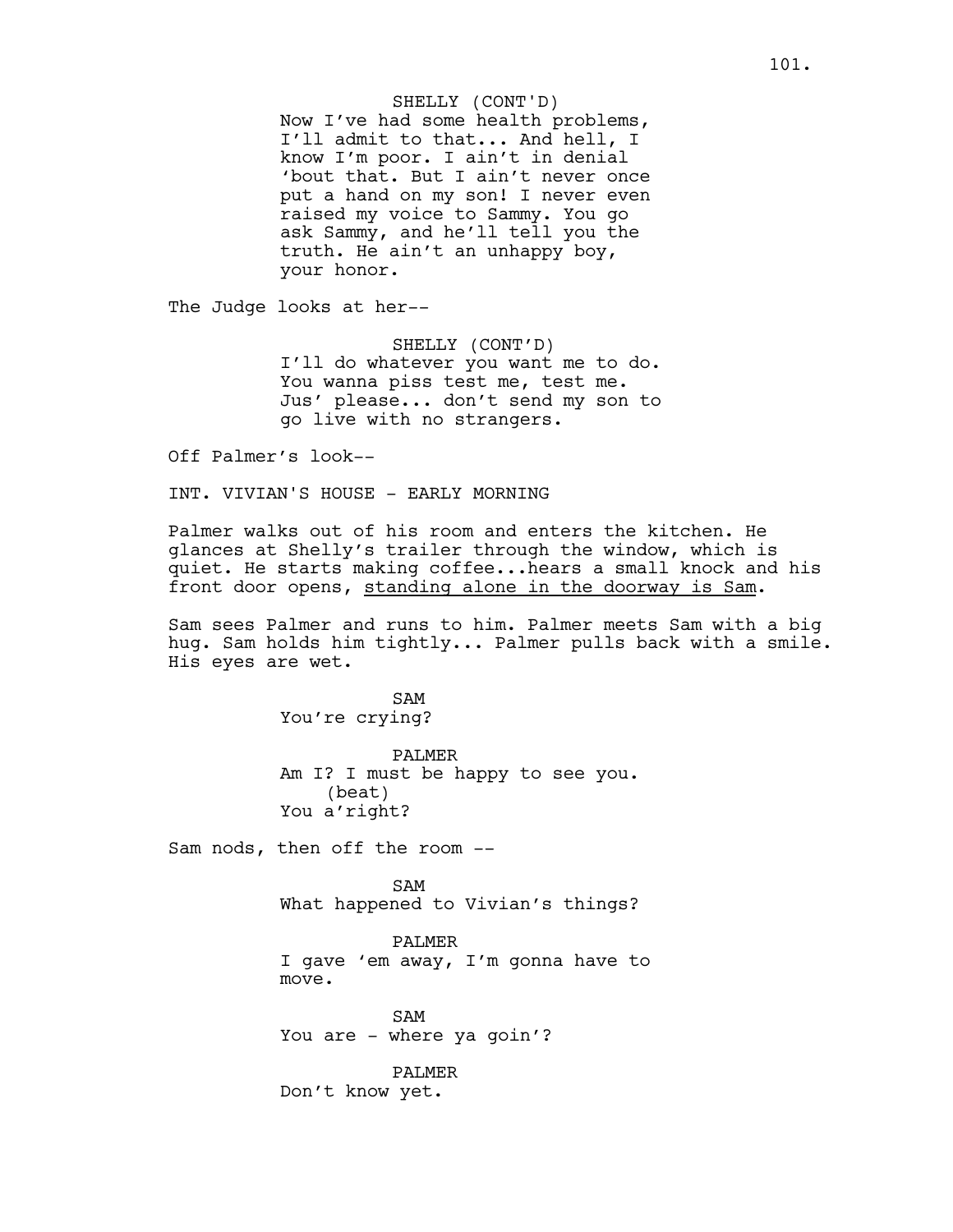Now I've had some health problems, I'll admit to that... And hell, I know I'm poor. I ain't in denial 'bout that. But I ain't never once put a hand on my son! I never even raised my voice to Sammy. You go ask Sammy, and he'll tell you the truth. He ain't an unhappy boy, your honor.

The Judge looks at her--

SHELLY (CONT'D) I'll do whatever you want me to do. You wanna piss test me, test me. Jus' please... don't send my son to go live with no strangers.

Off Palmer's look--

INT. VIVIAN'S HOUSE - EARLY MORNING

Palmer walks out of his room and enters the kitchen. He glances at Shelly's trailer through the window, which is quiet. He starts making coffee...hears a small knock and his front door opens, standing alone in the doorway is Sam.

Sam sees Palmer and runs to him. Palmer meets Sam with a big hug. Sam holds him tightly... Palmer pulls back with a smile. His eyes are wet.

> SAM You're crying?

PALMER Am I? I must be happy to see you. (beat) You a'right?

Sam nods, then off the room --

SAM What happened to Vivian's things?

PALMER I gave 'em away, I'm gonna have to move.

SAM You are - where ya goin'?

PALMER Don't know yet.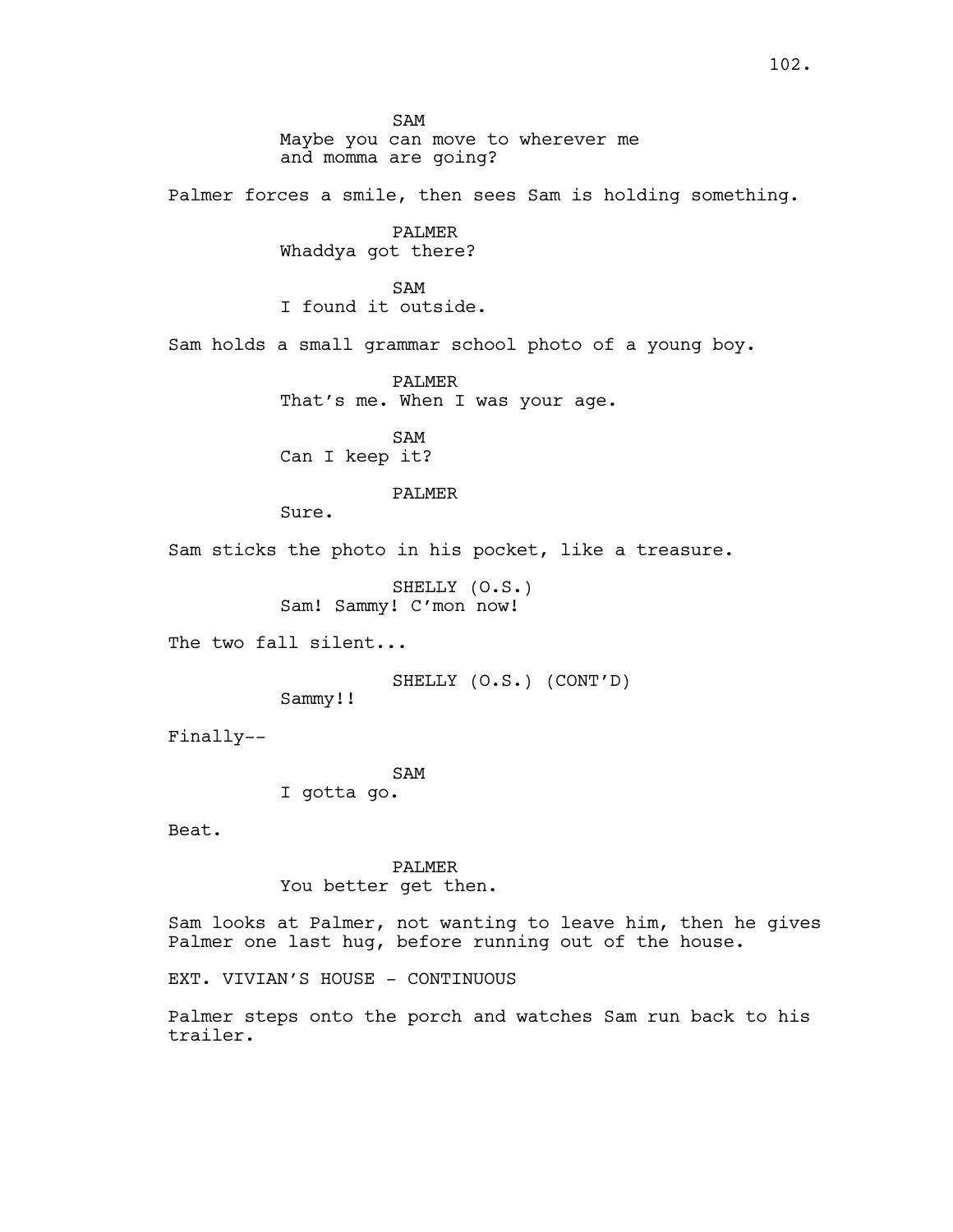SAM Maybe you can move to wherever me and momma are going? Palmer forces a smile, then sees Sam is holding something. PALMER Whaddya got there? SAM I found it outside. Sam holds a small grammar school photo of a young boy. PALMER That's me. When I was your age. SAM Can I keep it? PALMER Sure. Sam sticks the photo in his pocket, like a treasure. SHELLY (O.S.) Sam! Sammy! C'mon now! The two fall silent... SHELLY (O.S.) (CONT'D) Sammy!! Finally-- SAM I gotta go. Beat. PALMER You better get then. Sam looks at Palmer, not wanting to leave him, then he gives Palmer one last hug, before running out of the house.

EXT. VIVIAN'S HOUSE - CONTINUOUS

Palmer steps onto the porch and watches Sam run back to his trailer.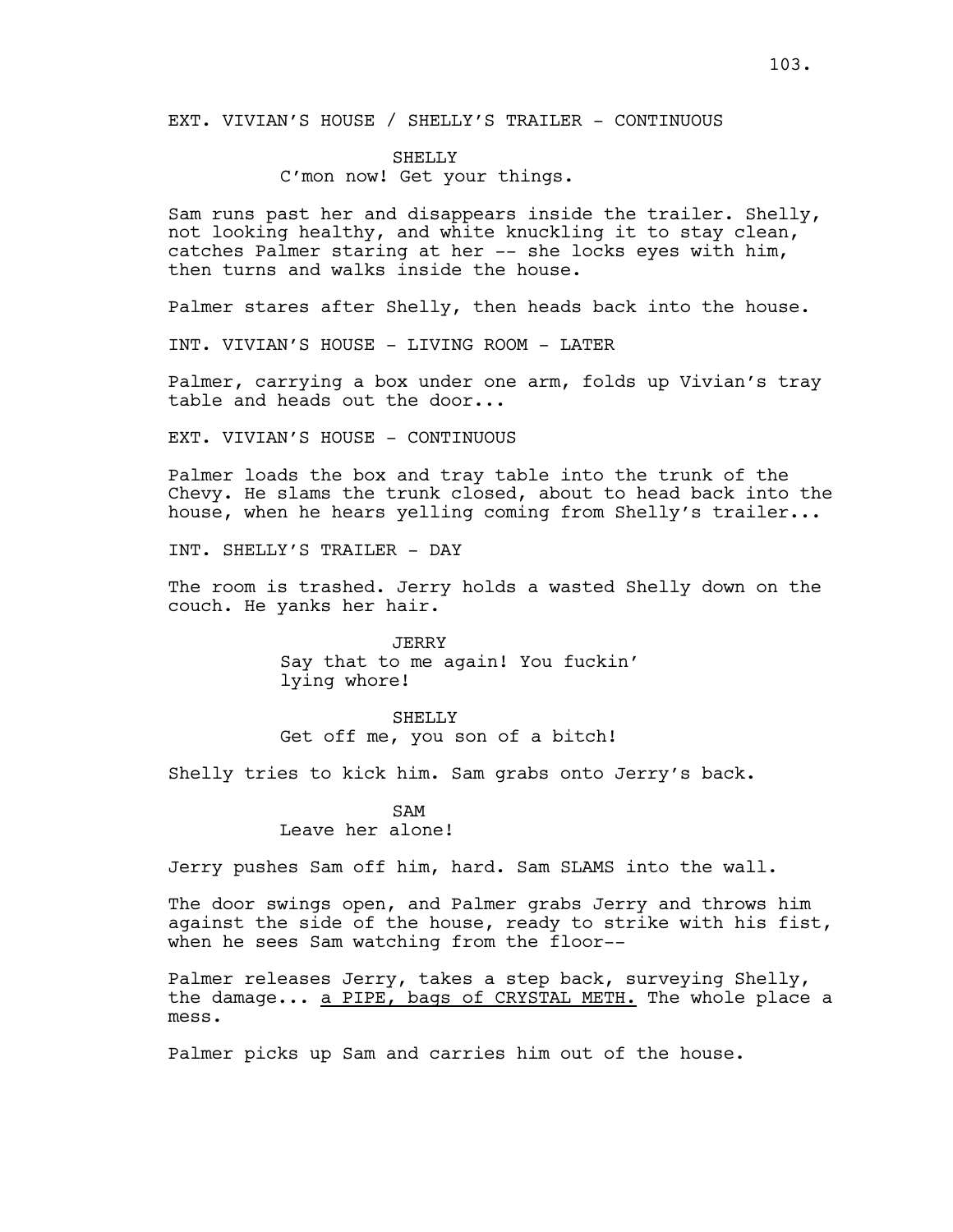EXT. VIVIAN'S HOUSE / SHELLY'S TRAILER - CONTINUOUS

# SHELLY

# C'mon now! Get your things.

Sam runs past her and disappears inside the trailer. Shelly, not looking healthy, and white knuckling it to stay clean, catches Palmer staring at her -- she locks eyes with him, then turns and walks inside the house.

Palmer stares after Shelly, then heads back into the house.

INT. VIVIAN'S HOUSE - LIVING ROOM - LATER

Palmer, carrying a box under one arm, folds up Vivian's tray table and heads out the door...

EXT. VIVIAN'S HOUSE - CONTINUOUS

Palmer loads the box and tray table into the trunk of the Chevy. He slams the trunk closed, about to head back into the house, when he hears yelling coming from Shelly's trailer...

INT. SHELLY'S TRAILER - DAY

The room is trashed. Jerry holds a wasted Shelly down on the couch. He yanks her hair.

> JERRY Say that to me again! You fuckin' lying whore!

SHELLY Get off me, you son of a bitch!

Shelly tries to kick him. Sam grabs onto Jerry's back.

# $SAM$ Leave her alone!

Jerry pushes Sam off him, hard. Sam SLAMS into the wall.

The door swings open, and Palmer grabs Jerry and throws him against the side of the house, ready to strike with his fist, when he sees Sam watching from the floor--

Palmer releases Jerry, takes a step back, surveying Shelly, the damage... a PIPE, bags of CRYSTAL METH. The whole place a mess.

Palmer picks up Sam and carries him out of the house.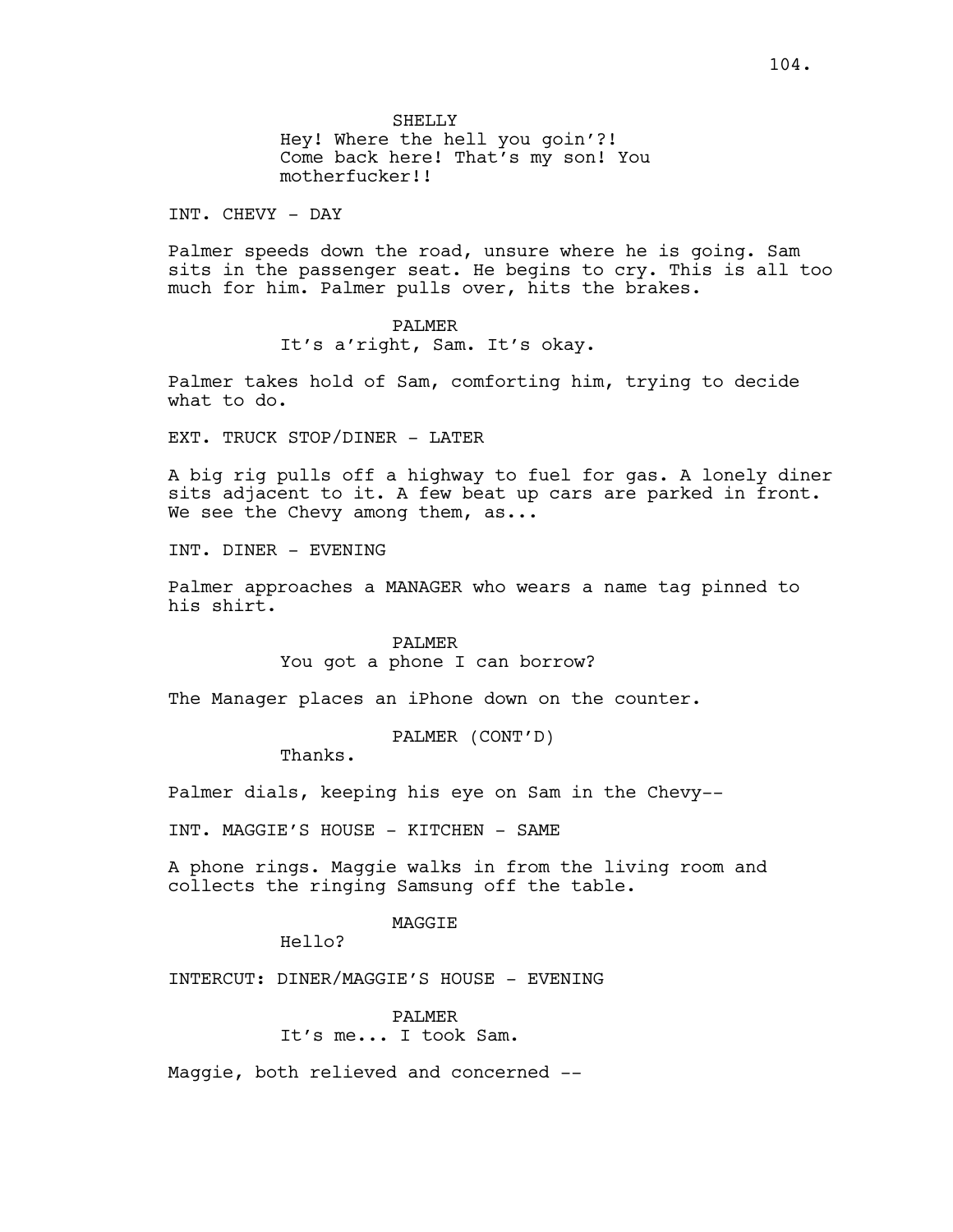SHELLY Hey! Where the hell you goin'?! Come back here! That's my son! You motherfucker!!

INT. CHEVY - DAY

Palmer speeds down the road, unsure where he is going. Sam sits in the passenger seat. He begins to cry. This is all too much for him. Palmer pulls over, hits the brakes.

# PALMER

It's a'right, Sam. It's okay.

Palmer takes hold of Sam, comforting him, trying to decide what to do.

EXT. TRUCK STOP/DINER - LATER

A big rig pulls off a highway to fuel for gas. A lonely diner sits adjacent to it. A few beat up cars are parked in front. We see the Chevy among them, as...

INT. DINER - EVENING

Palmer approaches a MANAGER who wears a name tag pinned to his shirt.

## PALMER

You got a phone I can borrow?

The Manager places an iPhone down on the counter.

PALMER (CONT'D)

Thanks.

Palmer dials, keeping his eye on Sam in the Chevy--

INT. MAGGIE'S HOUSE - KITCHEN - SAME

A phone rings. Maggie walks in from the living room and collects the ringing Samsung off the table.

# MAGGIE

Hello?

INTERCUT: DINER/MAGGIE'S HOUSE - EVENING

PALMER It's me... I took Sam.

Maggie, both relieved and concerned --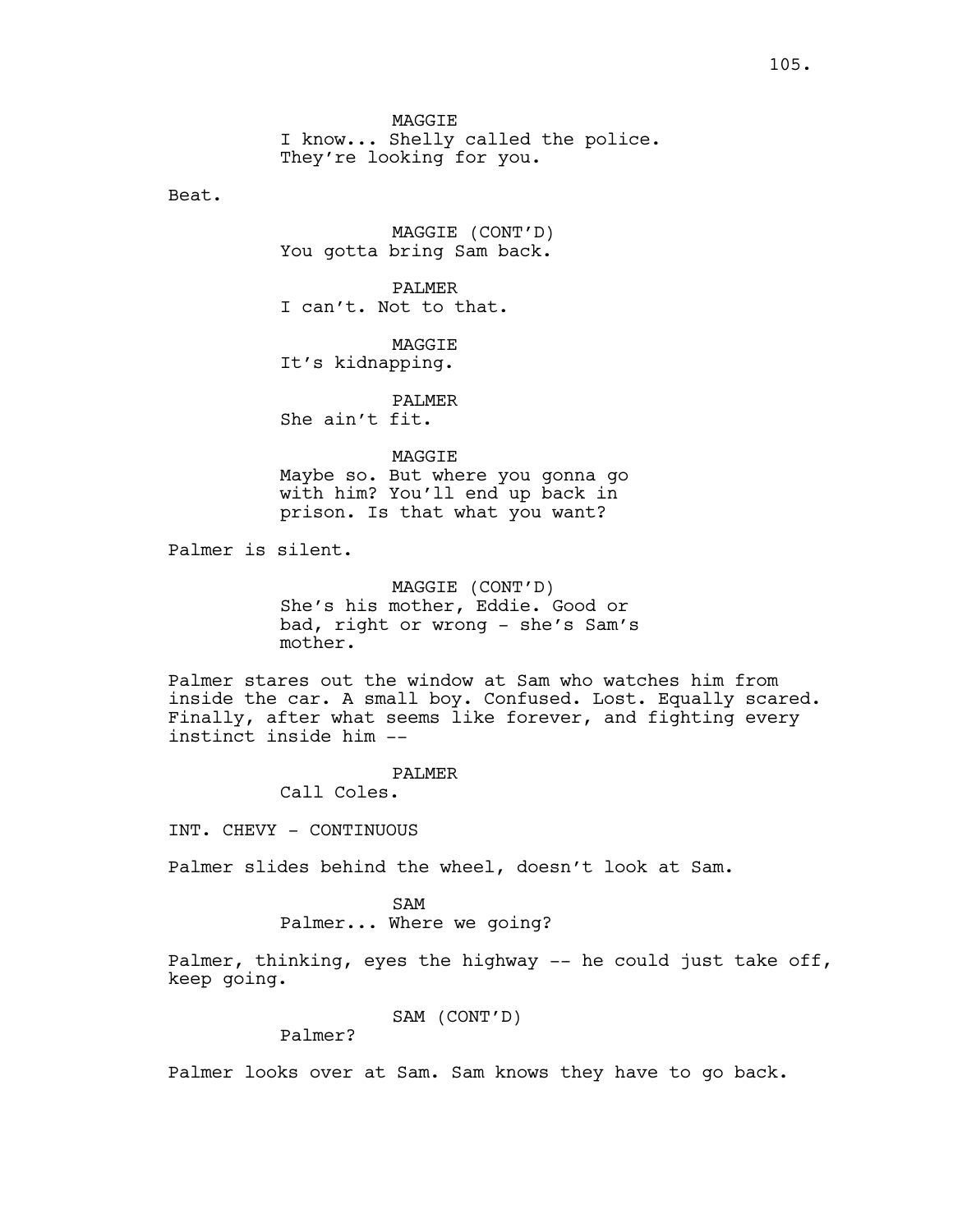**MAGGTE** I know... Shelly called the police. They're looking for you.

Beat.

MAGGIE (CONT'D) You gotta bring Sam back.

PALMER I can't. Not to that.

MAGGIE It's kidnapping.

PALMER She ain't fit.

MAGGIE

Maybe so. But where you gonna go with him? You'll end up back in prison. Is that what you want?

Palmer is silent.

MAGGIE (CONT'D) She's his mother, Eddie. Good or bad, right or wrong - she's Sam's mother.

Palmer stares out the window at Sam who watches him from inside the car. A small boy. Confused. Lost. Equally scared. Finally, after what seems like forever, and fighting every instinct inside him --

## PALMER

Call Coles.

INT. CHEVY - CONTINUOUS

Palmer slides behind the wheel, doesn't look at Sam.

SAM

Palmer... Where we going?

Palmer, thinking, eyes the highway -- he could just take off, keep going.

SAM (CONT'D)

Palmer?

Palmer looks over at Sam. Sam knows they have to go back.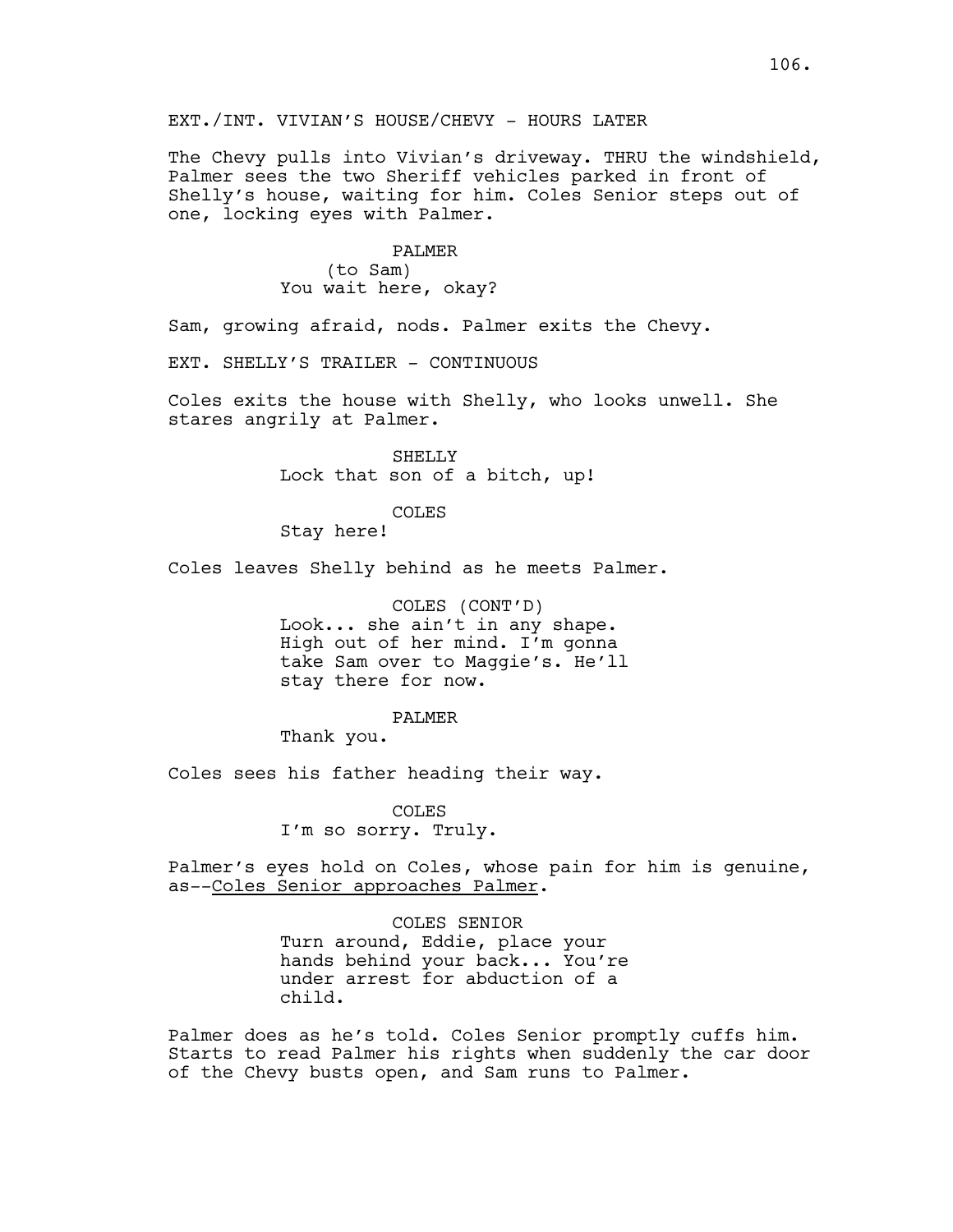The Chevy pulls into Vivian's driveway. THRU the windshield, Palmer sees the two Sheriff vehicles parked in front of Shelly's house, waiting for him. Coles Senior steps out of one, locking eyes with Palmer.

#### PALMER

(to Sam) You wait here, okay?

Sam, growing afraid, nods. Palmer exits the Chevy.

EXT. SHELLY'S TRAILER - CONTINUOUS

Coles exits the house with Shelly, who looks unwell. She stares angrily at Palmer.

> SHELLY Lock that son of a bitch, up!

> > COLES

Stay here!

Coles leaves Shelly behind as he meets Palmer.

COLES (CONT'D) Look... she ain't in any shape. High out of her mind. I'm gonna take Sam over to Maggie's. He'll stay there for now.

PALMER

Thank you.

Coles sees his father heading their way.

COLES I'm so sorry. Truly.

Palmer's eyes hold on Coles, whose pain for him is genuine, as--Coles Senior approaches Palmer.

COLES SENIOR

Turn around, Eddie, place your hands behind your back... You're under arrest for abduction of a child.

Palmer does as he's told. Coles Senior promptly cuffs him. Starts to read Palmer his rights when suddenly the car door of the Chevy busts open, and Sam runs to Palmer.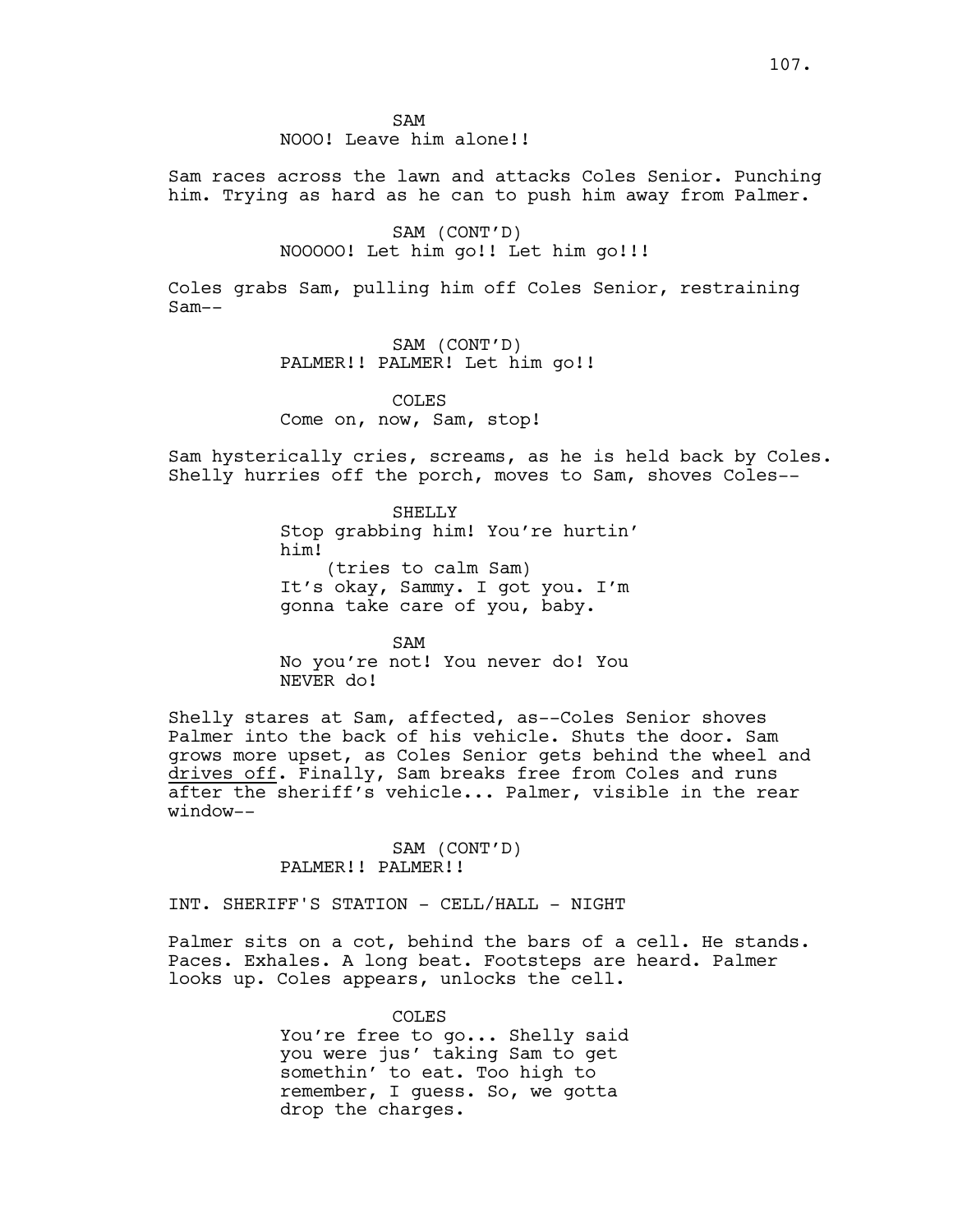SAM NOOO! Leave him alone!!

Sam races across the lawn and attacks Coles Senior. Punching him. Trying as hard as he can to push him away from Palmer.

> SAM (CONT'D) NOOOOO! Let him go!! Let him go!!!

Coles grabs Sam, pulling him off Coles Senior, restraining Sam--

> SAM (CONT'D) PALMER!! PALMER! Let him go!!

COLES Come on, now, Sam, stop!

Sam hysterically cries, screams, as he is held back by Coles. Shelly hurries off the porch, moves to Sam, shoves Coles--

> SHELLY Stop grabbing him! You're hurtin' him! (tries to calm Sam) It's okay, Sammy. I got you. I'm gonna take care of you, baby.

SAM No you're not! You never do! You NEVER do!

Shelly stares at Sam, affected, as--Coles Senior shoves Palmer into the back of his vehicle. Shuts the door. Sam grows more upset, as Coles Senior gets behind the wheel and drives off. Finally, Sam breaks free from Coles and runs after the sheriff's vehicle... Palmer, visible in the rear window--

## SAM (CONT'D) PALMER!! PALMER!!

INT. SHERIFF'S STATION - CELL/HALL - NIGHT

Palmer sits on a cot, behind the bars of a cell. He stands. Paces. Exhales. A long beat. Footsteps are heard. Palmer looks up. Coles appears, unlocks the cell.

> COLES You're free to go... Shelly said you were jus' taking Sam to get somethin' to eat. Too high to remember, I guess. So, we gotta drop the charges.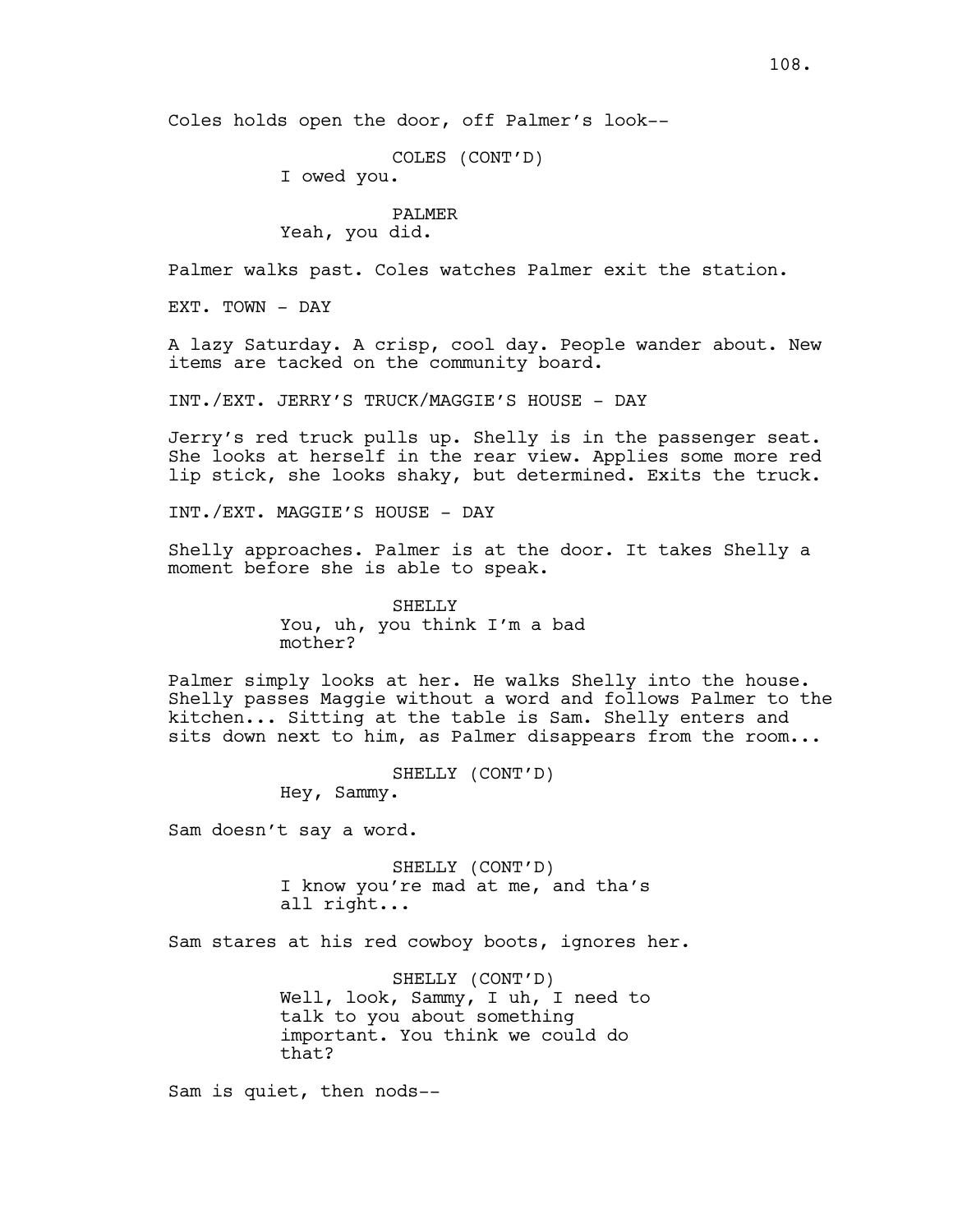COLES (CONT'D)

I owed you.

## PALMER

Yeah, you did.

Palmer walks past. Coles watches Palmer exit the station.

EXT. TOWN - DAY

A lazy Saturday. A crisp, cool day. People wander about. New items are tacked on the community board.

INT./EXT. JERRY'S TRUCK/MAGGIE'S HOUSE - DAY

Jerry's red truck pulls up. Shelly is in the passenger seat. She looks at herself in the rear view. Applies some more red lip stick, she looks shaky, but determined. Exits the truck.

INT./EXT. MAGGIE'S HOUSE - DAY

Shelly approaches. Palmer is at the door. It takes Shelly a moment before she is able to speak.

> SHELLY You, uh, you think I'm a bad mother?

Palmer simply looks at her. He walks Shelly into the house. Shelly passes Maggie without a word and follows Palmer to the kitchen... Sitting at the table is Sam. Shelly enters and sits down next to him, as Palmer disappears from the room...

> SHELLY (CONT'D) Hey, Sammy.

Sam doesn't say a word.

SHELLY (CONT'D) I know you're mad at me, and tha's all right...

Sam stares at his red cowboy boots, ignores her.

SHELLY (CONT'D) Well, look, Sammy, I uh, I need to talk to you about something important. You think we could do that?

Sam is quiet, then nods--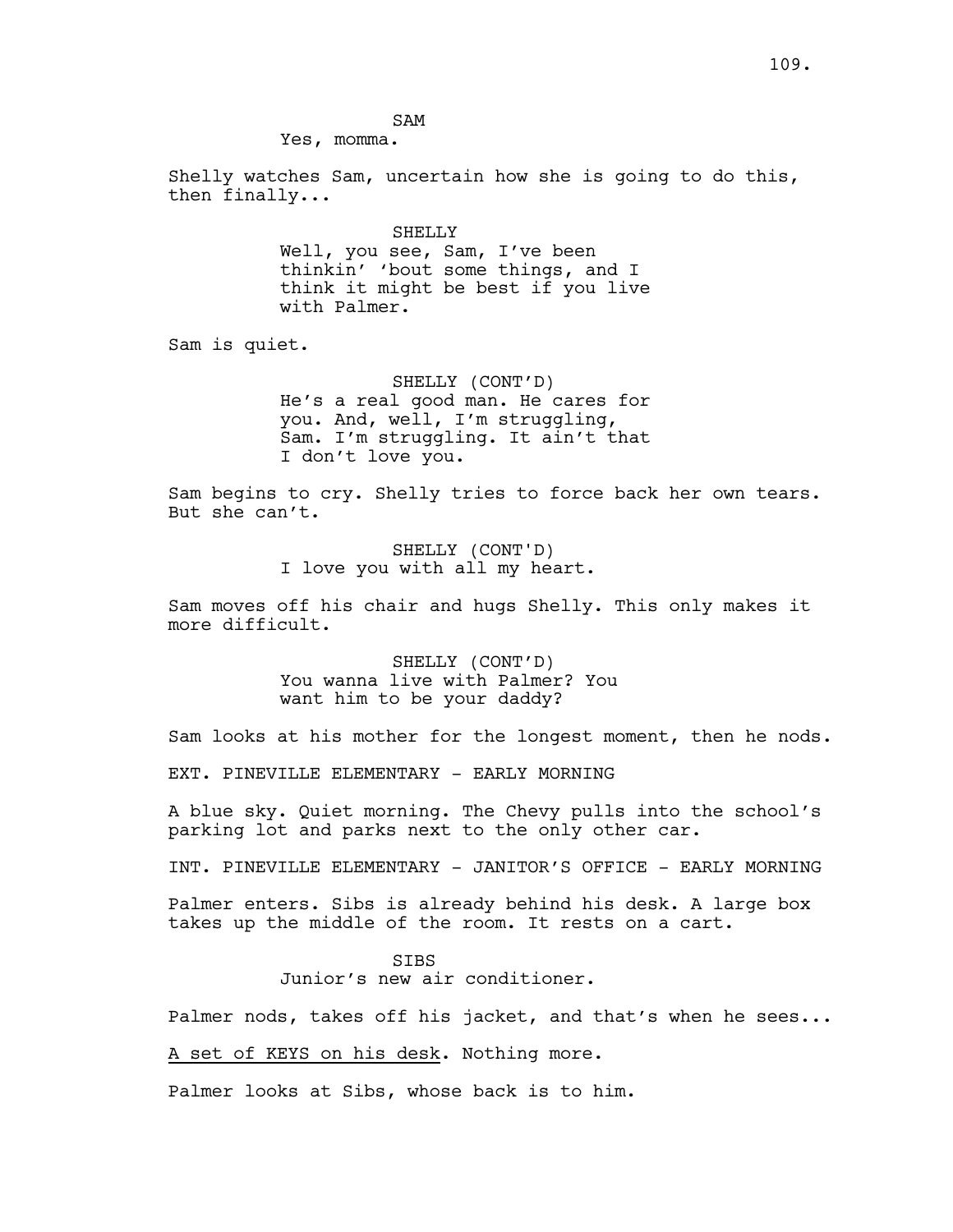SAM

Yes, momma.

Shelly watches Sam, uncertain how she is going to do this, then finally...

> SHELLY Well, you see, Sam, I've been thinkin' 'bout some things, and I think it might be best if you live with Palmer.

Sam is quiet.

SHELLY (CONT'D) He's a real good man. He cares for you. And, well, I'm struggling, Sam. I'm struggling. It ain't that I don't love you.

Sam begins to cry. Shelly tries to force back her own tears. But she can't.

> SHELLY (CONT'D) I love you with all my heart.

Sam moves off his chair and hugs Shelly. This only makes it more difficult.

> SHELLY (CONT'D) You wanna live with Palmer? You want him to be your daddy?

Sam looks at his mother for the longest moment, then he nods.

EXT. PINEVILLE ELEMENTARY - EARLY MORNING

A blue sky. Quiet morning. The Chevy pulls into the school's parking lot and parks next to the only other car.

INT. PINEVILLE ELEMENTARY - JANITOR'S OFFICE - EARLY MORNING

Palmer enters. Sibs is already behind his desk. A large box takes up the middle of the room. It rests on a cart.

> SIBS Junior's new air conditioner.

Palmer nods, takes off his jacket, and that's when he sees...

A set of KEYS on his desk. Nothing more.

Palmer looks at Sibs, whose back is to him.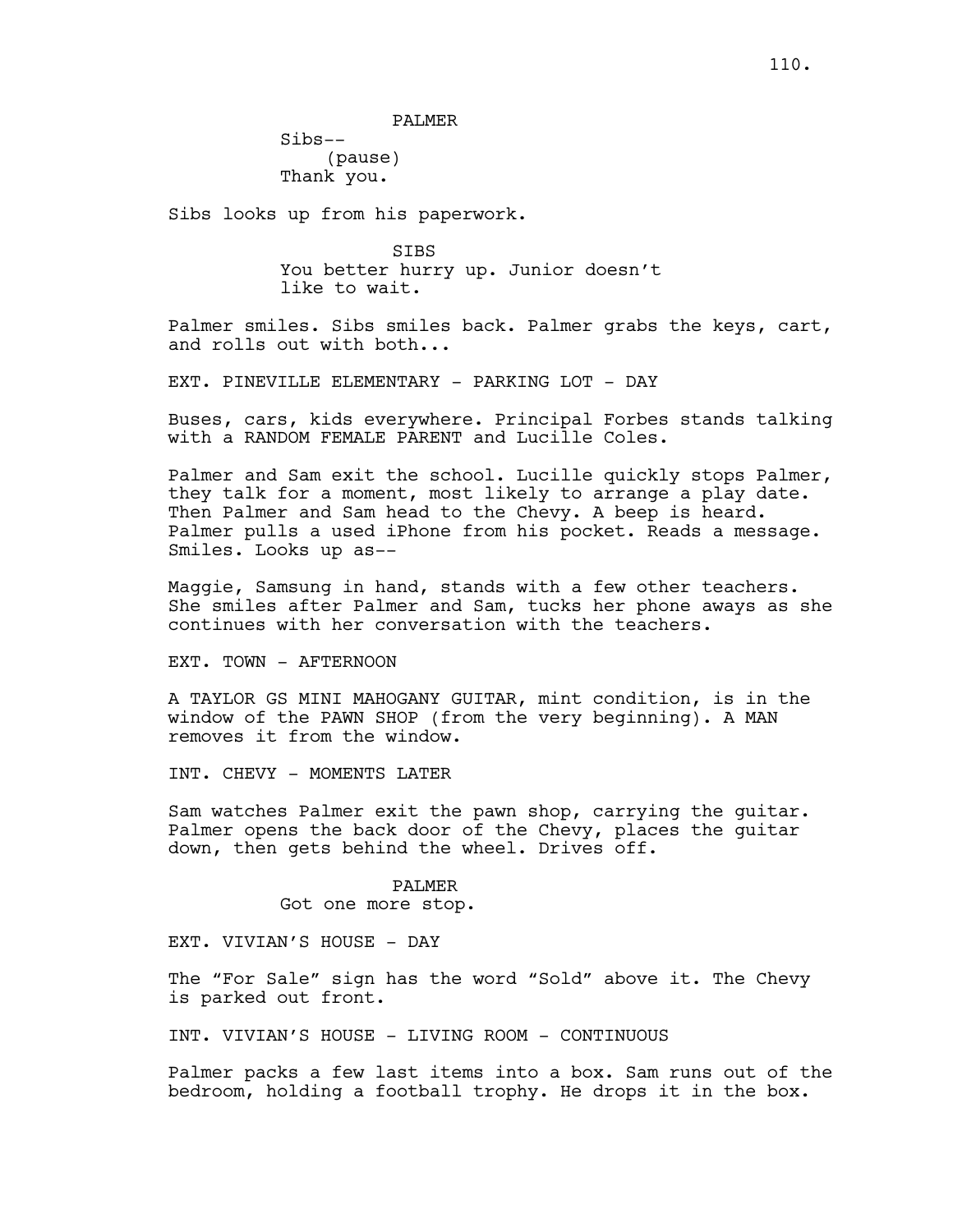PALMER

Sibs-- (pause) Thank you.

Sibs looks up from his paperwork.

SIBS You better hurry up. Junior doesn't like to wait.

Palmer smiles. Sibs smiles back. Palmer grabs the keys, cart, and rolls out with both...

EXT. PINEVILLE ELEMENTARY - PARKING LOT - DAY

Buses, cars, kids everywhere. Principal Forbes stands talking with a RANDOM FEMALE PARENT and Lucille Coles.

Palmer and Sam exit the school. Lucille quickly stops Palmer, they talk for a moment, most likely to arrange a play date. Then Palmer and Sam head to the Chevy. A beep is heard. Palmer pulls a used iPhone from his pocket. Reads a message. Smiles. Looks up as--

Maggie, Samsung in hand, stands with a few other teachers. She smiles after Palmer and Sam, tucks her phone aways as she continues with her conversation with the teachers.

EXT. TOWN - AFTERNOON

A TAYLOR GS MINI MAHOGANY GUITAR, mint condition, is in the window of the PAWN SHOP (from the very beginning). A MAN removes it from the window.

INT. CHEVY - MOMENTS LATER

Sam watches Palmer exit the pawn shop, carrying the guitar. Palmer opens the back door of the Chevy, places the guitar down, then gets behind the wheel. Drives off.

## PALMER

Got one more stop.

EXT. VIVIAN'S HOUSE - DAY

The "For Sale" sign has the word "Sold" above it. The Chevy is parked out front.

INT. VIVIAN'S HOUSE - LIVING ROOM - CONTINUOUS

Palmer packs a few last items into a box. Sam runs out of the bedroom, holding a football trophy. He drops it in the box.